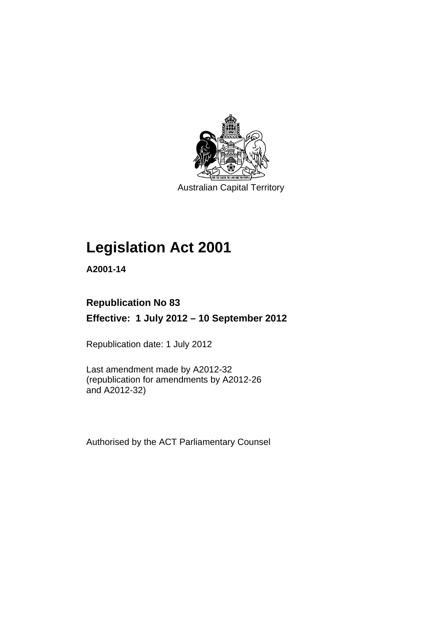

Australian Capital Territory

# **Legislation Act 2001**

**A2001-14** 

# **Republication No 83**

**Effective: 1 July 2012 – 10 September 2012** 

Republication date: 1 July 2012

Last amendment made by A2012-32 (republication for amendments by A2012-26 and A2012-32)

Authorised by the ACT Parliamentary Counsel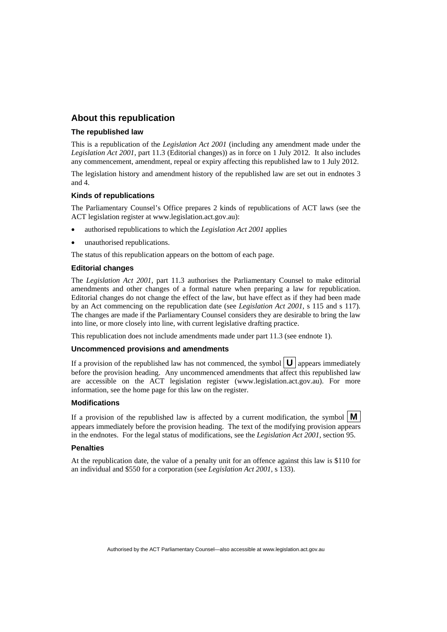## **About this republication**

#### **The republished law**

This is a republication of the *Legislation Act 2001* (including any amendment made under the *Legislation Act 2001*, part 11.3 (Editorial changes)) as in force on 1 July 2012*.* It also includes any commencement, amendment, repeal or expiry affecting this republished law to 1 July 2012.

The legislation history and amendment history of the republished law are set out in endnotes 3 and 4.

#### **Kinds of republications**

The Parliamentary Counsel's Office prepares 2 kinds of republications of ACT laws (see the ACT legislation register at www.legislation.act.gov.au):

- authorised republications to which the *Legislation Act 2001* applies
- unauthorised republications.

The status of this republication appears on the bottom of each page.

#### **Editorial changes**

The *Legislation Act 2001*, part 11.3 authorises the Parliamentary Counsel to make editorial amendments and other changes of a formal nature when preparing a law for republication. Editorial changes do not change the effect of the law, but have effect as if they had been made by an Act commencing on the republication date (see *Legislation Act 2001*, s 115 and s 117). The changes are made if the Parliamentary Counsel considers they are desirable to bring the law into line, or more closely into line, with current legislative drafting practice.

This republication does not include amendments made under part 11.3 (see endnote 1).

#### **Uncommenced provisions and amendments**

If a provision of the republished law has not commenced, the symbol  $\mathbf{U}$  appears immediately before the provision heading. Any uncommenced amendments that affect this republished law are accessible on the ACT legislation register (www.legislation.act.gov.au). For more information, see the home page for this law on the register.

#### **Modifications**

If a provision of the republished law is affected by a current modification, the symbol  $\mathbf{M}$ appears immediately before the provision heading. The text of the modifying provision appears in the endnotes. For the legal status of modifications, see the *Legislation Act 2001*, section 95.

#### **Penalties**

At the republication date, the value of a penalty unit for an offence against this law is \$110 for an individual and \$550 for a corporation (see *Legislation Act 2001*, s 133).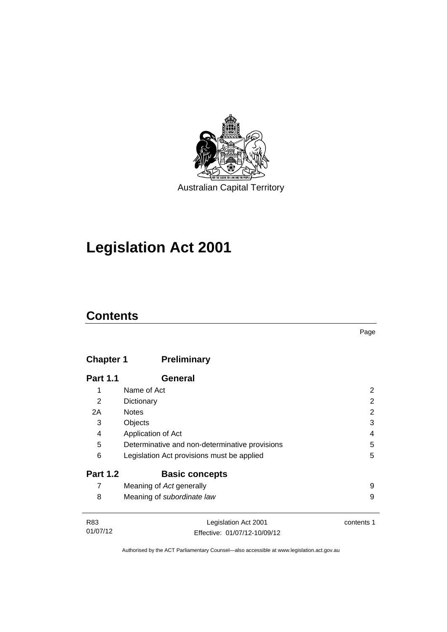

# **Legislation Act 2001**

# **Contents**

| × |
|---|

# **Chapter 1 [Preliminary](#page-17-0)**

| <b>Part 1.1</b>                                                                | General                                    |   |
|--------------------------------------------------------------------------------|--------------------------------------------|---|
| 1                                                                              | Name of Act                                | 2 |
| 2<br>Dictionary                                                                | 2                                          |   |
| 2A                                                                             | <b>Notes</b>                               | 2 |
| 3                                                                              | Objects                                    | 3 |
| Application of Act<br>4<br>5<br>Determinative and non-determinative provisions |                                            | 4 |
|                                                                                | 5                                          |   |
| 6                                                                              | Legislation Act provisions must be applied | 5 |
| <b>Part 1.2</b>                                                                | <b>Basic concepts</b>                      |   |
|                                                                                | Meaning of Act generally                   | 9 |
| 8                                                                              | Meaning of subordinate law                 | 9 |
| <b>DOO</b>                                                                     | $\blacksquare$                             |   |

| R83      | Legislation Act 2001         | contents 1 |
|----------|------------------------------|------------|
| 01/07/12 | Effective: 01/07/12-10/09/12 |            |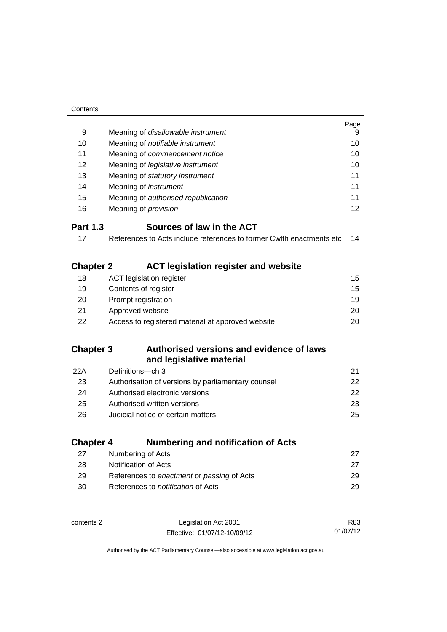| Contents         |                                                                      |                 |
|------------------|----------------------------------------------------------------------|-----------------|
|                  |                                                                      | Page            |
| 9                | Meaning of disallowable instrument                                   | 9               |
| 10               | Meaning of notifiable instrument                                     | 10              |
| 11               | Meaning of commencement notice                                       |                 |
| 12               | Meaning of legislative instrument                                    | 10              |
| 13               | Meaning of statutory instrument                                      | 11              |
| 14               | Meaning of instrument                                                | 11              |
| 15               | Meaning of authorised republication                                  | 11              |
| 16               | Meaning of <i>provision</i>                                          | 12              |
| <b>Part 1.3</b>  | Sources of law in the ACT                                            |                 |
| 17               | References to Acts include references to former Cwith enactments etc | 14              |
|                  |                                                                      |                 |
| <b>Chapter 2</b> | <b>ACT legislation register and website</b>                          |                 |
| 18               | <b>ACT legislation register</b>                                      | 15              |
| 19               | Contents of register                                                 | 15              |
| 20               | Prompt registration                                                  | 19              |
| 21               | Approved website                                                     | 20              |
| 22               | Access to registered material at approved website                    | 20              |
|                  |                                                                      |                 |
| <b>Chapter 3</b> | Authorised versions and evidence of laws                             |                 |
|                  | and legislative material                                             |                 |
| 22A              | Definitions-ch 3                                                     | 21              |
| 23               | Authorisation of versions by parliamentary counsel                   | 22              |
| 24               | Authorised electronic versions                                       | 22              |
| 25               | Authorised written versions                                          | 23              |
| 26               | Judicial notice of certain matters                                   | 25              |
|                  |                                                                      |                 |
| <b>Chapter 4</b> | <b>Numbering and notification of Acts</b>                            |                 |
| 27               | Numbering of Acts                                                    | 27              |
| 28               | Notification of Acts                                                 | 27              |
| 29               | References to enactment or passing of Acts                           | 29              |
| 30               | References to notification of Acts                                   | 29              |
|                  |                                                                      |                 |
| contents 2       | Legislation Act 2001                                                 | R83<br>01/07/12 |
|                  | Effective: 01/07/12-10/09/12                                         |                 |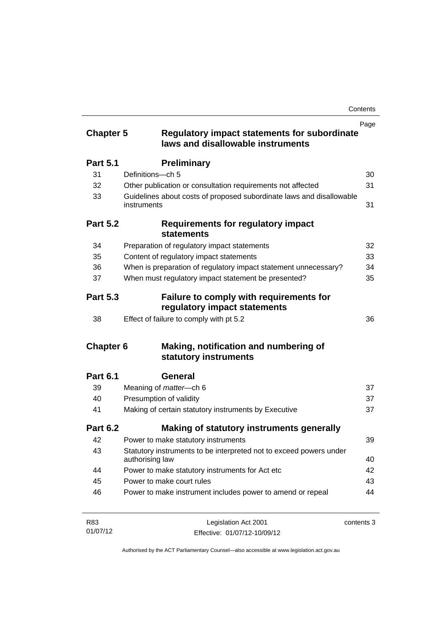| <b>Chapter 5</b> | <b>Regulatory impact statements for subordinate</b><br>laws and disallowable instruments | Page       |
|------------------|------------------------------------------------------------------------------------------|------------|
| <b>Part 5.1</b>  | <b>Preliminary</b>                                                                       |            |
| 31               | Definitions-ch 5                                                                         | 30         |
| 32               | Other publication or consultation requirements not affected                              | 31         |
| 33               | Guidelines about costs of proposed subordinate laws and disallowable<br>instruments      | 31         |
| <b>Part 5.2</b>  | Requirements for regulatory impact<br><b>statements</b>                                  |            |
| 34               | Preparation of regulatory impact statements                                              | 32         |
| 35               | Content of regulatory impact statements                                                  | 33         |
| 36               | When is preparation of regulatory impact statement unnecessary?                          | 34         |
| 37               | When must regulatory impact statement be presented?                                      | 35         |
| <b>Part 5.3</b>  | Failure to comply with requirements for<br>regulatory impact statements                  |            |
| 38               | Effect of failure to comply with pt 5.2                                                  | 36         |
| <b>Chapter 6</b> | Making, notification and numbering of<br>statutory instruments                           |            |
| <b>Part 6.1</b>  | General                                                                                  |            |
| 39               | Meaning of <i>matter</i> -ch 6                                                           | 37         |
| 40               | Presumption of validity                                                                  | 37         |
| 41               | Making of certain statutory instruments by Executive                                     | 37         |
| <b>Part 6.2</b>  | Making of statutory instruments generally                                                |            |
| 42               | Power to make statutory instruments                                                      | 39         |
| 43               | Statutory instruments to be interpreted not to exceed powers under<br>authorising law    | 40         |
| 44               | Power to make statutory instruments for Act etc                                          | 42         |
| 45               | Power to make court rules                                                                | 43         |
| 46               | Power to make instrument includes power to amend or repeal                               | 44         |
| R83              | Legislation Act 2001                                                                     | contents 3 |

Effective: 01/07/12-10/09/12

01/07/12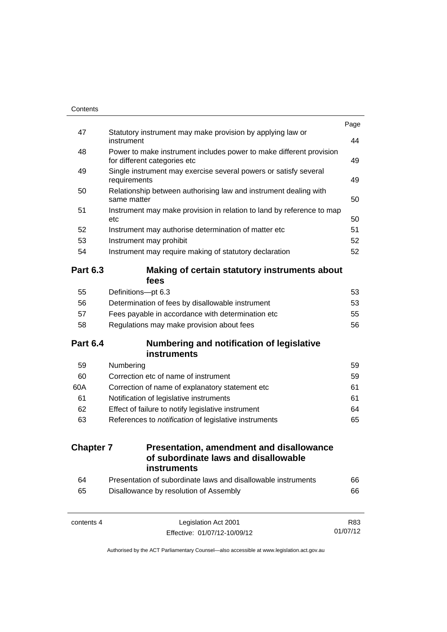|                  |                                                                                                     | Page |
|------------------|-----------------------------------------------------------------------------------------------------|------|
| 47               | Statutory instrument may make provision by applying law or<br>instrument                            | 44   |
| 48               | Power to make instrument includes power to make different provision<br>for different categories etc | 49   |
| 49               | Single instrument may exercise several powers or satisfy several<br>requirements                    | 49   |
| 50               | Relationship between authorising law and instrument dealing with<br>same matter                     | 50   |
| 51               | Instrument may make provision in relation to land by reference to map<br>etc                        | 50   |
| 52               | Instrument may authorise determination of matter etc                                                | 51   |
| 53               | Instrument may prohibit                                                                             | 52   |
| 54               | Instrument may require making of statutory declaration                                              | 52   |
| <b>Part 6.3</b>  | Making of certain statutory instruments about<br>fees                                               |      |
| 55               | Definitions-pt 6.3                                                                                  | 53   |
| 56               | Determination of fees by disallowable instrument                                                    | 53   |
| 57               | Fees payable in accordance with determination etc                                                   | 55   |
| 58               | Regulations may make provision about fees                                                           | 56   |
| <b>Part 6.4</b>  | <b>Numbering and notification of legislative</b>                                                    |      |
| 59               | instruments<br>Numbering                                                                            | 59   |
| 60               | Correction etc of name of instrument                                                                | 59   |
| 60A              | Correction of name of explanatory statement etc                                                     | 61   |
| 61               | Notification of legislative instruments                                                             | 61   |
| 62               | Effect of failure to notify legislative instrument                                                  | 64   |
| 63               | References to notification of legislative instruments                                               | 65   |
| <b>Chapter 7</b> | <b>Presentation, amendment and disallowance</b>                                                     |      |
|                  | of subordinate laws and disallowable<br><b>instruments</b>                                          |      |
| 64               | Presentation of subordinate laws and disallowable instruments                                       | 66   |
| 65               | Disallowance by resolution of Assembly                                                              | 66   |
|                  |                                                                                                     |      |

01/07/12

Effective: 01/07/12-10/09/12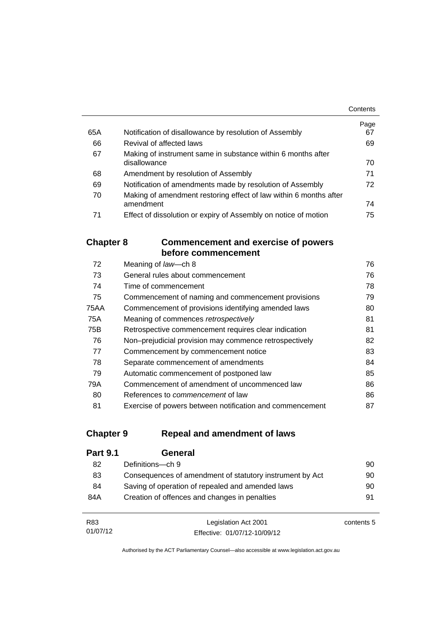|     |                                                                   | Contents |
|-----|-------------------------------------------------------------------|----------|
|     |                                                                   | Page     |
| 65A | Notification of disallowance by resolution of Assembly            | 67       |
| 66  | Revival of affected laws                                          | 69       |
| 67  | Making of instrument same in substance within 6 months after      |          |
|     | disallowance                                                      | 70       |
| 68  | Amendment by resolution of Assembly                               | 71       |
| 69  | Notification of amendments made by resolution of Assembly         | 72       |
| 70  | Making of amendment restoring effect of law within 6 months after |          |
|     | amendment                                                         | 74       |
| 71  | Effect of dissolution or expiry of Assembly on notice of motion   | 75       |

## **Chapter 8 [Commencement and exercise of powers](#page-91-0)  [before commencement](#page-91-0)**

| 72   | Meaning of law-ch 8                                      | 76 |
|------|----------------------------------------------------------|----|
| 73   | General rules about commencement                         | 76 |
| 74   | Time of commencement                                     | 78 |
| 75   | Commencement of naming and commencement provisions       | 79 |
| 75AA | Commencement of provisions identifying amended laws      | 80 |
| 75A  | Meaning of commences retrospectively                     | 81 |
| 75B  | Retrospective commencement requires clear indication     | 81 |
| 76   | Non-prejudicial provision may commence retrospectively   | 82 |
| 77   | Commencement by commencement notice                      | 83 |
| 78   | Separate commencement of amendments                      | 84 |
| 79   | Automatic commencement of postponed law                  | 85 |
| 79A  | Commencement of amendment of uncommenced law             | 86 |
| 80   | References to <i>commencement</i> of law                 | 86 |
| 81   | Exercise of powers between notification and commencement | 87 |

## **Chapter 9 [Repeal and amendment of laws](#page-105-0)**

| <b>Part 9.1</b> | <b>General</b>                                           |    |
|-----------------|----------------------------------------------------------|----|
| 82              | Definitions-ch 9                                         | 90 |
| 83              | Consequences of amendment of statutory instrument by Act | 90 |
| 84              | Saving of operation of repealed and amended laws         | 90 |
| 84A             | Creation of offences and changes in penalties            | 91 |
|                 |                                                          |    |

| R83      | Legislation Act 2001         | contents 5 |
|----------|------------------------------|------------|
| 01/07/12 | Effective: 01/07/12-10/09/12 |            |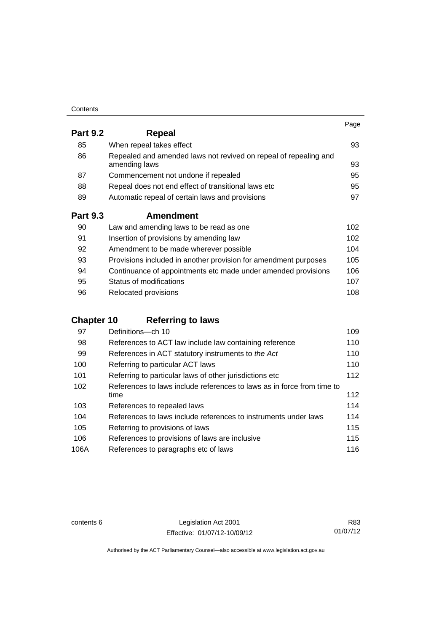| Contents |
|----------|
|----------|

|                 |                                                                                   | Page |
|-----------------|-----------------------------------------------------------------------------------|------|
| <b>Part 9.2</b> | Repeal                                                                            |      |
| 85              | When repeal takes effect                                                          | 93   |
| 86              | Repealed and amended laws not revived on repeal of repealing and<br>amending laws | 93   |
| 87              | Commencement not undone if repealed                                               | 95   |
| 88              | Repeal does not end effect of transitional laws etc                               | 95   |
| 89              | Automatic repeal of certain laws and provisions                                   | 97   |
| <b>Part 9.3</b> | <b>Amendment</b>                                                                  |      |
| 90              | Law and amending laws to be read as one                                           | 102  |
| 91              | Insertion of provisions by amending law                                           | 102  |
| 92              | Amendment to be made wherever possible                                            | 104  |
| 93              | Provisions included in another provision for amendment purposes                   | 105  |
| 94              | Continuance of appointments etc made under amended provisions                     | 106  |
| 95              | Status of modifications                                                           | 107  |

96 Relocated provisions **108** 

# **Chapter 10 [Referring to laws](#page-124-0)**

| 97   | Definitions-ch 10                                                      | 109 |
|------|------------------------------------------------------------------------|-----|
| 98   | References to ACT law include law containing reference                 | 110 |
| 99   | References in ACT statutory instruments to the Act                     | 110 |
| 100  | Referring to particular ACT laws                                       | 110 |
| 101  | Referring to particular laws of other jurisdictions etc                | 112 |
| 102  | References to laws include references to laws as in force from time to |     |
|      | time                                                                   | 112 |
| 103  | References to repealed laws                                            | 114 |
| 104  | References to laws include references to instruments under laws        | 114 |
| 105  | Referring to provisions of laws                                        | 115 |
| 106  | References to provisions of laws are inclusive                         | 115 |
| 106A | References to paragraphs etc of laws                                   | 116 |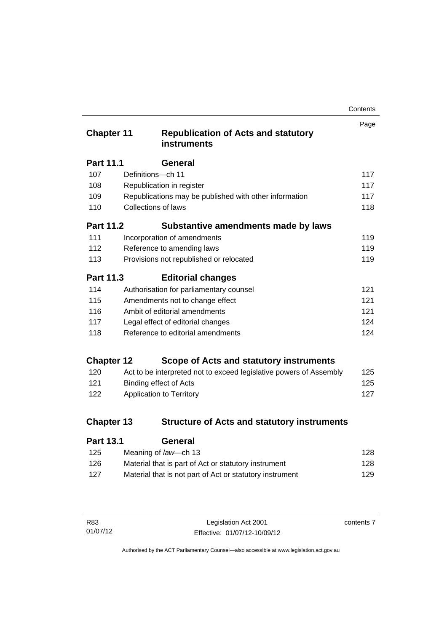| Contents |
|----------|
|----------|

| <b>Chapter 11</b> |                                          | <b>Republication of Acts and statutory</b><br><b>instruments</b>   | Page |
|-------------------|------------------------------------------|--------------------------------------------------------------------|------|
| <b>Part 11.1</b>  |                                          | General                                                            |      |
| 107               | Definitions-ch 11                        |                                                                    | 117  |
| 108               |                                          | Republication in register                                          | 117  |
| 109               |                                          | Republications may be published with other information             | 117  |
| 110               | Collections of laws                      |                                                                    | 118  |
| <b>Part 11.2</b>  |                                          | Substantive amendments made by laws                                |      |
| 111               |                                          | Incorporation of amendments                                        | 119  |
| 112               |                                          | Reference to amending laws                                         | 119  |
| 113               |                                          | Provisions not republished or relocated                            | 119  |
| Part 11.3         |                                          | <b>Editorial changes</b>                                           |      |
| 114               |                                          | Authorisation for parliamentary counsel                            | 121  |
| 115               | Amendments not to change effect<br>121   |                                                                    |      |
| 116               | Ambit of editorial amendments<br>121     |                                                                    |      |
| 117               | Legal effect of editorial changes        |                                                                    | 124  |
| 118               | Reference to editorial amendments<br>124 |                                                                    |      |
| <b>Chapter 12</b> |                                          | Scope of Acts and statutory instruments                            |      |
| 120               |                                          | Act to be interpreted not to exceed legislative powers of Assembly | 125  |
| 121               |                                          | <b>Binding effect of Acts</b>                                      | 125  |
| 122               |                                          | Application to Territory                                           | 127  |
| <b>Chapter 13</b> |                                          | <b>Structure of Acts and statutory instruments</b>                 |      |
| <b>Part 13.1</b>  |                                          | General                                                            |      |

| Meaning of law—ch 13                                     | 128 |
|----------------------------------------------------------|-----|
| Material that is part of Act or statutory instrument     | 128 |
| Material that is not part of Act or statutory instrument | 129 |
|                                                          |     |

| R83      | Legislation Act 2001         | contents 7 |
|----------|------------------------------|------------|
| 01/07/12 | Effective: 01/07/12-10/09/12 |            |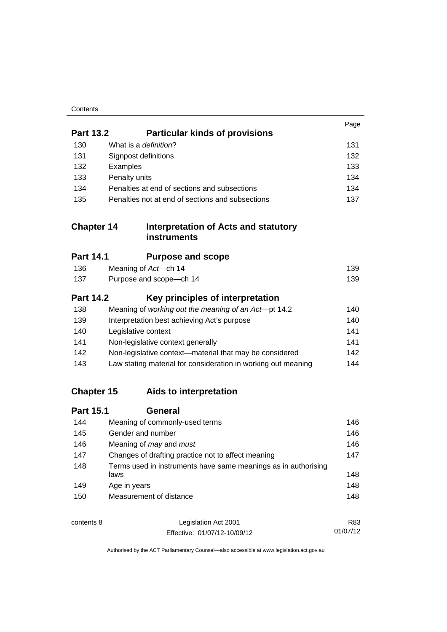| Contents |
|----------|
|----------|

|                   |                                                                        | Page |  |  |  |
|-------------------|------------------------------------------------------------------------|------|--|--|--|
| <b>Part 13.2</b>  | <b>Particular kinds of provisions</b>                                  |      |  |  |  |
| 130               | What is a definition?                                                  | 131  |  |  |  |
| 131               | Signpost definitions                                                   | 132  |  |  |  |
| 132               | Examples                                                               |      |  |  |  |
| 133               | Penalty units                                                          |      |  |  |  |
| 134               | Penalties at end of sections and subsections                           | 134  |  |  |  |
| 135               | Penalties not at end of sections and subsections                       | 137  |  |  |  |
| <b>Chapter 14</b> | <b>Interpretation of Acts and statutory</b><br><b>instruments</b>      |      |  |  |  |
| <b>Part 14.1</b>  | <b>Purpose and scope</b>                                               |      |  |  |  |
| 136               | Meaning of Act-ch 14                                                   | 139  |  |  |  |
| 137               | Purpose and scope-ch 14                                                | 139  |  |  |  |
| <b>Part 14.2</b>  | Key principles of interpretation                                       |      |  |  |  |
| 138               | Meaning of working out the meaning of an Act-pt 14.2                   | 140  |  |  |  |
| 139               | Interpretation best achieving Act's purpose                            | 140  |  |  |  |
| 140               | Legislative context                                                    | 141  |  |  |  |
| 141               | Non-legislative context generally                                      | 141  |  |  |  |
| 142               | Non-legislative context-material that may be considered                | 142  |  |  |  |
| 143               | Law stating material for consideration in working out meaning          | 144  |  |  |  |
| <b>Chapter 15</b> | Aids to interpretation                                                 |      |  |  |  |
| <b>Part 15.1</b>  | <b>General</b>                                                         |      |  |  |  |
| 144               | Meaning of commonly-used terms                                         | 146  |  |  |  |
| 145               | Gender and number                                                      | 146  |  |  |  |
| 146               | Meaning of may and must                                                | 146  |  |  |  |
| 147               | Changes of drafting practice not to affect meaning                     |      |  |  |  |
| 148               | Terms used in instruments have same meanings as in authorising<br>laws | 148  |  |  |  |
| 149               | Age in years                                                           | 148  |  |  |  |
| 150               | Measurement of distance                                                | 148  |  |  |  |
| contents 8        | Legislation Act 2001                                                   | R83  |  |  |  |

Effective: 01/07/12-10/09/12 01/07/12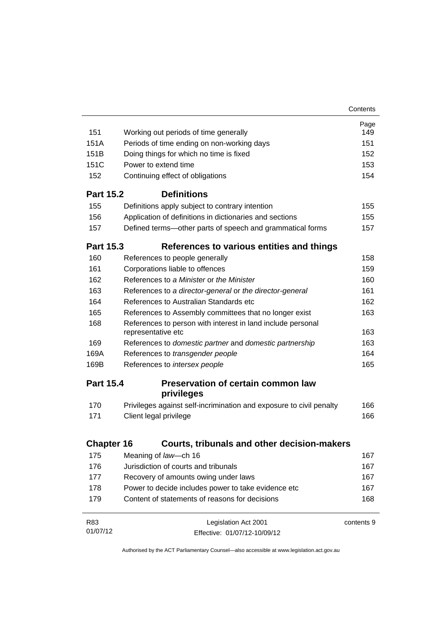|                   |                                                                                                    | Contents   |  |
|-------------------|----------------------------------------------------------------------------------------------------|------------|--|
|                   |                                                                                                    | Page       |  |
| 151               | Working out periods of time generally                                                              | 149        |  |
| 151A              | Periods of time ending on non-working days                                                         | 151        |  |
| 151 <sub>B</sub>  | Doing things for which no time is fixed                                                            | 152        |  |
| 151C              | Power to extend time                                                                               | 153        |  |
| 152               | Continuing effect of obligations                                                                   | 154        |  |
| <b>Part 15.2</b>  | <b>Definitions</b>                                                                                 |            |  |
| 155               | Definitions apply subject to contrary intention                                                    | 155        |  |
| 156               | Application of definitions in dictionaries and sections                                            | 155        |  |
| 157               | Defined terms—other parts of speech and grammatical forms                                          | 157        |  |
| <b>Part 15.3</b>  | References to various entities and things                                                          |            |  |
| 160               | References to people generally                                                                     | 158        |  |
| 161               | Corporations liable to offences                                                                    | 159        |  |
| 162               | References to a Minister or the Minister                                                           | 160        |  |
| 163               | References to a director-general or the director-general                                           | 161        |  |
| 164               | References to Australian Standards etc                                                             | 162        |  |
| 165               | References to Assembly committees that no longer exist                                             | 163        |  |
| 168               | References to person with interest in land include personal<br>representative etc                  | 163        |  |
| 169               | References to domestic partner and domestic partnership                                            | 163        |  |
| 169A              | References to transgender people                                                                   | 164        |  |
| 169B              | References to intersex people                                                                      | 165        |  |
| <b>Part 15.4</b>  | Preservation of certain common law                                                                 |            |  |
|                   | privileges                                                                                         |            |  |
| 170               | Privileges against self-incrimination and exposure to civil penalty                                | 166        |  |
| 171               | Client legal privilege                                                                             | 166        |  |
| <b>Chapter 16</b> | Courts, tribunals and other decision-makers                                                        |            |  |
| 175               | Meaning of law-ch 16                                                                               | 167        |  |
| 176               |                                                                                                    | 167        |  |
| 177               | Jurisdiction of courts and tribunals                                                               |            |  |
| 178               | Recovery of amounts owing under laws<br>167<br>Power to decide includes power to take evidence etc |            |  |
| 179               | Content of statements of reasons for decisions                                                     | 167<br>168 |  |
| R83               | Legislation Act 2001                                                                               | contents 9 |  |
| 01/07/12          |                                                                                                    |            |  |
|                   | Effective: 01/07/12-10/09/12                                                                       |            |  |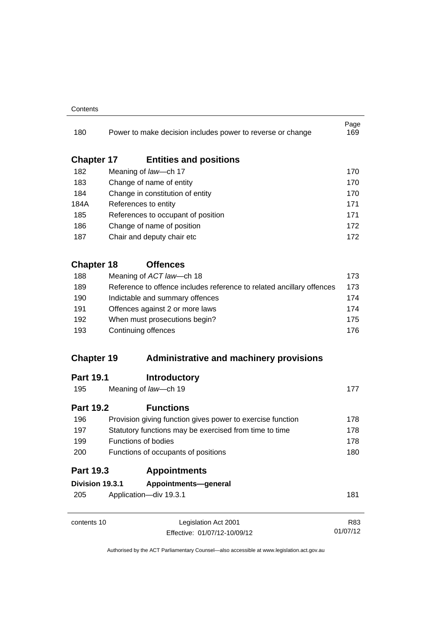#### **Contents**

| 180               |  | Power to make decision includes power to reverse or change            | Page<br>169 |  |
|-------------------|--|-----------------------------------------------------------------------|-------------|--|
| <b>Chapter 17</b> |  | <b>Entities and positions</b>                                         |             |  |
| 182               |  | Meaning of law-ch 17                                                  | 170         |  |
| 183               |  | Change of name of entity                                              | 170         |  |
| 184               |  | Change in constitution of entity                                      | 170         |  |
| 184A              |  | References to entity                                                  | 171         |  |
| 185               |  | References to occupant of position                                    | 171         |  |
| 186               |  | Change of name of position                                            | 172         |  |
| 187               |  | Chair and deputy chair etc                                            | 172         |  |
| <b>Chapter 18</b> |  | <b>Offences</b>                                                       |             |  |
| 188               |  | Meaning of ACT law-ch 18                                              | 173         |  |
| 189               |  | Reference to offence includes reference to related ancillary offences | 173         |  |
| 190               |  | Indictable and summary offences<br>Offences against 2 or more laws    | 174         |  |
| 191               |  |                                                                       | 174         |  |
| 192               |  | When must prosecutions begin?                                         |             |  |
| 193               |  | Continuing offences                                                   |             |  |
| <b>Chapter 19</b> |  | <b>Administrative and machinery provisions</b>                        |             |  |
| <b>Part 19.1</b>  |  | <b>Introductory</b>                                                   |             |  |
| 195               |  | Meaning of law-ch 19                                                  | 177         |  |
| <b>Part 19.2</b>  |  | <b>Functions</b>                                                      |             |  |
| 196               |  | Provision giving function gives power to exercise function            | 178         |  |
| 197               |  | Statutory functions may be exercised from time to time                | 178         |  |
| 199               |  | Functions of bodies                                                   | 178         |  |
| 200               |  | Functions of occupants of positions                                   | 180         |  |
| <b>Part 19.3</b>  |  | <b>Appointments</b>                                                   |             |  |
| Division 19.3.1   |  | Appointments-general                                                  |             |  |
| 205               |  | Application-div 19.3.1                                                | 181         |  |
| contents 10       |  | Legislation Act 2001                                                  | R83         |  |
|                   |  | Effective: 01/07/12-10/09/12                                          | 01/07/12    |  |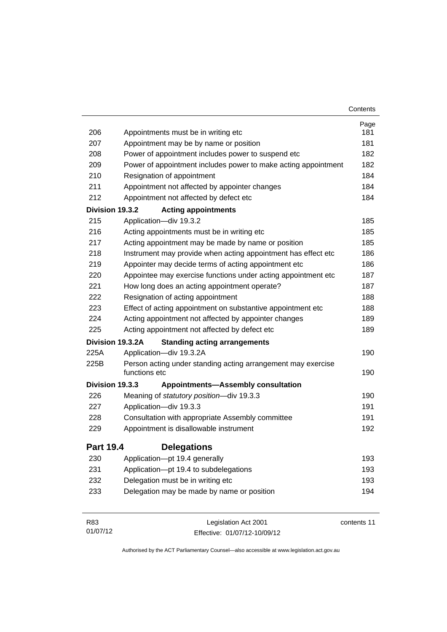|                  |                                                                               | Contents    |
|------------------|-------------------------------------------------------------------------------|-------------|
|                  |                                                                               | Page        |
| 206              | Appointments must be in writing etc                                           | 181         |
| 207              | Appointment may be by name or position                                        | 181         |
| 208              | Power of appointment includes power to suspend etc                            | 182         |
| 209              | Power of appointment includes power to make acting appointment                | 182         |
| 210              | Resignation of appointment                                                    | 184         |
| 211              | Appointment not affected by appointer changes                                 | 184         |
| 212              | Appointment not affected by defect etc                                        | 184         |
| Division 19.3.2  | <b>Acting appointments</b>                                                    |             |
| 215              | Application-div 19.3.2                                                        | 185         |
| 216              | Acting appointments must be in writing etc                                    | 185         |
| 217              | Acting appointment may be made by name or position                            | 185         |
| 218              | Instrument may provide when acting appointment has effect etc                 | 186         |
| 219              | Appointer may decide terms of acting appointment etc                          | 186         |
| 220              | Appointee may exercise functions under acting appointment etc                 | 187         |
| 221              | How long does an acting appointment operate?                                  | 187         |
| 222              | Resignation of acting appointment                                             | 188         |
| 223              | Effect of acting appointment on substantive appointment etc                   | 188         |
| 224              | Acting appointment not affected by appointer changes                          | 189         |
| 225              | Acting appointment not affected by defect etc                                 | 189         |
|                  | Division 19.3.2A<br><b>Standing acting arrangements</b>                       |             |
| 225A             | Application-div 19.3.2A                                                       | 190         |
| 225B             | Person acting under standing acting arrangement may exercise<br>functions etc | 190         |
| Division 19.3.3  | <b>Appointments-Assembly consultation</b>                                     |             |
| 226              | Meaning of statutory position-div 19.3.3                                      | 190         |
| 227              | Application-div 19.3.3                                                        | 191         |
| 228              | Consultation with appropriate Assembly committee                              | 191         |
| 229              | Appointment is disallowable instrument                                        | 192         |
| <b>Part 19.4</b> | <b>Delegations</b>                                                            |             |
| 230              | Application-pt 19.4 generally                                                 | 193         |
| 231              | Application-pt 19.4 to subdelegations                                         | 193         |
| 232              | Delegation must be in writing etc                                             | 193         |
| 233              | Delegation may be made by name or position                                    | 194         |
| R83              | Legislation Act 2001                                                          | contents 11 |

Effective: 01/07/12-10/09/12

01/07/12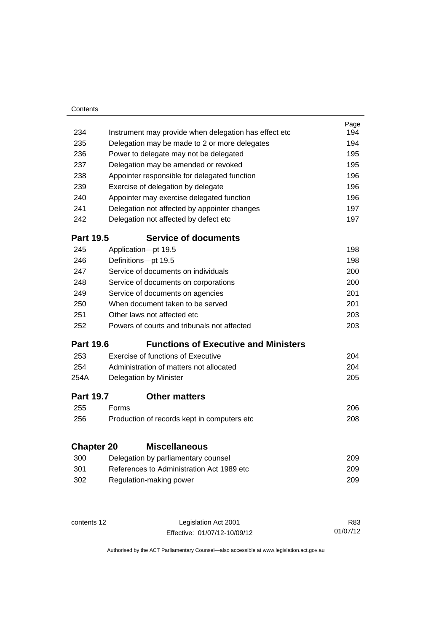| Contents          |       |                                                                                  |            |
|-------------------|-------|----------------------------------------------------------------------------------|------------|
|                   |       |                                                                                  | Page       |
| 234               |       | Instrument may provide when delegation has effect etc                            | 194        |
| 235               |       | Delegation may be made to 2 or more delegates                                    | 194        |
| 236               |       | Power to delegate may not be delegated                                           | 195        |
| 237               |       | Delegation may be amended or revoked                                             | 195        |
| 238               |       | Appointer responsible for delegated function                                     | 196        |
| 239               |       | Exercise of delegation by delegate                                               | 196        |
| 240               |       | Appointer may exercise delegated function                                        | 196        |
| 241               |       | Delegation not affected by appointer changes                                     | 197        |
| 242               |       | Delegation not affected by defect etc                                            | 197        |
| <b>Part 19.5</b>  |       | <b>Service of documents</b>                                                      |            |
| 245               |       | Application-pt 19.5                                                              | 198        |
| 246               |       | Definitions-pt 19.5                                                              | 198        |
| 247               |       | Service of documents on individuals                                              | 200        |
| 248               |       | Service of documents on corporations                                             | 200        |
| 249               |       | Service of documents on agencies                                                 | 201        |
| 250               |       | When document taken to be served                                                 | 201        |
| 251               |       | Other laws not affected etc                                                      | 203        |
| 252               |       | Powers of courts and tribunals not affected                                      | 203        |
| <b>Part 19.6</b>  |       | <b>Functions of Executive and Ministers</b>                                      |            |
| 253               |       | Exercise of functions of Executive                                               | 204        |
| 254               |       | Administration of matters not allocated                                          | 204        |
| 254A              |       | Delegation by Minister                                                           | 205        |
| <b>Part 19.7</b>  |       | <b>Other matters</b>                                                             |            |
| 255               | Forms |                                                                                  | 206        |
| 256               |       | Production of records kept in computers etc                                      | 208        |
| <b>Chapter 20</b> |       | <b>Miscellaneous</b>                                                             |            |
|                   |       |                                                                                  |            |
| 300<br>301        |       | Delegation by parliamentary counsel<br>References to Administration Act 1989 etc | 209<br>209 |
|                   |       |                                                                                  |            |
| 302               |       | Regulation-making power                                                          | 209        |
|                   |       |                                                                                  |            |
|                   |       |                                                                                  |            |

| contents 12 | Legislation Act 2001         |  |
|-------------|------------------------------|--|
|             | Effective: 01/07/12-10/09/12 |  |

R83 01/07/12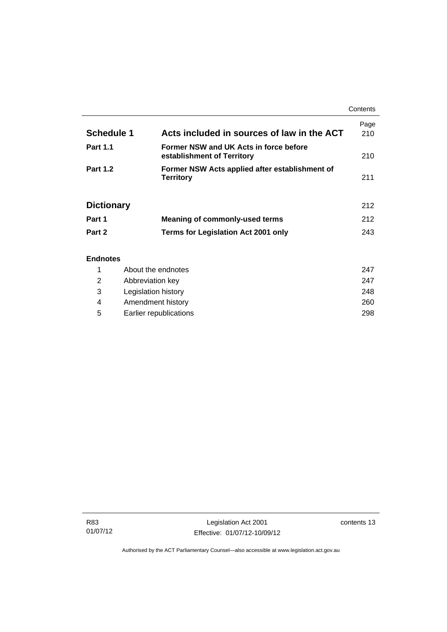|                   |                                                                      | Contents    |
|-------------------|----------------------------------------------------------------------|-------------|
| Schedule 1        | Acts included in sources of law in the ACT                           | Page<br>210 |
| <b>Part 1.1</b>   | Former NSW and UK Acts in force before<br>establishment of Territory | 210         |
| <b>Part 1.2</b>   | Former NSW Acts applied after establishment of<br><b>Territory</b>   | 211         |
| <b>Dictionary</b> |                                                                      | 212         |
| Part 1            | <b>Meaning of commonly-used terms</b>                                | 212         |
| Part 2            | <b>Terms for Legislation Act 2001 only</b>                           | 243         |
| <b>Endnotes</b>   |                                                                      |             |

## 1 [About the endnotes 247](#page-262-1) 2 [Abbreviation key 247](#page-262-2) 3 [Legislation history 248](#page-263-0) 4 [Amendment history 260](#page-275-0) 5 [Earlier republications 298](#page-313-0)

j.

contents 13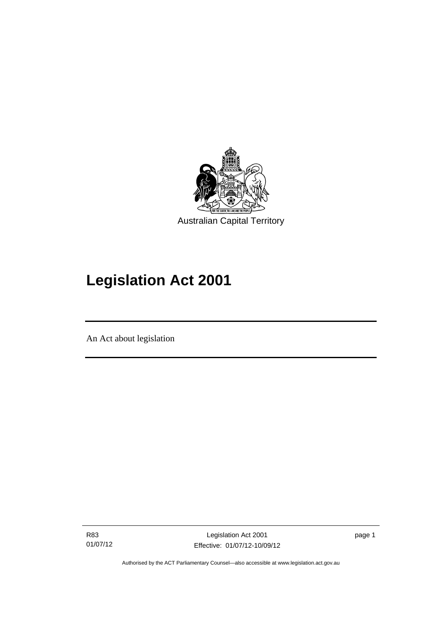

# **Legislation Act 2001**

An Act about legislation

Ī

R83 01/07/12

Legislation Act 2001 Effective: 01/07/12-10/09/12 page 1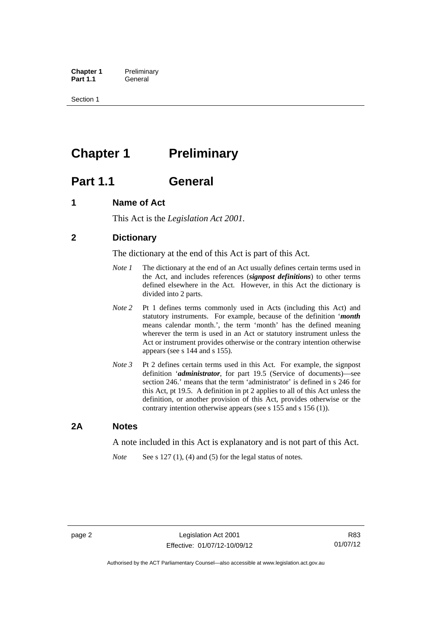**Chapter 1** Preliminary<br>**Part 1.1** General General

Section 1

# <span id="page-17-0"></span>**Chapter 1** Preliminary

## <span id="page-17-1"></span>**Part 1.1 General**

## <span id="page-17-2"></span>**1 Name of Act**

This Act is the *Legislation Act 2001.* 

## <span id="page-17-3"></span>**2 Dictionary**

The dictionary at the end of this Act is part of this Act.

- *Note 1* The dictionary at the end of an Act usually defines certain terms used in the Act, and includes references (*signpost definitions*) to other terms defined elsewhere in the Act. However, in this Act the dictionary is divided into 2 parts.
- *Note 2* Pt 1 defines terms commonly used in Acts (including this Act) and statutory instruments. For example, because of the definition '*month* means calendar month.', the term 'month' has the defined meaning wherever the term is used in an Act or statutory instrument unless the Act or instrument provides otherwise or the contrary intention otherwise appears (see s 144 and s 155).
- *Note 3* Pt 2 defines certain terms used in this Act. For example, the signpost definition '*administrator*, for part 19.5 (Service of documents)—see section 246.' means that the term 'administrator' is defined in s 246 for this Act, pt 19.5. A definition in pt 2 applies to all of this Act unless the definition, or another provision of this Act, provides otherwise or the contrary intention otherwise appears (see s 155 and s 156 (1)).

## <span id="page-17-4"></span>**2A Notes**

A note included in this Act is explanatory and is not part of this Act.

*Note* See s 127 (1), (4) and (5) for the legal status of notes.

R83 01/07/12

Authorised by the ACT Parliamentary Counsel—also accessible at www.legislation.act.gov.au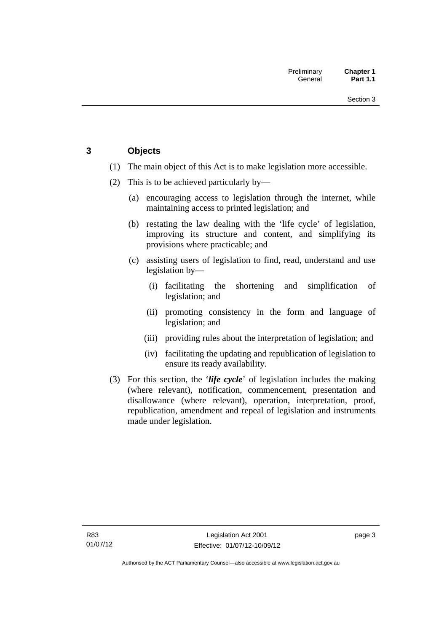## <span id="page-18-0"></span>**3 Objects**

- (1) The main object of this Act is to make legislation more accessible.
- (2) This is to be achieved particularly by—
	- (a) encouraging access to legislation through the internet, while maintaining access to printed legislation; and
	- (b) restating the law dealing with the 'life cycle' of legislation, improving its structure and content, and simplifying its provisions where practicable; and
	- (c) assisting users of legislation to find, read, understand and use legislation by—
		- (i) facilitating the shortening and simplification of legislation; and
		- (ii) promoting consistency in the form and language of legislation; and
		- (iii) providing rules about the interpretation of legislation; and
		- (iv) facilitating the updating and republication of legislation to ensure its ready availability.
- (3) For this section, the '*life cycle*' of legislation includes the making (where relevant), notification, commencement, presentation and disallowance (where relevant), operation, interpretation, proof, republication, amendment and repeal of legislation and instruments made under legislation.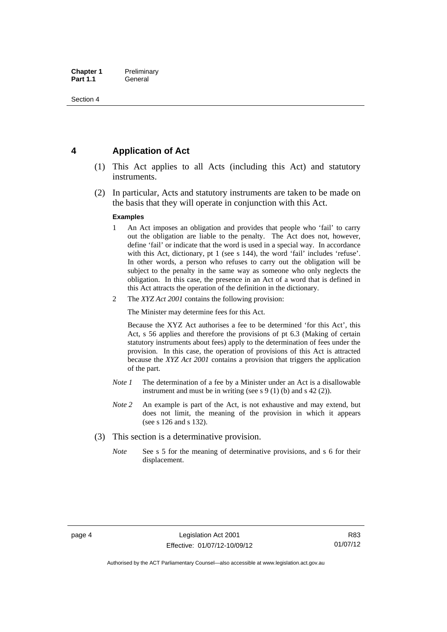## <span id="page-19-0"></span>**4 Application of Act**

- (1) This Act applies to all Acts (including this Act) and statutory instruments.
- (2) In particular, Acts and statutory instruments are taken to be made on the basis that they will operate in conjunction with this Act.

#### **Examples**

- 1 An Act imposes an obligation and provides that people who 'fail' to carry out the obligation are liable to the penalty. The Act does not, however, define 'fail' or indicate that the word is used in a special way. In accordance with this Act, dictionary, pt 1 (see s 144), the word 'fail' includes 'refuse'. In other words, a person who refuses to carry out the obligation will be subject to the penalty in the same way as someone who only neglects the obligation. In this case, the presence in an Act of a word that is defined in this Act attracts the operation of the definition in the dictionary.
- 2 The *XYZ Act 2001* contains the following provision:

The Minister may determine fees for this Act.

Because the XYZ Act authorises a fee to be determined 'for this Act', this Act, s 56 applies and therefore the provisions of pt 6.3 (Making of certain statutory instruments about fees) apply to the determination of fees under the provision. In this case, the operation of provisions of this Act is attracted because the *XYZ Act 2001* contains a provision that triggers the application of the part.

- *Note 1* The determination of a fee by a Minister under an Act is a disallowable instrument and must be in writing (see s 9 (1) (b) and s 42 (2)).
- *Note 2* An example is part of the Act, is not exhaustive and may extend, but does not limit, the meaning of the provision in which it appears (see s 126 and s 132).
- (3) This section is a determinative provision.
	- *Note* See s 5 for the meaning of determinative provisions, and s 6 for their displacement.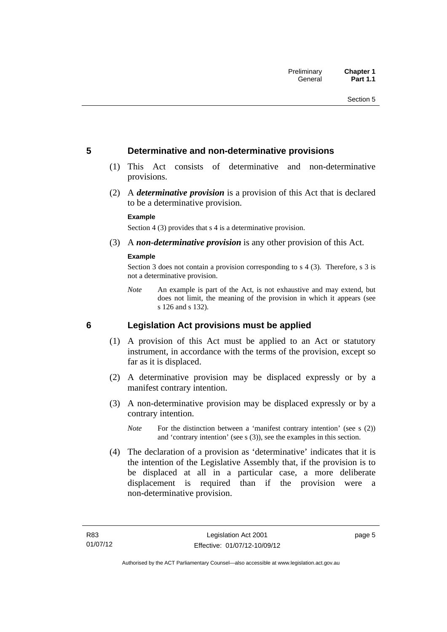## <span id="page-20-0"></span>**5 Determinative and non-determinative provisions**

- (1) This Act consists of determinative and non-determinative provisions.
- (2) A *determinative provision* is a provision of this Act that is declared to be a determinative provision.

#### **Example**

Section 4 (3) provides that s 4 is a determinative provision.

(3) A *non-determinative provision* is any other provision of this Act.

#### **Example**

Section 3 does not contain a provision corresponding to s 4 (3). Therefore, s 3 is not a determinative provision.

*Note* An example is part of the Act, is not exhaustive and may extend, but does not limit, the meaning of the provision in which it appears (see s 126 and s 132).

## <span id="page-20-1"></span>**6 Legislation Act provisions must be applied**

- (1) A provision of this Act must be applied to an Act or statutory instrument, in accordance with the terms of the provision, except so far as it is displaced.
- (2) A determinative provision may be displaced expressly or by a manifest contrary intention.
- (3) A non-determinative provision may be displaced expressly or by a contrary intention.
	- *Note* For the distinction between a 'manifest contrary intention' (see s (2)) and 'contrary intention' (see s (3)), see the examples in this section.
- (4) The declaration of a provision as 'determinative' indicates that it is the intention of the Legislative Assembly that, if the provision is to be displaced at all in a particular case, a more deliberate displacement is required than if the provision were a non-determinative provision.

page 5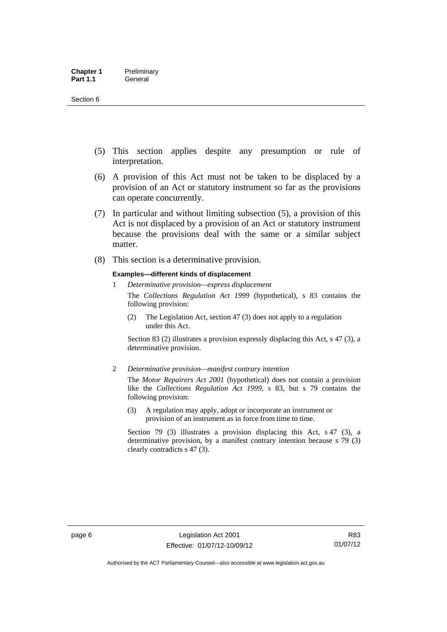- (5) This section applies despite any presumption or rule of interpretation.
- (6) A provision of this Act must not be taken to be displaced by a provision of an Act or statutory instrument so far as the provisions can operate concurrently.
- (7) In particular and without limiting subsection (5), a provision of this Act is not displaced by a provision of an Act or statutory instrument because the provisions deal with the same or a similar subject matter.
- (8) This section is a determinative provision.

#### **Examples—different kinds of displacement**

1 *Determinative provision—express displacement*

The *Collections Regulation Act 1999* (hypothetical), s 83 contains the following provision:

(2) The Legislation Act, section 47 (3) does not apply to a regulation under this Act.

Section 83 (2) illustrates a provision expressly displacing this Act, s 47 (3), a determinative provision.

2 *Determinative provision—manifest contrary intention*

The *Motor Repairers Act 2001* (hypothetical) does not contain a provision like the *Collections Regulation Act 1999*, s 83, but s 79 contains the following provision:

(3) A regulation may apply, adopt or incorporate an instrument or provision of an instrument as in force from time to time.

Section 79 (3) illustrates a provision displacing this Act, s 47 (3), a determinative provision, by a manifest contrary intention because s 79 (3) clearly contradicts s 47 (3).

R83 01/07/12

Authorised by the ACT Parliamentary Counsel—also accessible at www.legislation.act.gov.au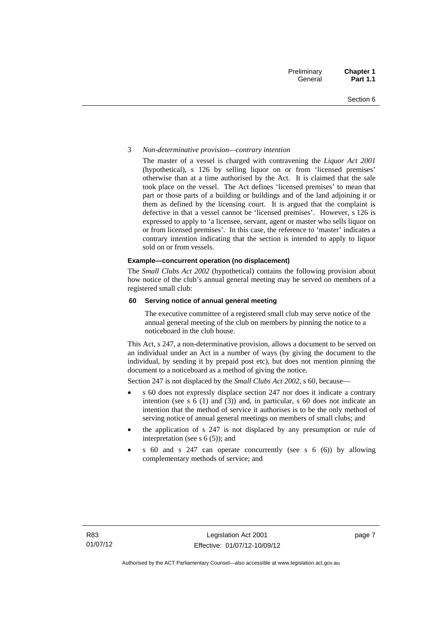#### 3 *Non-determinative provision—contrary intention*

The master of a vessel is charged with contravening the *Liquor Act 2001* (hypothetical), s 126 by selling liquor on or from 'licensed premises' otherwise than at a time authorised by the Act. It is claimed that the sale took place on the vessel. The Act defines 'licensed premises' to mean that part or those parts of a building or buildings and of the land adjoining it or them as defined by the licensing court. It is argued that the complaint is defective in that a vessel cannot be 'licensed premises'. However, s 126 is expressed to apply to 'a licensee, servant, agent or master who sells liquor on or from licensed premises'. In this case, the reference to 'master' indicates a contrary intention indicating that the section is intended to apply to liquor sold on or from vessels.

#### **Example—concurrent operation (no displacement)**

The *Small Clubs Act 2002* (hypothetical) contains the following provision about how notice of the club's annual general meeting may be served on members of a registered small club:

#### **60 Serving notice of annual general meeting**

The executive committee of a registered small club may serve notice of the annual general meeting of the club on members by pinning the notice to a noticeboard in the club house.

This Act, s 247, a non-determinative provision, allows a document to be served on an individual under an Act in a number of ways (by giving the document to the individual, by sending it by prepaid post etc), but does not mention pinning the document to a noticeboard as a method of giving the notice.

Section 247 is not displaced by the *Small Clubs Act 2002*, s 60, because—

- s 60 does not expressly displace section 247 nor does it indicate a contrary intention (see s 6 (1) and (3)) and, in particular, s 60 does not indicate an intention that the method of service it authorises is to be the only method of serving notice of annual general meetings on members of small clubs; and
- the application of s 247 is not displaced by any presumption or rule of interpretation (see s  $6(5)$ ); and
- s 60 and s 247 can operate concurrently (see s 6 (6)) by allowing complementary methods of service; and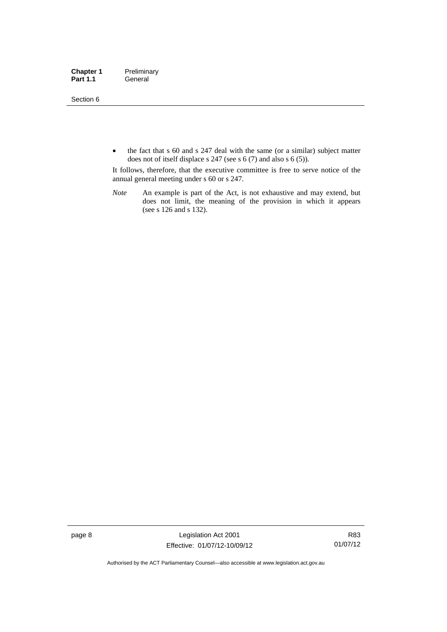Section 6

• the fact that s 60 and s 247 deal with the same (or a similar) subject matter does not of itself displace s 247 (see s 6 (7) and also s 6 (5)).

It follows, therefore, that the executive committee is free to serve notice of the annual general meeting under s 60 or s 247.

*Note* An example is part of the Act, is not exhaustive and may extend, but does not limit, the meaning of the provision in which it appears (see s 126 and s 132).

page 8 Legislation Act 2001 Effective: 01/07/12-10/09/12

R83 01/07/12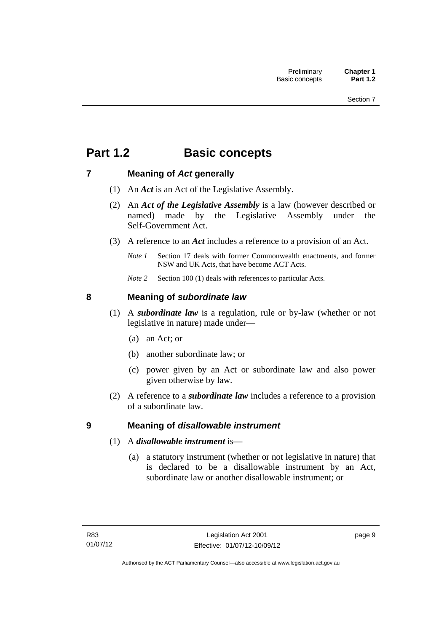# <span id="page-24-0"></span>**Part 1.2 Basic concepts**

## <span id="page-24-1"></span>**7 Meaning of** *Act* **generally**

- (1) An *Act* is an Act of the Legislative Assembly.
- (2) An *Act of the Legislative Assembly* is a law (however described or named) made by the Legislative Assembly under the Self-Government Act.
- (3) A reference to an *Act* includes a reference to a provision of an Act.
	- *Note 1* Section 17 deals with former Commonwealth enactments, and former NSW and UK Acts, that have become ACT Acts.
	- *Note 2* Section 100 (1) deals with references to particular Acts.

## <span id="page-24-2"></span>**8 Meaning of** *subordinate law*

- (1) A *subordinate law* is a regulation, rule or by-law (whether or not legislative in nature) made under—
	- (a) an Act; or
	- (b) another subordinate law; or
	- (c) power given by an Act or subordinate law and also power given otherwise by law.
- (2) A reference to a *subordinate law* includes a reference to a provision of a subordinate law.

## <span id="page-24-3"></span>**9 Meaning of** *disallowable instrument*

- (1) A *disallowable instrument* is—
	- (a) a statutory instrument (whether or not legislative in nature) that is declared to be a disallowable instrument by an Act, subordinate law or another disallowable instrument; or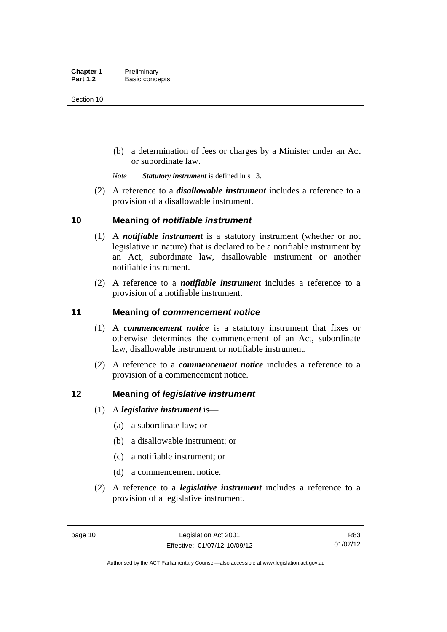(b) a determination of fees or charges by a Minister under an Act or subordinate law.

*Note Statutory instrument* is defined in s 13.

 (2) A reference to a *disallowable instrument* includes a reference to a provision of a disallowable instrument.

## <span id="page-25-0"></span>**10 Meaning of** *notifiable instrument*

- (1) A *notifiable instrument* is a statutory instrument (whether or not legislative in nature) that is declared to be a notifiable instrument by an Act, subordinate law, disallowable instrument or another notifiable instrument.
- (2) A reference to a *notifiable instrument* includes a reference to a provision of a notifiable instrument.

## <span id="page-25-1"></span>**11 Meaning of** *commencement notice*

- (1) A *commencement notice* is a statutory instrument that fixes or otherwise determines the commencement of an Act, subordinate law, disallowable instrument or notifiable instrument.
- (2) A reference to a *commencement notice* includes a reference to a provision of a commencement notice.

## <span id="page-25-2"></span>**12 Meaning of** *legislative instrument*

- (1) A *legislative instrument* is—
	- (a) a subordinate law; or
	- (b) a disallowable instrument; or
	- (c) a notifiable instrument; or
	- (d) a commencement notice.
- (2) A reference to a *legislative instrument* includes a reference to a provision of a legislative instrument.

R83 01/07/12

Authorised by the ACT Parliamentary Counsel—also accessible at www.legislation.act.gov.au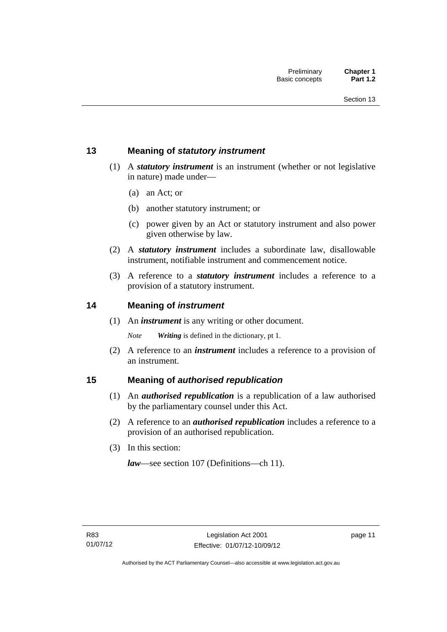## <span id="page-26-0"></span>**13 Meaning of** *statutory instrument*

- (1) A *statutory instrument* is an instrument (whether or not legislative in nature) made under—
	- (a) an Act; or
	- (b) another statutory instrument; or
	- (c) power given by an Act or statutory instrument and also power given otherwise by law.
- (2) A *statutory instrument* includes a subordinate law, disallowable instrument, notifiable instrument and commencement notice.
- (3) A reference to a *statutory instrument* includes a reference to a provision of a statutory instrument.

## <span id="page-26-1"></span>**14 Meaning of** *instrument*

(1) An *instrument* is any writing or other document.

*Note Writing* is defined in the dictionary, pt 1.

 (2) A reference to an *instrument* includes a reference to a provision of an instrument.

## <span id="page-26-2"></span>**15 Meaning of** *authorised republication*

- (1) An *authorised republication* is a republication of a law authorised by the parliamentary counsel under this Act.
- (2) A reference to an *authorised republication* includes a reference to a provision of an authorised republication.
- (3) In this section:

*law*—see section 107 (Definitions—ch 11).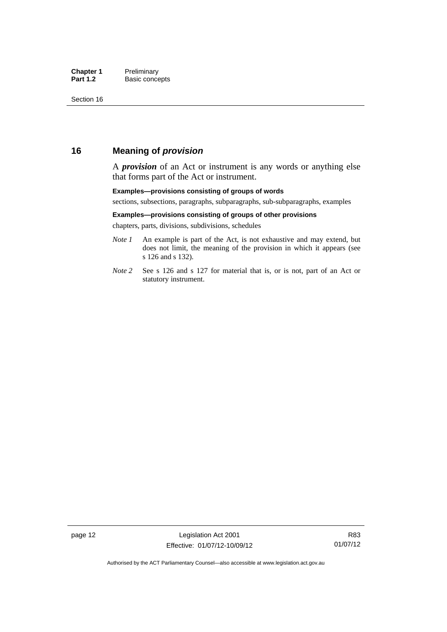## <span id="page-27-0"></span>**16 Meaning of** *provision*

A *provision* of an Act or instrument is any words or anything else that forms part of the Act or instrument.

#### **Examples—provisions consisting of groups of words**

sections, subsections, paragraphs, subparagraphs, sub-subparagraphs, examples

#### **Examples—provisions consisting of groups of other provisions**

chapters, parts, divisions, subdivisions, schedules

- *Note 1* An example is part of the Act, is not exhaustive and may extend, but does not limit, the meaning of the provision in which it appears (see s 126 and s 132).
- *Note 2* See s 126 and s 127 for material that is, or is not, part of an Act or statutory instrument.

R83 01/07/12

Authorised by the ACT Parliamentary Counsel—also accessible at www.legislation.act.gov.au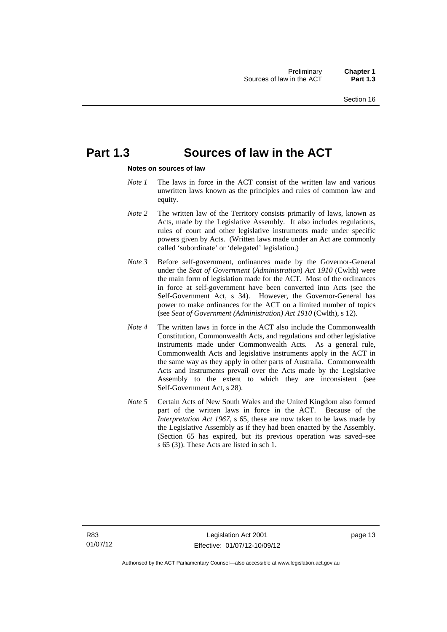## <span id="page-28-0"></span>**Part 1.3 Sources of law in the ACT**

#### **Notes on sources of law**

- *Note 1* The laws in force in the ACT consist of the written law and various unwritten laws known as the principles and rules of common law and equity.
- *Note* 2 The written law of the Territory consists primarily of laws, known as Acts, made by the Legislative Assembly. It also includes regulations, rules of court and other legislative instruments made under specific powers given by Acts. (Written laws made under an Act are commonly called 'subordinate' or 'delegated' legislation.)
- *Note 3* Before self-government, ordinances made by the Governor-General under the *Seat of Government* (*Administration*) *Act 1910* (Cwlth) were the main form of legislation made for the ACT. Most of the ordinances in force at self-government have been converted into Acts (see the Self-Government Act, s 34). However, the Governor-General has power to make ordinances for the ACT on a limited number of topics (see *Seat of Government (Administration) Act 1910* (Cwlth), s 12).
- *Note 4* The written laws in force in the ACT also include the Commonwealth Constitution, Commonwealth Acts, and regulations and other legislative instruments made under Commonwealth Acts. As a general rule, Commonwealth Acts and legislative instruments apply in the ACT in the same way as they apply in other parts of Australia. Commonwealth Acts and instruments prevail over the Acts made by the Legislative Assembly to the extent to which they are inconsistent (see Self-Government Act, s 28).
- *Note 5* Certain Acts of New South Wales and the United Kingdom also formed part of the written laws in force in the ACT. Because of the *Interpretation Act 1967*, s 65, these are now taken to be laws made by the Legislative Assembly as if they had been enacted by the Assembly. (Section 65 has expired, but its previous operation was saved–see s 65 (3)). These Acts are listed in sch 1.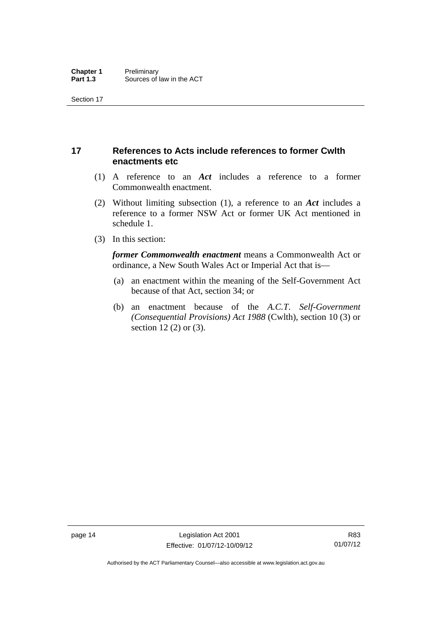## <span id="page-29-0"></span>**17 References to Acts include references to former Cwlth enactments etc**

- (1) A reference to an *Act* includes a reference to a former Commonwealth enactment.
- (2) Without limiting subsection (1), a reference to an *Act* includes a reference to a former NSW Act or former UK Act mentioned in schedule 1.
- (3) In this section:

*former Commonwealth enactment* means a Commonwealth Act or ordinance, a New South Wales Act or Imperial Act that is—

- (a) an enactment within the meaning of the Self-Government Act because of that Act, section 34; or
- (b) an enactment because of the *A.C.T*. *Self-Government (Consequential Provisions) Act 1988* (Cwlth), section 10 (3) or section 12 (2) or (3).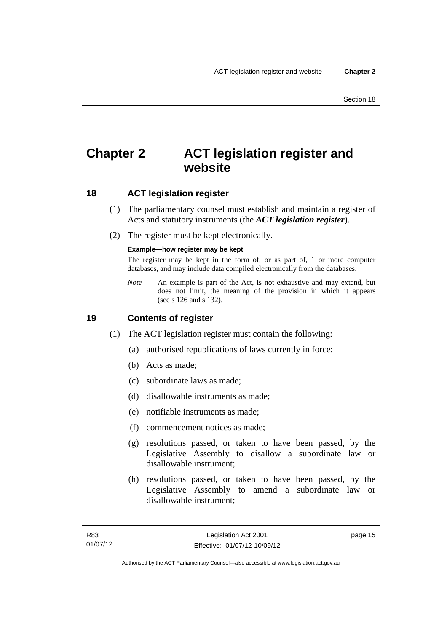# <span id="page-30-0"></span>**Chapter 2 ACT legislation register and website**

## <span id="page-30-1"></span>**18 ACT legislation register**

- (1) The parliamentary counsel must establish and maintain a register of Acts and statutory instruments (the *ACT legislation register*).
- (2) The register must be kept electronically.

#### **Example—how register may be kept**

The register may be kept in the form of, or as part of, 1 or more computer databases, and may include data compiled electronically from the databases.

*Note* An example is part of the Act, is not exhaustive and may extend, but does not limit, the meaning of the provision in which it appears (see s 126 and s 132).

## <span id="page-30-2"></span>**19 Contents of register**

- (1) The ACT legislation register must contain the following:
	- (a) authorised republications of laws currently in force;
	- (b) Acts as made;
	- (c) subordinate laws as made;
	- (d) disallowable instruments as made;
	- (e) notifiable instruments as made;
	- (f) commencement notices as made;
	- (g) resolutions passed, or taken to have been passed, by the Legislative Assembly to disallow a subordinate law or disallowable instrument;
	- (h) resolutions passed, or taken to have been passed, by the Legislative Assembly to amend a subordinate law or disallowable instrument;

page 15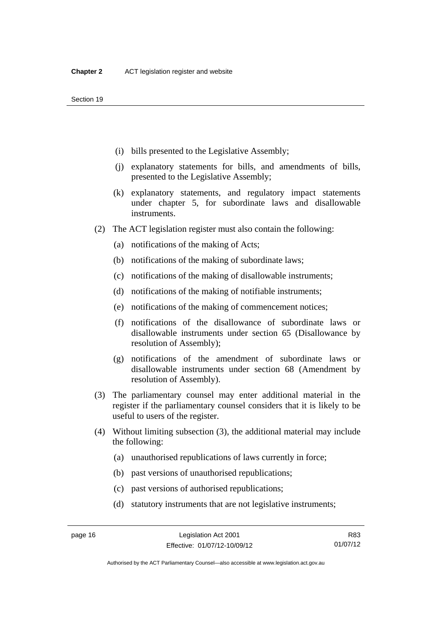- (i) bills presented to the Legislative Assembly;
- (j) explanatory statements for bills, and amendments of bills, presented to the Legislative Assembly;
- (k) explanatory statements, and regulatory impact statements under chapter 5, for subordinate laws and disallowable instruments.
- (2) The ACT legislation register must also contain the following:
	- (a) notifications of the making of Acts;
	- (b) notifications of the making of subordinate laws;
	- (c) notifications of the making of disallowable instruments;
	- (d) notifications of the making of notifiable instruments;
	- (e) notifications of the making of commencement notices;
	- (f) notifications of the disallowance of subordinate laws or disallowable instruments under section 65 (Disallowance by resolution of Assembly);
	- (g) notifications of the amendment of subordinate laws or disallowable instruments under section 68 (Amendment by resolution of Assembly).
- (3) The parliamentary counsel may enter additional material in the register if the parliamentary counsel considers that it is likely to be useful to users of the register.
- (4) Without limiting subsection (3), the additional material may include the following:
	- (a) unauthorised republications of laws currently in force;
	- (b) past versions of unauthorised republications;
	- (c) past versions of authorised republications;
	- (d) statutory instruments that are not legislative instruments;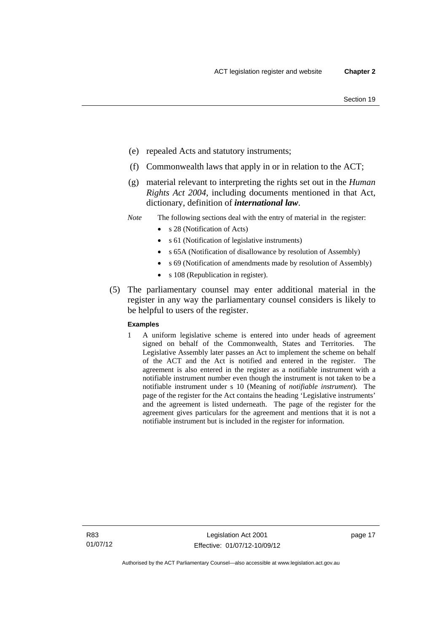- (e) repealed Acts and statutory instruments;
- (f) Commonwealth laws that apply in or in relation to the ACT;
- (g) material relevant to interpreting the rights set out in the *Human Rights Act 2004*, including documents mentioned in that Act, dictionary, definition of *international law*.
- *Note* The following sections deal with the entry of material in the register:
	- s 28 (Notification of Acts)
	- s 61 (Notification of legislative instruments)
	- s 65A (Notification of disallowance by resolution of Assembly)
	- s 69 (Notification of amendments made by resolution of Assembly)
	- s 108 (Republication in register).
- (5) The parliamentary counsel may enter additional material in the register in any way the parliamentary counsel considers is likely to be helpful to users of the register.

#### **Examples**

1 A uniform legislative scheme is entered into under heads of agreement signed on behalf of the Commonwealth, States and Territories. The Legislative Assembly later passes an Act to implement the scheme on behalf of the ACT and the Act is notified and entered in the register. The agreement is also entered in the register as a notifiable instrument with a notifiable instrument number even though the instrument is not taken to be a notifiable instrument under s 10 (Meaning of *notifiable instrument*). The page of the register for the Act contains the heading 'Legislative instruments' and the agreement is listed underneath. The page of the register for the agreement gives particulars for the agreement and mentions that it is not a notifiable instrument but is included in the register for information.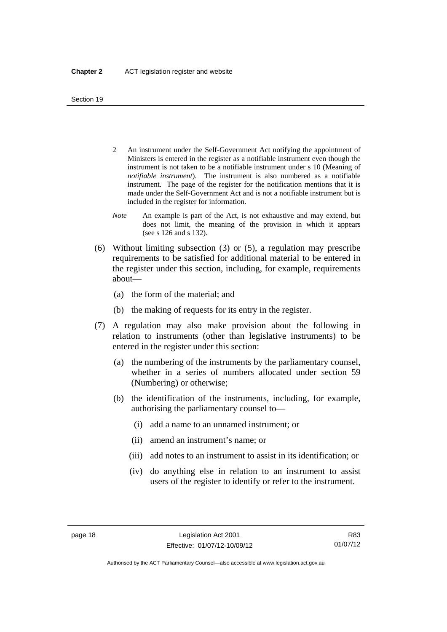- 2 An instrument under the Self-Government Act notifying the appointment of Ministers is entered in the register as a notifiable instrument even though the instrument is not taken to be a notifiable instrument under s 10 (Meaning of *notifiable instrument*). The instrument is also numbered as a notifiable instrument. The page of the register for the notification mentions that it is made under the Self-Government Act and is not a notifiable instrument but is included in the register for information.
- *Note* An example is part of the Act, is not exhaustive and may extend, but does not limit, the meaning of the provision in which it appears (see s 126 and s 132).
- (6) Without limiting subsection (3) or (5), a regulation may prescribe requirements to be satisfied for additional material to be entered in the register under this section, including, for example, requirements about—
	- (a) the form of the material; and
	- (b) the making of requests for its entry in the register.
- (7) A regulation may also make provision about the following in relation to instruments (other than legislative instruments) to be entered in the register under this section:
	- (a) the numbering of the instruments by the parliamentary counsel, whether in a series of numbers allocated under section 59 (Numbering) or otherwise;
	- (b) the identification of the instruments, including, for example, authorising the parliamentary counsel to—
		- (i) add a name to an unnamed instrument; or
		- (ii) amend an instrument's name; or
		- (iii) add notes to an instrument to assist in its identification; or
		- (iv) do anything else in relation to an instrument to assist users of the register to identify or refer to the instrument.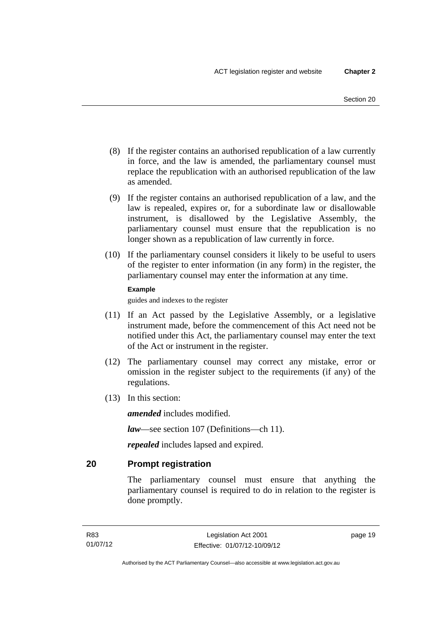- (8) If the register contains an authorised republication of a law currently in force, and the law is amended, the parliamentary counsel must replace the republication with an authorised republication of the law as amended.
- (9) If the register contains an authorised republication of a law, and the law is repealed, expires or, for a subordinate law or disallowable instrument, is disallowed by the Legislative Assembly, the parliamentary counsel must ensure that the republication is no longer shown as a republication of law currently in force.
- (10) If the parliamentary counsel considers it likely to be useful to users of the register to enter information (in any form) in the register, the parliamentary counsel may enter the information at any time.

#### **Example**

guides and indexes to the register

- (11) If an Act passed by the Legislative Assembly, or a legislative instrument made, before the commencement of this Act need not be notified under this Act, the parliamentary counsel may enter the text of the Act or instrument in the register.
- (12) The parliamentary counsel may correct any mistake, error or omission in the register subject to the requirements (if any) of the regulations.
- (13) In this section:

*amended* includes modified.

*law*—see section 107 (Definitions—ch 11).

*repealed* includes lapsed and expired.

## <span id="page-34-0"></span>**20 Prompt registration**

The parliamentary counsel must ensure that anything the parliamentary counsel is required to do in relation to the register is done promptly.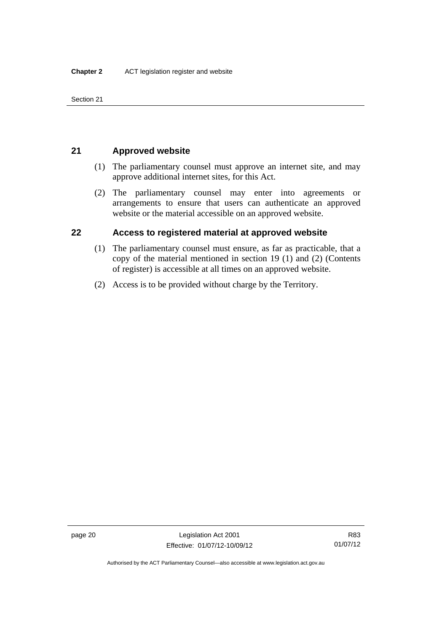Section 21

## <span id="page-35-0"></span>**21 Approved website**

- (1) The parliamentary counsel must approve an internet site, and may approve additional internet sites, for this Act.
- (2) The parliamentary counsel may enter into agreements or arrangements to ensure that users can authenticate an approved website or the material accessible on an approved website.

## <span id="page-35-1"></span>**22 Access to registered material at approved website**

- (1) The parliamentary counsel must ensure, as far as practicable, that a copy of the material mentioned in section 19 (1) and (2) (Contents of register) is accessible at all times on an approved website.
- (2) Access is to be provided without charge by the Territory.

R83 01/07/12

Authorised by the ACT Parliamentary Counsel—also accessible at www.legislation.act.gov.au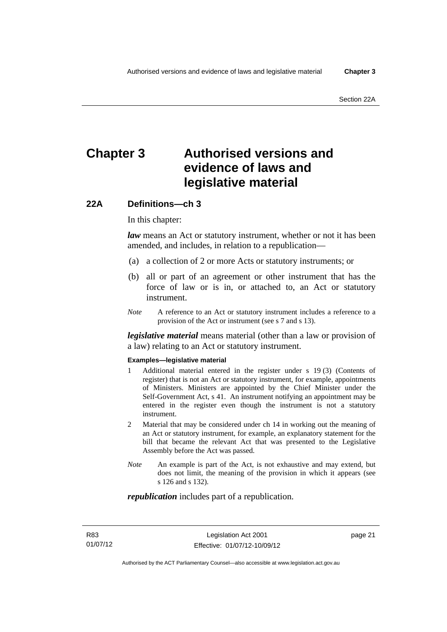# **Chapter 3 Authorised versions and evidence of laws and legislative material**

# **22A Definitions—ch 3**

In this chapter:

*law* means an Act or statutory instrument, whether or not it has been amended, and includes, in relation to a republication—

- (a) a collection of 2 or more Acts or statutory instruments; or
- (b) all or part of an agreement or other instrument that has the force of law or is in, or attached to, an Act or statutory instrument.
- *Note* A reference to an Act or statutory instrument includes a reference to a provision of the Act or instrument (see s 7 and s 13).

*legislative material* means material (other than a law or provision of a law) relating to an Act or statutory instrument.

#### **Examples—legislative material**

- 1 Additional material entered in the register under s 19 (3) (Contents of register) that is not an Act or statutory instrument, for example, appointments of Ministers. Ministers are appointed by the Chief Minister under the Self-Government Act, s 41. An instrument notifying an appointment may be entered in the register even though the instrument is not a statutory instrument.
- 2 Material that may be considered under ch 14 in working out the meaning of an Act or statutory instrument, for example, an explanatory statement for the bill that became the relevant Act that was presented to the Legislative Assembly before the Act was passed.
- *Note* An example is part of the Act, is not exhaustive and may extend, but does not limit, the meaning of the provision in which it appears (see s 126 and s 132).

#### *republication* includes part of a republication.

page 21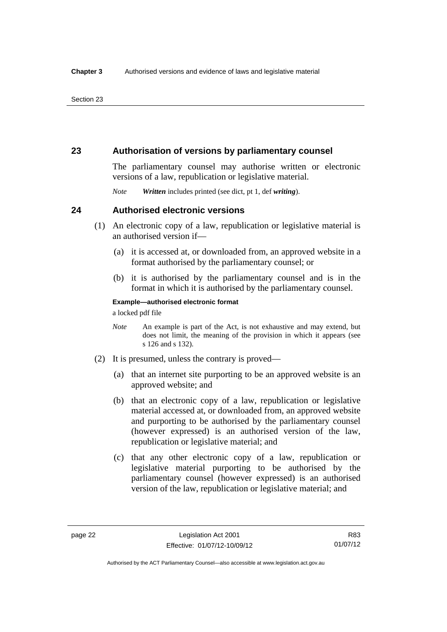## **23 Authorisation of versions by parliamentary counsel**

The parliamentary counsel may authorise written or electronic versions of a law, republication or legislative material.

*Note Written* includes printed (see dict, pt 1, def *writing*).

## **24 Authorised electronic versions**

- (1) An electronic copy of a law, republication or legislative material is an authorised version if—
	- (a) it is accessed at, or downloaded from, an approved website in a format authorised by the parliamentary counsel; or
	- (b) it is authorised by the parliamentary counsel and is in the format in which it is authorised by the parliamentary counsel.

**Example—authorised electronic format**  a locked pdf file

*Note* An example is part of the Act, is not exhaustive and may extend, but does not limit, the meaning of the provision in which it appears (see s 126 and s 132).

- (2) It is presumed, unless the contrary is proved—
	- (a) that an internet site purporting to be an approved website is an approved website; and
	- (b) that an electronic copy of a law, republication or legislative material accessed at, or downloaded from, an approved website and purporting to be authorised by the parliamentary counsel (however expressed) is an authorised version of the law, republication or legislative material; and
	- (c) that any other electronic copy of a law, republication or legislative material purporting to be authorised by the parliamentary counsel (however expressed) is an authorised version of the law, republication or legislative material; and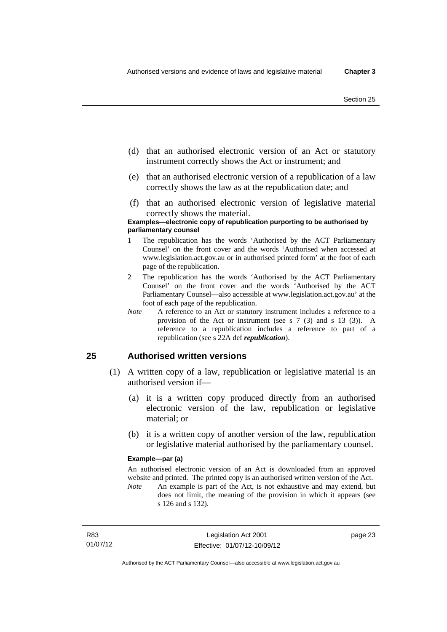- (d) that an authorised electronic version of an Act or statutory instrument correctly shows the Act or instrument; and
- (e) that an authorised electronic version of a republication of a law correctly shows the law as at the republication date; and
- (f) that an authorised electronic version of legislative material correctly shows the material.

#### **Examples—electronic copy of republication purporting to be authorised by parliamentary counsel**

- 1 The republication has the words 'Authorised by the ACT Parliamentary Counsel' on the front cover and the words 'Authorised when accessed at www.legislation.act.gov.au or in authorised printed form' at the foot of each page of the republication.
- 2 The republication has the words 'Authorised by the ACT Parliamentary Counsel' on the front cover and the words 'Authorised by the ACT Parliamentary Counsel—also accessible at www.legislation.act.gov.au' at the foot of each page of the republication.
- *Note* A reference to an Act or statutory instrument includes a reference to a provision of the Act or instrument (see s 7 (3) and s 13 (3)). A reference to a republication includes a reference to part of a republication (see s 22A def *republication*).

## **25 Authorised written versions**

- (1) A written copy of a law, republication or legislative material is an authorised version if—
	- (a) it is a written copy produced directly from an authorised electronic version of the law, republication or legislative material; or
	- (b) it is a written copy of another version of the law, republication or legislative material authorised by the parliamentary counsel.

#### **Example—par (a)**

An authorised electronic version of an Act is downloaded from an approved website and printed. The printed copy is an authorised written version of the Act. *Note* An example is part of the Act, is not exhaustive and may extend, but

does not limit, the meaning of the provision in which it appears (see s 126 and s 132).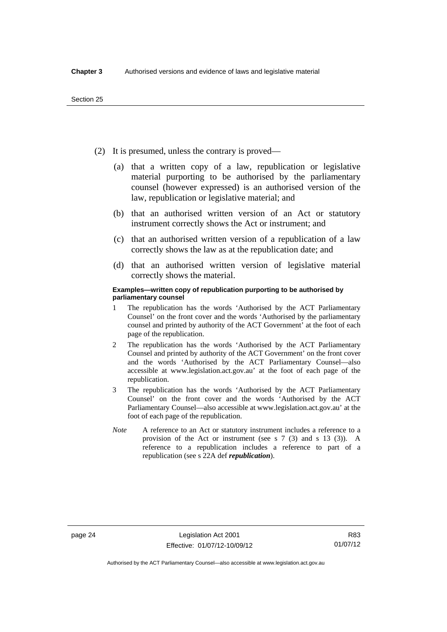- (2) It is presumed, unless the contrary is proved—
	- (a) that a written copy of a law, republication or legislative material purporting to be authorised by the parliamentary counsel (however expressed) is an authorised version of the law, republication or legislative material; and
	- (b) that an authorised written version of an Act or statutory instrument correctly shows the Act or instrument; and
	- (c) that an authorised written version of a republication of a law correctly shows the law as at the republication date; and
	- (d) that an authorised written version of legislative material correctly shows the material.

#### **Examples—written copy of republication purporting to be authorised by parliamentary counsel**

- 1 The republication has the words 'Authorised by the ACT Parliamentary Counsel' on the front cover and the words 'Authorised by the parliamentary counsel and printed by authority of the ACT Government' at the foot of each page of the republication.
- 2 The republication has the words 'Authorised by the ACT Parliamentary Counsel and printed by authority of the ACT Government' on the front cover and the words 'Authorised by the ACT Parliamentary Counsel—also accessible at www.legislation.act.gov.au' at the foot of each page of the republication.
- 3 The republication has the words 'Authorised by the ACT Parliamentary Counsel' on the front cover and the words 'Authorised by the ACT Parliamentary Counsel—also accessible at www.legislation.act.gov.au' at the foot of each page of the republication.
- *Note* A reference to an Act or statutory instrument includes a reference to a provision of the Act or instrument (see s 7 (3) and s 13 (3)). A reference to a republication includes a reference to part of a republication (see s 22A def *republication*).

Authorised by the ACT Parliamentary Counsel—also accessible at www.legislation.act.gov.au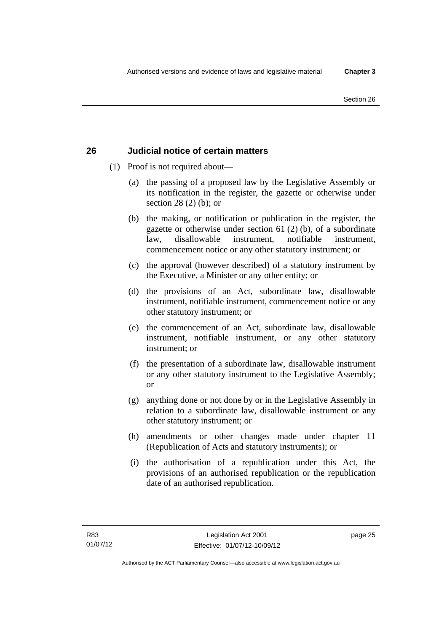# **26 Judicial notice of certain matters**

- (1) Proof is not required about—
	- (a) the passing of a proposed law by the Legislative Assembly or its notification in the register, the gazette or otherwise under section 28 (2) (b); or
	- (b) the making, or notification or publication in the register, the gazette or otherwise under section 61 (2) (b), of a subordinate law, disallowable instrument, notifiable instrument, commencement notice or any other statutory instrument; or
	- (c) the approval (however described) of a statutory instrument by the Executive, a Minister or any other entity; or
	- (d) the provisions of an Act, subordinate law, disallowable instrument, notifiable instrument, commencement notice or any other statutory instrument; or
	- (e) the commencement of an Act, subordinate law, disallowable instrument, notifiable instrument, or any other statutory instrument; or
	- (f) the presentation of a subordinate law, disallowable instrument or any other statutory instrument to the Legislative Assembly; or
	- (g) anything done or not done by or in the Legislative Assembly in relation to a subordinate law, disallowable instrument or any other statutory instrument; or
	- (h) amendments or other changes made under chapter 11 (Republication of Acts and statutory instruments); or
	- (i) the authorisation of a republication under this Act, the provisions of an authorised republication or the republication date of an authorised republication.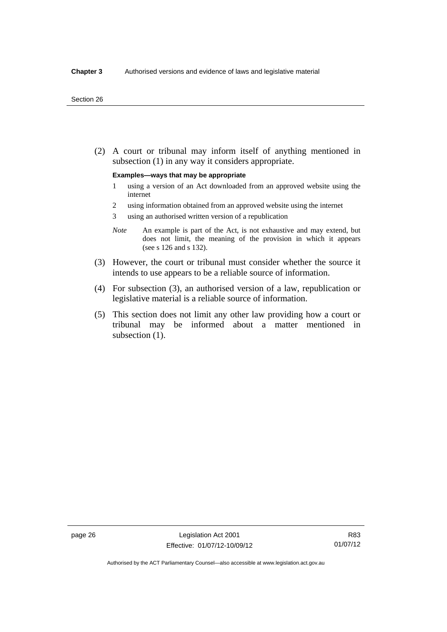(2) A court or tribunal may inform itself of anything mentioned in subsection (1) in any way it considers appropriate.

#### **Examples—ways that may be appropriate**

- 1 using a version of an Act downloaded from an approved website using the internet
- 2 using information obtained from an approved website using the internet
- 3 using an authorised written version of a republication
- *Note* An example is part of the Act, is not exhaustive and may extend, but does not limit, the meaning of the provision in which it appears (see s 126 and s 132).
- (3) However, the court or tribunal must consider whether the source it intends to use appears to be a reliable source of information.
- (4) For subsection (3), an authorised version of a law, republication or legislative material is a reliable source of information.
- (5) This section does not limit any other law providing how a court or tribunal may be informed about a matter mentioned in subsection  $(1)$ .

Authorised by the ACT Parliamentary Counsel—also accessible at www.legislation.act.gov.au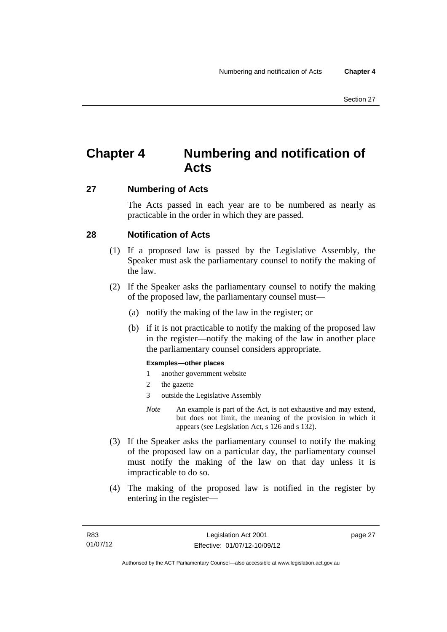# **Chapter 4 Numbering and notification of Acts**

# **27 Numbering of Acts**

The Acts passed in each year are to be numbered as nearly as practicable in the order in which they are passed.

# **28 Notification of Acts**

- (1) If a proposed law is passed by the Legislative Assembly, the Speaker must ask the parliamentary counsel to notify the making of the law.
- (2) If the Speaker asks the parliamentary counsel to notify the making of the proposed law, the parliamentary counsel must—
	- (a) notify the making of the law in the register; or
	- (b) if it is not practicable to notify the making of the proposed law in the register—notify the making of the law in another place the parliamentary counsel considers appropriate.

#### **Examples—other places**

- 1 another government website
- 2 the gazette
- 3 outside the Legislative Assembly
- *Note* An example is part of the Act, is not exhaustive and may extend, but does not limit, the meaning of the provision in which it appears (see Legislation Act, s 126 and s 132).
- (3) If the Speaker asks the parliamentary counsel to notify the making of the proposed law on a particular day, the parliamentary counsel must notify the making of the law on that day unless it is impracticable to do so.
- (4) The making of the proposed law is notified in the register by entering in the register—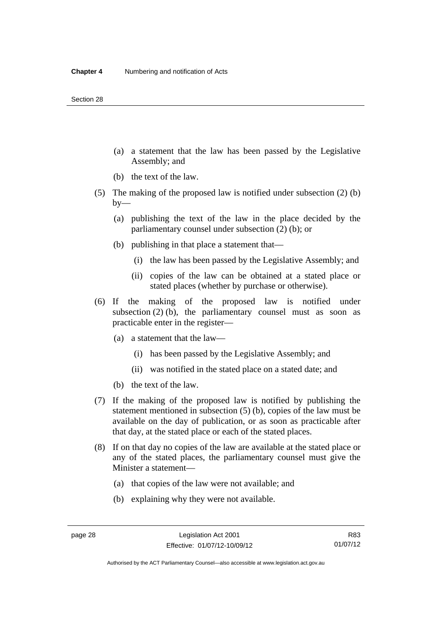- (a) a statement that the law has been passed by the Legislative Assembly; and
- (b) the text of the law.
- (5) The making of the proposed law is notified under subsection (2) (b)  $by-$ 
	- (a) publishing the text of the law in the place decided by the parliamentary counsel under subsection (2) (b); or
	- (b) publishing in that place a statement that—
		- (i) the law has been passed by the Legislative Assembly; and
		- (ii) copies of the law can be obtained at a stated place or stated places (whether by purchase or otherwise).
- (6) If the making of the proposed law is notified under subsection  $(2)$  (b), the parliamentary counsel must as soon as practicable enter in the register—
	- (a) a statement that the law—
		- (i) has been passed by the Legislative Assembly; and
		- (ii) was notified in the stated place on a stated date; and
	- (b) the text of the law.
- (7) If the making of the proposed law is notified by publishing the statement mentioned in subsection (5) (b), copies of the law must be available on the day of publication, or as soon as practicable after that day, at the stated place or each of the stated places.
- (8) If on that day no copies of the law are available at the stated place or any of the stated places, the parliamentary counsel must give the Minister a statement—
	- (a) that copies of the law were not available; and
	- (b) explaining why they were not available.

Authorised by the ACT Parliamentary Counsel—also accessible at www.legislation.act.gov.au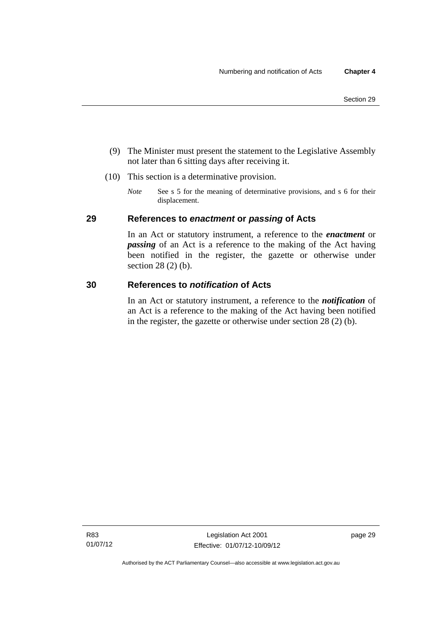- (9) The Minister must present the statement to the Legislative Assembly not later than 6 sitting days after receiving it.
- (10) This section is a determinative provision.
	- *Note* See s 5 for the meaning of determinative provisions, and s 6 for their displacement.

# **29 References to** *enactment* **or** *passing* **of Acts**

In an Act or statutory instrument, a reference to the *enactment* or *passing* of an Act is a reference to the making of the Act having been notified in the register, the gazette or otherwise under section 28 (2) (b).

### **30 References to** *notification* **of Acts**

In an Act or statutory instrument, a reference to the *notification* of an Act is a reference to the making of the Act having been notified in the register, the gazette or otherwise under section 28 (2) (b).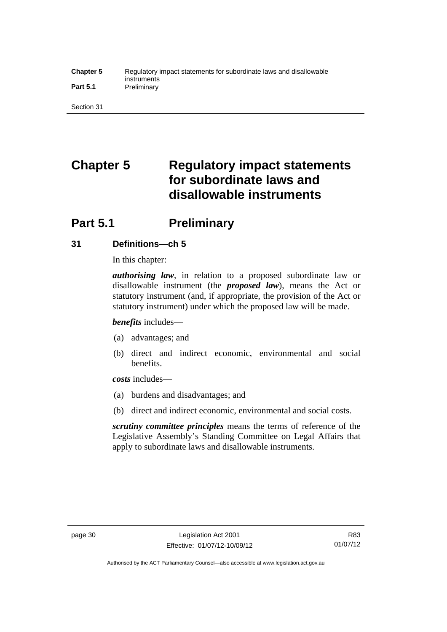#### **Chapter 5** Regulatory impact statements for subordinate laws and disallowable instruments Part 5.1 **Preliminary**

Section 31

# **Chapter 5 Regulatory impact statements for subordinate laws and disallowable instruments**

# **Part 5.1** Preliminary

# **31 Definitions—ch 5**

In this chapter:

*authorising law*, in relation to a proposed subordinate law or disallowable instrument (the *proposed law*), means the Act or statutory instrument (and, if appropriate, the provision of the Act or statutory instrument) under which the proposed law will be made.

*benefits* includes—

- (a) advantages; and
- (b) direct and indirect economic, environmental and social benefits.

*costs* includes—

- (a) burdens and disadvantages; and
- (b) direct and indirect economic, environmental and social costs.

*scrutiny committee principles* means the terms of reference of the Legislative Assembly's Standing Committee on Legal Affairs that apply to subordinate laws and disallowable instruments.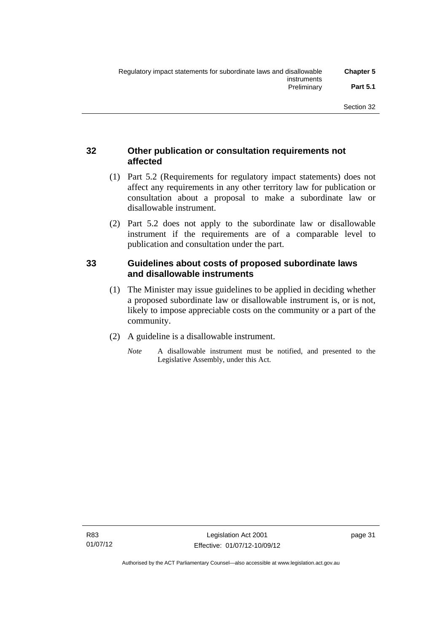# **32 Other publication or consultation requirements not affected**

- (1) Part 5.2 (Requirements for regulatory impact statements) does not affect any requirements in any other territory law for publication or consultation about a proposal to make a subordinate law or disallowable instrument.
- (2) Part 5.2 does not apply to the subordinate law or disallowable instrument if the requirements are of a comparable level to publication and consultation under the part.

# **33 Guidelines about costs of proposed subordinate laws and disallowable instruments**

- (1) The Minister may issue guidelines to be applied in deciding whether a proposed subordinate law or disallowable instrument is, or is not, likely to impose appreciable costs on the community or a part of the community.
- (2) A guideline is a disallowable instrument.
	- *Note* A disallowable instrument must be notified, and presented to the Legislative Assembly, under this Act.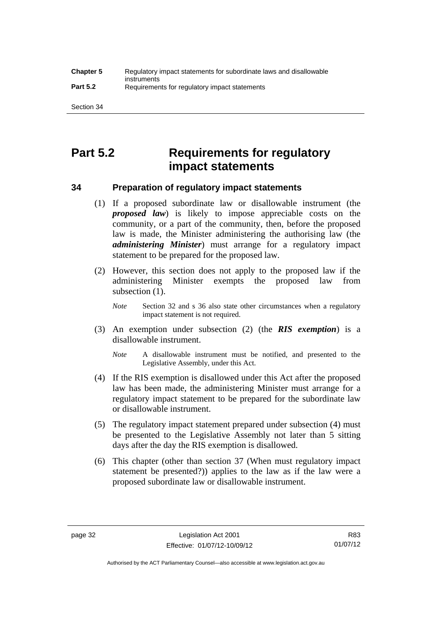# **Part 5.2 Requirements for regulatory impact statements**

## **34 Preparation of regulatory impact statements**

- (1) If a proposed subordinate law or disallowable instrument (the *proposed law*) is likely to impose appreciable costs on the community, or a part of the community, then, before the proposed law is made, the Minister administering the authorising law (the *administering Minister*) must arrange for a regulatory impact statement to be prepared for the proposed law.
- (2) However, this section does not apply to the proposed law if the administering Minister exempts the proposed law from subsection  $(1)$ .

*Note* Section 32 and s 36 also state other circumstances when a regulatory impact statement is not required.

- (3) An exemption under subsection (2) (the *RIS exemption*) is a disallowable instrument.
	- *Note* A disallowable instrument must be notified, and presented to the Legislative Assembly, under this Act.
- (4) If the RIS exemption is disallowed under this Act after the proposed law has been made, the administering Minister must arrange for a regulatory impact statement to be prepared for the subordinate law or disallowable instrument.
- (5) The regulatory impact statement prepared under subsection (4) must be presented to the Legislative Assembly not later than 5 sitting days after the day the RIS exemption is disallowed.
- (6) This chapter (other than section 37 (When must regulatory impact statement be presented?)) applies to the law as if the law were a proposed subordinate law or disallowable instrument.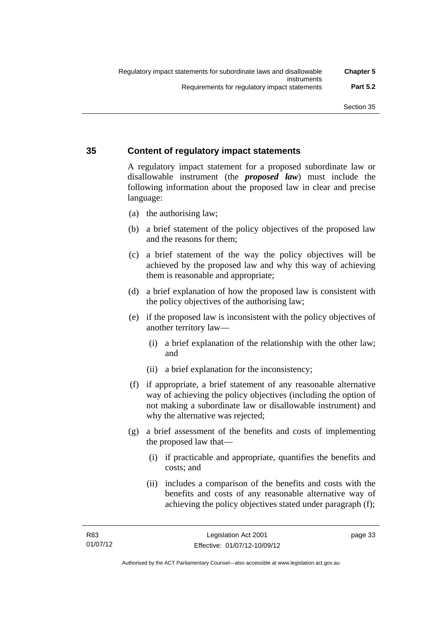# **35 Content of regulatory impact statements**

A regulatory impact statement for a proposed subordinate law or disallowable instrument (the *proposed law*) must include the following information about the proposed law in clear and precise language:

- (a) the authorising law;
- (b) a brief statement of the policy objectives of the proposed law and the reasons for them;
- (c) a brief statement of the way the policy objectives will be achieved by the proposed law and why this way of achieving them is reasonable and appropriate;
- (d) a brief explanation of how the proposed law is consistent with the policy objectives of the authorising law;
- (e) if the proposed law is inconsistent with the policy objectives of another territory law—
	- (i) a brief explanation of the relationship with the other law; and
	- (ii) a brief explanation for the inconsistency;
- (f) if appropriate, a brief statement of any reasonable alternative way of achieving the policy objectives (including the option of not making a subordinate law or disallowable instrument) and why the alternative was rejected;
- (g) a brief assessment of the benefits and costs of implementing the proposed law that—
	- (i) if practicable and appropriate, quantifies the benefits and costs; and
	- (ii) includes a comparison of the benefits and costs with the benefits and costs of any reasonable alternative way of achieving the policy objectives stated under paragraph (f);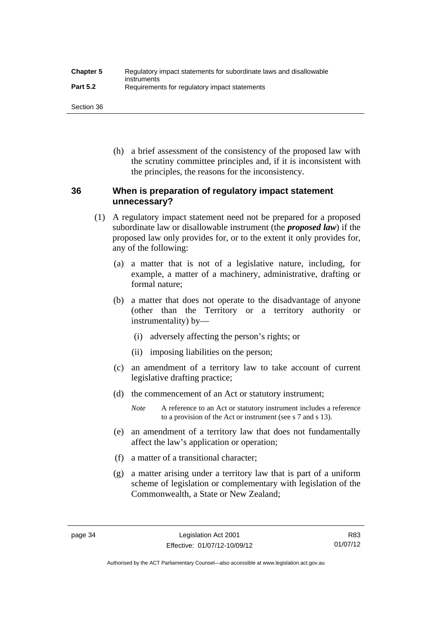| <b>Chapter 5</b> | Regulatory impact statements for subordinate laws and disallowable |
|------------------|--------------------------------------------------------------------|
| <b>Part 5.2</b>  | instruments<br>Requirements for regulatory impact statements       |

Section 36

 (h) a brief assessment of the consistency of the proposed law with the scrutiny committee principles and, if it is inconsistent with the principles, the reasons for the inconsistency.

# **36 When is preparation of regulatory impact statement unnecessary?**

- (1) A regulatory impact statement need not be prepared for a proposed subordinate law or disallowable instrument (the *proposed law*) if the proposed law only provides for, or to the extent it only provides for, any of the following:
	- (a) a matter that is not of a legislative nature, including, for example, a matter of a machinery, administrative, drafting or formal nature;
	- (b) a matter that does not operate to the disadvantage of anyone (other than the Territory or a territory authority or instrumentality) by—
		- (i) adversely affecting the person's rights; or
		- (ii) imposing liabilities on the person;
	- (c) an amendment of a territory law to take account of current legislative drafting practice;
	- (d) the commencement of an Act or statutory instrument;
		- *Note* A reference to an Act or statutory instrument includes a reference to a provision of the Act or instrument (see s 7 and s 13).
	- (e) an amendment of a territory law that does not fundamentally affect the law's application or operation;
	- (f) a matter of a transitional character;
	- (g) a matter arising under a territory law that is part of a uniform scheme of legislation or complementary with legislation of the Commonwealth, a State or New Zealand;

Authorised by the ACT Parliamentary Counsel—also accessible at www.legislation.act.gov.au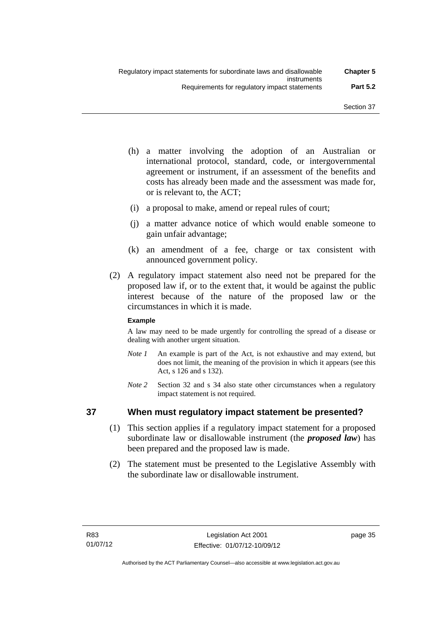- (h) a matter involving the adoption of an Australian or international protocol, standard, code, or intergovernmental agreement or instrument, if an assessment of the benefits and costs has already been made and the assessment was made for, or is relevant to, the ACT;
- (i) a proposal to make, amend or repeal rules of court;
- (j) a matter advance notice of which would enable someone to gain unfair advantage;
- (k) an amendment of a fee, charge or tax consistent with announced government policy.
- (2) A regulatory impact statement also need not be prepared for the proposed law if, or to the extent that, it would be against the public interest because of the nature of the proposed law or the circumstances in which it is made.

#### **Example**

A law may need to be made urgently for controlling the spread of a disease or dealing with another urgent situation.

- *Note 1* An example is part of the Act, is not exhaustive and may extend, but does not limit, the meaning of the provision in which it appears (see this Act, s 126 and s 132).
- *Note* 2 Section 32 and s 34 also state other circumstances when a regulatory impact statement is not required.

## **37 When must regulatory impact statement be presented?**

- (1) This section applies if a regulatory impact statement for a proposed subordinate law or disallowable instrument (the *proposed law*) has been prepared and the proposed law is made.
- (2) The statement must be presented to the Legislative Assembly with the subordinate law or disallowable instrument.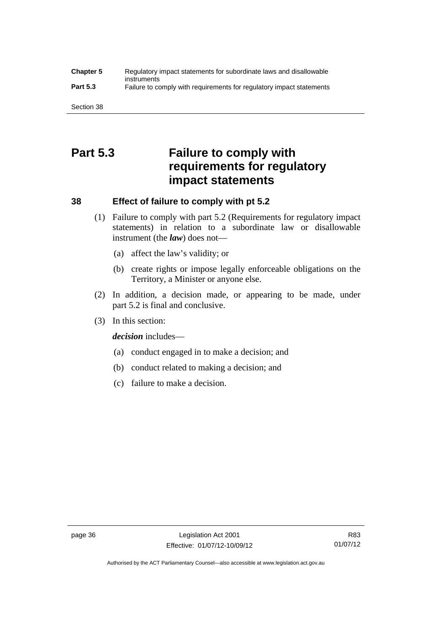#### **Chapter 5** Regulatory impact statements for subordinate laws and disallowable instruments **Part 5.3** Failure to comply with requirements for regulatory impact statements

Section 38

# **Part 5.3 Failure to comply with requirements for regulatory impact statements**

# **38 Effect of failure to comply with pt 5.2**

- (1) Failure to comply with part 5.2 (Requirements for regulatory impact statements) in relation to a subordinate law or disallowable instrument (the *law*) does not—
	- (a) affect the law's validity; or
	- (b) create rights or impose legally enforceable obligations on the Territory, a Minister or anyone else.
- (2) In addition, a decision made, or appearing to be made, under part 5.2 is final and conclusive.
- (3) In this section:

*decision* includes—

- (a) conduct engaged in to make a decision; and
- (b) conduct related to making a decision; and
- (c) failure to make a decision.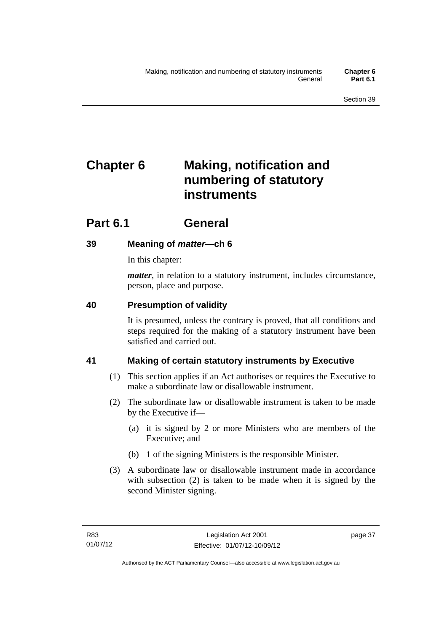# **Chapter 6 Making, notification and numbering of statutory instruments**

# **Part 6.1 General**

# **39 Meaning of** *matter***—ch 6**

In this chapter:

*matter*, in relation to a statutory instrument, includes circumstance, person, place and purpose.

# **40 Presumption of validity**

It is presumed, unless the contrary is proved, that all conditions and steps required for the making of a statutory instrument have been satisfied and carried out.

# **41 Making of certain statutory instruments by Executive**

- (1) This section applies if an Act authorises or requires the Executive to make a subordinate law or disallowable instrument.
- (2) The subordinate law or disallowable instrument is taken to be made by the Executive if—
	- (a) it is signed by 2 or more Ministers who are members of the Executive; and
	- (b) 1 of the signing Ministers is the responsible Minister.
- (3) A subordinate law or disallowable instrument made in accordance with subsection (2) is taken to be made when it is signed by the second Minister signing.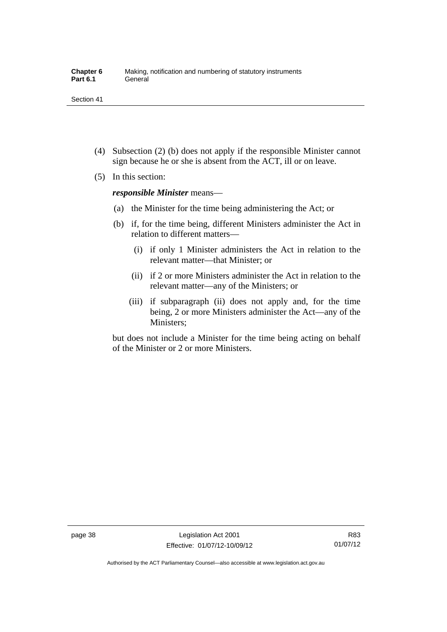- (4) Subsection (2) (b) does not apply if the responsible Minister cannot sign because he or she is absent from the ACT, ill or on leave.
- (5) In this section:

*responsible Minister* means—

- (a) the Minister for the time being administering the Act; or
- (b) if, for the time being, different Ministers administer the Act in relation to different matters—
	- (i) if only 1 Minister administers the Act in relation to the relevant matter—that Minister; or
	- (ii) if 2 or more Ministers administer the Act in relation to the relevant matter—any of the Ministers; or
	- (iii) if subparagraph (ii) does not apply and, for the time being, 2 or more Ministers administer the Act—any of the Ministers;

but does not include a Minister for the time being acting on behalf of the Minister or 2 or more Ministers.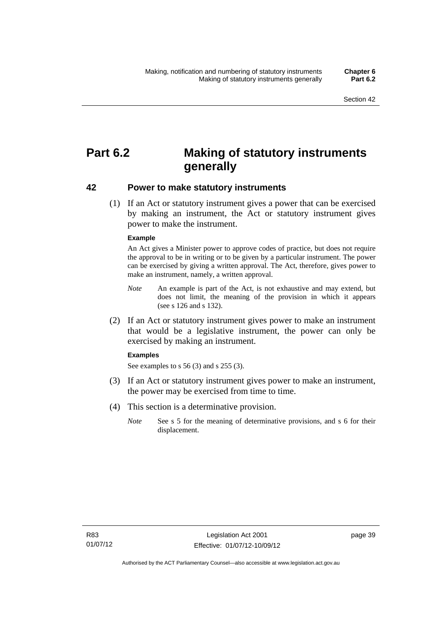# **Part 6.2 Making of statutory instruments generally**

#### **42 Power to make statutory instruments**

 (1) If an Act or statutory instrument gives a power that can be exercised by making an instrument, the Act or statutory instrument gives power to make the instrument.

#### **Example**

An Act gives a Minister power to approve codes of practice, but does not require the approval to be in writing or to be given by a particular instrument. The power can be exercised by giving a written approval. The Act, therefore, gives power to make an instrument, namely, a written approval.

- *Note* An example is part of the Act, is not exhaustive and may extend, but does not limit, the meaning of the provision in which it appears (see s 126 and s 132).
- (2) If an Act or statutory instrument gives power to make an instrument that would be a legislative instrument, the power can only be exercised by making an instrument.

#### **Examples**

See examples to s 56 (3) and s 255 (3).

- (3) If an Act or statutory instrument gives power to make an instrument, the power may be exercised from time to time.
- (4) This section is a determinative provision.
	- *Note* See s 5 for the meaning of determinative provisions, and s 6 for their displacement.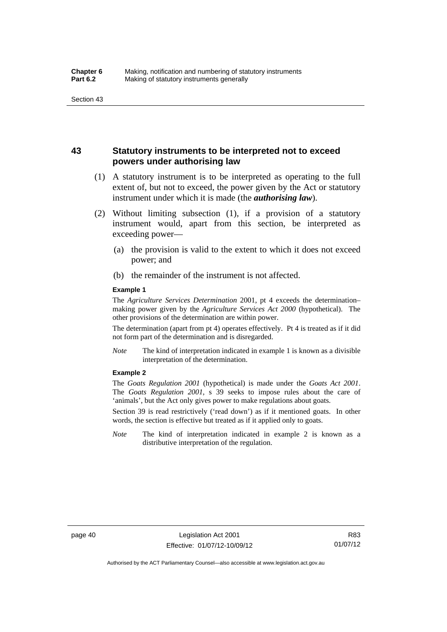## **43 Statutory instruments to be interpreted not to exceed powers under authorising law**

- (1) A statutory instrument is to be interpreted as operating to the full extent of, but not to exceed, the power given by the Act or statutory instrument under which it is made (the *authorising law*).
- (2) Without limiting subsection (1), if a provision of a statutory instrument would, apart from this section, be interpreted as exceeding power—
	- (a) the provision is valid to the extent to which it does not exceed power; and
	- (b) the remainder of the instrument is not affected.

#### **Example 1**

The *Agriculture Services Determination* 2001, pt 4 exceeds the determination– making power given by the *Agriculture Services Act 2000* (hypothetical). The other provisions of the determination are within power.

The determination (apart from pt 4) operates effectively. Pt 4 is treated as if it did not form part of the determination and is disregarded.

*Note* The kind of interpretation indicated in example 1 is known as a divisible interpretation of the determination.

#### **Example 2**

The *Goats Regulation 2001* (hypothetical) is made under the *Goats Act 2001*. The *Goats Regulation 2001*, s 39 seeks to impose rules about the care of 'animals', but the Act only gives power to make regulations about goats.

Section 39 is read restrictively ('read down') as if it mentioned goats. In other words, the section is effective but treated as if it applied only to goats.

*Note* The kind of interpretation indicated in example 2 is known as a distributive interpretation of the regulation.

R83 01/07/12

Authorised by the ACT Parliamentary Counsel—also accessible at www.legislation.act.gov.au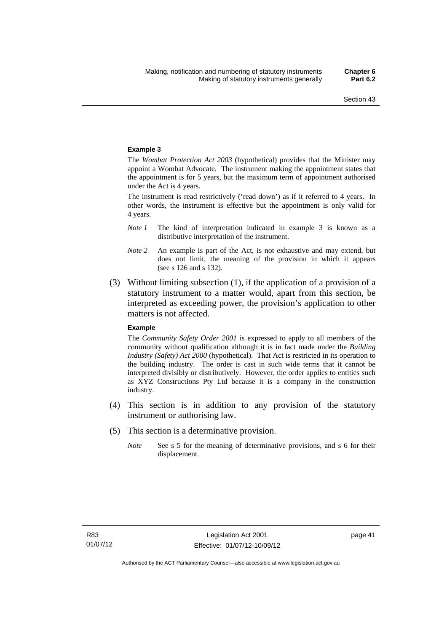#### **Example 3**

The *Wombat Protection Act 2003* (hypothetical) provides that the Minister may appoint a Wombat Advocate. The instrument making the appointment states that the appointment is for 5 years, but the maximum term of appointment authorised under the Act is 4 years.

The instrument is read restrictively ('read down') as if it referred to 4 years. In other words, the instrument is effective but the appointment is only valid for 4 years.

- *Note 1* The kind of interpretation indicated in example 3 is known as a distributive interpretation of the instrument.
- *Note 2* An example is part of the Act, is not exhaustive and may extend, but does not limit, the meaning of the provision in which it appears (see s 126 and s 132).
- (3) Without limiting subsection (1), if the application of a provision of a statutory instrument to a matter would, apart from this section, be interpreted as exceeding power, the provision's application to other matters is not affected.

#### **Example**

The *Community Safety Order 2001* is expressed to apply to all members of the community without qualification although it is in fact made under the *Building Industry (Safety) Act 2000* (hypothetical). That Act is restricted in its operation to the building industry. The order is cast in such wide terms that it cannot be interpreted divisibly or distributively. However, the order applies to entities such as XYZ Constructions Pty Ltd because it is a company in the construction industry.

- (4) This section is in addition to any provision of the statutory instrument or authorising law.
- (5) This section is a determinative provision.
	- *Note* See s 5 for the meaning of determinative provisions, and s 6 for their displacement.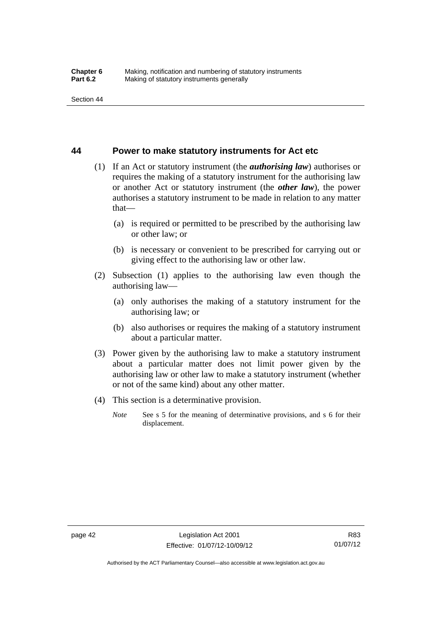#### **44 Power to make statutory instruments for Act etc**

- (1) If an Act or statutory instrument (the *authorising law*) authorises or requires the making of a statutory instrument for the authorising law or another Act or statutory instrument (the *other law*), the power authorises a statutory instrument to be made in relation to any matter that—
	- (a) is required or permitted to be prescribed by the authorising law or other law; or
	- (b) is necessary or convenient to be prescribed for carrying out or giving effect to the authorising law or other law.
- (2) Subsection (1) applies to the authorising law even though the authorising law—
	- (a) only authorises the making of a statutory instrument for the authorising law; or
	- (b) also authorises or requires the making of a statutory instrument about a particular matter.
- (3) Power given by the authorising law to make a statutory instrument about a particular matter does not limit power given by the authorising law or other law to make a statutory instrument (whether or not of the same kind) about any other matter.
- (4) This section is a determinative provision.
	- *Note* See s 5 for the meaning of determinative provisions, and s 6 for their displacement.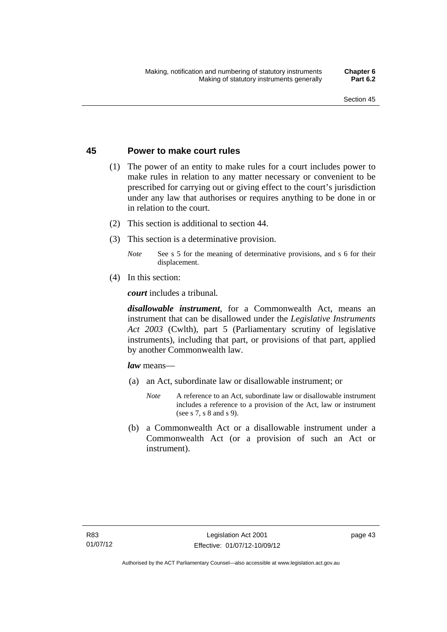## **45 Power to make court rules**

- (1) The power of an entity to make rules for a court includes power to make rules in relation to any matter necessary or convenient to be prescribed for carrying out or giving effect to the court's jurisdiction under any law that authorises or requires anything to be done in or in relation to the court.
- (2) This section is additional to section 44.
- (3) This section is a determinative provision.
	- *Note* See s 5 for the meaning of determinative provisions, and s 6 for their displacement.
- (4) In this section:

*court* includes a tribunal*.*

*disallowable instrument*, for a Commonwealth Act, means an instrument that can be disallowed under the *Legislative Instruments Act 2003* (Cwlth), part 5 (Parliamentary scrutiny of legislative instruments), including that part, or provisions of that part, applied by another Commonwealth law.

*law* means—

- (a) an Act, subordinate law or disallowable instrument; or
	- *Note* A reference to an Act, subordinate law or disallowable instrument includes a reference to a provision of the Act, law or instrument (see s 7, s 8 and s 9).
- (b) a Commonwealth Act or a disallowable instrument under a Commonwealth Act (or a provision of such an Act or instrument).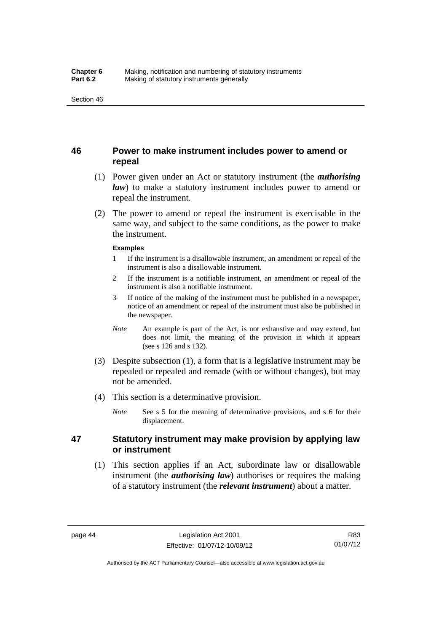# **46 Power to make instrument includes power to amend or repeal**

- (1) Power given under an Act or statutory instrument (the *authorising law*) to make a statutory instrument includes power to amend or repeal the instrument.
- (2) The power to amend or repeal the instrument is exercisable in the same way, and subject to the same conditions, as the power to make the instrument.

#### **Examples**

- 1 If the instrument is a disallowable instrument, an amendment or repeal of the instrument is also a disallowable instrument.
- 2 If the instrument is a notifiable instrument, an amendment or repeal of the instrument is also a notifiable instrument.
- 3 If notice of the making of the instrument must be published in a newspaper, notice of an amendment or repeal of the instrument must also be published in the newspaper.
- *Note* An example is part of the Act, is not exhaustive and may extend, but does not limit, the meaning of the provision in which it appears (see s 126 and s 132).
- (3) Despite subsection (1), a form that is a legislative instrument may be repealed or repealed and remade (with or without changes), but may not be amended.
- (4) This section is a determinative provision.
	- *Note* See s 5 for the meaning of determinative provisions, and s 6 for their displacement.

# **47 Statutory instrument may make provision by applying law or instrument**

 (1) This section applies if an Act, subordinate law or disallowable instrument (the *authorising law*) authorises or requires the making of a statutory instrument (the *relevant instrument*) about a matter.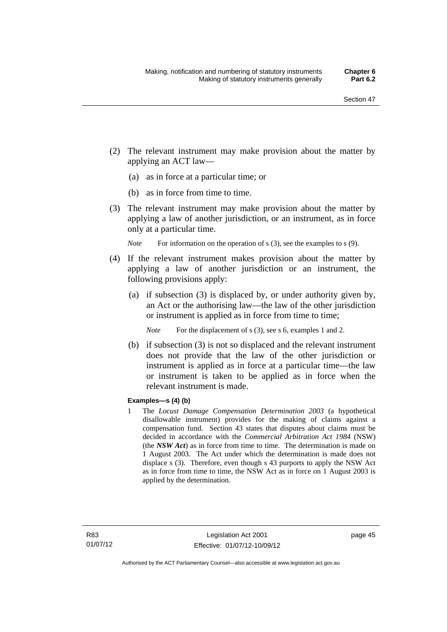- (2) The relevant instrument may make provision about the matter by applying an ACT law—
	- (a) as in force at a particular time; or
	- (b) as in force from time to time.
- (3) The relevant instrument may make provision about the matter by applying a law of another jurisdiction, or an instrument, as in force only at a particular time.

*Note* For information on the operation of s (3), see the examples to s (9).

- (4) If the relevant instrument makes provision about the matter by applying a law of another jurisdiction or an instrument, the following provisions apply:
	- (a) if subsection (3) is displaced by, or under authority given by, an Act or the authorising law—the law of the other jurisdiction or instrument is applied as in force from time to time;
		- *Note* For the displacement of s (3), see s 6, examples 1 and 2.
	- (b) if subsection (3) is not so displaced and the relevant instrument does not provide that the law of the other jurisdiction or instrument is applied as in force at a particular time—the law or instrument is taken to be applied as in force when the relevant instrument is made.

#### **Examples—s (4) (b)**

1 The *Locust Damage Compensation Determination 2003* (a hypothetical disallowable instrument) provides for the making of claims against a compensation fund. Section 43 states that disputes about claims must be decided in accordance with the *Commercial Arbitration Act 1984* (NSW) (the *NSW Act*) as in force from time to time. The determination is made on 1 August 2003. The Act under which the determination is made does not displace s (3). Therefore, even though s 43 purports to apply the NSW Act as in force from time to time, the NSW Act as in force on 1 August 2003 is applied by the determination.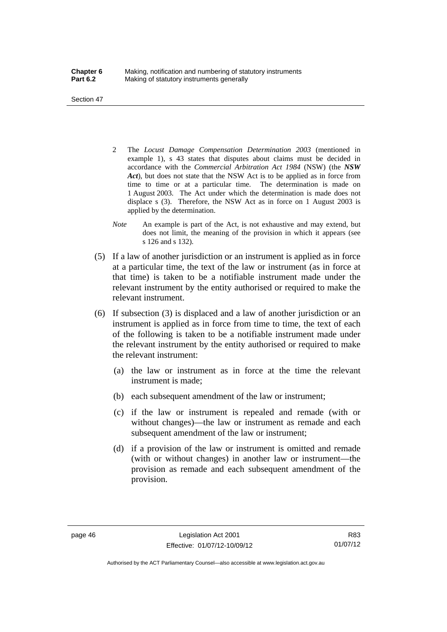Section 47

- 2 The *Locust Damage Compensation Determination 2003* (mentioned in example 1), s 43 states that disputes about claims must be decided in accordance with the *Commercial Arbitration Act 1984* (NSW) (the *NSW Act*), but does not state that the NSW Act is to be applied as in force from time to time or at a particular time. The determination is made on 1 August 2003. The Act under which the determination is made does not displace s (3). Therefore, the NSW Act as in force on 1 August 2003 is applied by the determination.
- *Note* An example is part of the Act, is not exhaustive and may extend, but does not limit, the meaning of the provision in which it appears (see s 126 and s 132).
- (5) If a law of another jurisdiction or an instrument is applied as in force at a particular time, the text of the law or instrument (as in force at that time) is taken to be a notifiable instrument made under the relevant instrument by the entity authorised or required to make the relevant instrument.
- (6) If subsection (3) is displaced and a law of another jurisdiction or an instrument is applied as in force from time to time, the text of each of the following is taken to be a notifiable instrument made under the relevant instrument by the entity authorised or required to make the relevant instrument:
	- (a) the law or instrument as in force at the time the relevant instrument is made;
	- (b) each subsequent amendment of the law or instrument;
	- (c) if the law or instrument is repealed and remade (with or without changes)—the law or instrument as remade and each subsequent amendment of the law or instrument;
	- (d) if a provision of the law or instrument is omitted and remade (with or without changes) in another law or instrument—the provision as remade and each subsequent amendment of the provision.

Authorised by the ACT Parliamentary Counsel—also accessible at www.legislation.act.gov.au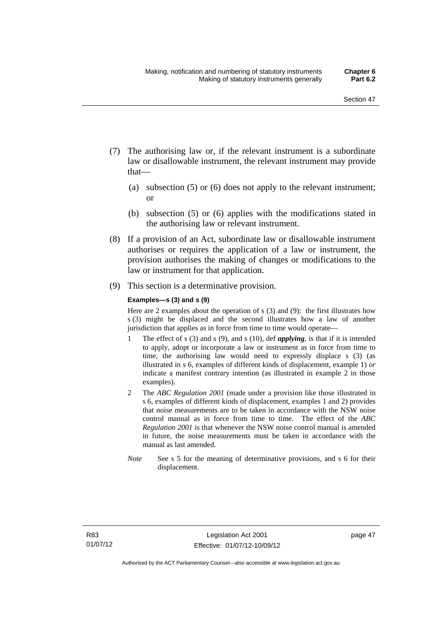- (7) The authorising law or, if the relevant instrument is a subordinate law or disallowable instrument, the relevant instrument may provide that—
	- (a) subsection (5) or (6) does not apply to the relevant instrument; or
	- (b) subsection (5) or (6) applies with the modifications stated in the authorising law or relevant instrument.
- (8) If a provision of an Act, subordinate law or disallowable instrument authorises or requires the application of a law or instrument, the provision authorises the making of changes or modifications to the law or instrument for that application.
- (9) This section is a determinative provision.

#### **Examples—s (3) and s (9)**

Here are 2 examples about the operation of s (3) and (9): the first illustrates how s (3) might be displaced and the second illustrates how a law of another jurisdiction that applies as in force from time to time would operate—

- 1 The effect of s (3) and s (9), and s (10), def *applying*, is that if it is intended to apply, adopt or incorporate a law or instrument as in force from time to time, the authorising law would need to expressly displace s (3) (as illustrated in s 6, examples of different kinds of displacement, example 1) *or* indicate a manifest contrary intention (as illustrated in example 2 in those examples).
- 2 The *ABC Regulation 2001* (made under a provision like those illustrated in s 6, examples of different kinds of displacement, examples 1 and 2) provides that noise measurements are to be taken in accordance with the NSW noise control manual as in force from time to time. The effect of the *ABC Regulation 2001* is that whenever the NSW noise control manual is amended in future, the noise measurements must be taken in accordance with the manual as last amended.
- *Note* See s 5 for the meaning of determinative provisions, and s 6 for their displacement.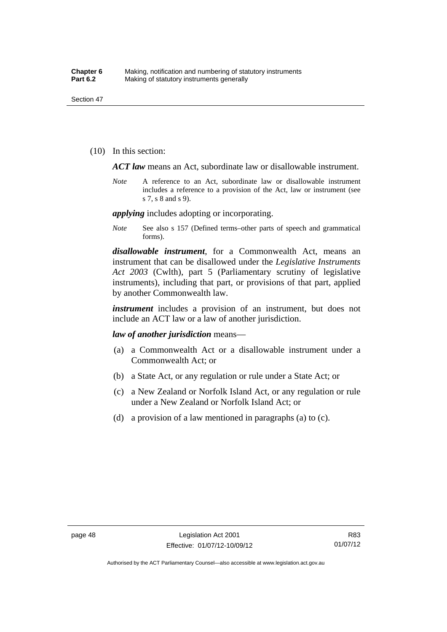(10) In this section:

*ACT law* means an Act, subordinate law or disallowable instrument.

*Note* A reference to an Act, subordinate law or disallowable instrument includes a reference to a provision of the Act, law or instrument (see s 7, s 8 and s 9).

*applying* includes adopting or incorporating.

*Note* See also s 157 (Defined terms–other parts of speech and grammatical forms).

*disallowable instrument*, for a Commonwealth Act, means an instrument that can be disallowed under the *Legislative Instruments Act 2003* (Cwlth), part 5 (Parliamentary scrutiny of legislative instruments), including that part, or provisions of that part, applied by another Commonwealth law.

*instrument* includes a provision of an instrument, but does not include an ACT law or a law of another jurisdiction.

*law of another jurisdiction* means—

- (a) a Commonwealth Act or a disallowable instrument under a Commonwealth Act; or
- (b) a State Act, or any regulation or rule under a State Act; or
- (c) a New Zealand or Norfolk Island Act, or any regulation or rule under a New Zealand or Norfolk Island Act; or
- (d) a provision of a law mentioned in paragraphs (a) to (c).

R83 01/07/12

Authorised by the ACT Parliamentary Counsel—also accessible at www.legislation.act.gov.au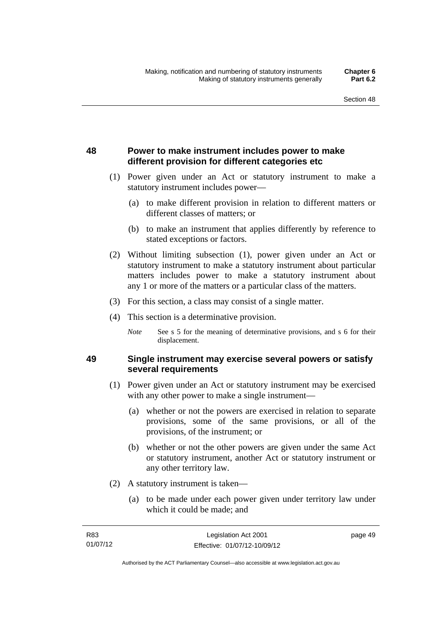# **48 Power to make instrument includes power to make different provision for different categories etc**

- (1) Power given under an Act or statutory instrument to make a statutory instrument includes power—
	- (a) to make different provision in relation to different matters or different classes of matters; or
	- (b) to make an instrument that applies differently by reference to stated exceptions or factors.
- (2) Without limiting subsection (1), power given under an Act or statutory instrument to make a statutory instrument about particular matters includes power to make a statutory instrument about any 1 or more of the matters or a particular class of the matters.
- (3) For this section, a class may consist of a single matter.
- (4) This section is a determinative provision.
	- *Note* See s 5 for the meaning of determinative provisions, and s 6 for their displacement.

# **49 Single instrument may exercise several powers or satisfy several requirements**

- (1) Power given under an Act or statutory instrument may be exercised with any other power to make a single instrument—
	- (a) whether or not the powers are exercised in relation to separate provisions, some of the same provisions, or all of the provisions, of the instrument; or
	- (b) whether or not the other powers are given under the same Act or statutory instrument, another Act or statutory instrument or any other territory law.
- (2) A statutory instrument is taken—
	- (a) to be made under each power given under territory law under which it could be made; and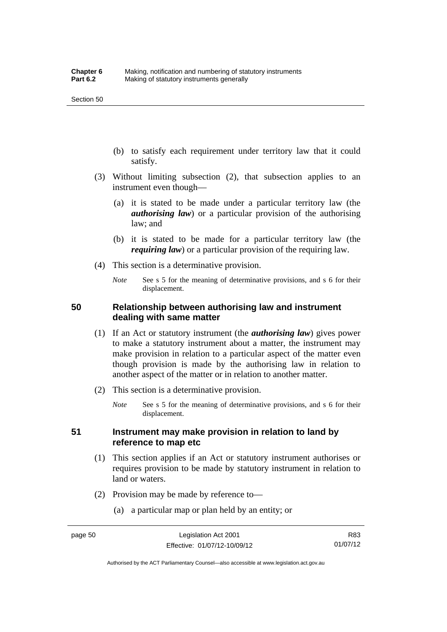- (b) to satisfy each requirement under territory law that it could satisfy.
- (3) Without limiting subsection (2), that subsection applies to an instrument even though—
	- (a) it is stated to be made under a particular territory law (the *authorising law*) or a particular provision of the authorising law; and
	- (b) it is stated to be made for a particular territory law (the *requiring law*) or a particular provision of the requiring law.
- (4) This section is a determinative provision.
	- *Note* See s 5 for the meaning of determinative provisions, and s 6 for their displacement.

## **50 Relationship between authorising law and instrument dealing with same matter**

- (1) If an Act or statutory instrument (the *authorising law*) gives power to make a statutory instrument about a matter, the instrument may make provision in relation to a particular aspect of the matter even though provision is made by the authorising law in relation to another aspect of the matter or in relation to another matter.
- (2) This section is a determinative provision.
	- *Note* See s 5 for the meaning of determinative provisions, and s 6 for their displacement.

## **51 Instrument may make provision in relation to land by reference to map etc**

- (1) This section applies if an Act or statutory instrument authorises or requires provision to be made by statutory instrument in relation to land or waters.
- (2) Provision may be made by reference to—
	- (a) a particular map or plan held by an entity; or

R83 01/07/12

Authorised by the ACT Parliamentary Counsel—also accessible at www.legislation.act.gov.au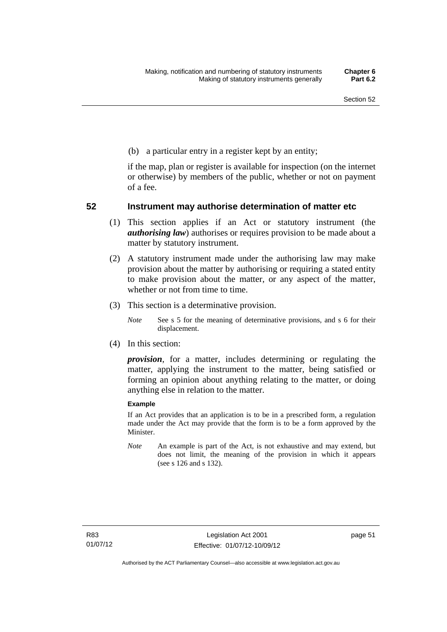(b) a particular entry in a register kept by an entity;

if the map, plan or register is available for inspection (on the internet or otherwise) by members of the public, whether or not on payment of a fee.

### **52 Instrument may authorise determination of matter etc**

- (1) This section applies if an Act or statutory instrument (the *authorising law*) authorises or requires provision to be made about a matter by statutory instrument.
- (2) A statutory instrument made under the authorising law may make provision about the matter by authorising or requiring a stated entity to make provision about the matter, or any aspect of the matter, whether or not from time to time.
- (3) This section is a determinative provision.
	- *Note* See s 5 for the meaning of determinative provisions, and s 6 for their displacement.
- (4) In this section:

*provision*, for a matter, includes determining or regulating the matter, applying the instrument to the matter, being satisfied or forming an opinion about anything relating to the matter, or doing anything else in relation to the matter.

#### **Example**

If an Act provides that an application is to be in a prescribed form, a regulation made under the Act may provide that the form is to be a form approved by the Minister.

*Note* An example is part of the Act, is not exhaustive and may extend, but does not limit, the meaning of the provision in which it appears (see s 126 and s 132).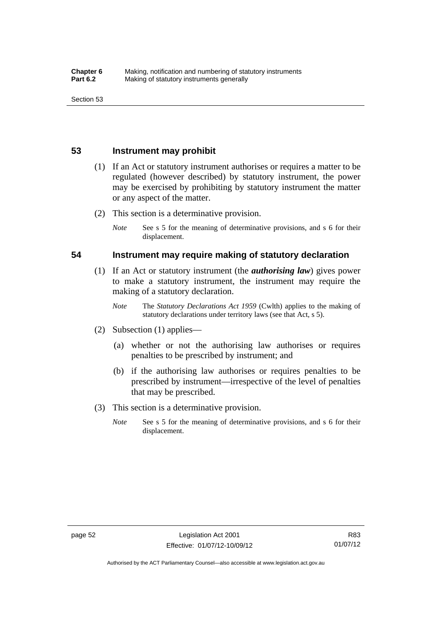### **53 Instrument may prohibit**

- (1) If an Act or statutory instrument authorises or requires a matter to be regulated (however described) by statutory instrument, the power may be exercised by prohibiting by statutory instrument the matter or any aspect of the matter.
- (2) This section is a determinative provision.
	- *Note* See s 5 for the meaning of determinative provisions, and s 6 for their displacement.

#### **54 Instrument may require making of statutory declaration**

- (1) If an Act or statutory instrument (the *authorising law*) gives power to make a statutory instrument, the instrument may require the making of a statutory declaration.
	- *Note* The *Statutory Declarations Act 1959* (Cwlth) applies to the making of statutory declarations under territory laws (see that Act, s 5).
- (2) Subsection (1) applies—
	- (a) whether or not the authorising law authorises or requires penalties to be prescribed by instrument; and
	- (b) if the authorising law authorises or requires penalties to be prescribed by instrument—irrespective of the level of penalties that may be prescribed.
- (3) This section is a determinative provision.
	- *Note* See s 5 for the meaning of determinative provisions, and s 6 for their displacement.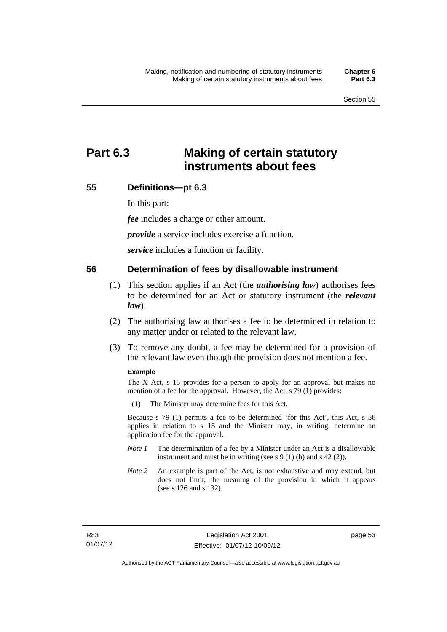# **Part 6.3 Making of certain statutory instruments about fees**

# **55 Definitions—pt 6.3**

In this part:

*fee* includes a charge or other amount.

*provide* a service includes exercise a function.

*service* includes a function or facility.

#### **56 Determination of fees by disallowable instrument**

- (1) This section applies if an Act (the *authorising law*) authorises fees to be determined for an Act or statutory instrument (the *relevant law*).
- (2) The authorising law authorises a fee to be determined in relation to any matter under or related to the relevant law.
- (3) To remove any doubt, a fee may be determined for a provision of the relevant law even though the provision does not mention a fee.

#### **Example**

The X Act, s 15 provides for a person to apply for an approval but makes no mention of a fee for the approval. However, the Act, s 79 (1) provides:

(1) The Minister may determine fees for this Act.

Because s 79 (1) permits a fee to be determined 'for this Act', this Act, s 56 applies in relation to s 15 and the Minister may, in writing, determine an application fee for the approval.

- *Note 1* The determination of a fee by a Minister under an Act is a disallowable instrument and must be in writing (see s 9 (1) (b) and s 42 (2)).
- *Note 2* An example is part of the Act, is not exhaustive and may extend, but does not limit, the meaning of the provision in which it appears (see s 126 and s 132).

page 53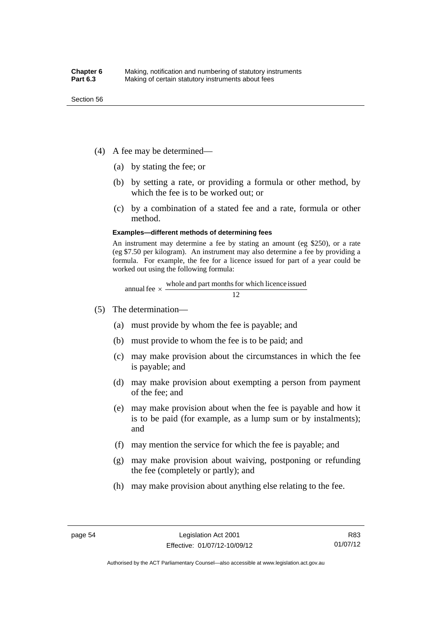- (4) A fee may be determined—
	- (a) by stating the fee; or
	- (b) by setting a rate, or providing a formula or other method, by which the fee is to be worked out; or
	- (c) by a combination of a stated fee and a rate, formula or other method.

#### **Examples—different methods of determining fees**

An instrument may determine a fee by stating an amount (eg \$250), or a rate (eg \$7.50 per kilogram). An instrument may also determine a fee by providing a formula. For example, the fee for a licence issued for part of a year could be worked out using the following formula:

annual fee  $\times$  whole and part months for which licence issued  $\frac{12}{\sqrt{12}}$ 

- (5) The determination—
	- (a) must provide by whom the fee is payable; and
	- (b) must provide to whom the fee is to be paid; and
	- (c) may make provision about the circumstances in which the fee is payable; and
	- (d) may make provision about exempting a person from payment of the fee; and
	- (e) may make provision about when the fee is payable and how it is to be paid (for example, as a lump sum or by instalments); and
	- (f) may mention the service for which the fee is payable; and
	- (g) may make provision about waiving, postponing or refunding the fee (completely or partly); and
	- (h) may make provision about anything else relating to the fee.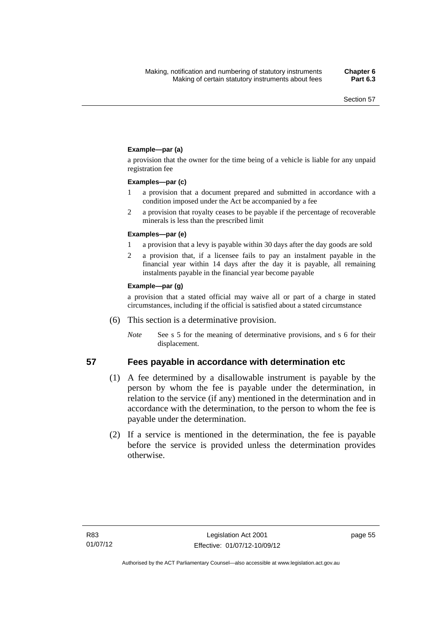#### **Example—par (a)**

a provision that the owner for the time being of a vehicle is liable for any unpaid registration fee

#### **Examples—par (c)**

- 1 a provision that a document prepared and submitted in accordance with a condition imposed under the Act be accompanied by a fee
- 2 a provision that royalty ceases to be payable if the percentage of recoverable minerals is less than the prescribed limit

#### **Examples—par (e)**

- 1 a provision that a levy is payable within 30 days after the day goods are sold
- 2 a provision that, if a licensee fails to pay an instalment payable in the financial year within 14 days after the day it is payable, all remaining instalments payable in the financial year become payable

#### **Example—par (g)**

a provision that a stated official may waive all or part of a charge in stated circumstances, including if the official is satisfied about a stated circumstance

- (6) This section is a determinative provision.
	- *Note* See s 5 for the meaning of determinative provisions, and s 6 for their displacement.

- **57 Fees payable in accordance with determination etc**  (1) A fee determined by a disallowable instrument is payable by the
	- person by whom the fee is payable under the determination, in relation to the service (if any) mentioned in the determination and in accordance with the determination, to the person to whom the fee is payable under the determination.
	- (2) If a service is mentioned in the determination, the fee is payable before the service is provided unless the determination provides otherwise.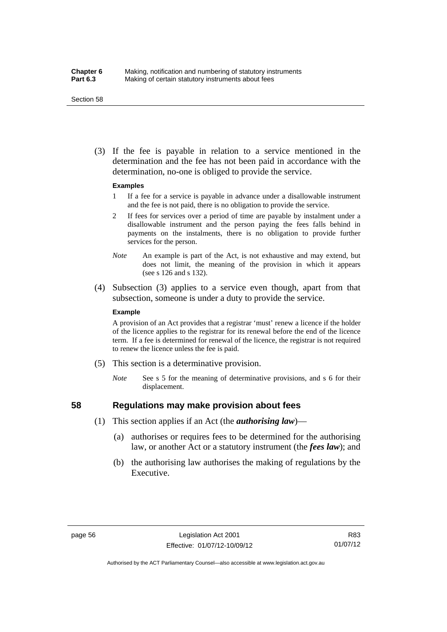#### Section 58

 (3) If the fee is payable in relation to a service mentioned in the determination and the fee has not been paid in accordance with the determination, no-one is obliged to provide the service.

#### **Examples**

- 1 If a fee for a service is payable in advance under a disallowable instrument and the fee is not paid, there is no obligation to provide the service.
- 2 If fees for services over a period of time are payable by instalment under a disallowable instrument and the person paying the fees falls behind in payments on the instalments, there is no obligation to provide further services for the person.
- *Note* An example is part of the Act, is not exhaustive and may extend, but does not limit, the meaning of the provision in which it appears (see s 126 and s 132).
- (4) Subsection (3) applies to a service even though, apart from that subsection, someone is under a duty to provide the service.

#### **Example**

A provision of an Act provides that a registrar 'must' renew a licence if the holder of the licence applies to the registrar for its renewal before the end of the licence term. If a fee is determined for renewal of the licence, the registrar is not required to renew the licence unless the fee is paid.

- (5) This section is a determinative provision.
	- *Note* See s 5 for the meaning of determinative provisions, and s 6 for their displacement.

# **58 Regulations may make provision about fees**

- (1) This section applies if an Act (the *authorising law*)—
	- (a) authorises or requires fees to be determined for the authorising law, or another Act or a statutory instrument (the *fees law*); and
	- (b) the authorising law authorises the making of regulations by the Executive.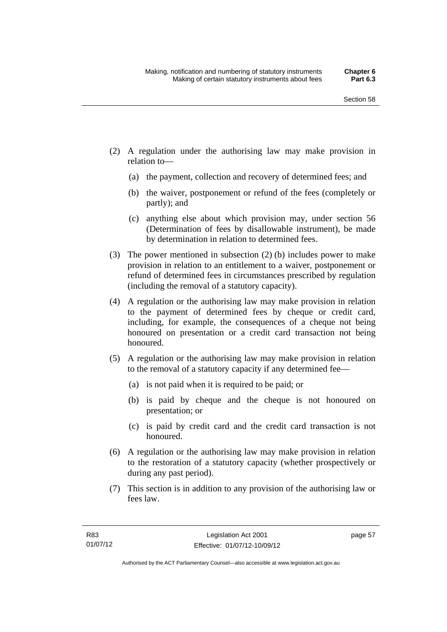- (2) A regulation under the authorising law may make provision in relation to—
	- (a) the payment, collection and recovery of determined fees; and
	- (b) the waiver, postponement or refund of the fees (completely or partly); and
	- (c) anything else about which provision may, under section 56 (Determination of fees by disallowable instrument), be made by determination in relation to determined fees.
- (3) The power mentioned in subsection (2) (b) includes power to make provision in relation to an entitlement to a waiver, postponement or refund of determined fees in circumstances prescribed by regulation (including the removal of a statutory capacity).
- (4) A regulation or the authorising law may make provision in relation to the payment of determined fees by cheque or credit card, including, for example, the consequences of a cheque not being honoured on presentation or a credit card transaction not being honoured.
- (5) A regulation or the authorising law may make provision in relation to the removal of a statutory capacity if any determined fee—
	- (a) is not paid when it is required to be paid; or
	- (b) is paid by cheque and the cheque is not honoured on presentation; or
	- (c) is paid by credit card and the credit card transaction is not honoured.
- (6) A regulation or the authorising law may make provision in relation to the restoration of a statutory capacity (whether prospectively or during any past period).
- (7) This section is in addition to any provision of the authorising law or fees law.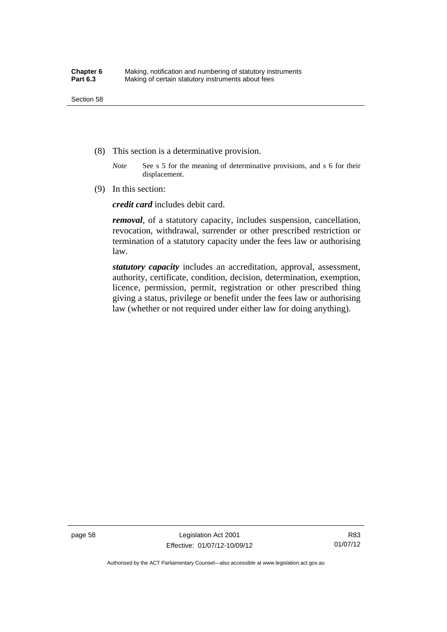- (8) This section is a determinative provision.
	- *Note* See s 5 for the meaning of determinative provisions, and s 6 for their displacement.
- (9) In this section:

*credit card* includes debit card.

*removal*, of a statutory capacity, includes suspension, cancellation, revocation, withdrawal, surrender or other prescribed restriction or termination of a statutory capacity under the fees law or authorising law.

*statutory capacity* includes an accreditation, approval, assessment, authority, certificate, condition, decision, determination, exemption, licence, permission, permit, registration or other prescribed thing giving a status, privilege or benefit under the fees law or authorising law (whether or not required under either law for doing anything).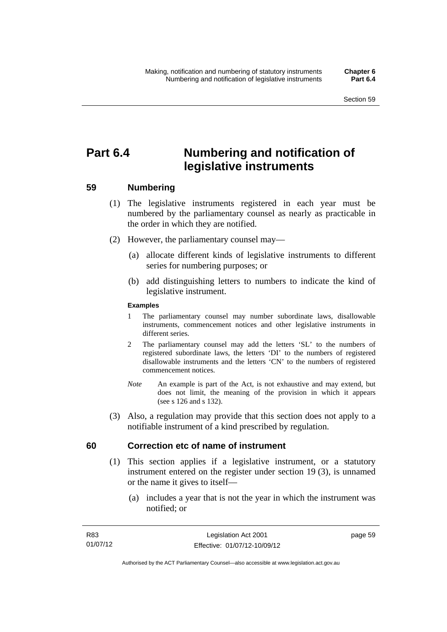# **Part 6.4 Numbering and notification of legislative instruments**

## **59 Numbering**

- (1) The legislative instruments registered in each year must be numbered by the parliamentary counsel as nearly as practicable in the order in which they are notified.
- (2) However, the parliamentary counsel may—
	- (a) allocate different kinds of legislative instruments to different series for numbering purposes; or
	- (b) add distinguishing letters to numbers to indicate the kind of legislative instrument.

## **Examples**

- 1 The parliamentary counsel may number subordinate laws, disallowable instruments, commencement notices and other legislative instruments in different series.
- 2 The parliamentary counsel may add the letters 'SL' to the numbers of registered subordinate laws, the letters 'DI' to the numbers of registered disallowable instruments and the letters 'CN' to the numbers of registered commencement notices.
- *Note* An example is part of the Act, is not exhaustive and may extend, but does not limit, the meaning of the provision in which it appears (see s 126 and s 132).
- (3) Also, a regulation may provide that this section does not apply to a notifiable instrument of a kind prescribed by regulation.

## **60 Correction etc of name of instrument**

- (1) This section applies if a legislative instrument, or a statutory instrument entered on the register under section 19 (3), is unnamed or the name it gives to itself—
	- (a) includes a year that is not the year in which the instrument was notified; or

page 59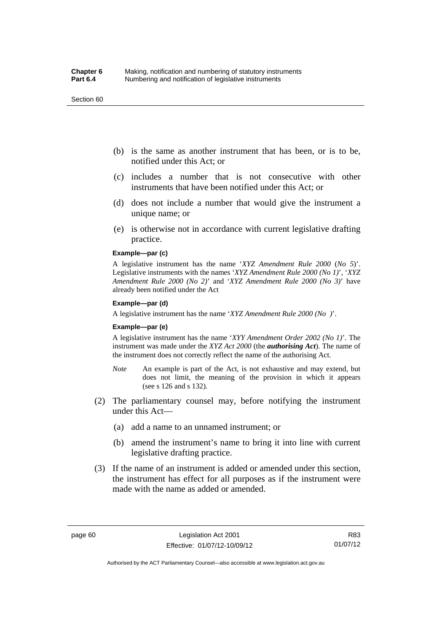#### Section 60

- (b) is the same as another instrument that has been, or is to be, notified under this Act; or
- (c) includes a number that is not consecutive with other instruments that have been notified under this Act; or
- (d) does not include a number that would give the instrument a unique name; or
- (e) is otherwise not in accordance with current legislative drafting practice.

## **Example—par (c)**

A legislative instrument has the name '*XYZ Amendment Rule 2000* (*No 5*)'. Legislative instruments with the names '*XYZ Amendment Rule 2000 (No 1)*', '*XYZ Amendment Rule 2000 (No 2)*' and '*XYZ Amendment Rule 2000 (No 3)*' have already been notified under the Act

#### **Example—par (d)**

A legislative instrument has the name '*XYZ Amendment Rule 2000 (No )*'.

#### **Example—par (e)**

A legislative instrument has the name '*XYY Amendment Order 2002 (No 1)*'. The instrument was made under the *XYZ Act 2000* (the *authorising Act*). The name of the instrument does not correctly reflect the name of the authorising Act.

- *Note* An example is part of the Act, is not exhaustive and may extend, but does not limit, the meaning of the provision in which it appears (see s 126 and s 132).
- (2) The parliamentary counsel may, before notifying the instrument under this Act—
	- (a) add a name to an unnamed instrument; or
	- (b) amend the instrument's name to bring it into line with current legislative drafting practice.
- (3) If the name of an instrument is added or amended under this section, the instrument has effect for all purposes as if the instrument were made with the name as added or amended.

Authorised by the ACT Parliamentary Counsel—also accessible at www.legislation.act.gov.au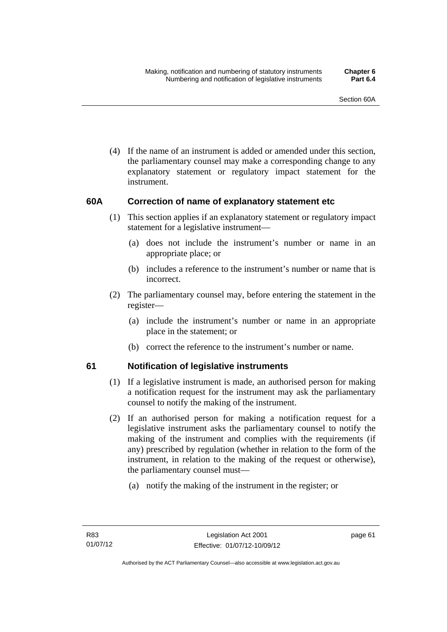(4) If the name of an instrument is added or amended under this section, the parliamentary counsel may make a corresponding change to any explanatory statement or regulatory impact statement for the instrument.

## **60A Correction of name of explanatory statement etc**

- (1) This section applies if an explanatory statement or regulatory impact statement for a legislative instrument—
	- (a) does not include the instrument's number or name in an appropriate place; or
	- (b) includes a reference to the instrument's number or name that is incorrect.
- (2) The parliamentary counsel may, before entering the statement in the register—
	- (a) include the instrument's number or name in an appropriate place in the statement; or
	- (b) correct the reference to the instrument's number or name.

## **61 Notification of legislative instruments**

- (1) If a legislative instrument is made, an authorised person for making a notification request for the instrument may ask the parliamentary counsel to notify the making of the instrument.
- (2) If an authorised person for making a notification request for a legislative instrument asks the parliamentary counsel to notify the making of the instrument and complies with the requirements (if any) prescribed by regulation (whether in relation to the form of the instrument, in relation to the making of the request or otherwise), the parliamentary counsel must—
	- (a) notify the making of the instrument in the register; or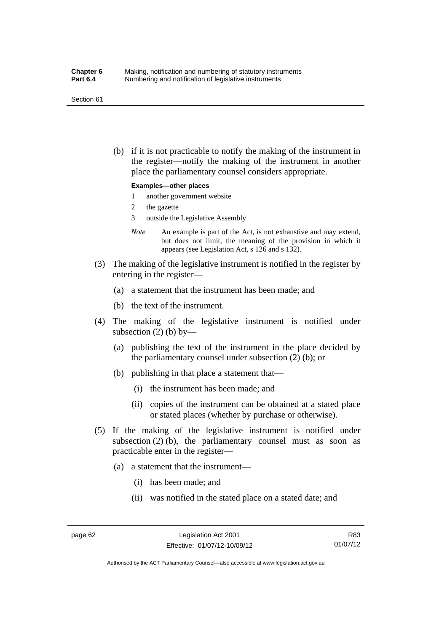#### Section 61

 (b) if it is not practicable to notify the making of the instrument in the register—notify the making of the instrument in another place the parliamentary counsel considers appropriate.

#### **Examples—other places**

- 1 another government website
- 2 the gazette
- 3 outside the Legislative Assembly
- *Note* An example is part of the Act, is not exhaustive and may extend, but does not limit, the meaning of the provision in which it appears (see Legislation Act, s 126 and s 132).
- (3) The making of the legislative instrument is notified in the register by entering in the register—
	- (a) a statement that the instrument has been made; and
	- (b) the text of the instrument.
- (4) The making of the legislative instrument is notified under subsection  $(2)$  (b) by—
	- (a) publishing the text of the instrument in the place decided by the parliamentary counsel under subsection (2) (b); or
	- (b) publishing in that place a statement that—
		- (i) the instrument has been made; and
		- (ii) copies of the instrument can be obtained at a stated place or stated places (whether by purchase or otherwise).
- (5) If the making of the legislative instrument is notified under subsection  $(2)$  (b), the parliamentary counsel must as soon as practicable enter in the register—
	- (a) a statement that the instrument—
		- (i) has been made; and
		- (ii) was notified in the stated place on a stated date; and

R83 01/07/12

Authorised by the ACT Parliamentary Counsel—also accessible at www.legislation.act.gov.au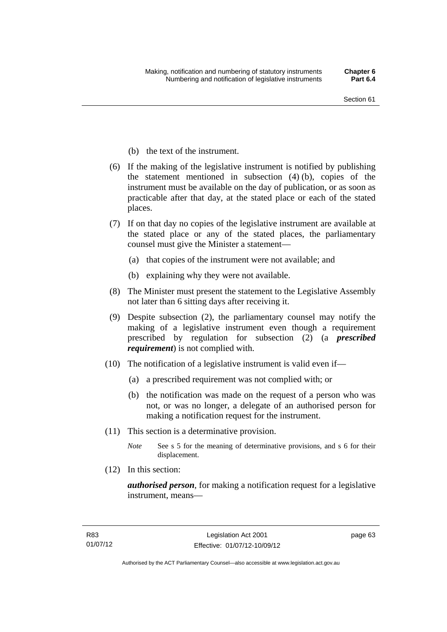- (b) the text of the instrument.
- (6) If the making of the legislative instrument is notified by publishing the statement mentioned in subsection (4) (b), copies of the instrument must be available on the day of publication, or as soon as practicable after that day, at the stated place or each of the stated places.
- (7) If on that day no copies of the legislative instrument are available at the stated place or any of the stated places, the parliamentary counsel must give the Minister a statement—
	- (a) that copies of the instrument were not available; and
	- (b) explaining why they were not available.
- (8) The Minister must present the statement to the Legislative Assembly not later than 6 sitting days after receiving it.
- (9) Despite subsection (2), the parliamentary counsel may notify the making of a legislative instrument even though a requirement prescribed by regulation for subsection (2) (a *prescribed requirement*) is not complied with.
- (10) The notification of a legislative instrument is valid even if—
	- (a) a prescribed requirement was not complied with; or
	- (b) the notification was made on the request of a person who was not, or was no longer, a delegate of an authorised person for making a notification request for the instrument.
- (11) This section is a determinative provision.
	- *Note* See s 5 for the meaning of determinative provisions, and s 6 for their displacement.
- (12) In this section:

*authorised person*, for making a notification request for a legislative instrument, means—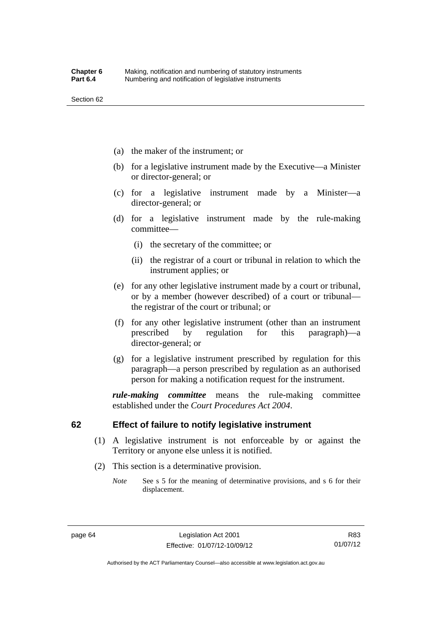- (a) the maker of the instrument; or
- (b) for a legislative instrument made by the Executive—a Minister or director-general; or
- (c) for a legislative instrument made by a Minister—a director-general; or
- (d) for a legislative instrument made by the rule-making committee—
	- (i) the secretary of the committee; or
	- (ii) the registrar of a court or tribunal in relation to which the instrument applies; or
- (e) for any other legislative instrument made by a court or tribunal, or by a member (however described) of a court or tribunal the registrar of the court or tribunal; or
- (f) for any other legislative instrument (other than an instrument prescribed by regulation for this paragraph)—a director-general; or
- (g) for a legislative instrument prescribed by regulation for this paragraph—a person prescribed by regulation as an authorised person for making a notification request for the instrument.

*rule-making committee* means the rule-making committee established under the *Court Procedures Act 2004*.

## **62 Effect of failure to notify legislative instrument**

- (1) A legislative instrument is not enforceable by or against the Territory or anyone else unless it is notified.
- (2) This section is a determinative provision.
	- *Note* See s 5 for the meaning of determinative provisions, and s 6 for their displacement.

Authorised by the ACT Parliamentary Counsel—also accessible at www.legislation.act.gov.au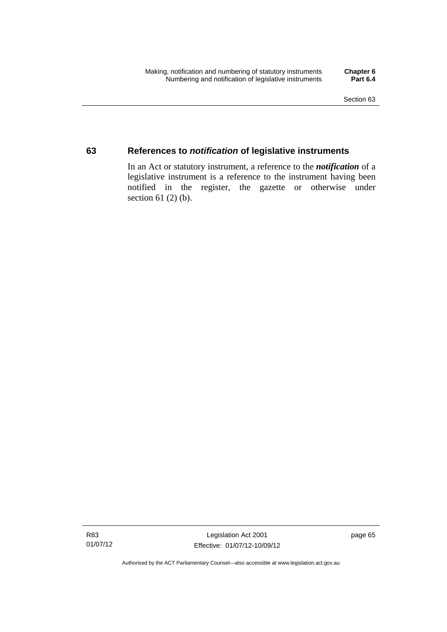## **63 References to** *notification* **of legislative instruments**

In an Act or statutory instrument, a reference to the *notification* of a legislative instrument is a reference to the instrument having been notified in the register, the gazette or otherwise under section  $61$  (2) (b).

Authorised by the ACT Parliamentary Counsel—also accessible at www.legislation.act.gov.au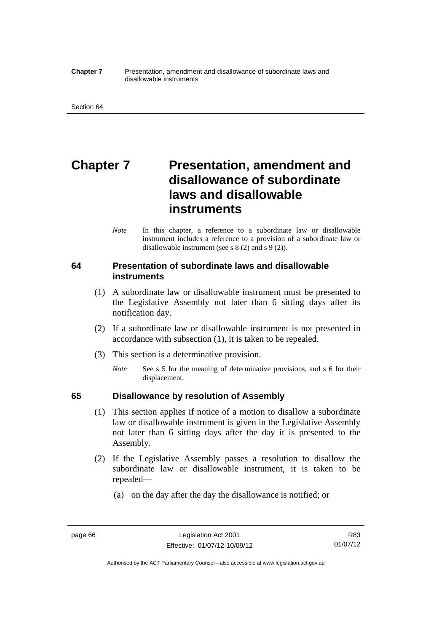#### **Chapter 7** Presentation, amendment and disallowance of subordinate laws and disallowable instruments

# **Chapter 7** Presentation, amendment and **disallowance of subordinate laws and disallowable instruments**

*Note* In this chapter, a reference to a subordinate law or disallowable instrument includes a reference to a provision of a subordinate law or disallowable instrument (see s 8 (2) and s 9 (2)).

## **64 Presentation of subordinate laws and disallowable instruments**

- (1) A subordinate law or disallowable instrument must be presented to the Legislative Assembly not later than 6 sitting days after its notification day.
- (2) If a subordinate law or disallowable instrument is not presented in accordance with subsection (1), it is taken to be repealed.
- (3) This section is a determinative provision.
	- *Note* See s 5 for the meaning of determinative provisions, and s 6 for their displacement.

## **65 Disallowance by resolution of Assembly**

- (1) This section applies if notice of a motion to disallow a subordinate law or disallowable instrument is given in the Legislative Assembly not later than 6 sitting days after the day it is presented to the Assembly.
- (2) If the Legislative Assembly passes a resolution to disallow the subordinate law or disallowable instrument, it is taken to be repealed—
	- (a) on the day after the day the disallowance is notified; or

Authorised by the ACT Parliamentary Counsel—also accessible at www.legislation.act.gov.au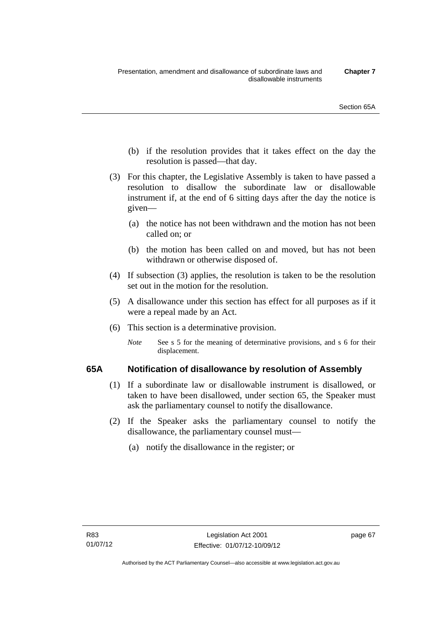- (b) if the resolution provides that it takes effect on the day the resolution is passed—that day.
- (3) For this chapter, the Legislative Assembly is taken to have passed a resolution to disallow the subordinate law or disallowable instrument if, at the end of 6 sitting days after the day the notice is given—
	- (a) the notice has not been withdrawn and the motion has not been called on; or
	- (b) the motion has been called on and moved, but has not been withdrawn or otherwise disposed of.
- (4) If subsection (3) applies, the resolution is taken to be the resolution set out in the motion for the resolution.
- (5) A disallowance under this section has effect for all purposes as if it were a repeal made by an Act.
- (6) This section is a determinative provision.
	- *Note* See s 5 for the meaning of determinative provisions, and s 6 for their displacement.

## **65A Notification of disallowance by resolution of Assembly**

- (1) If a subordinate law or disallowable instrument is disallowed, or taken to have been disallowed, under section 65, the Speaker must ask the parliamentary counsel to notify the disallowance.
- (2) If the Speaker asks the parliamentary counsel to notify the disallowance, the parliamentary counsel must—
	- (a) notify the disallowance in the register; or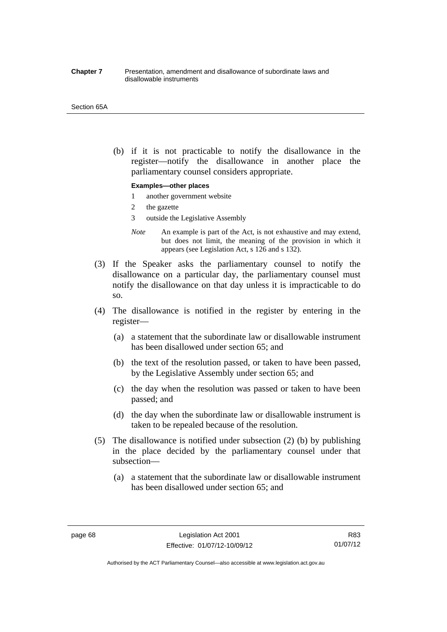#### **Chapter 7** Presentation, amendment and disallowance of subordinate laws and disallowable instruments

#### Section 65A

 (b) if it is not practicable to notify the disallowance in the register—notify the disallowance in another place the parliamentary counsel considers appropriate.

#### **Examples—other places**

- 1 another government website
- 2 the gazette
- 3 outside the Legislative Assembly
- *Note* An example is part of the Act, is not exhaustive and may extend, but does not limit, the meaning of the provision in which it appears (see Legislation Act, s 126 and s 132).
- (3) If the Speaker asks the parliamentary counsel to notify the disallowance on a particular day, the parliamentary counsel must notify the disallowance on that day unless it is impracticable to do so.
- (4) The disallowance is notified in the register by entering in the register—
	- (a) a statement that the subordinate law or disallowable instrument has been disallowed under section 65; and
	- (b) the text of the resolution passed, or taken to have been passed, by the Legislative Assembly under section 65; and
	- (c) the day when the resolution was passed or taken to have been passed; and
	- (d) the day when the subordinate law or disallowable instrument is taken to be repealed because of the resolution.
- (5) The disallowance is notified under subsection (2) (b) by publishing in the place decided by the parliamentary counsel under that subsection—
	- (a) a statement that the subordinate law or disallowable instrument has been disallowed under section 65; and

R83 01/07/12

Authorised by the ACT Parliamentary Counsel—also accessible at www.legislation.act.gov.au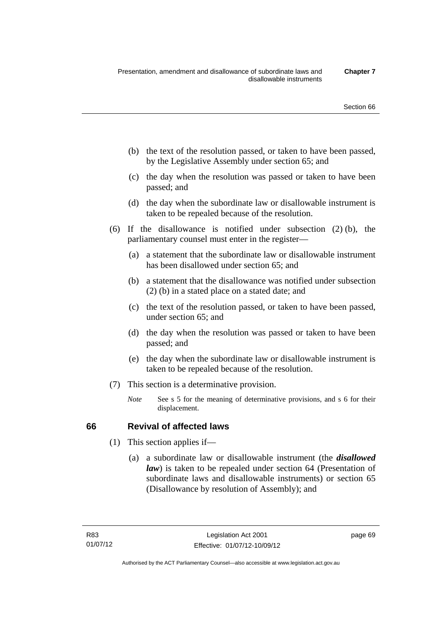- (b) the text of the resolution passed, or taken to have been passed, by the Legislative Assembly under section 65; and
- (c) the day when the resolution was passed or taken to have been passed; and
- (d) the day when the subordinate law or disallowable instrument is taken to be repealed because of the resolution.
- (6) If the disallowance is notified under subsection (2) (b), the parliamentary counsel must enter in the register—
	- (a) a statement that the subordinate law or disallowable instrument has been disallowed under section 65; and
	- (b) a statement that the disallowance was notified under subsection (2) (b) in a stated place on a stated date; and
	- (c) the text of the resolution passed, or taken to have been passed, under section 65; and
	- (d) the day when the resolution was passed or taken to have been passed; and
	- (e) the day when the subordinate law or disallowable instrument is taken to be repealed because of the resolution.
- (7) This section is a determinative provision.
	- *Note* See s 5 for the meaning of determinative provisions, and s 6 for their displacement.

## **66 Revival of affected laws**

- (1) This section applies if—
	- (a) a subordinate law or disallowable instrument (the *disallowed law*) is taken to be repealed under section 64 (Presentation of subordinate laws and disallowable instruments) or section 65 (Disallowance by resolution of Assembly); and

page 69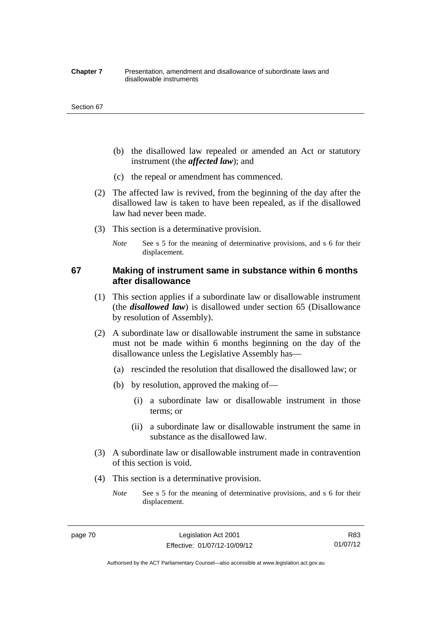#### **Chapter 7** Presentation, amendment and disallowance of subordinate laws and disallowable instruments

#### Section 67

- (b) the disallowed law repealed or amended an Act or statutory instrument (the *affected law*); and
- (c) the repeal or amendment has commenced.
- (2) The affected law is revived, from the beginning of the day after the disallowed law is taken to have been repealed, as if the disallowed law had never been made.
- (3) This section is a determinative provision.
	- *Note* See s 5 for the meaning of determinative provisions, and s 6 for their displacement.

## **67 Making of instrument same in substance within 6 months after disallowance**

- (1) This section applies if a subordinate law or disallowable instrument (the *disallowed law*) is disallowed under section 65 (Disallowance by resolution of Assembly).
- (2) A subordinate law or disallowable instrument the same in substance must not be made within 6 months beginning on the day of the disallowance unless the Legislative Assembly has—
	- (a) rescinded the resolution that disallowed the disallowed law; or
	- (b) by resolution, approved the making of—
		- (i) a subordinate law or disallowable instrument in those terms; or
		- (ii) a subordinate law or disallowable instrument the same in substance as the disallowed law.
- (3) A subordinate law or disallowable instrument made in contravention of this section is void.
- (4) This section is a determinative provision.
	- *Note* See s 5 for the meaning of determinative provisions, and s 6 for their displacement.

Authorised by the ACT Parliamentary Counsel—also accessible at www.legislation.act.gov.au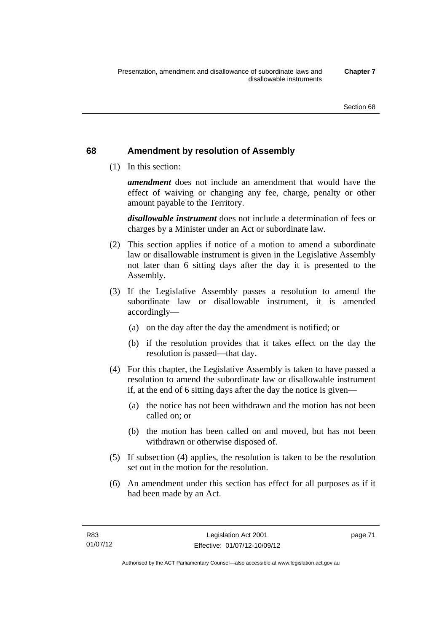## **68 Amendment by resolution of Assembly**

(1) In this section:

*amendment* does not include an amendment that would have the effect of waiving or changing any fee, charge, penalty or other amount payable to the Territory.

*disallowable instrument* does not include a determination of fees or charges by a Minister under an Act or subordinate law.

- (2) This section applies if notice of a motion to amend a subordinate law or disallowable instrument is given in the Legislative Assembly not later than 6 sitting days after the day it is presented to the Assembly.
- (3) If the Legislative Assembly passes a resolution to amend the subordinate law or disallowable instrument, it is amended accordingly—
	- (a) on the day after the day the amendment is notified; or
	- (b) if the resolution provides that it takes effect on the day the resolution is passed—that day.
- (4) For this chapter, the Legislative Assembly is taken to have passed a resolution to amend the subordinate law or disallowable instrument if, at the end of 6 sitting days after the day the notice is given—
	- (a) the notice has not been withdrawn and the motion has not been called on; or
	- (b) the motion has been called on and moved, but has not been withdrawn or otherwise disposed of.
- (5) If subsection (4) applies, the resolution is taken to be the resolution set out in the motion for the resolution.
- (6) An amendment under this section has effect for all purposes as if it had been made by an Act.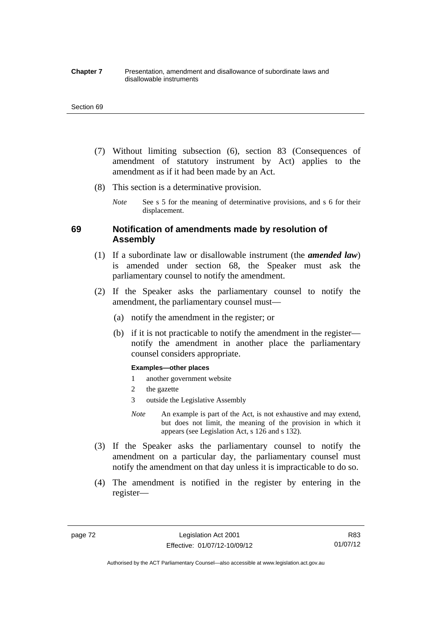#### **Chapter 7** Presentation, amendment and disallowance of subordinate laws and disallowable instruments

#### Section 69

- (7) Without limiting subsection (6), section 83 (Consequences of amendment of statutory instrument by Act) applies to the amendment as if it had been made by an Act.
- (8) This section is a determinative provision.
	- *Note* See s 5 for the meaning of determinative provisions, and s 6 for their displacement.

## **69 Notification of amendments made by resolution of Assembly**

- (1) If a subordinate law or disallowable instrument (the *amended law*) is amended under section 68, the Speaker must ask the parliamentary counsel to notify the amendment.
- (2) If the Speaker asks the parliamentary counsel to notify the amendment, the parliamentary counsel must—
	- (a) notify the amendment in the register; or
	- (b) if it is not practicable to notify the amendment in the register notify the amendment in another place the parliamentary counsel considers appropriate.

#### **Examples—other places**

- 1 another government website
- 2 the gazette
- 3 outside the Legislative Assembly
- *Note* An example is part of the Act, is not exhaustive and may extend, but does not limit, the meaning of the provision in which it appears (see Legislation Act, s 126 and s 132).
- (3) If the Speaker asks the parliamentary counsel to notify the amendment on a particular day, the parliamentary counsel must notify the amendment on that day unless it is impracticable to do so.
- (4) The amendment is notified in the register by entering in the register—

Authorised by the ACT Parliamentary Counsel—also accessible at www.legislation.act.gov.au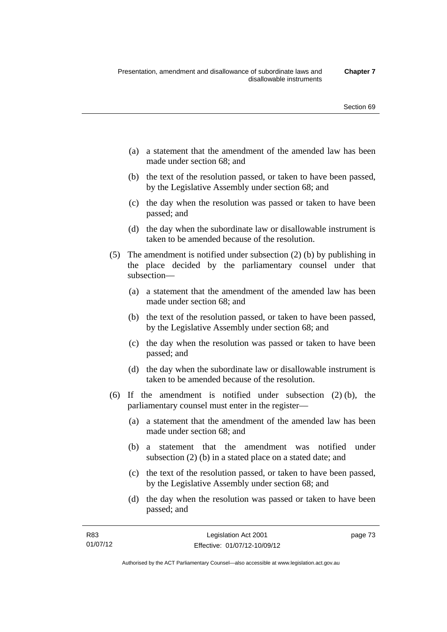- (a) a statement that the amendment of the amended law has been made under section 68; and
- (b) the text of the resolution passed, or taken to have been passed, by the Legislative Assembly under section 68; and
- (c) the day when the resolution was passed or taken to have been passed; and
- (d) the day when the subordinate law or disallowable instrument is taken to be amended because of the resolution.
- (5) The amendment is notified under subsection (2) (b) by publishing in the place decided by the parliamentary counsel under that subsection—
	- (a) a statement that the amendment of the amended law has been made under section 68; and
	- (b) the text of the resolution passed, or taken to have been passed, by the Legislative Assembly under section 68; and
	- (c) the day when the resolution was passed or taken to have been passed; and
	- (d) the day when the subordinate law or disallowable instrument is taken to be amended because of the resolution.
- (6) If the amendment is notified under subsection (2) (b), the parliamentary counsel must enter in the register—
	- (a) a statement that the amendment of the amended law has been made under section 68; and
	- (b) a statement that the amendment was notified under subsection (2) (b) in a stated place on a stated date; and
	- (c) the text of the resolution passed, or taken to have been passed, by the Legislative Assembly under section 68; and
	- (d) the day when the resolution was passed or taken to have been passed; and

page 73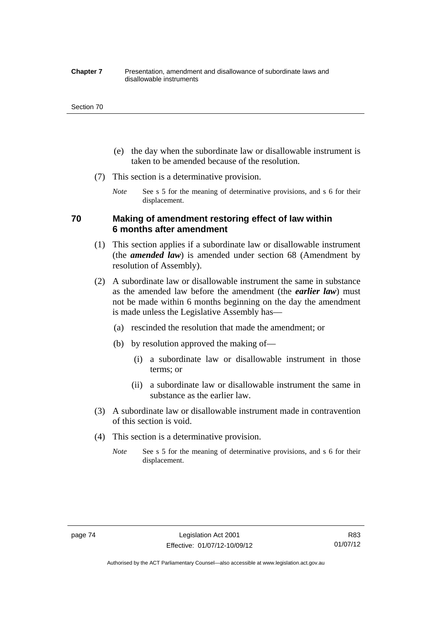#### **Chapter 7** Presentation, amendment and disallowance of subordinate laws and disallowable instruments

#### Section 70

- (e) the day when the subordinate law or disallowable instrument is taken to be amended because of the resolution.
- (7) This section is a determinative provision.
	- *Note* See s 5 for the meaning of determinative provisions, and s 6 for their displacement.

## **70 Making of amendment restoring effect of law within 6 months after amendment**

- (1) This section applies if a subordinate law or disallowable instrument (the *amended law*) is amended under section 68 (Amendment by resolution of Assembly).
- (2) A subordinate law or disallowable instrument the same in substance as the amended law before the amendment (the *earlier law*) must not be made within 6 months beginning on the day the amendment is made unless the Legislative Assembly has—
	- (a) rescinded the resolution that made the amendment; or
	- (b) by resolution approved the making of—
		- (i) a subordinate law or disallowable instrument in those terms; or
		- (ii) a subordinate law or disallowable instrument the same in substance as the earlier law.
- (3) A subordinate law or disallowable instrument made in contravention of this section is void.
- (4) This section is a determinative provision.
	- *Note* See s 5 for the meaning of determinative provisions, and s 6 for their displacement.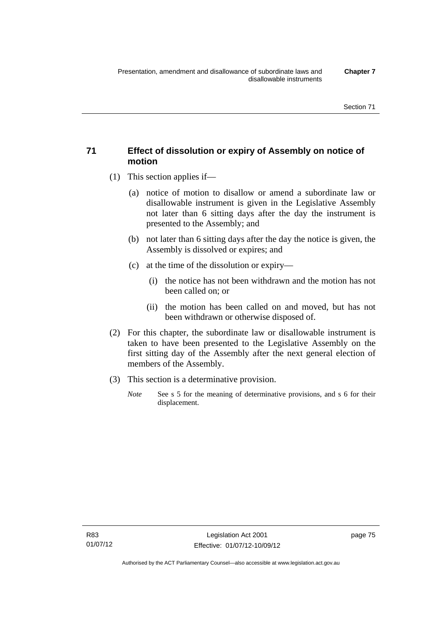## **71 Effect of dissolution or expiry of Assembly on notice of motion**

- (1) This section applies if—
	- (a) notice of motion to disallow or amend a subordinate law or disallowable instrument is given in the Legislative Assembly not later than 6 sitting days after the day the instrument is presented to the Assembly; and
	- (b) not later than 6 sitting days after the day the notice is given, the Assembly is dissolved or expires; and
	- (c) at the time of the dissolution or expiry—
		- (i) the notice has not been withdrawn and the motion has not been called on; or
		- (ii) the motion has been called on and moved, but has not been withdrawn or otherwise disposed of.
- (2) For this chapter, the subordinate law or disallowable instrument is taken to have been presented to the Legislative Assembly on the first sitting day of the Assembly after the next general election of members of the Assembly.
- (3) This section is a determinative provision.
	- *Note* See s 5 for the meaning of determinative provisions, and s 6 for their displacement.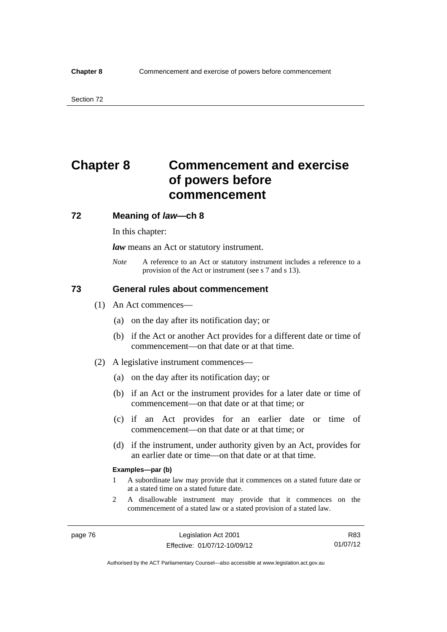# **Chapter 8 Commencement and exercise of powers before commencement**

### **72 Meaning of** *law***—ch 8**

In this chapter:

*law* means an Act or statutory instrument.

*Note* A reference to an Act or statutory instrument includes a reference to a provision of the Act or instrument (see s 7 and s 13).

## **73 General rules about commencement**

- (1) An Act commences—
	- (a) on the day after its notification day; or
	- (b) if the Act or another Act provides for a different date or time of commencement—on that date or at that time.
- (2) A legislative instrument commences—
	- (a) on the day after its notification day; or
	- (b) if an Act or the instrument provides for a later date or time of commencement—on that date or at that time; or
	- (c) if an Act provides for an earlier date or time of commencement—on that date or at that time; or
	- (d) if the instrument, under authority given by an Act, provides for an earlier date or time—on that date or at that time.

#### **Examples—par (b)**

- 1 A subordinate law may provide that it commences on a stated future date or at a stated time on a stated future date.
- 2 A disallowable instrument may provide that it commences on the commencement of a stated law or a stated provision of a stated law.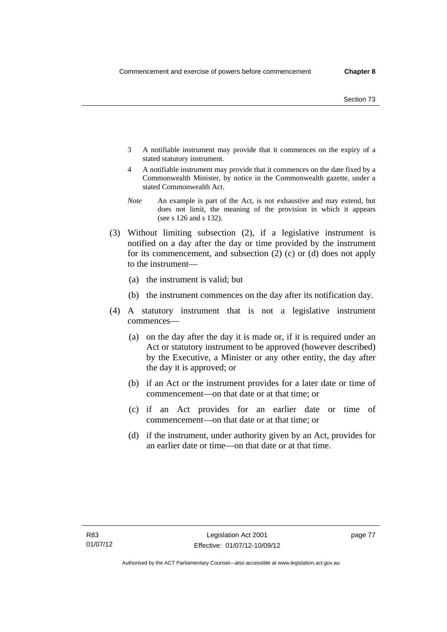- 3 A notifiable instrument may provide that it commences on the expiry of a stated statutory instrument.
- 4 A notifiable instrument may provide that it commences on the date fixed by a Commonwealth Minister, by notice in the Commonwealth gazette, under a stated Commonwealth Act.
- *Note* An example is part of the Act, is not exhaustive and may extend, but does not limit, the meaning of the provision in which it appears (see s 126 and s 132).
- (3) Without limiting subsection (2), if a legislative instrument is notified on a day after the day or time provided by the instrument for its commencement, and subsection (2) (c) or (d) does not apply to the instrument—
	- (a) the instrument is valid; but
	- (b) the instrument commences on the day after its notification day.
- (4) A statutory instrument that is not a legislative instrument commences—
	- (a) on the day after the day it is made or, if it is required under an Act or statutory instrument to be approved (however described) by the Executive, a Minister or any other entity, the day after the day it is approved; or
	- (b) if an Act or the instrument provides for a later date or time of commencement—on that date or at that time; or
	- (c) if an Act provides for an earlier date or time of commencement—on that date or at that time; or
	- (d) if the instrument, under authority given by an Act, provides for an earlier date or time—on that date or at that time.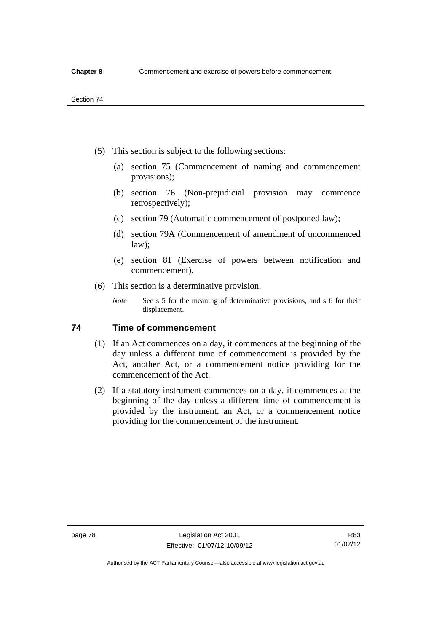- (5) This section is subject to the following sections:
	- (a) section 75 (Commencement of naming and commencement provisions);
	- (b) section 76 (Non-prejudicial provision may commence retrospectively);
	- (c) section 79 (Automatic commencement of postponed law);
	- (d) section 79A (Commencement of amendment of uncommenced law);
	- (e) section 81 (Exercise of powers between notification and commencement).
- (6) This section is a determinative provision.
	- *Note* See s 5 for the meaning of determinative provisions, and s 6 for their displacement.

## **74 Time of commencement**

- (1) If an Act commences on a day, it commences at the beginning of the day unless a different time of commencement is provided by the Act, another Act, or a commencement notice providing for the commencement of the Act.
- (2) If a statutory instrument commences on a day, it commences at the beginning of the day unless a different time of commencement is provided by the instrument, an Act, or a commencement notice providing for the commencement of the instrument.

Authorised by the ACT Parliamentary Counsel—also accessible at www.legislation.act.gov.au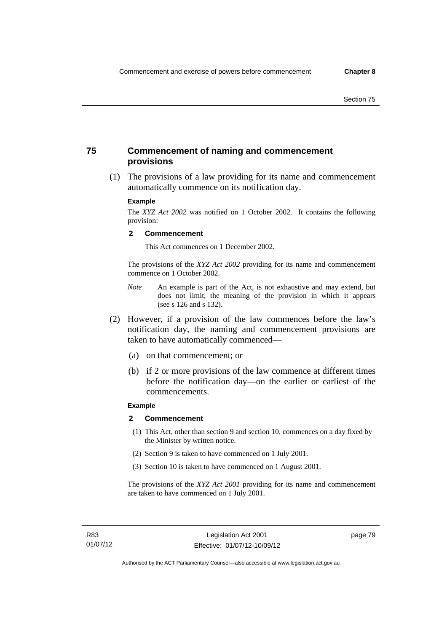## **75 Commencement of naming and commencement provisions**

 (1) The provisions of a law providing for its name and commencement automatically commence on its notification day.

### **Example**

The *XYZ Act 2002* was notified on 1 October 2002. It contains the following provision:

#### **2 Commencement**

This Act commences on 1 December 2002.

The provisions of the *XYZ Act 2002* providing for its name and commencement commence on 1 October 2002.

- *Note* An example is part of the Act, is not exhaustive and may extend, but does not limit, the meaning of the provision in which it appears (see s 126 and s 132).
- (2) However, if a provision of the law commences before the law's notification day, the naming and commencement provisions are taken to have automatically commenced—
	- (a) on that commencement; or
	- (b) if 2 or more provisions of the law commence at different times before the notification day—on the earlier or earliest of the commencements.

## **Example**

#### **2 Commencement**

- (1) This Act, other than section 9 and section 10, commences on a day fixed by the Minister by written notice.
- (2) Section 9 is taken to have commenced on 1 July 2001.
- (3) Section 10 is taken to have commenced on 1 August 2001.

The provisions of the *XYZ Act 2001* providing for its name and commencement are taken to have commenced on 1 July 2001.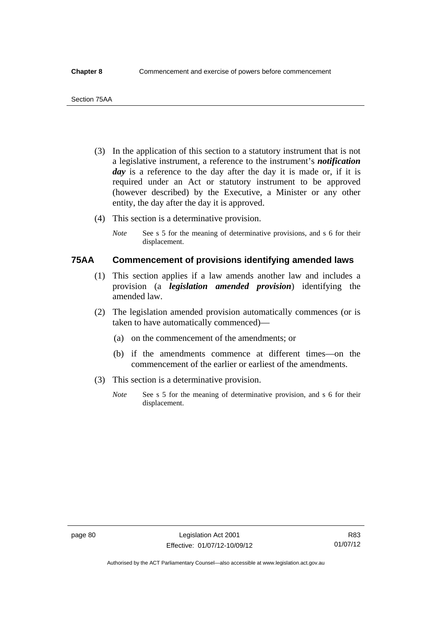- (3) In the application of this section to a statutory instrument that is not a legislative instrument, a reference to the instrument's *notification*  day is a reference to the day after the day it is made or, if it is required under an Act or statutory instrument to be approved (however described) by the Executive, a Minister or any other entity, the day after the day it is approved.
- (4) This section is a determinative provision.
	- *Note* See s 5 for the meaning of determinative provisions, and s 6 for their displacement.

## **75AA Commencement of provisions identifying amended laws**

- (1) This section applies if a law amends another law and includes a provision (a *legislation amended provision*) identifying the amended law.
- (2) The legislation amended provision automatically commences (or is taken to have automatically commenced)—
	- (a) on the commencement of the amendments; or
	- (b) if the amendments commence at different times—on the commencement of the earlier or earliest of the amendments.
- (3) This section is a determinative provision.
	- *Note* See s 5 for the meaning of determinative provision, and s 6 for their displacement.

R83 01/07/12

Authorised by the ACT Parliamentary Counsel—also accessible at www.legislation.act.gov.au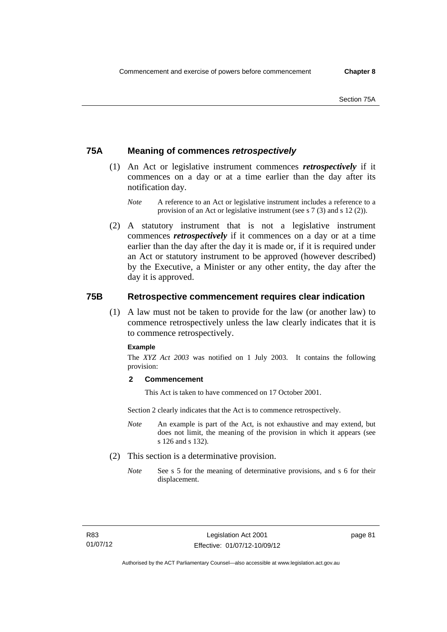## **75A Meaning of commences** *retrospectively*

- (1) An Act or legislative instrument commences *retrospectively* if it commences on a day or at a time earlier than the day after its notification day.
	- *Note* A reference to an Act or legislative instrument includes a reference to a provision of an Act or legislative instrument (see s 7 (3) and s 12 (2)).
- (2) A statutory instrument that is not a legislative instrument commences *retrospectively* if it commences on a day or at a time earlier than the day after the day it is made or, if it is required under an Act or statutory instrument to be approved (however described) by the Executive, a Minister or any other entity, the day after the day it is approved.

## **75B Retrospective commencement requires clear indication**

(1) A law must not be taken to provide for the law (or another law) to commence retrospectively unless the law clearly indicates that it is to commence retrospectively.

#### **Example**

The *XYZ Act 2003* was notified on 1 July 2003. It contains the following provision:

### **2 Commencement**

This Act is taken to have commenced on 17 October 2001.

Section 2 clearly indicates that the Act is to commence retrospectively.

- *Note* An example is part of the Act, is not exhaustive and may extend, but does not limit, the meaning of the provision in which it appears (see s 126 and s 132).
- (2) This section is a determinative provision.
	- *Note* See s 5 for the meaning of determinative provisions, and s 6 for their displacement.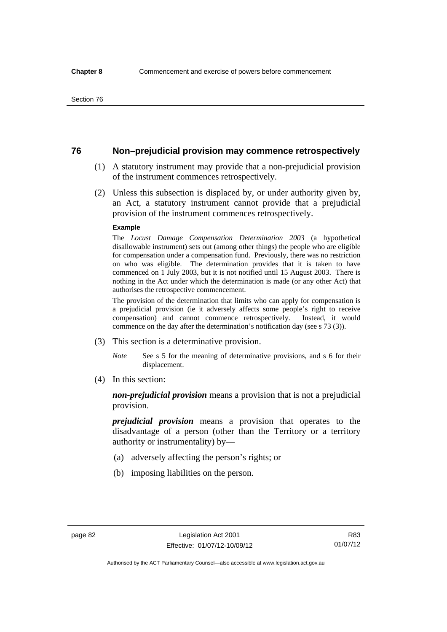## **76 Non–prejudicial provision may commence retrospectively**

- (1) A statutory instrument may provide that a non-prejudicial provision of the instrument commences retrospectively.
- (2) Unless this subsection is displaced by, or under authority given by, an Act, a statutory instrument cannot provide that a prejudicial provision of the instrument commences retrospectively.

#### **Example**

The *Locust Damage Compensation Determination 2003* (a hypothetical disallowable instrument) sets out (among other things) the people who are eligible for compensation under a compensation fund. Previously, there was no restriction on who was eligible. The determination provides that it is taken to have commenced on 1 July 2003, but it is not notified until 15 August 2003. There is nothing in the Act under which the determination is made (or any other Act) that authorises the retrospective commencement.

The provision of the determination that limits who can apply for compensation is a prejudicial provision (ie it adversely affects some people's right to receive compensation) and cannot commence retrospectively. Instead, it would commence on the day after the determination's notification day (see s 73 (3)).

- (3) This section is a determinative provision.
	- *Note* See s 5 for the meaning of determinative provisions, and s 6 for their displacement.
- (4) In this section:

*non-prejudicial provision* means a provision that is not a prejudicial provision.

*prejudicial provision* means a provision that operates to the disadvantage of a person (other than the Territory or a territory authority or instrumentality) by—

- (a) adversely affecting the person's rights; or
- (b) imposing liabilities on the person.

R83 01/07/12

Authorised by the ACT Parliamentary Counsel—also accessible at www.legislation.act.gov.au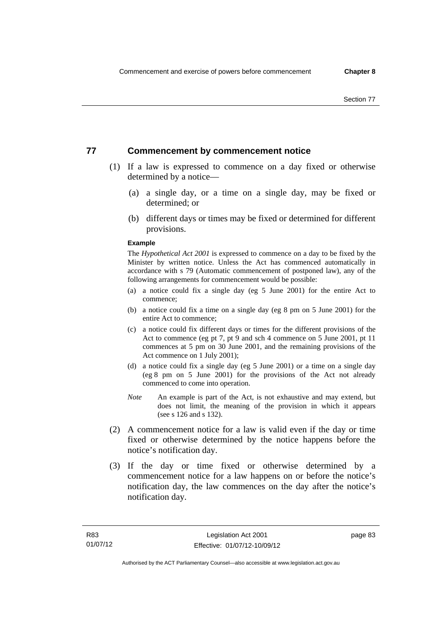## **77 Commencement by commencement notice**

- (1) If a law is expressed to commence on a day fixed or otherwise determined by a notice—
	- (a) a single day, or a time on a single day, may be fixed or determined; or
	- (b) different days or times may be fixed or determined for different provisions.

#### **Example**

The *Hypothetical Act 2001* is expressed to commence on a day to be fixed by the Minister by written notice. Unless the Act has commenced automatically in accordance with s 79 (Automatic commencement of postponed law), any of the following arrangements for commencement would be possible:

- (a) a notice could fix a single day (eg 5 June 2001) for the entire Act to commence;
- (b) a notice could fix a time on a single day (eg 8 pm on 5 June 2001) for the entire Act to commence;
- (c) a notice could fix different days or times for the different provisions of the Act to commence (eg pt 7, pt 9 and sch 4 commence on 5 June 2001, pt 11 commences at 5 pm on 30 June 2001, and the remaining provisions of the Act commence on 1 July 2001);
- (d) a notice could fix a single day (eg 5 June 2001) or a time on a single day (eg 8 pm on 5 June 2001) for the provisions of the Act not already commenced to come into operation.
- *Note* An example is part of the Act, is not exhaustive and may extend, but does not limit, the meaning of the provision in which it appears (see s 126 and s 132).
- (2) A commencement notice for a law is valid even if the day or time fixed or otherwise determined by the notice happens before the notice's notification day.
- (3) If the day or time fixed or otherwise determined by a commencement notice for a law happens on or before the notice's notification day, the law commences on the day after the notice's notification day.

page 83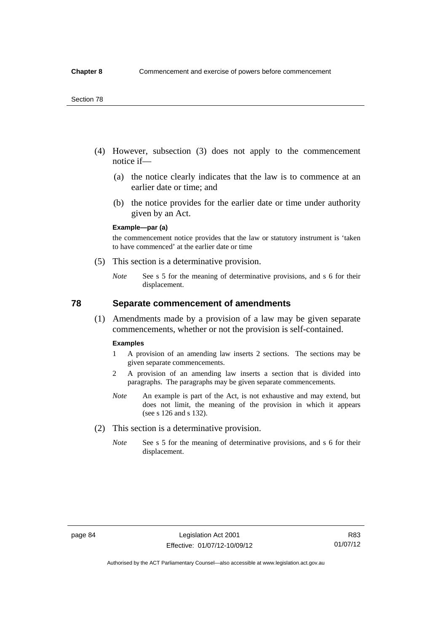- (4) However, subsection (3) does not apply to the commencement notice if—
	- (a) the notice clearly indicates that the law is to commence at an earlier date or time; and
	- (b) the notice provides for the earlier date or time under authority given by an Act.

### **Example—par (a)**

the commencement notice provides that the law or statutory instrument is 'taken to have commenced' at the earlier date or time

- (5) This section is a determinative provision.
	- *Note* See s 5 for the meaning of determinative provisions, and s 6 for their displacement.

## **78 Separate commencement of amendments**

 (1) Amendments made by a provision of a law may be given separate commencements, whether or not the provision is self-contained.

#### **Examples**

- 1 A provision of an amending law inserts 2 sections. The sections may be given separate commencements.
- 2 A provision of an amending law inserts a section that is divided into paragraphs. The paragraphs may be given separate commencements.
- *Note* An example is part of the Act, is not exhaustive and may extend, but does not limit, the meaning of the provision in which it appears (see s 126 and s 132).
- (2) This section is a determinative provision.
	- *Note* See s 5 for the meaning of determinative provisions, and s 6 for their displacement.

R83 01/07/12

Authorised by the ACT Parliamentary Counsel—also accessible at www.legislation.act.gov.au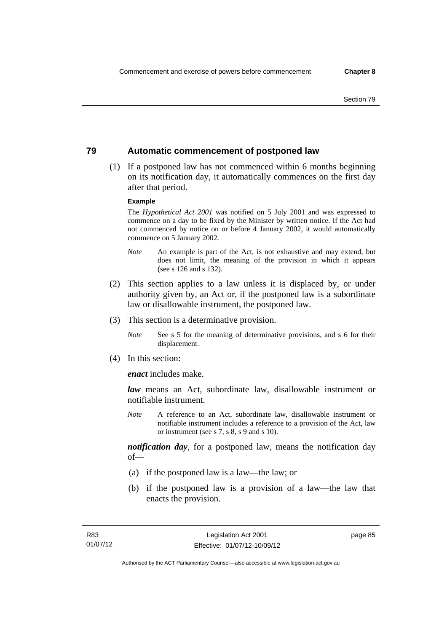## **79 Automatic commencement of postponed law**

 (1) If a postponed law has not commenced within 6 months beginning on its notification day, it automatically commences on the first day after that period.

### **Example**

The *Hypothetical Act 2001* was notified on 5 July 2001 and was expressed to commence on a day to be fixed by the Minister by written notice. If the Act had not commenced by notice on or before 4 January 2002, it would automatically commence on 5 January 2002.

- *Note* An example is part of the Act, is not exhaustive and may extend, but does not limit, the meaning of the provision in which it appears (see s 126 and s 132).
- (2) This section applies to a law unless it is displaced by, or under authority given by, an Act or, if the postponed law is a subordinate law or disallowable instrument, the postponed law.
- (3) This section is a determinative provision.
	- *Note* See s 5 for the meaning of determinative provisions, and s 6 for their displacement.
- (4) In this section:

*enact* includes make.

*law* means an Act, subordinate law, disallowable instrument or notifiable instrument.

*Note* A reference to an Act, subordinate law, disallowable instrument or notifiable instrument includes a reference to a provision of the Act, law or instrument (see s 7, s 8, s 9 and s 10).

*notification day*, for a postponed law, means the notification day  $of$ 

- (a) if the postponed law is a law—the law; or
- (b) if the postponed law is a provision of a law—the law that enacts the provision.

page 85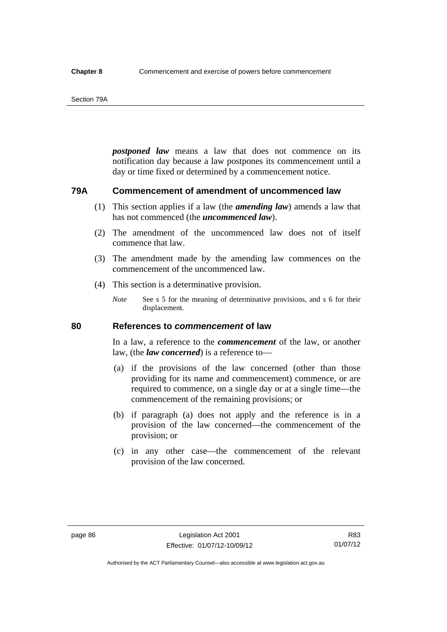#### Section 79A

*postponed law* means a law that does not commence on its notification day because a law postpones its commencement until a day or time fixed or determined by a commencement notice.

## **79A Commencement of amendment of uncommenced law**

- (1) This section applies if a law (the *amending law*) amends a law that has not commenced (the *uncommenced law*).
- (2) The amendment of the uncommenced law does not of itself commence that law.
- (3) The amendment made by the amending law commences on the commencement of the uncommenced law.
- (4) This section is a determinative provision.
	- *Note* See s 5 for the meaning of determinative provisions, and s 6 for their displacement.

## **80 References to** *commencement* **of law**

In a law, a reference to the *commencement* of the law, or another law, (the *law concerned*) is a reference to—

- (a) if the provisions of the law concerned (other than those providing for its name and commencement) commence, or are required to commence, on a single day or at a single time—the commencement of the remaining provisions; or
- (b) if paragraph (a) does not apply and the reference is in a provision of the law concerned—the commencement of the provision; or
- (c) in any other case—the commencement of the relevant provision of the law concerned.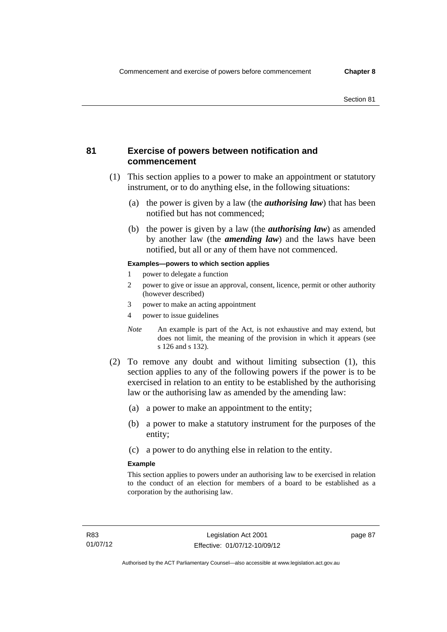## **81 Exercise of powers between notification and commencement**

- (1) This section applies to a power to make an appointment or statutory instrument, or to do anything else, in the following situations:
	- (a) the power is given by a law (the *authorising law*) that has been notified but has not commenced;
	- (b) the power is given by a law (the *authorising law*) as amended by another law (the *amending law*) and the laws have been notified, but all or any of them have not commenced.

### **Examples—powers to which section applies**

- 1 power to delegate a function
- 2 power to give or issue an approval, consent, licence, permit or other authority (however described)
- 3 power to make an acting appointment
- 4 power to issue guidelines
- *Note* An example is part of the Act, is not exhaustive and may extend, but does not limit, the meaning of the provision in which it appears (see s 126 and s 132).
- (2) To remove any doubt and without limiting subsection (1), this section applies to any of the following powers if the power is to be exercised in relation to an entity to be established by the authorising law or the authorising law as amended by the amending law:
	- (a) a power to make an appointment to the entity;
	- (b) a power to make a statutory instrument for the purposes of the entity;
	- (c) a power to do anything else in relation to the entity.

### **Example**

This section applies to powers under an authorising law to be exercised in relation to the conduct of an election for members of a board to be established as a corporation by the authorising law.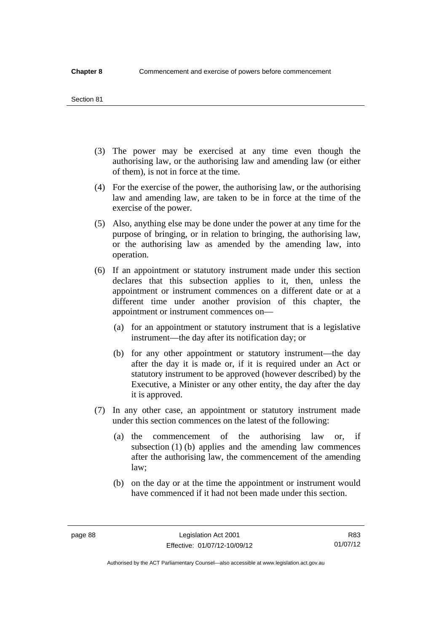#### Section 81

- (3) The power may be exercised at any time even though the authorising law, or the authorising law and amending law (or either of them), is not in force at the time.
- (4) For the exercise of the power, the authorising law, or the authorising law and amending law, are taken to be in force at the time of the exercise of the power.
- (5) Also, anything else may be done under the power at any time for the purpose of bringing, or in relation to bringing, the authorising law, or the authorising law as amended by the amending law, into operation.
- (6) If an appointment or statutory instrument made under this section declares that this subsection applies to it, then, unless the appointment or instrument commences on a different date or at a different time under another provision of this chapter, the appointment or instrument commences on—
	- (a) for an appointment or statutory instrument that is a legislative instrument—the day after its notification day; or
	- (b) for any other appointment or statutory instrument—the day after the day it is made or, if it is required under an Act or statutory instrument to be approved (however described) by the Executive, a Minister or any other entity, the day after the day it is approved.
- (7) In any other case, an appointment or statutory instrument made under this section commences on the latest of the following:
	- (a) the commencement of the authorising law or, if subsection (1) (b) applies and the amending law commences after the authorising law, the commencement of the amending law;
	- (b) on the day or at the time the appointment or instrument would have commenced if it had not been made under this section.

Authorised by the ACT Parliamentary Counsel—also accessible at www.legislation.act.gov.au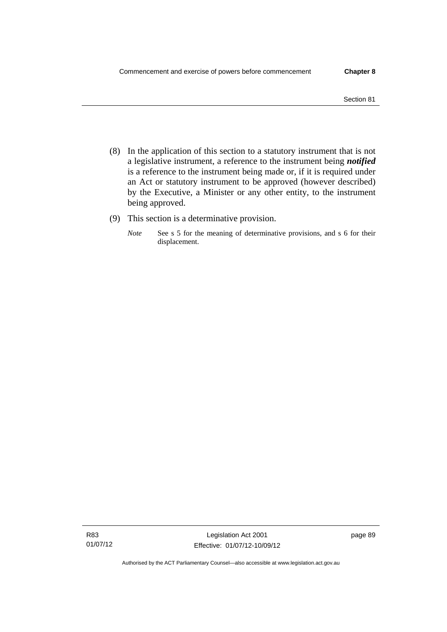- (8) In the application of this section to a statutory instrument that is not a legislative instrument, a reference to the instrument being *notified*  is a reference to the instrument being made or, if it is required under an Act or statutory instrument to be approved (however described) by the Executive, a Minister or any other entity, to the instrument being approved.
- (9) This section is a determinative provision.
	- *Note* See s 5 for the meaning of determinative provisions, and s 6 for their displacement.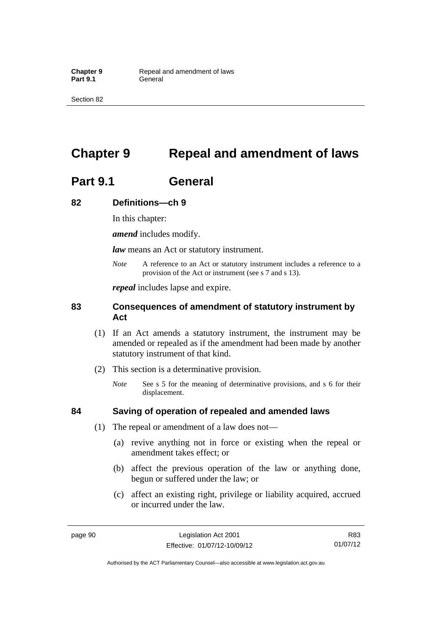Section 82

# **Chapter 9 Repeal and amendment of laws**

# **Part 9.1 General**

## **82 Definitions—ch 9**

In this chapter:

*amend* includes modify.

*law* means an Act or statutory instrument.

*Note* A reference to an Act or statutory instrument includes a reference to a provision of the Act or instrument (see s 7 and s 13).

*repeal* includes lapse and expire.

## **83 Consequences of amendment of statutory instrument by Act**

- (1) If an Act amends a statutory instrument, the instrument may be amended or repealed as if the amendment had been made by another statutory instrument of that kind.
- (2) This section is a determinative provision.
	- *Note* See s 5 for the meaning of determinative provisions, and s 6 for their displacement.

## **84 Saving of operation of repealed and amended laws**

- (1) The repeal or amendment of a law does not—
	- (a) revive anything not in force or existing when the repeal or amendment takes effect; or
	- (b) affect the previous operation of the law or anything done, begun or suffered under the law; or
	- (c) affect an existing right, privilege or liability acquired, accrued or incurred under the law.

R83 01/07/12

Authorised by the ACT Parliamentary Counsel—also accessible at www.legislation.act.gov.au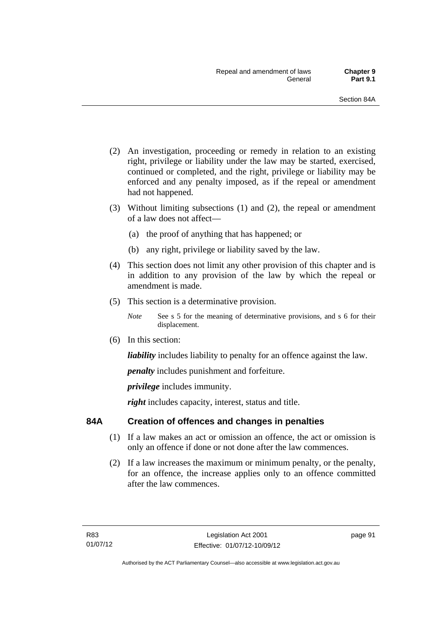- (2) An investigation, proceeding or remedy in relation to an existing right, privilege or liability under the law may be started, exercised, continued or completed, and the right, privilege or liability may be enforced and any penalty imposed, as if the repeal or amendment had not happened.
- (3) Without limiting subsections (1) and (2), the repeal or amendment of a law does not affect—
	- (a) the proof of anything that has happened; or
	- (b) any right, privilege or liability saved by the law.
- (4) This section does not limit any other provision of this chapter and is in addition to any provision of the law by which the repeal or amendment is made.
- (5) This section is a determinative provision.
	- *Note* See s 5 for the meaning of determinative provisions, and s 6 for their displacement.
- (6) In this section:

*liability* includes liability to penalty for an offence against the law.

*penalty* includes punishment and forfeiture.

*privilege* includes immunity.

right includes capacity, interest, status and title.

## **84A Creation of offences and changes in penalties**

- (1) If a law makes an act or omission an offence, the act or omission is only an offence if done or not done after the law commences.
- (2) If a law increases the maximum or minimum penalty, or the penalty, for an offence, the increase applies only to an offence committed after the law commences.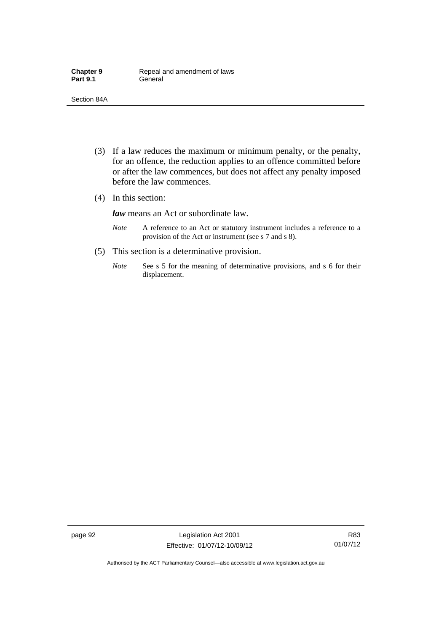- (3) If a law reduces the maximum or minimum penalty, or the penalty, for an offence, the reduction applies to an offence committed before or after the law commences, but does not affect any penalty imposed before the law commences.
- (4) In this section:

*law* means an Act or subordinate law.

- *Note* A reference to an Act or statutory instrument includes a reference to a provision of the Act or instrument (see s 7 and s 8).
- (5) This section is a determinative provision.
	- *Note* See s 5 for the meaning of determinative provisions, and s 6 for their displacement.

R83 01/07/12

Authorised by the ACT Parliamentary Counsel—also accessible at www.legislation.act.gov.au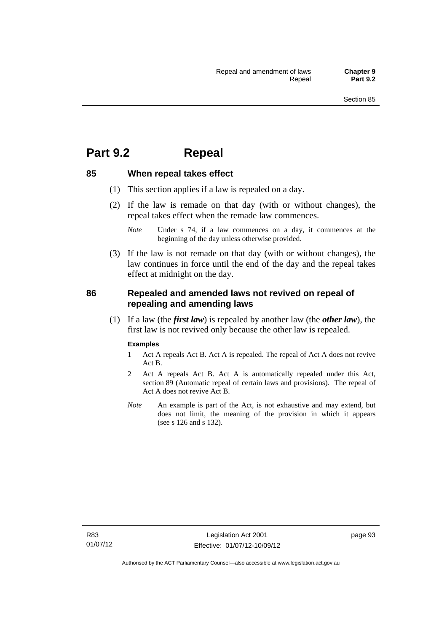## **Part 9.2 Repeal**

## **85 When repeal takes effect**

- (1) This section applies if a law is repealed on a day.
- (2) If the law is remade on that day (with or without changes), the repeal takes effect when the remade law commences.

 (3) If the law is not remade on that day (with or without changes), the law continues in force until the end of the day and the repeal takes effect at midnight on the day.

## **86 Repealed and amended laws not revived on repeal of repealing and amending laws**

 (1) If a law (the *first law*) is repealed by another law (the *other law*), the first law is not revived only because the other law is repealed.

#### **Examples**

- 1 Act A repeals Act B. Act A is repealed. The repeal of Act A does not revive Act B.
- 2 Act A repeals Act B. Act A is automatically repealed under this Act, section 89 (Automatic repeal of certain laws and provisions). The repeal of Act A does not revive Act B.
- *Note* An example is part of the Act, is not exhaustive and may extend, but does not limit, the meaning of the provision in which it appears (see s 126 and s 132).

*Note* Under s 74, if a law commences on a day, it commences at the beginning of the day unless otherwise provided.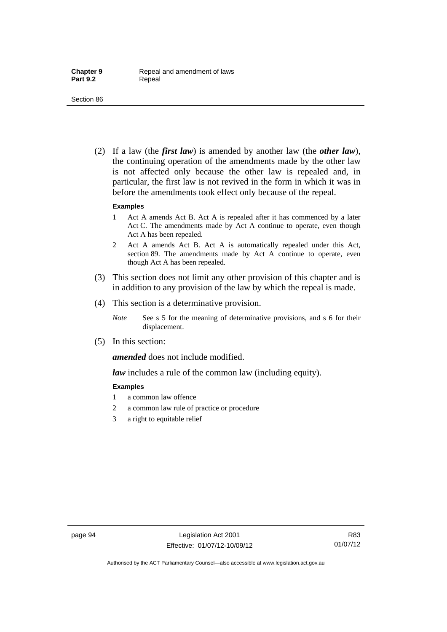(2) If a law (the *first law*) is amended by another law (the *other law*), the continuing operation of the amendments made by the other law is not affected only because the other law is repealed and, in particular, the first law is not revived in the form in which it was in before the amendments took effect only because of the repeal.

#### **Examples**

- 1 Act A amends Act B. Act A is repealed after it has commenced by a later Act C. The amendments made by Act A continue to operate, even though Act A has been repealed.
- 2 Act A amends Act B. Act A is automatically repealed under this Act, section 89. The amendments made by Act A continue to operate, even though Act A has been repealed.
- (3) This section does not limit any other provision of this chapter and is in addition to any provision of the law by which the repeal is made.
- (4) This section is a determinative provision.
	- *Note* See s 5 for the meaning of determinative provisions, and s 6 for their displacement.
- (5) In this section:

*amended* does not include modified.

*law* includes a rule of the common law (including equity).

#### **Examples**

- 1 a common law offence
- 2 a common law rule of practice or procedure
- 3 a right to equitable relief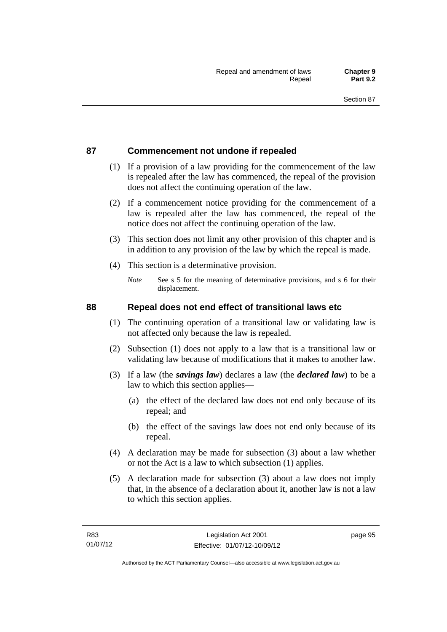## **87 Commencement not undone if repealed**

- (1) If a provision of a law providing for the commencement of the law is repealed after the law has commenced, the repeal of the provision does not affect the continuing operation of the law.
- (2) If a commencement notice providing for the commencement of a law is repealed after the law has commenced, the repeal of the notice does not affect the continuing operation of the law.
- (3) This section does not limit any other provision of this chapter and is in addition to any provision of the law by which the repeal is made.
- (4) This section is a determinative provision.
	- *Note* See s 5 for the meaning of determinative provisions, and s 6 for their displacement.

## **88 Repeal does not end effect of transitional laws etc**

- (1) The continuing operation of a transitional law or validating law is not affected only because the law is repealed.
- (2) Subsection (1) does not apply to a law that is a transitional law or validating law because of modifications that it makes to another law.
- (3) If a law (the *savings law*) declares a law (the *declared law*) to be a law to which this section applies—
	- (a) the effect of the declared law does not end only because of its repeal; and
	- (b) the effect of the savings law does not end only because of its repeal.
- (4) A declaration may be made for subsection (3) about a law whether or not the Act is a law to which subsection (1) applies.
- (5) A declaration made for subsection (3) about a law does not imply that, in the absence of a declaration about it, another law is not a law to which this section applies.

page 95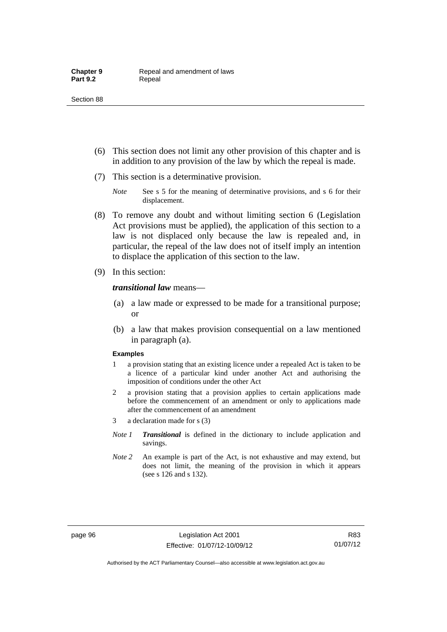- (6) This section does not limit any other provision of this chapter and is in addition to any provision of the law by which the repeal is made.
- (7) This section is a determinative provision.
	- *Note* See s 5 for the meaning of determinative provisions, and s 6 for their displacement.
- (8) To remove any doubt and without limiting section 6 (Legislation Act provisions must be applied), the application of this section to a law is not displaced only because the law is repealed and, in particular, the repeal of the law does not of itself imply an intention to displace the application of this section to the law.
- (9) In this section:

#### *transitional law* means—

- (a) a law made or expressed to be made for a transitional purpose; or
- (b) a law that makes provision consequential on a law mentioned in paragraph (a).

#### **Examples**

- 1 a provision stating that an existing licence under a repealed Act is taken to be a licence of a particular kind under another Act and authorising the imposition of conditions under the other Act
- 2 a provision stating that a provision applies to certain applications made before the commencement of an amendment or only to applications made after the commencement of an amendment
- 3 a declaration made for s (3)
- *Note 1 Transitional* is defined in the dictionary to include application and savings.
- *Note 2* An example is part of the Act, is not exhaustive and may extend, but does not limit, the meaning of the provision in which it appears (see s 126 and s 132).

Authorised by the ACT Parliamentary Counsel—also accessible at www.legislation.act.gov.au

R83 01/07/12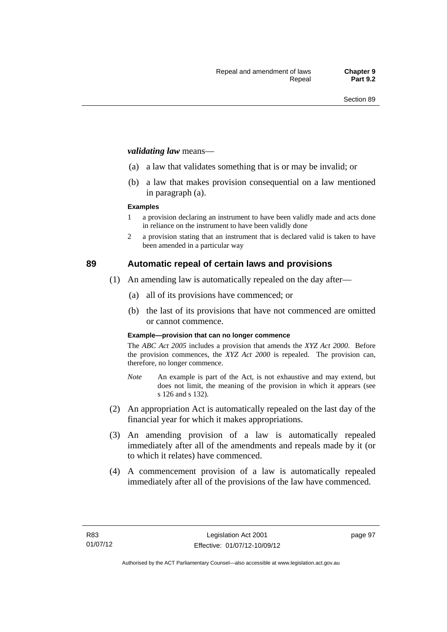#### *validating law* means—

- (a) a law that validates something that is or may be invalid; or
- (b) a law that makes provision consequential on a law mentioned in paragraph (a).

#### **Examples**

- 1 a provision declaring an instrument to have been validly made and acts done in reliance on the instrument to have been validly done
- 2 a provision stating that an instrument that is declared valid is taken to have been amended in a particular way

## **89 Automatic repeal of certain laws and provisions**

- (1) An amending law is automatically repealed on the day after—
	- (a) all of its provisions have commenced; or
	- (b) the last of its provisions that have not commenced are omitted or cannot commence.

#### **Example—provision that can no longer commence**

The *ABC Act 2005* includes a provision that amends the *XYZ Act 2000*. Before the provision commences, the *XYZ Act 2000* is repealed. The provision can, therefore, no longer commence.

- *Note* An example is part of the Act, is not exhaustive and may extend, but does not limit, the meaning of the provision in which it appears (see s 126 and s 132).
- (2) An appropriation Act is automatically repealed on the last day of the financial year for which it makes appropriations.
- (3) An amending provision of a law is automatically repealed immediately after all of the amendments and repeals made by it (or to which it relates) have commenced.
- (4) A commencement provision of a law is automatically repealed immediately after all of the provisions of the law have commenced.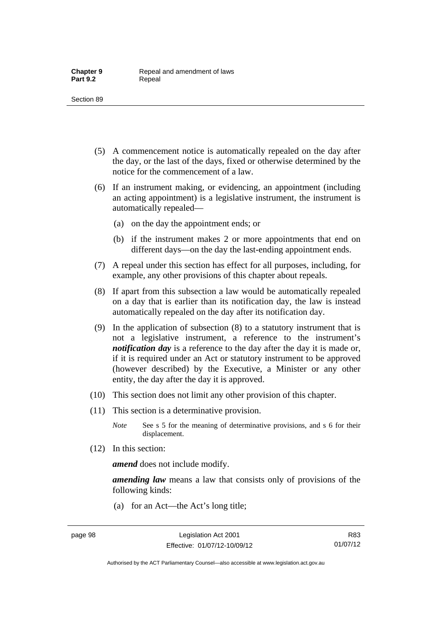- (5) A commencement notice is automatically repealed on the day after the day, or the last of the days, fixed or otherwise determined by the notice for the commencement of a law.
- (6) If an instrument making, or evidencing, an appointment (including an acting appointment) is a legislative instrument, the instrument is automatically repealed—
	- (a) on the day the appointment ends; or
	- (b) if the instrument makes 2 or more appointments that end on different days—on the day the last-ending appointment ends.
- (7) A repeal under this section has effect for all purposes, including, for example, any other provisions of this chapter about repeals.
- (8) If apart from this subsection a law would be automatically repealed on a day that is earlier than its notification day, the law is instead automatically repealed on the day after its notification day.
- (9) In the application of subsection (8) to a statutory instrument that is not a legislative instrument, a reference to the instrument's *notification day* is a reference to the day after the day it is made or, if it is required under an Act or statutory instrument to be approved (however described) by the Executive, a Minister or any other entity, the day after the day it is approved.
- (10) This section does not limit any other provision of this chapter.
- (11) This section is a determinative provision.
	- *Note* See s 5 for the meaning of determinative provisions, and s 6 for their displacement.
- (12) In this section:

*amend* does not include modify.

*amending law* means a law that consists only of provisions of the following kinds:

(a) for an Act—the Act's long title;

Authorised by the ACT Parliamentary Counsel—also accessible at www.legislation.act.gov.au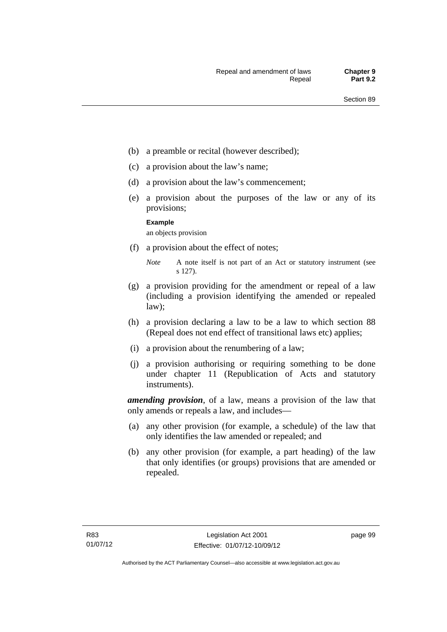- (b) a preamble or recital (however described);
- (c) a provision about the law's name;
- (d) a provision about the law's commencement;
- (e) a provision about the purposes of the law or any of its provisions;

#### **Example**

an objects provision

(f) a provision about the effect of notes;

- (g) a provision providing for the amendment or repeal of a law (including a provision identifying the amended or repealed law);
- (h) a provision declaring a law to be a law to which section 88 (Repeal does not end effect of transitional laws etc) applies;
- (i) a provision about the renumbering of a law;
- (j) a provision authorising or requiring something to be done under chapter 11 (Republication of Acts and statutory instruments).

*amending provision*, of a law, means a provision of the law that only amends or repeals a law, and includes—

- (a) any other provision (for example, a schedule) of the law that only identifies the law amended or repealed; and
- (b) any other provision (for example, a part heading) of the law that only identifies (or groups) provisions that are amended or repealed.

*Note* A note itself is not part of an Act or statutory instrument (see s 127).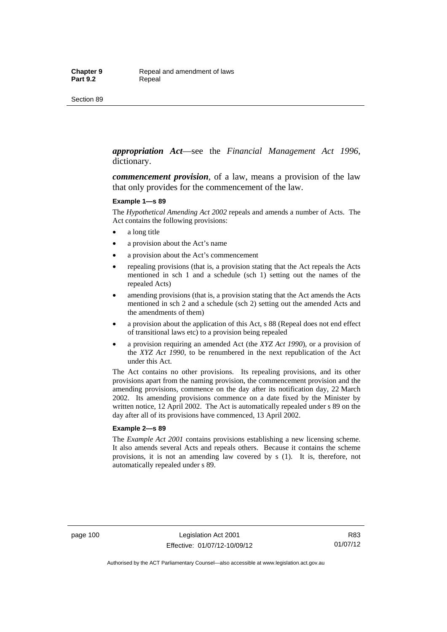*appropriation Act*—see the *Financial Management Act 1996*, dictionary.

*commencement provision*, of a law, means a provision of the law that only provides for the commencement of the law.

#### **Example 1—s 89**

The *Hypothetical Amending Act 2002* repeals and amends a number of Acts. The Act contains the following provisions:

- a long title
- a provision about the Act's name
- a provision about the Act's commencement
- repealing provisions (that is, a provision stating that the Act repeals the Acts mentioned in sch 1 and a schedule (sch 1) setting out the names of the repealed Acts)
- amending provisions (that is, a provision stating that the Act amends the Acts mentioned in sch 2 and a schedule (sch 2) setting out the amended Acts and the amendments of them)
- a provision about the application of this Act, s 88 (Repeal does not end effect of transitional laws etc) to a provision being repealed
- a provision requiring an amended Act (the *XYZ Act 1990*), or a provision of the *XYZ Act 1990*, to be renumbered in the next republication of the Act under this Act.

The Act contains no other provisions. Its repealing provisions, and its other provisions apart from the naming provision, the commencement provision and the amending provisions, commence on the day after its notification day, 22 March 2002. Its amending provisions commence on a date fixed by the Minister by written notice, 12 April 2002. The Act is automatically repealed under s 89 on the day after all of its provisions have commenced, 13 April 2002.

#### **Example 2—s 89**

The *Example Act 2001* contains provisions establishing a new licensing scheme. It also amends several Acts and repeals others. Because it contains the scheme provisions, it is not an amending law covered by s (1). It is, therefore, not automatically repealed under s 89.

page 100 Legislation Act 2001 Effective: 01/07/12-10/09/12

R83 01/07/12

Authorised by the ACT Parliamentary Counsel—also accessible at www.legislation.act.gov.au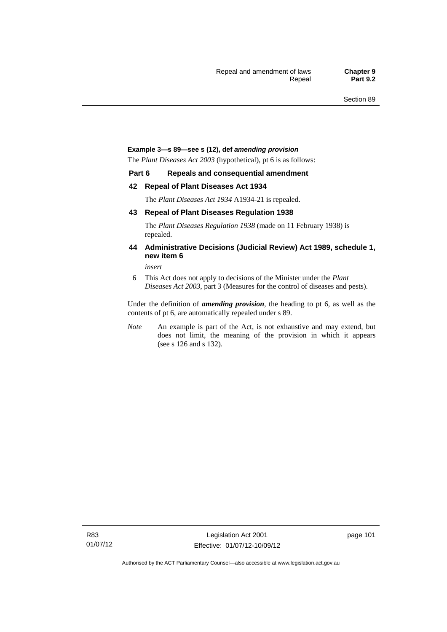#### **Example 3—s 89—see s (12), def** *amending provision*

The *Plant Diseases Act 2003* (hypothetical), pt 6 is as follows:

#### **Part 6 Repeals and consequential amendment**

#### **42 Repeal of Plant Diseases Act 1934**

The *Plant Diseases Act 1934* A1934-21 is repealed.

#### **43 Repeal of Plant Diseases Regulation 1938**

The *Plant Diseases Regulation 1938* (made on 11 February 1938) is repealed.

#### **44 Administrative Decisions (Judicial Review) Act 1989, schedule 1, new item 6**

*insert* 

6 This Act does not apply to decisions of the Minister under the *Plant Diseases Act 2003*, part 3 (Measures for the control of diseases and pests).

Under the definition of *amending provision*, the heading to pt 6, as well as the contents of pt 6, are automatically repealed under s 89.

*Note* An example is part of the Act, is not exhaustive and may extend, but does not limit, the meaning of the provision in which it appears (see s 126 and s 132).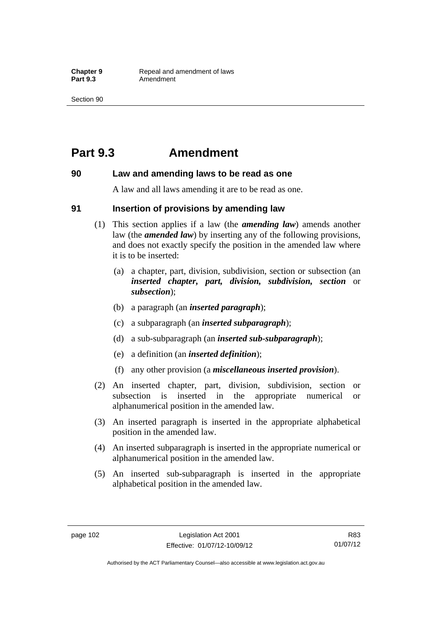## **Part 9.3 Amendment**

#### **90 Law and amending laws to be read as one**

A law and all laws amending it are to be read as one.

#### **91 Insertion of provisions by amending law**

- (1) This section applies if a law (the *amending law*) amends another law (the *amended law*) by inserting any of the following provisions, and does not exactly specify the position in the amended law where it is to be inserted:
	- (a) a chapter, part, division, subdivision, section or subsection (an *inserted chapter, part, division, subdivision, section* or *subsection*);
	- (b) a paragraph (an *inserted paragraph*);
	- (c) a subparagraph (an *inserted subparagraph*);
	- (d) a sub-subparagraph (an *inserted sub-subparagraph*);
	- (e) a definition (an *inserted definition*);
	- (f) any other provision (a *miscellaneous inserted provision*).
- (2) An inserted chapter, part, division, subdivision, section or subsection is inserted in the appropriate numerical or alphanumerical position in the amended law.
- (3) An inserted paragraph is inserted in the appropriate alphabetical position in the amended law.
- (4) An inserted subparagraph is inserted in the appropriate numerical or alphanumerical position in the amended law.
- (5) An inserted sub-subparagraph is inserted in the appropriate alphabetical position in the amended law.

R83 01/07/12

Authorised by the ACT Parliamentary Counsel—also accessible at www.legislation.act.gov.au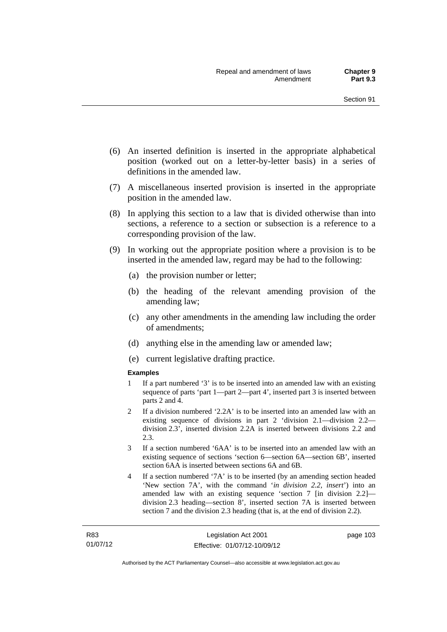- (6) An inserted definition is inserted in the appropriate alphabetical position (worked out on a letter-by-letter basis) in a series of definitions in the amended law.
- (7) A miscellaneous inserted provision is inserted in the appropriate position in the amended law.
- (8) In applying this section to a law that is divided otherwise than into sections, a reference to a section or subsection is a reference to a corresponding provision of the law.
- (9) In working out the appropriate position where a provision is to be inserted in the amended law, regard may be had to the following:
	- (a) the provision number or letter;
	- (b) the heading of the relevant amending provision of the amending law;
	- (c) any other amendments in the amending law including the order of amendments;
	- (d) anything else in the amending law or amended law;
	- (e) current legislative drafting practice.

#### **Examples**

- 1 If a part numbered '3' is to be inserted into an amended law with an existing sequence of parts 'part 1—part 2—part 4', inserted part 3 is inserted between parts 2 and 4.
- 2 If a division numbered '2.2A' is to be inserted into an amended law with an existing sequence of divisions in part 2 'division 2.1—division 2.2 division 2.3', inserted division 2.2A is inserted between divisions 2.2 and 2.3.
- 3 If a section numbered '6AA' is to be inserted into an amended law with an existing sequence of sections 'section 6—section 6A—section 6B', inserted section 6AA is inserted between sections 6A and 6B.
- 4 If a section numbered '7A' is to be inserted (by an amending section headed 'New section 7A', with the command '*in division 2.2, insert*') into an amended law with an existing sequence 'section 7 [in division 2.2] division 2.3 heading—section 8', inserted section 7A is inserted between section 7 and the division 2.3 heading (that is, at the end of division 2.2).

page 103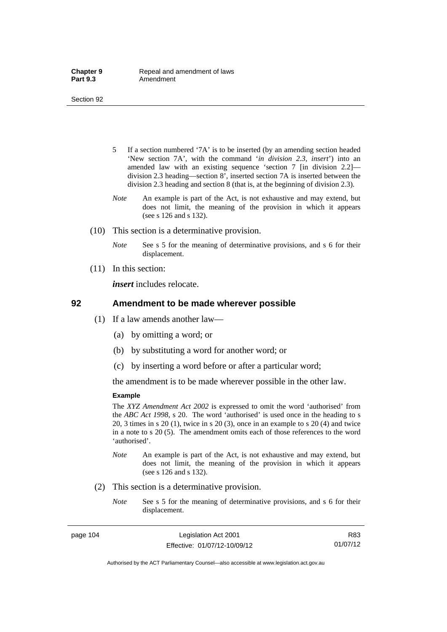- 5 If a section numbered '7A' is to be inserted (by an amending section headed 'New section 7A', with the command '*in division 2.3, insert*') into an amended law with an existing sequence 'section 7 [in division 2.2] division 2.3 heading—section 8', inserted section 7A is inserted between the division 2.3 heading and section 8 (that is, at the beginning of division 2.3).
- *Note* An example is part of the Act, is not exhaustive and may extend, but does not limit, the meaning of the provision in which it appears (see s 126 and s 132).
- (10) This section is a determinative provision.
	- *Note* See s 5 for the meaning of determinative provisions, and s 6 for their displacement.
- (11) In this section:

*insert* includes relocate.

#### **92 Amendment to be made wherever possible**

- (1) If a law amends another law—
	- (a) by omitting a word; or
	- (b) by substituting a word for another word; or
	- (c) by inserting a word before or after a particular word;

the amendment is to be made wherever possible in the other law.

#### **Example**

The *XYZ Amendment Act 2002* is expressed to omit the word 'authorised' from the *ABC Act 1998*, s 20. The word 'authorised' is used once in the heading to s 20, 3 times in s 20 (1), twice in s 20 (3), once in an example to s 20 (4) and twice in a note to s 20 (5). The amendment omits each of those references to the word 'authorised'.

- *Note* An example is part of the Act, is not exhaustive and may extend, but does not limit, the meaning of the provision in which it appears (see s 126 and s 132).
- (2) This section is a determinative provision.
	- *Note* See s 5 for the meaning of determinative provisions, and s 6 for their displacement.

Authorised by the ACT Parliamentary Counsel—also accessible at www.legislation.act.gov.au

R83 01/07/12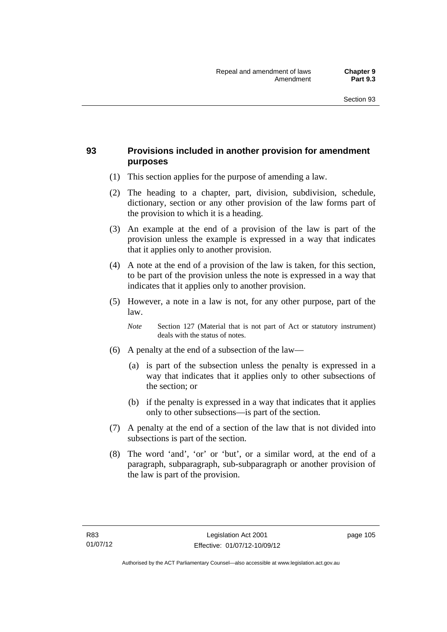## **93 Provisions included in another provision for amendment purposes**

- (1) This section applies for the purpose of amending a law.
- (2) The heading to a chapter, part, division, subdivision, schedule, dictionary, section or any other provision of the law forms part of the provision to which it is a heading.
- (3) An example at the end of a provision of the law is part of the provision unless the example is expressed in a way that indicates that it applies only to another provision.
- (4) A note at the end of a provision of the law is taken, for this section, to be part of the provision unless the note is expressed in a way that indicates that it applies only to another provision.
- (5) However, a note in a law is not, for any other purpose, part of the law.

*Note* Section 127 (Material that is not part of Act or statutory instrument) deals with the status of notes.

- (6) A penalty at the end of a subsection of the law—
	- (a) is part of the subsection unless the penalty is expressed in a way that indicates that it applies only to other subsections of the section; or
	- (b) if the penalty is expressed in a way that indicates that it applies only to other subsections—is part of the section.
- (7) A penalty at the end of a section of the law that is not divided into subsections is part of the section.
- (8) The word 'and', 'or' or 'but', or a similar word, at the end of a paragraph, subparagraph, sub-subparagraph or another provision of the law is part of the provision.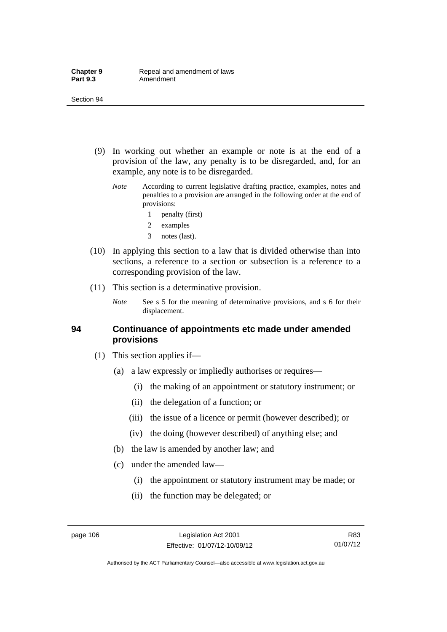- (9) In working out whether an example or note is at the end of a provision of the law, any penalty is to be disregarded, and, for an example, any note is to be disregarded.
	- *Note* According to current legislative drafting practice, examples, notes and penalties to a provision are arranged in the following order at the end of provisions:
		- 1 penalty (first)
		- 2 examples
		- 3 notes (last).
- (10) In applying this section to a law that is divided otherwise than into sections, a reference to a section or subsection is a reference to a corresponding provision of the law.
- (11) This section is a determinative provision.
	- *Note* See s 5 for the meaning of determinative provisions, and s 6 for their displacement.

#### **94 Continuance of appointments etc made under amended provisions**

- (1) This section applies if—
	- (a) a law expressly or impliedly authorises or requires—
		- (i) the making of an appointment or statutory instrument; or
		- (ii) the delegation of a function; or
		- (iii) the issue of a licence or permit (however described); or
		- (iv) the doing (however described) of anything else; and
	- (b) the law is amended by another law; and
	- (c) under the amended law—
		- (i) the appointment or statutory instrument may be made; or
		- (ii) the function may be delegated; or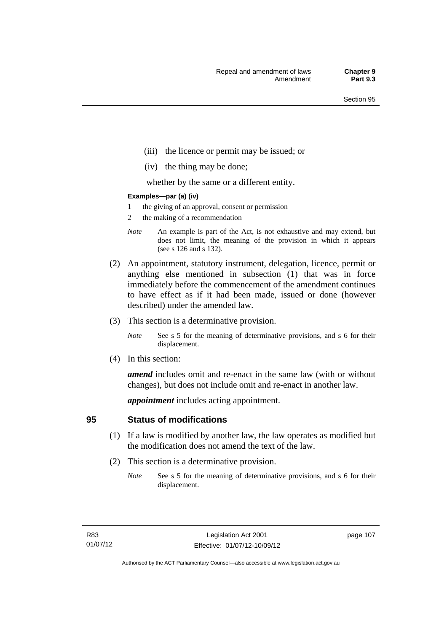- (iii) the licence or permit may be issued; or
- (iv) the thing may be done;

whether by the same or a different entity.

#### **Examples—par (a) (iv)**

- 1 the giving of an approval, consent or permission
- 2 the making of a recommendation
- *Note* An example is part of the Act, is not exhaustive and may extend, but does not limit, the meaning of the provision in which it appears (see s 126 and s 132).
- (2) An appointment, statutory instrument, delegation, licence, permit or anything else mentioned in subsection (1) that was in force immediately before the commencement of the amendment continues to have effect as if it had been made, issued or done (however described) under the amended law.
- (3) This section is a determinative provision.
	- *Note* See s 5 for the meaning of determinative provisions, and s 6 for their displacement.
- (4) In this section:

*amend* includes omit and re-enact in the same law (with or without changes), but does not include omit and re-enact in another law.

*appointment* includes acting appointment.

## **95 Status of modifications**

- (1) If a law is modified by another law, the law operates as modified but the modification does not amend the text of the law.
- (2) This section is a determinative provision.
	- *Note* See s 5 for the meaning of determinative provisions, and s 6 for their displacement.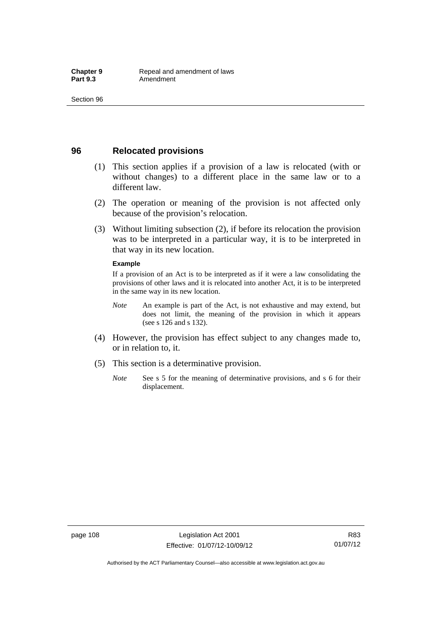## **96 Relocated provisions**

- (1) This section applies if a provision of a law is relocated (with or without changes) to a different place in the same law or to a different law.
- (2) The operation or meaning of the provision is not affected only because of the provision's relocation.
- (3) Without limiting subsection (2), if before its relocation the provision was to be interpreted in a particular way, it is to be interpreted in that way in its new location.

#### **Example**

If a provision of an Act is to be interpreted as if it were a law consolidating the provisions of other laws and it is relocated into another Act, it is to be interpreted in the same way in its new location.

- *Note* An example is part of the Act, is not exhaustive and may extend, but does not limit, the meaning of the provision in which it appears (see s 126 and s 132).
- (4) However, the provision has effect subject to any changes made to, or in relation to, it.
- (5) This section is a determinative provision.
	- *Note* See s 5 for the meaning of determinative provisions, and s 6 for their displacement.

R83 01/07/12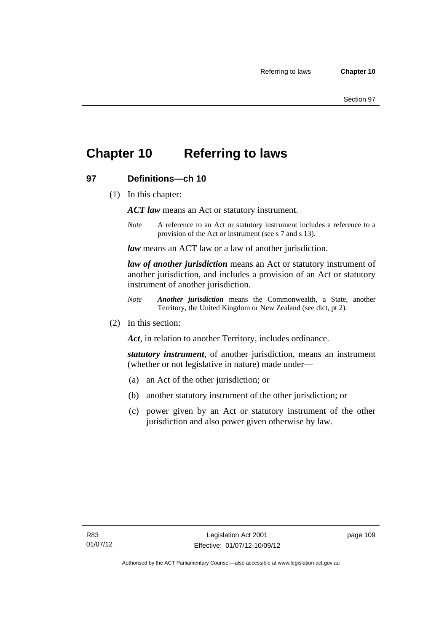## **Chapter 10 Referring to laws**

## **97 Definitions—ch 10**

(1) In this chapter:

*ACT law* means an Act or statutory instrument.

*Note* A reference to an Act or statutory instrument includes a reference to a provision of the Act or instrument (see s 7 and s 13).

*law* means an ACT law or a law of another jurisdiction.

*law of another jurisdiction* means an Act or statutory instrument of another jurisdiction, and includes a provision of an Act or statutory instrument of another jurisdiction.

- *Note Another jurisdiction* means the Commonwealth, a State, another Territory, the United Kingdom or New Zealand (see dict, pt 2).
- (2) In this section:

*Act*, in relation to another Territory, includes ordinance.

*statutory instrument*, of another jurisdiction, means an instrument (whether or not legislative in nature) made under—

- (a) an Act of the other jurisdiction; or
- (b) another statutory instrument of the other jurisdiction; or
- (c) power given by an Act or statutory instrument of the other jurisdiction and also power given otherwise by law.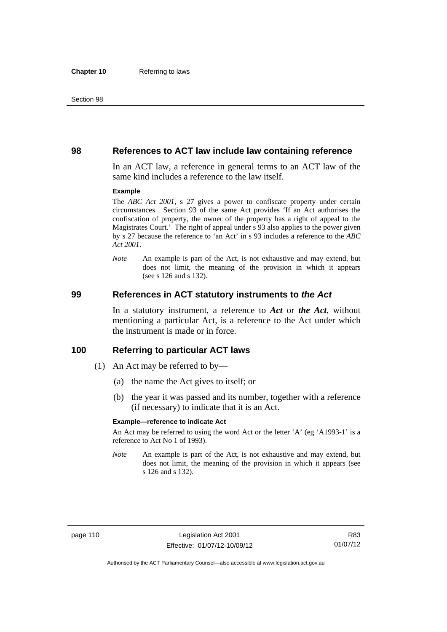#### **98 References to ACT law include law containing reference**

In an ACT law, a reference in general terms to an ACT law of the same kind includes a reference to the law itself.

#### **Example**

The *ABC Act 2001*, s 27 gives a power to confiscate property under certain circumstances. Section 93 of the same Act provides 'If an Act authorises the confiscation of property, the owner of the property has a right of appeal to the Magistrates Court.' The right of appeal under s 93 also applies to the power given by s 27 because the reference to 'an Act' in s 93 includes a reference to the *ABC Act 2001*.

*Note* An example is part of the Act, is not exhaustive and may extend, but does not limit, the meaning of the provision in which it appears (see s 126 and s 132).

#### **99 References in ACT statutory instruments to** *the Act*

In a statutory instrument, a reference to *Act* or *the Act*, without mentioning a particular Act, is a reference to the Act under which the instrument is made or in force.

#### **100 Referring to particular ACT laws**

- (1) An Act may be referred to by—
	- (a) the name the Act gives to itself; or
	- (b) the year it was passed and its number, together with a reference (if necessary) to indicate that it is an Act.

#### **Example—reference to indicate Act**

An Act may be referred to using the word Act or the letter 'A' (eg 'A1993-1' is a reference to Act No 1 of 1993).

*Note* An example is part of the Act, is not exhaustive and may extend, but does not limit, the meaning of the provision in which it appears (see s 126 and s 132).

R83 01/07/12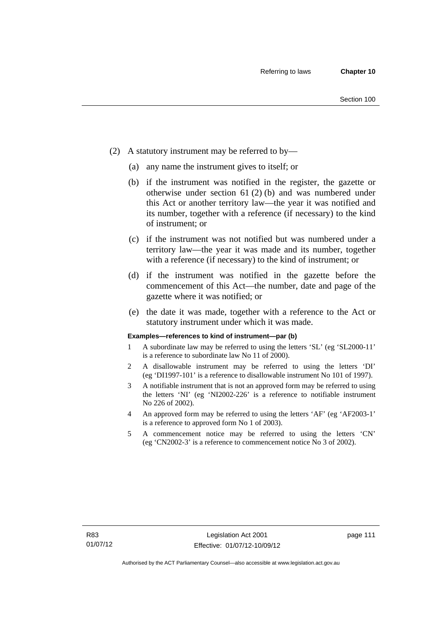- (2) A statutory instrument may be referred to by—
	- (a) any name the instrument gives to itself; or
	- (b) if the instrument was notified in the register, the gazette or otherwise under section 61 (2) (b) and was numbered under this Act or another territory law—the year it was notified and its number, together with a reference (if necessary) to the kind of instrument; or
	- (c) if the instrument was not notified but was numbered under a territory law—the year it was made and its number, together with a reference (if necessary) to the kind of instrument; or
	- (d) if the instrument was notified in the gazette before the commencement of this Act—the number, date and page of the gazette where it was notified; or
	- (e) the date it was made, together with a reference to the Act or statutory instrument under which it was made.

#### **Examples—references to kind of instrument—par (b)**

- 1 A subordinate law may be referred to using the letters 'SL' (eg 'SL2000-11' is a reference to subordinate law No 11 of 2000).
- 2 A disallowable instrument may be referred to using the letters 'DI' (eg 'DI1997-101' is a reference to disallowable instrument No 101 of 1997).
- 3 A notifiable instrument that is not an approved form may be referred to using the letters 'NI' (eg 'NI2002-226' is a reference to notifiable instrument No 226 of 2002).
- 4 An approved form may be referred to using the letters 'AF' (eg 'AF2003-1' is a reference to approved form No 1 of 2003).
- 5 A commencement notice may be referred to using the letters 'CN' (eg 'CN2002-3' is a reference to commencement notice No 3 of 2002).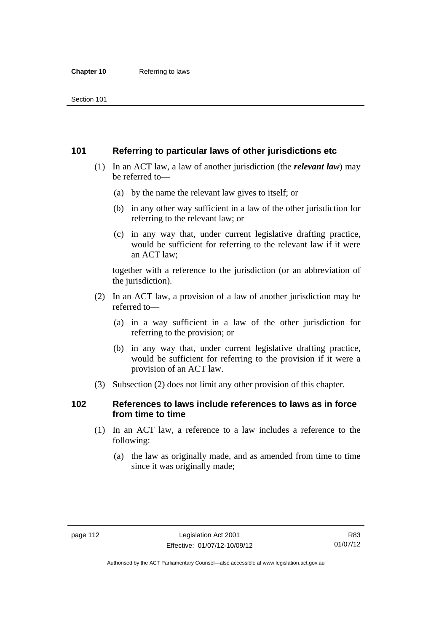## **101 Referring to particular laws of other jurisdictions etc**

- (1) In an ACT law, a law of another jurisdiction (the *relevant law*) may be referred to—
	- (a) by the name the relevant law gives to itself; or
	- (b) in any other way sufficient in a law of the other jurisdiction for referring to the relevant law; or
	- (c) in any way that, under current legislative drafting practice, would be sufficient for referring to the relevant law if it were an ACT law;

together with a reference to the jurisdiction (or an abbreviation of the jurisdiction).

- (2) In an ACT law, a provision of a law of another jurisdiction may be referred to—
	- (a) in a way sufficient in a law of the other jurisdiction for referring to the provision; or
	- (b) in any way that, under current legislative drafting practice, would be sufficient for referring to the provision if it were a provision of an ACT law.
- (3) Subsection (2) does not limit any other provision of this chapter.

## **102 References to laws include references to laws as in force from time to time**

- (1) In an ACT law, a reference to a law includes a reference to the following:
	- (a) the law as originally made, and as amended from time to time since it was originally made;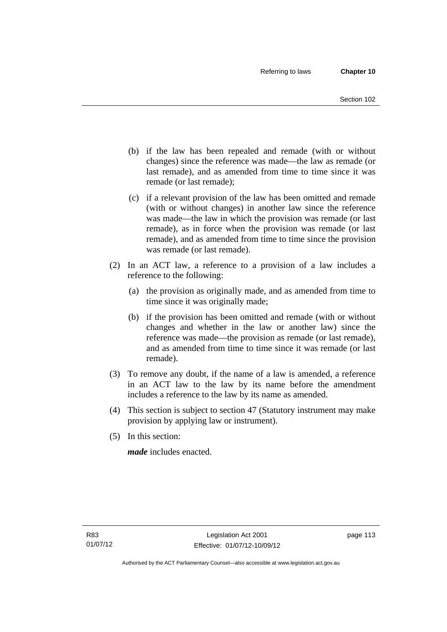- (b) if the law has been repealed and remade (with or without changes) since the reference was made—the law as remade (or last remade), and as amended from time to time since it was remade (or last remade);
- (c) if a relevant provision of the law has been omitted and remade (with or without changes) in another law since the reference was made—the law in which the provision was remade (or last remade), as in force when the provision was remade (or last remade), and as amended from time to time since the provision was remade (or last remade).
- (2) In an ACT law, a reference to a provision of a law includes a reference to the following:
	- (a) the provision as originally made, and as amended from time to time since it was originally made;
	- (b) if the provision has been omitted and remade (with or without changes and whether in the law or another law) since the reference was made—the provision as remade (or last remade), and as amended from time to time since it was remade (or last remade).
- (3) To remove any doubt, if the name of a law is amended, a reference in an ACT law to the law by its name before the amendment includes a reference to the law by its name as amended.
- (4) This section is subject to section 47 (Statutory instrument may make provision by applying law or instrument).
- (5) In this section:

*made* includes enacted.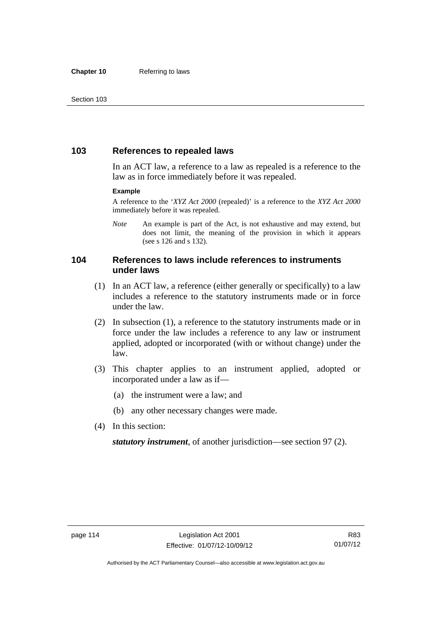## **103 References to repealed laws**

In an ACT law, a reference to a law as repealed is a reference to the law as in force immediately before it was repealed.

#### **Example**

A reference to the '*XYZ Act 2000* (repealed)' is a reference to the *XYZ Act 2000* immediately before it was repealed.

*Note* An example is part of the Act, is not exhaustive and may extend, but does not limit, the meaning of the provision in which it appears (see s 126 and s 132).

## **104 References to laws include references to instruments under laws**

- (1) In an ACT law, a reference (either generally or specifically) to a law includes a reference to the statutory instruments made or in force under the law.
- (2) In subsection (1), a reference to the statutory instruments made or in force under the law includes a reference to any law or instrument applied, adopted or incorporated (with or without change) under the law.
- (3) This chapter applies to an instrument applied, adopted or incorporated under a law as if—
	- (a) the instrument were a law; and
	- (b) any other necessary changes were made.
- (4) In this section:

*statutory instrument*, of another jurisdiction—see section 97 (2).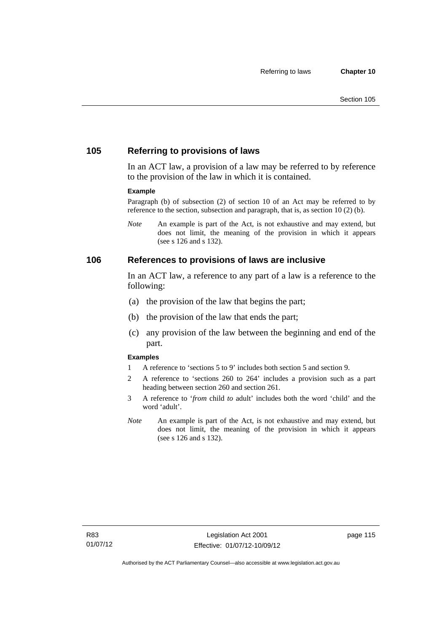## **105 Referring to provisions of laws**

In an ACT law, a provision of a law may be referred to by reference to the provision of the law in which it is contained.

#### **Example**

Paragraph (b) of subsection (2) of section 10 of an Act may be referred to by reference to the section, subsection and paragraph, that is, as section 10 (2) (b).

*Note* An example is part of the Act, is not exhaustive and may extend, but does not limit, the meaning of the provision in which it appears (see s 126 and s 132).

#### **106 References to provisions of laws are inclusive**

In an ACT law, a reference to any part of a law is a reference to the following:

- (a) the provision of the law that begins the part;
- (b) the provision of the law that ends the part;
- (c) any provision of the law between the beginning and end of the part.

#### **Examples**

- 1 A reference to 'sections 5 to 9' includes both section 5 and section 9.
- 2 A reference to 'sections 260 to 264' includes a provision such as a part heading between section 260 and section 261.
- 3 A reference to '*from* child *to* adult' includes both the word 'child' and the word 'adult'.
- *Note* An example is part of the Act, is not exhaustive and may extend, but does not limit, the meaning of the provision in which it appears (see s 126 and s 132).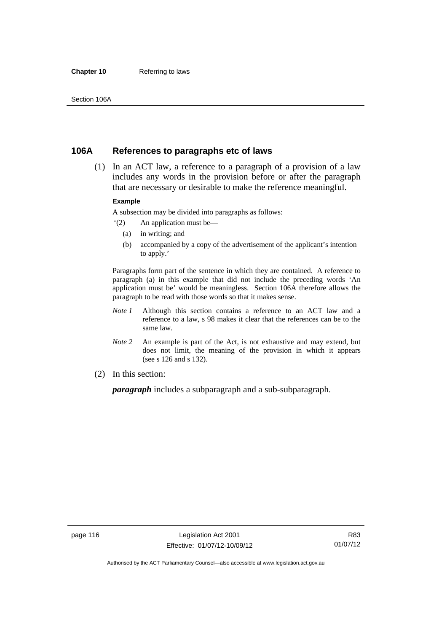#### **Chapter 10** Referring to laws

## **106A References to paragraphs etc of laws**

 (1) In an ACT law, a reference to a paragraph of a provision of a law includes any words in the provision before or after the paragraph that are necessary or desirable to make the reference meaningful.

#### **Example**

A subsection may be divided into paragraphs as follows:

- '(2) An application must be—
	- (a) in writing; and
	- (b) accompanied by a copy of the advertisement of the applicant's intention to apply.'

Paragraphs form part of the sentence in which they are contained. A reference to paragraph (a) in this example that did not include the preceding words 'An application must be' would be meaningless. Section 106A therefore allows the paragraph to be read with those words so that it makes sense.

- *Note 1* Although this section contains a reference to an ACT law and a reference to a law, s 98 makes it clear that the references can be to the same law.
- *Note 2* An example is part of the Act, is not exhaustive and may extend, but does not limit, the meaning of the provision in which it appears (see s 126 and s 132).
- (2) In this section:

*paragraph* includes a subparagraph and a sub-subparagraph.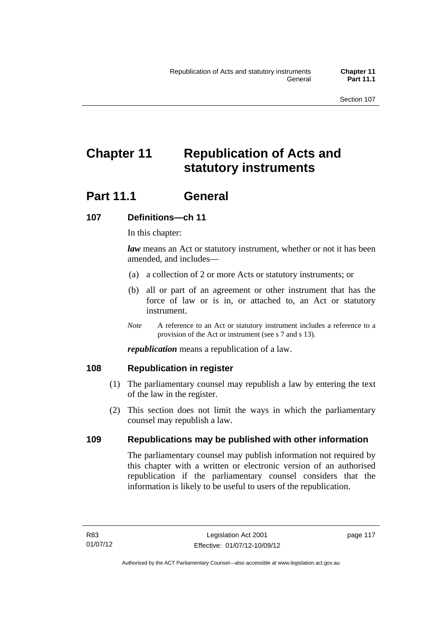# **Chapter 11 Republication of Acts and statutory instruments**

## Part 11.1 General

## **107 Definitions—ch 11**

In this chapter:

*law* means an Act or statutory instrument, whether or not it has been amended, and includes—

- (a) a collection of 2 or more Acts or statutory instruments; or
- (b) all or part of an agreement or other instrument that has the force of law or is in, or attached to, an Act or statutory instrument.
- *Note* A reference to an Act or statutory instrument includes a reference to a provision of the Act or instrument (see s 7 and s 13).

*republication* means a republication of a law.

## **108 Republication in register**

- (1) The parliamentary counsel may republish a law by entering the text of the law in the register.
- (2) This section does not limit the ways in which the parliamentary counsel may republish a law.

## **109 Republications may be published with other information**

The parliamentary counsel may publish information not required by this chapter with a written or electronic version of an authorised republication if the parliamentary counsel considers that the information is likely to be useful to users of the republication.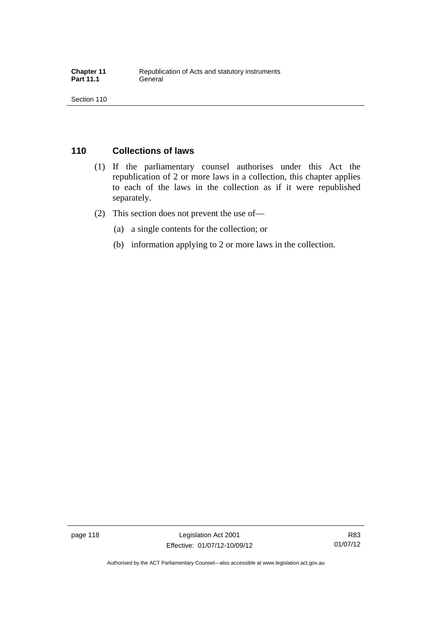## **110 Collections of laws**

- (1) If the parliamentary counsel authorises under this Act the republication of 2 or more laws in a collection, this chapter applies to each of the laws in the collection as if it were republished separately.
- (2) This section does not prevent the use of—
	- (a) a single contents for the collection; or
	- (b) information applying to 2 or more laws in the collection.

page 118 Legislation Act 2001 Effective: 01/07/12-10/09/12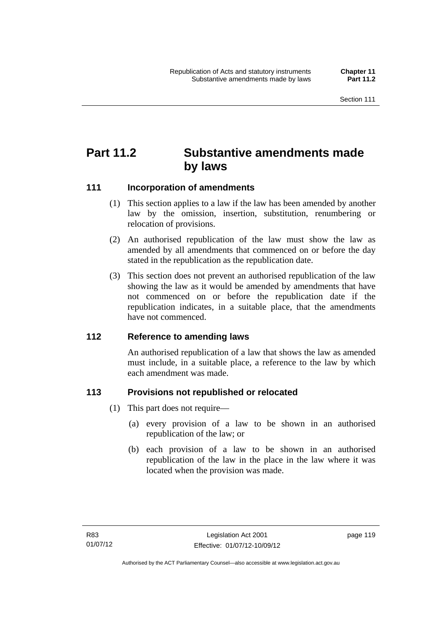## **Part 11.2 Substantive amendments made by laws**

## **111 Incorporation of amendments**

- (1) This section applies to a law if the law has been amended by another law by the omission, insertion, substitution, renumbering or relocation of provisions.
- (2) An authorised republication of the law must show the law as amended by all amendments that commenced on or before the day stated in the republication as the republication date.
- (3) This section does not prevent an authorised republication of the law showing the law as it would be amended by amendments that have not commenced on or before the republication date if the republication indicates, in a suitable place, that the amendments have not commenced.

## **112 Reference to amending laws**

An authorised republication of a law that shows the law as amended must include, in a suitable place, a reference to the law by which each amendment was made.

## **113 Provisions not republished or relocated**

- (1) This part does not require—
	- (a) every provision of a law to be shown in an authorised republication of the law; or
	- (b) each provision of a law to be shown in an authorised republication of the law in the place in the law where it was located when the provision was made.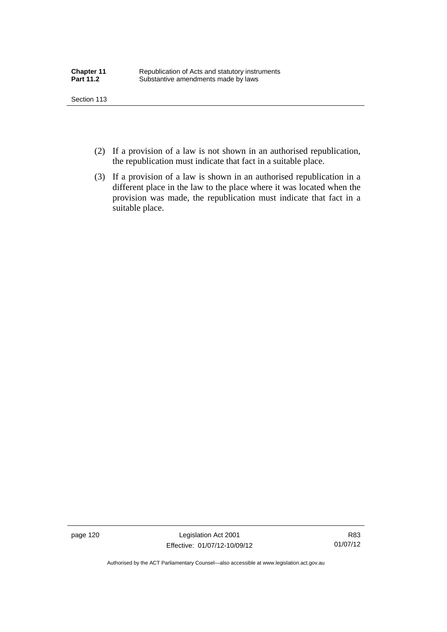- (2) If a provision of a law is not shown in an authorised republication, the republication must indicate that fact in a suitable place.
- (3) If a provision of a law is shown in an authorised republication in a different place in the law to the place where it was located when the provision was made, the republication must indicate that fact in a suitable place.

page 120 Legislation Act 2001 Effective: 01/07/12-10/09/12

R83 01/07/12

Authorised by the ACT Parliamentary Counsel—also accessible at www.legislation.act.gov.au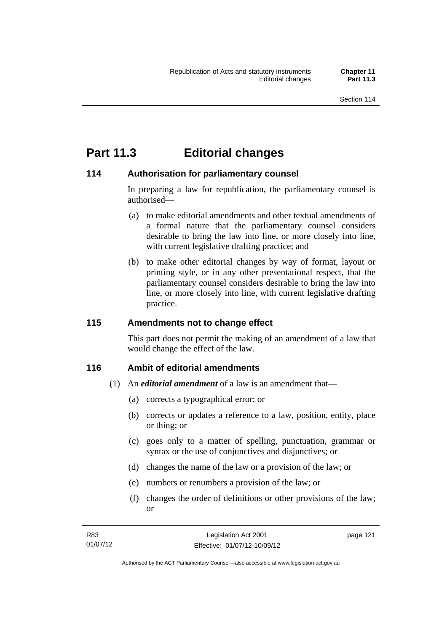## **Part 11.3 Editorial changes**

## **114 Authorisation for parliamentary counsel**

In preparing a law for republication, the parliamentary counsel is authorised—

- (a) to make editorial amendments and other textual amendments of a formal nature that the parliamentary counsel considers desirable to bring the law into line, or more closely into line, with current legislative drafting practice; and
- (b) to make other editorial changes by way of format, layout or printing style, or in any other presentational respect, that the parliamentary counsel considers desirable to bring the law into line, or more closely into line, with current legislative drafting practice.

## **115 Amendments not to change effect**

This part does not permit the making of an amendment of a law that would change the effect of the law.

## **116 Ambit of editorial amendments**

- (1) An *editorial amendment* of a law is an amendment that—
	- (a) corrects a typographical error; or
	- (b) corrects or updates a reference to a law, position, entity, place or thing; or
	- (c) goes only to a matter of spelling, punctuation, grammar or syntax or the use of conjunctives and disjunctives; or
	- (d) changes the name of the law or a provision of the law; or
	- (e) numbers or renumbers a provision of the law; or
	- (f) changes the order of definitions or other provisions of the law; or

page 121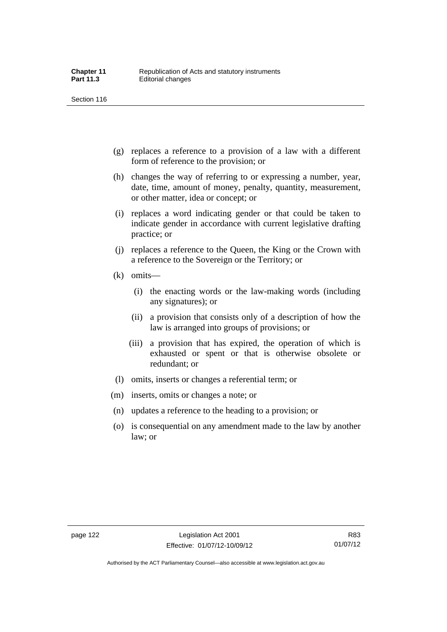- (g) replaces a reference to a provision of a law with a different form of reference to the provision; or
- (h) changes the way of referring to or expressing a number, year, date, time, amount of money, penalty, quantity, measurement, or other matter, idea or concept; or
- (i) replaces a word indicating gender or that could be taken to indicate gender in accordance with current legislative drafting practice; or
- (j) replaces a reference to the Queen, the King or the Crown with a reference to the Sovereign or the Territory; or
- (k) omits—
	- (i) the enacting words or the law-making words (including any signatures); or
	- (ii) a provision that consists only of a description of how the law is arranged into groups of provisions; or
	- (iii) a provision that has expired, the operation of which is exhausted or spent or that is otherwise obsolete or redundant; or
- (l) omits, inserts or changes a referential term; or
- (m) inserts, omits or changes a note; or
- (n) updates a reference to the heading to a provision; or
- (o) is consequential on any amendment made to the law by another law; or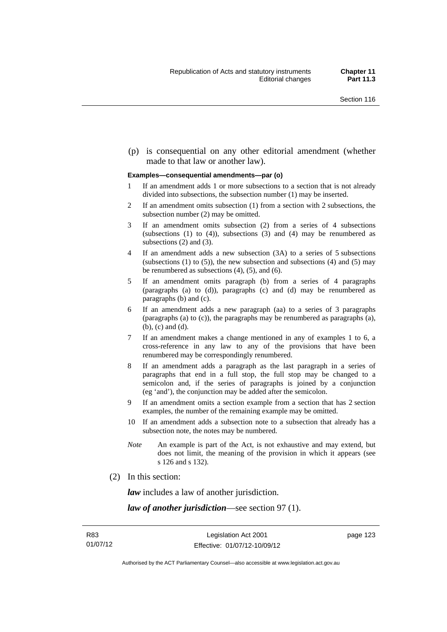(p) is consequential on any other editorial amendment (whether made to that law or another law).

#### **Examples—consequential amendments—par (o)**

- 1 If an amendment adds 1 or more subsections to a section that is not already divided into subsections, the subsection number (1) may be inserted.
- 2 If an amendment omits subsection (1) from a section with 2 subsections, the subsection number (2) may be omitted.
- 3 If an amendment omits subsection (2) from a series of 4 subsections (subsections  $(1)$  to  $(4)$ ), subsections  $(3)$  and  $(4)$  may be renumbered as subsections (2) and (3).
- 4 If an amendment adds a new subsection (3A) to a series of 5 subsections (subsections  $(1)$  to  $(5)$ ), the new subsection and subsections  $(4)$  and  $(5)$  may be renumbered as subsections (4), (5), and (6).
- 5 If an amendment omits paragraph (b) from a series of 4 paragraphs (paragraphs (a) to (d)), paragraphs (c) and (d) may be renumbered as paragraphs (b) and (c).
- 6 If an amendment adds a new paragraph (aa) to a series of 3 paragraphs (paragraphs (a) to (c)), the paragraphs may be renumbered as paragraphs (a), (b), (c) and (d).
- 7 If an amendment makes a change mentioned in any of examples 1 to 6, a cross-reference in any law to any of the provisions that have been renumbered may be correspondingly renumbered.
- 8 If an amendment adds a paragraph as the last paragraph in a series of paragraphs that end in a full stop, the full stop may be changed to a semicolon and, if the series of paragraphs is joined by a conjunction (eg 'and'), the conjunction may be added after the semicolon.
- 9 If an amendment omits a section example from a section that has 2 section examples, the number of the remaining example may be omitted.
- 10 If an amendment adds a subsection note to a subsection that already has a subsection note, the notes may be numbered.
- *Note* An example is part of the Act, is not exhaustive and may extend, but does not limit, the meaning of the provision in which it appears (see s 126 and s 132).
- (2) In this section:

*law* includes a law of another jurisdiction.

*law of another jurisdiction*—see section 97 (1).

page 123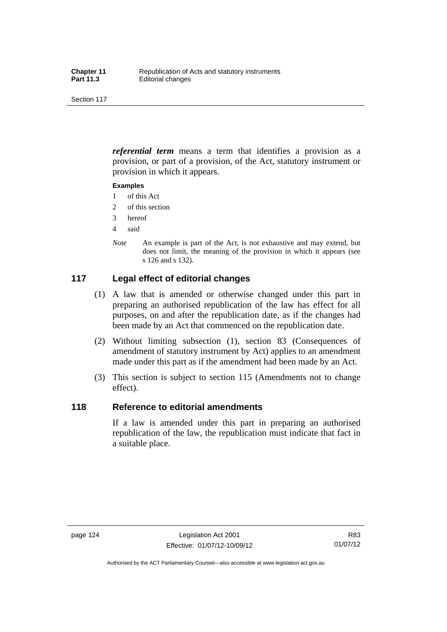*referential term* means a term that identifies a provision as a provision, or part of a provision, of the Act, statutory instrument or provision in which it appears.

#### **Examples**

- 1 of this Act
- 2 of this section
- 3 hereof
- 4 said
- *Note* An example is part of the Act, is not exhaustive and may extend, but does not limit, the meaning of the provision in which it appears (see s 126 and s 132).

## **117 Legal effect of editorial changes**

- (1) A law that is amended or otherwise changed under this part in preparing an authorised republication of the law has effect for all purposes, on and after the republication date, as if the changes had been made by an Act that commenced on the republication date.
- (2) Without limiting subsection (1), section 83 (Consequences of amendment of statutory instrument by Act) applies to an amendment made under this part as if the amendment had been made by an Act.
- (3) This section is subject to section 115 (Amendments not to change effect).

#### **118 Reference to editorial amendments**

If a law is amended under this part in preparing an authorised republication of the law, the republication must indicate that fact in a suitable place.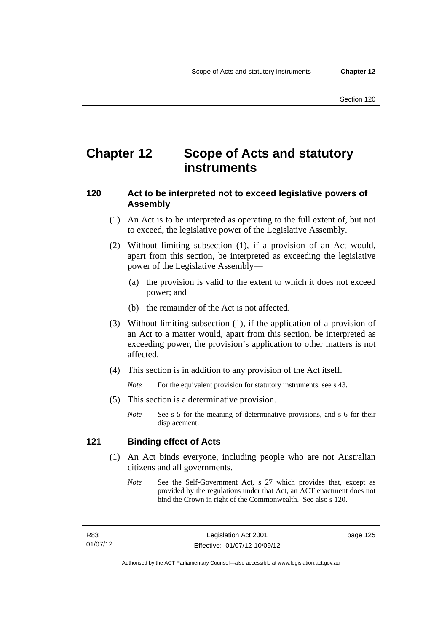## **Chapter 12 Scope of Acts and statutory instruments**

## **120 Act to be interpreted not to exceed legislative powers of Assembly**

- (1) An Act is to be interpreted as operating to the full extent of, but not to exceed, the legislative power of the Legislative Assembly.
- (2) Without limiting subsection (1), if a provision of an Act would, apart from this section, be interpreted as exceeding the legislative power of the Legislative Assembly—
	- (a) the provision is valid to the extent to which it does not exceed power; and
	- (b) the remainder of the Act is not affected.
- (3) Without limiting subsection (1), if the application of a provision of an Act to a matter would, apart from this section, be interpreted as exceeding power, the provision's application to other matters is not affected.
- (4) This section is in addition to any provision of the Act itself.

*Note* For the equivalent provision for statutory instruments, see s 43.

- (5) This section is a determinative provision.
	- *Note* See s 5 for the meaning of determinative provisions, and s 6 for their displacement.

## **121 Binding effect of Acts**

- (1) An Act binds everyone, including people who are not Australian citizens and all governments.
	- *Note* See the Self-Government Act, s 27 which provides that, except as provided by the regulations under that Act, an ACT enactment does not bind the Crown in right of the Commonwealth. See also s 120.

page 125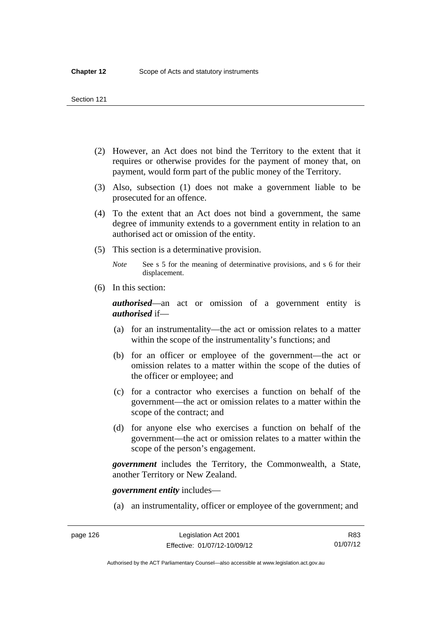- (2) However, an Act does not bind the Territory to the extent that it requires or otherwise provides for the payment of money that, on payment, would form part of the public money of the Territory.
- (3) Also, subsection (1) does not make a government liable to be prosecuted for an offence.
- (4) To the extent that an Act does not bind a government, the same degree of immunity extends to a government entity in relation to an authorised act or omission of the entity.
- (5) This section is a determinative provision.

*Note* See s 5 for the meaning of determinative provisions, and s 6 for their displacement.

(6) In this section:

*authorised*—an act or omission of a government entity is *authorised* if—

- (a) for an instrumentality—the act or omission relates to a matter within the scope of the instrumentality's functions; and
- (b) for an officer or employee of the government—the act or omission relates to a matter within the scope of the duties of the officer or employee; and
- (c) for a contractor who exercises a function on behalf of the government—the act or omission relates to a matter within the scope of the contract; and
- (d) for anyone else who exercises a function on behalf of the government—the act or omission relates to a matter within the scope of the person's engagement.

*government* includes the Territory, the Commonwealth, a State, another Territory or New Zealand.

*government entity* includes—

(a) an instrumentality, officer or employee of the government; and

Authorised by the ACT Parliamentary Counsel—also accessible at www.legislation.act.gov.au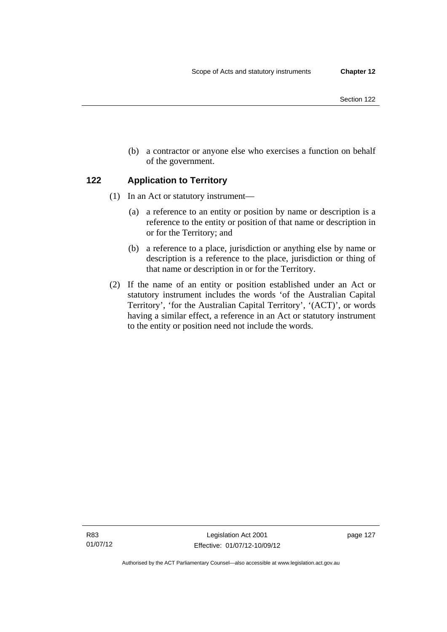- Section 122
- (b) a contractor or anyone else who exercises a function on behalf of the government.

## **122 Application to Territory**

- (1) In an Act or statutory instrument—
	- (a) a reference to an entity or position by name or description is a reference to the entity or position of that name or description in or for the Territory; and
	- (b) a reference to a place, jurisdiction or anything else by name or description is a reference to the place, jurisdiction or thing of that name or description in or for the Territory.
- (2) If the name of an entity or position established under an Act or statutory instrument includes the words 'of the Australian Capital Territory', 'for the Australian Capital Territory', '(ACT)', or words having a similar effect, a reference in an Act or statutory instrument to the entity or position need not include the words.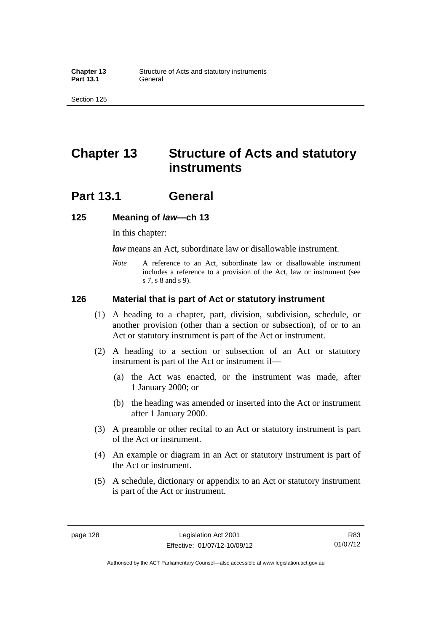## **Chapter 13 Structure of Acts and statutory instruments**

## **Part 13.1 General**

#### **125 Meaning of** *law***—ch 13**

In this chapter:

*law* means an Act, subordinate law or disallowable instrument.

*Note* A reference to an Act, subordinate law or disallowable instrument includes a reference to a provision of the Act, law or instrument (see s 7, s 8 and s 9).

#### **126 Material that is part of Act or statutory instrument**

- (1) A heading to a chapter, part, division, subdivision, schedule, or another provision (other than a section or subsection), of or to an Act or statutory instrument is part of the Act or instrument.
- (2) A heading to a section or subsection of an Act or statutory instrument is part of the Act or instrument if—
	- (a) the Act was enacted, or the instrument was made, after 1 January 2000; or
	- (b) the heading was amended or inserted into the Act or instrument after 1 January 2000.
- (3) A preamble or other recital to an Act or statutory instrument is part of the Act or instrument.
- (4) An example or diagram in an Act or statutory instrument is part of the Act or instrument.
- (5) A schedule, dictionary or appendix to an Act or statutory instrument is part of the Act or instrument.

R83 01/07/12

Authorised by the ACT Parliamentary Counsel—also accessible at www.legislation.act.gov.au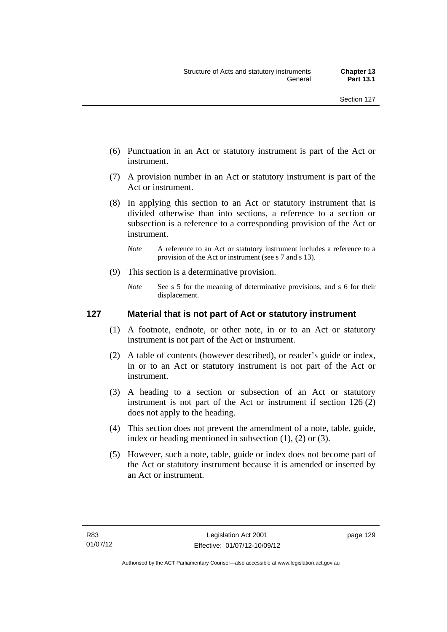- (6) Punctuation in an Act or statutory instrument is part of the Act or instrument.
- (7) A provision number in an Act or statutory instrument is part of the Act or instrument.
- (8) In applying this section to an Act or statutory instrument that is divided otherwise than into sections, a reference to a section or subsection is a reference to a corresponding provision of the Act or instrument.
	- *Note* A reference to an Act or statutory instrument includes a reference to a provision of the Act or instrument (see s 7 and s 13).
- (9) This section is a determinative provision.
	- *Note* See s 5 for the meaning of determinative provisions, and s 6 for their displacement.

## **127 Material that is not part of Act or statutory instrument**

- (1) A footnote, endnote, or other note, in or to an Act or statutory instrument is not part of the Act or instrument.
- (2) A table of contents (however described), or reader's guide or index, in or to an Act or statutory instrument is not part of the Act or instrument.
- (3) A heading to a section or subsection of an Act or statutory instrument is not part of the Act or instrument if section 126 (2) does not apply to the heading.
- (4) This section does not prevent the amendment of a note, table, guide, index or heading mentioned in subsection (1), (2) or (3).
- (5) However, such a note, table, guide or index does not become part of the Act or statutory instrument because it is amended or inserted by an Act or instrument.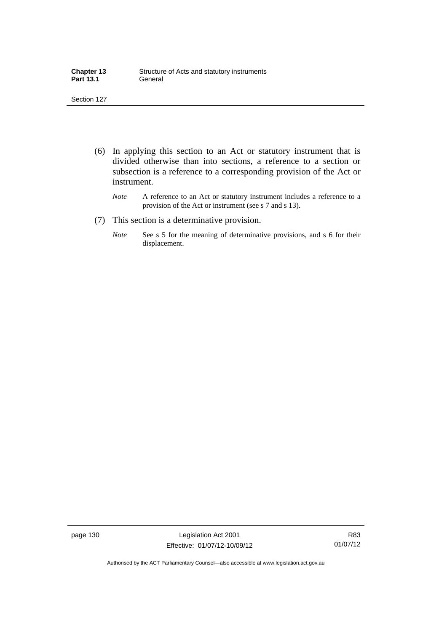| <b>Chapter 13</b> | Structure of Acts and statutory instruments |
|-------------------|---------------------------------------------|
| <b>Part 13.1</b>  | General                                     |

- (6) In applying this section to an Act or statutory instrument that is divided otherwise than into sections, a reference to a section or subsection is a reference to a corresponding provision of the Act or instrument.
	- *Note* A reference to an Act or statutory instrument includes a reference to a provision of the Act or instrument (see s 7 and s 13).
- (7) This section is a determinative provision.
	- *Note* See s 5 for the meaning of determinative provisions, and s 6 for their displacement.

page 130 Legislation Act 2001 Effective: 01/07/12-10/09/12

R83 01/07/12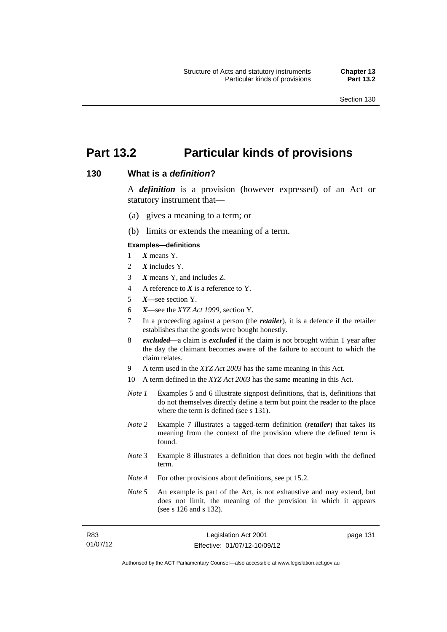page 131

# **Part 13.2 Particular kinds of provisions**

#### **130 What is a** *definition***?**

A *definition* is a provision (however expressed) of an Act or statutory instrument that—

- (a) gives a meaning to a term; or
- (b) limits or extends the meaning of a term.

#### **Examples—definitions**

- 1 *X* means Y.
- 2 *X* includes Y.
- 3 *X* means Y, and includes Z.
- 4 A reference to *X* is a reference to Y.
- 5 *X*—see section Y.
- 6 *X*—see the *XYZ Act 1999*, section Y.
- 7 In a proceeding against a person (the *retailer*), it is a defence if the retailer establishes that the goods were bought honestly.
- 8 *excluded*—a claim is *excluded* if the claim is not brought within 1 year after the day the claimant becomes aware of the failure to account to which the claim relates.
- 9 A term used in the *XYZ Act 2003* has the same meaning in this Act.
- 10 A term defined in the *XYZ Act 2003* has the same meaning in this Act.
- *Note 1* Examples 5 and 6 illustrate signpost definitions, that is, definitions that do not themselves directly define a term but point the reader to the place where the term is defined (see s 131).
- *Note 2* Example 7 illustrates a tagged-term definition (*retailer*) that takes its meaning from the context of the provision where the defined term is found.
- *Note 3* Example 8 illustrates a definition that does not begin with the defined term.
- *Note 4* For other provisions about definitions, see pt 15.2.
- *Note 5* An example is part of the Act, is not exhaustive and may extend, but does not limit, the meaning of the provision in which it appears (see s 126 and s 132).

| R83      | Legislation Act 2001         |
|----------|------------------------------|
| 01/07/12 | Effective: 01/07/12-10/09/12 |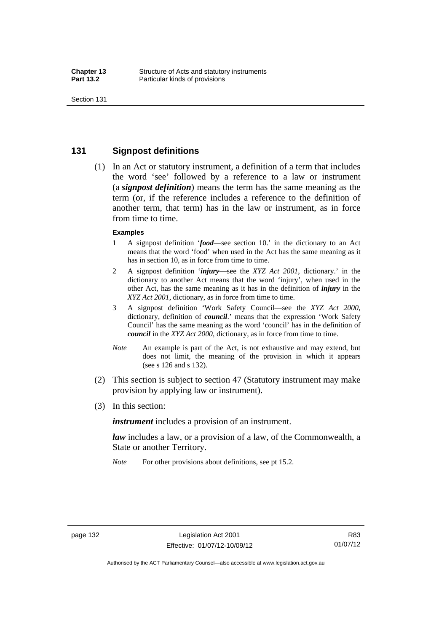## **131 Signpost definitions**

 (1) In an Act or statutory instrument, a definition of a term that includes the word 'see' followed by a reference to a law or instrument (a *signpost definition*) means the term has the same meaning as the term (or, if the reference includes a reference to the definition of another term, that term) has in the law or instrument, as in force from time to time.

#### **Examples**

- 1 A signpost definition '*food*—see section 10.' in the dictionary to an Act means that the word 'food' when used in the Act has the same meaning as it has in section 10, as in force from time to time.
- 2 A signpost definition '*injury*—see the *XYZ Act 2001*, dictionary.' in the dictionary to another Act means that the word 'injury', when used in the other Act, has the same meaning as it has in the definition of *injury* in the *XYZ Act 2001*, dictionary, as in force from time to time.
- 3 A signpost definition 'Work Safety Council—see the *XYZ Act 2000*, dictionary, definition of *council*.' means that the expression 'Work Safety Council' has the same meaning as the word 'council' has in the definition of *council* in the *XYZ Act 2000*, dictionary, as in force from time to time.
- *Note* An example is part of the Act, is not exhaustive and may extend, but does not limit, the meaning of the provision in which it appears (see s 126 and s 132).
- (2) This section is subject to section 47 (Statutory instrument may make provision by applying law or instrument).
- (3) In this section:

*instrument* includes a provision of an instrument.

*law* includes a law, or a provision of a law, of the Commonwealth, a State or another Territory.

*Note* For other provisions about definitions, see pt 15.2.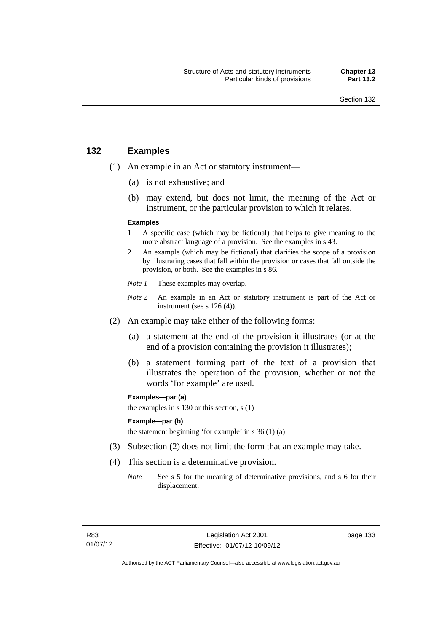## **132 Examples**

- (1) An example in an Act or statutory instrument—
	- (a) is not exhaustive; and
	- (b) may extend, but does not limit, the meaning of the Act or instrument, or the particular provision to which it relates.

#### **Examples**

- 1 A specific case (which may be fictional) that helps to give meaning to the more abstract language of a provision. See the examples in s 43.
- 2 An example (which may be fictional) that clarifies the scope of a provision by illustrating cases that fall within the provision or cases that fall outside the provision, or both. See the examples in s 86.
- *Note 1* These examples may overlap.
- *Note* 2 An example in an Act or statutory instrument is part of the Act or instrument (see s 126 (4)).
- (2) An example may take either of the following forms:
	- (a) a statement at the end of the provision it illustrates (or at the end of a provision containing the provision it illustrates);
	- (b) a statement forming part of the text of a provision that illustrates the operation of the provision, whether or not the words 'for example' are used.

**Examples—par (a)** 

the examples in s 130 or this section, s (1)

#### **Example—par (b)**

the statement beginning 'for example' in s 36 (1) (a)

- (3) Subsection (2) does not limit the form that an example may take.
- (4) This section is a determinative provision.
	- *Note* See s 5 for the meaning of determinative provisions, and s 6 for their displacement.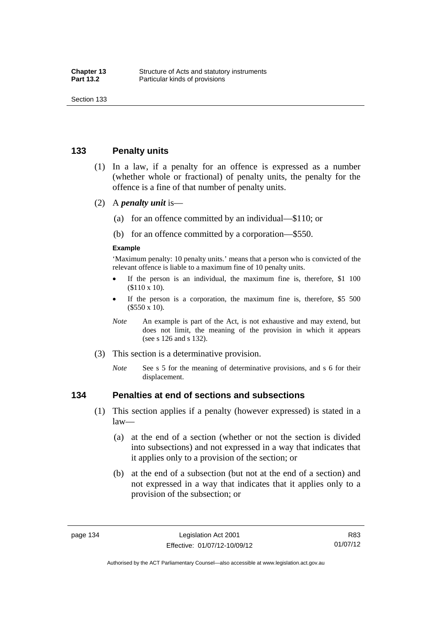## **133 Penalty units**

- (1) In a law, if a penalty for an offence is expressed as a number (whether whole or fractional) of penalty units, the penalty for the offence is a fine of that number of penalty units.
- (2) A *penalty unit* is—
	- (a) for an offence committed by an individual—\$110; or
	- (b) for an offence committed by a corporation—\$550.

#### **Example**

'Maximum penalty: 10 penalty units.' means that a person who is convicted of the relevant offence is liable to a maximum fine of 10 penalty units.

- If the person is an individual, the maximum fine is, therefore, \$1 100 (\$110 x 10).
- If the person is a corporation, the maximum fine is, therefore, \$5 500 (\$550 x 10).
- *Note* An example is part of the Act, is not exhaustive and may extend, but does not limit, the meaning of the provision in which it appears (see s 126 and s 132).
- (3) This section is a determinative provision.
	- *Note* See s 5 for the meaning of determinative provisions, and s 6 for their displacement.

#### **134 Penalties at end of sections and subsections**

- (1) This section applies if a penalty (however expressed) is stated in a law—
	- (a) at the end of a section (whether or not the section is divided into subsections) and not expressed in a way that indicates that it applies only to a provision of the section; or
	- (b) at the end of a subsection (but not at the end of a section) and not expressed in a way that indicates that it applies only to a provision of the subsection; or

Authorised by the ACT Parliamentary Counsel—also accessible at www.legislation.act.gov.au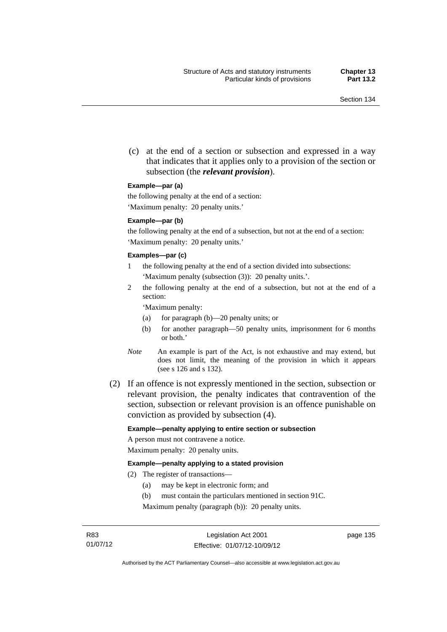(c) at the end of a section or subsection and expressed in a way that indicates that it applies only to a provision of the section or subsection (the *relevant provision*).

#### **Example—par (a)**

the following penalty at the end of a section:

'Maximum penalty: 20 penalty units.'

#### **Example—par (b)**

the following penalty at the end of a subsection, but not at the end of a section: 'Maximum penalty: 20 penalty units.'

#### **Examples—par (c)**

- 1 the following penalty at the end of a section divided into subsections: 'Maximum penalty (subsection (3)): 20 penalty units.'.
- 2 the following penalty at the end of a subsection, but not at the end of a section:

'Maximum penalty:

- (a) for paragraph (b)—20 penalty units; or
- (b) for another paragraph—50 penalty units, imprisonment for 6 months or both.'
- *Note* An example is part of the Act, is not exhaustive and may extend, but does not limit, the meaning of the provision in which it appears (see s 126 and s 132).
- (2) If an offence is not expressly mentioned in the section, subsection or relevant provision, the penalty indicates that contravention of the section, subsection or relevant provision is an offence punishable on conviction as provided by subsection (4).

#### **Example—penalty applying to entire section or subsection**

A person must not contravene a notice. Maximum penalty: 20 penalty units.

#### **Example—penalty applying to a stated provision**

- (2) The register of transactions—
	- (a) may be kept in electronic form; and
	- (b) must contain the particulars mentioned in section 91C.

Maximum penalty (paragraph (b)): 20 penalty units.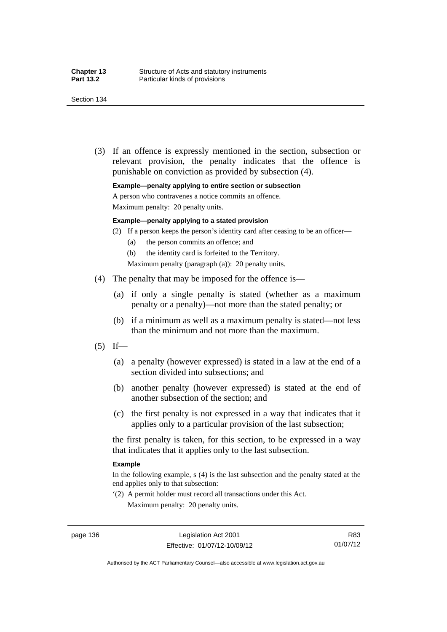(3) If an offence is expressly mentioned in the section, subsection or relevant provision, the penalty indicates that the offence is punishable on conviction as provided by subsection (4).

**Example—penalty applying to entire section or subsection** 

A person who contravenes a notice commits an offence.

Maximum penalty: 20 penalty units.

#### **Example—penalty applying to a stated provision**

- (2) If a person keeps the person's identity card after ceasing to be an officer—
	- (a) the person commits an offence; and
	- (b) the identity card is forfeited to the Territory.
	- Maximum penalty (paragraph (a)): 20 penalty units.
- (4) The penalty that may be imposed for the offence is—
	- (a) if only a single penalty is stated (whether as a maximum penalty or a penalty)—not more than the stated penalty; or
	- (b) if a minimum as well as a maximum penalty is stated—not less than the minimum and not more than the maximum.
- $(5)$  If—
	- (a) a penalty (however expressed) is stated in a law at the end of a section divided into subsections; and
	- (b) another penalty (however expressed) is stated at the end of another subsection of the section; and
	- (c) the first penalty is not expressed in a way that indicates that it applies only to a particular provision of the last subsection;

the first penalty is taken, for this section, to be expressed in a way that indicates that it applies only to the last subsection.

#### **Example**

In the following example, s (4) is the last subsection and the penalty stated at the end applies only to that subsection:

'(2) A permit holder must record all transactions under this Act. Maximum penalty: 20 penalty units.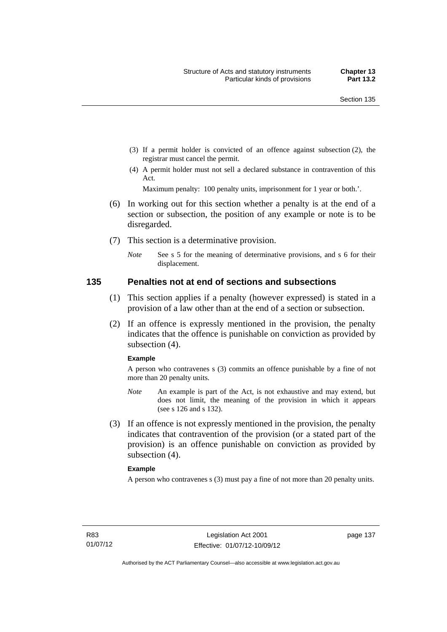- (3) If a permit holder is convicted of an offence against subsection (2), the registrar must cancel the permit.
- (4) A permit holder must not sell a declared substance in contravention of this Act.

Maximum penalty: 100 penalty units, imprisonment for 1 year or both.'.

- (6) In working out for this section whether a penalty is at the end of a section or subsection, the position of any example or note is to be disregarded.
- (7) This section is a determinative provision.
	- *Note* See s 5 for the meaning of determinative provisions, and s 6 for their displacement.

#### **135 Penalties not at end of sections and subsections**

- (1) This section applies if a penalty (however expressed) is stated in a provision of a law other than at the end of a section or subsection.
- (2) If an offence is expressly mentioned in the provision, the penalty indicates that the offence is punishable on conviction as provided by subsection (4).

#### **Example**

A person who contravenes s (3) commits an offence punishable by a fine of not more than 20 penalty units.

- *Note* An example is part of the Act, is not exhaustive and may extend, but does not limit, the meaning of the provision in which it appears (see s 126 and s 132).
- (3) If an offence is not expressly mentioned in the provision, the penalty indicates that contravention of the provision (or a stated part of the provision) is an offence punishable on conviction as provided by subsection (4).

#### **Example**

A person who contravenes s (3) must pay a fine of not more than 20 penalty units.

page 137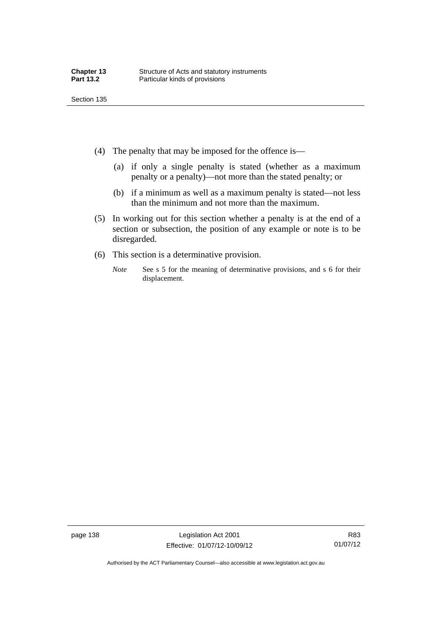- (4) The penalty that may be imposed for the offence is—
	- (a) if only a single penalty is stated (whether as a maximum penalty or a penalty)—not more than the stated penalty; or
	- (b) if a minimum as well as a maximum penalty is stated—not less than the minimum and not more than the maximum.
- (5) In working out for this section whether a penalty is at the end of a section or subsection, the position of any example or note is to be disregarded.
- (6) This section is a determinative provision.
	- *Note* See s 5 for the meaning of determinative provisions, and s 6 for their displacement.

R83 01/07/12

Authorised by the ACT Parliamentary Counsel—also accessible at www.legislation.act.gov.au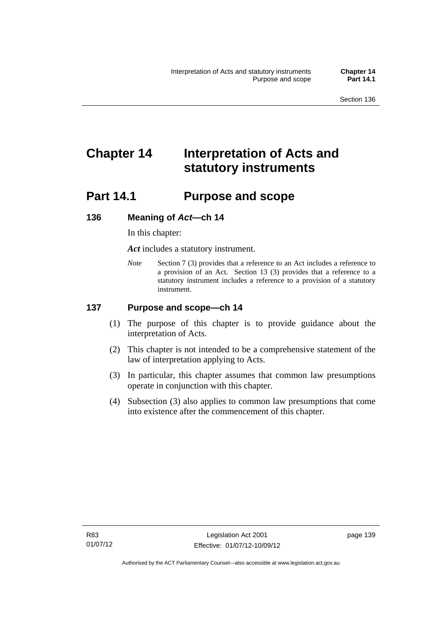# **Chapter 14 Interpretation of Acts and statutory instruments**

# **Part 14.1 Purpose and scope**

## **136 Meaning of** *Act***—ch 14**

In this chapter:

*Act* includes a statutory instrument.

*Note* Section 7 (3) provides that a reference to an Act includes a reference to a provision of an Act. Section 13 (3) provides that a reference to a statutory instrument includes a reference to a provision of a statutory instrument.

## **137 Purpose and scope—ch 14**

- (1) The purpose of this chapter is to provide guidance about the interpretation of Acts.
- (2) This chapter is not intended to be a comprehensive statement of the law of interpretation applying to Acts.
- (3) In particular, this chapter assumes that common law presumptions operate in conjunction with this chapter.
- (4) Subsection (3) also applies to common law presumptions that come into existence after the commencement of this chapter.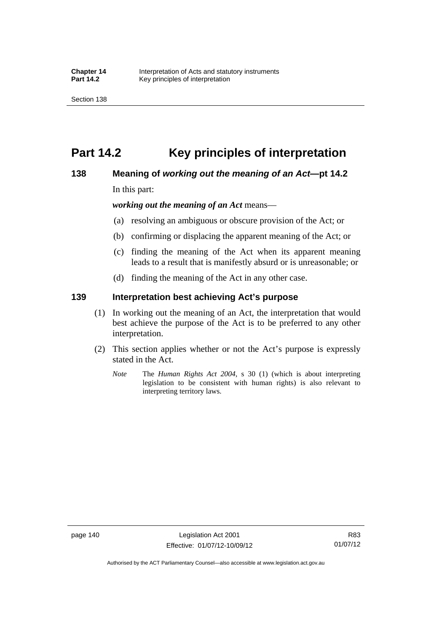# **Part 14.2 Key principles of interpretation**

## **138 Meaning of** *working out the meaning of an Act***—pt 14.2**

In this part:

*working out the meaning of an Act* means—

- (a) resolving an ambiguous or obscure provision of the Act; or
- (b) confirming or displacing the apparent meaning of the Act; or
- (c) finding the meaning of the Act when its apparent meaning leads to a result that is manifestly absurd or is unreasonable; or
- (d) finding the meaning of the Act in any other case.

## **139 Interpretation best achieving Act's purpose**

- (1) In working out the meaning of an Act, the interpretation that would best achieve the purpose of the Act is to be preferred to any other interpretation.
- (2) This section applies whether or not the Act's purpose is expressly stated in the Act.
	- *Note* The *Human Rights Act 2004*, s 30 (1) (which is about interpreting legislation to be consistent with human rights) is also relevant to interpreting territory laws.

R83 01/07/12

Authorised by the ACT Parliamentary Counsel—also accessible at www.legislation.act.gov.au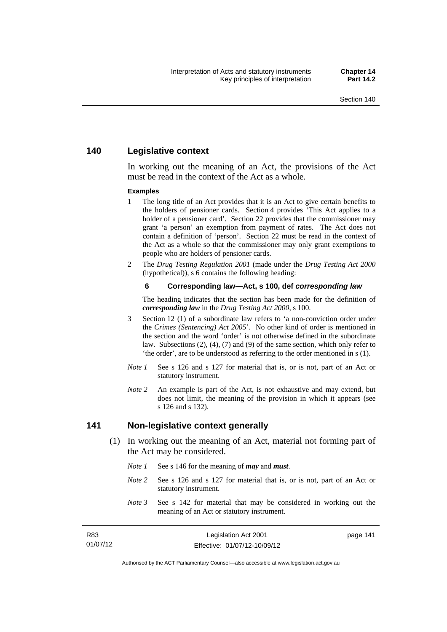## **140 Legislative context**

In working out the meaning of an Act, the provisions of the Act must be read in the context of the Act as a whole.

#### **Examples**

- 1 The long title of an Act provides that it is an Act to give certain benefits to the holders of pensioner cards. Section 4 provides 'This Act applies to a holder of a pensioner card'. Section 22 provides that the commissioner may grant 'a person' an exemption from payment of rates. The Act does not contain a definition of 'person'. Section 22 must be read in the context of the Act as a whole so that the commissioner may only grant exemptions to people who are holders of pensioner cards.
- 2 The *Drug Testing Regulation 2001* (made under the *Drug Testing Act 2000* (hypothetical)), s 6 contains the following heading:

#### **6 Corresponding law—Act, s 100, def** *corresponding law*

The heading indicates that the section has been made for the definition of *corresponding law* in the *Drug Testing Act 2000*, s 100.

- 3 Section 12 (1) of a subordinate law refers to 'a non-conviction order under the *Crimes (Sentencing) Act 2005*'. No other kind of order is mentioned in the section and the word 'order' is not otherwise defined in the subordinate law. Subsections (2), (4), (7) and (9) of the same section, which only refer to 'the order', are to be understood as referring to the order mentioned in s (1).
- *Note 1* See s 126 and s 127 for material that is, or is not, part of an Act or statutory instrument.
- *Note* 2 An example is part of the Act, is not exhaustive and may extend, but does not limit, the meaning of the provision in which it appears (see s 126 and s 132).

## **141 Non-legislative context generally**

- (1) In working out the meaning of an Act, material not forming part of the Act may be considered.
	- *Note 1* See s 146 for the meaning of *may* and *must*.
	- *Note 2* See s 126 and s 127 for material that is, or is not, part of an Act or statutory instrument.
	- *Note 3* See s 142 for material that may be considered in working out the meaning of an Act or statutory instrument.

| R83      | Legislation Act 2001         | page 141 |
|----------|------------------------------|----------|
| 01/07/12 | Effective: 01/07/12-10/09/12 |          |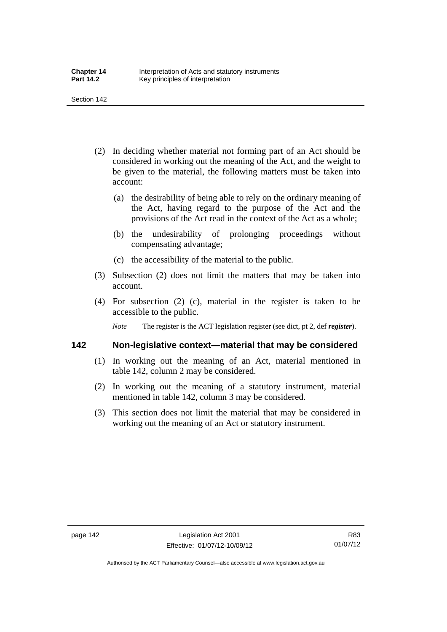- (2) In deciding whether material not forming part of an Act should be considered in working out the meaning of the Act, and the weight to be given to the material, the following matters must be taken into account:
	- (a) the desirability of being able to rely on the ordinary meaning of the Act, having regard to the purpose of the Act and the provisions of the Act read in the context of the Act as a whole;
	- (b) the undesirability of prolonging proceedings without compensating advantage;
	- (c) the accessibility of the material to the public.
- (3) Subsection (2) does not limit the matters that may be taken into account.
- (4) For subsection (2) (c), material in the register is taken to be accessible to the public.

*Note* The register is the ACT legislation register (see dict, pt 2, def *register*).

## **142 Non-legislative context—material that may be considered**

- (1) In working out the meaning of an Act, material mentioned in table 142, column 2 may be considered.
- (2) In working out the meaning of a statutory instrument, material mentioned in table 142, column 3 may be considered.
- (3) This section does not limit the material that may be considered in working out the meaning of an Act or statutory instrument.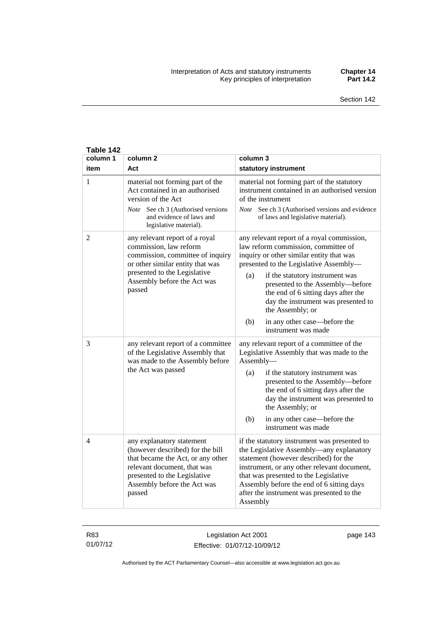| Table 142 |                |                                                                                                                                                                                                            |                                                                                                                                                                                                                                                                                                                                                                                                                       |  |  |  |
|-----------|----------------|------------------------------------------------------------------------------------------------------------------------------------------------------------------------------------------------------------|-----------------------------------------------------------------------------------------------------------------------------------------------------------------------------------------------------------------------------------------------------------------------------------------------------------------------------------------------------------------------------------------------------------------------|--|--|--|
|           | column 1       | column <sub>2</sub>                                                                                                                                                                                        | column 3                                                                                                                                                                                                                                                                                                                                                                                                              |  |  |  |
|           | item           | Act                                                                                                                                                                                                        | statutory instrument                                                                                                                                                                                                                                                                                                                                                                                                  |  |  |  |
|           | 1              | material not forming part of the<br>Act contained in an authorised<br>version of the Act<br>See ch 3 (Authorised versions<br>Note<br>and evidence of laws and<br>legislative material).                    | material not forming part of the statutory<br>instrument contained in an authorised version<br>of the instrument<br>Note<br>See ch 3 (Authorised versions and evidence<br>of laws and legislative material).                                                                                                                                                                                                          |  |  |  |
|           | $\overline{2}$ | any relevant report of a royal<br>commission, law reform<br>commission, committee of inquiry<br>or other similar entity that was<br>presented to the Legislative<br>Assembly before the Act was<br>passed  | any relevant report of a royal commission,<br>law reform commission, committee of<br>inquiry or other similar entity that was<br>presented to the Legislative Assembly-<br>if the statutory instrument was<br>(a)<br>presented to the Assembly-before<br>the end of 6 sitting days after the<br>day the instrument was presented to<br>the Assembly; or<br>in any other case—before the<br>(b)<br>instrument was made |  |  |  |
|           | 3              | any relevant report of a committee<br>of the Legislative Assembly that<br>was made to the Assembly before<br>the Act was passed                                                                            | any relevant report of a committee of the<br>Legislative Assembly that was made to the<br>Assembly-<br>(a)<br>if the statutory instrument was<br>presented to the Assembly-before<br>the end of 6 sitting days after the<br>day the instrument was presented to<br>the Assembly; or<br>in any other case—before the<br>(b)<br>instrument was made                                                                     |  |  |  |
|           | 4              | any explanatory statement<br>(however described) for the bill<br>that became the Act, or any other<br>relevant document, that was<br>presented to the Legislative<br>Assembly before the Act was<br>passed | if the statutory instrument was presented to<br>the Legislative Assembly-any explanatory<br>statement (however described) for the<br>instrument, or any other relevant document,<br>that was presented to the Legislative<br>Assembly before the end of 6 sitting days<br>after the instrument was presented to the<br>Assembly                                                                                       |  |  |  |

R83 01/07/12

Legislation Act 2001 Effective: 01/07/12-10/09/12 page 143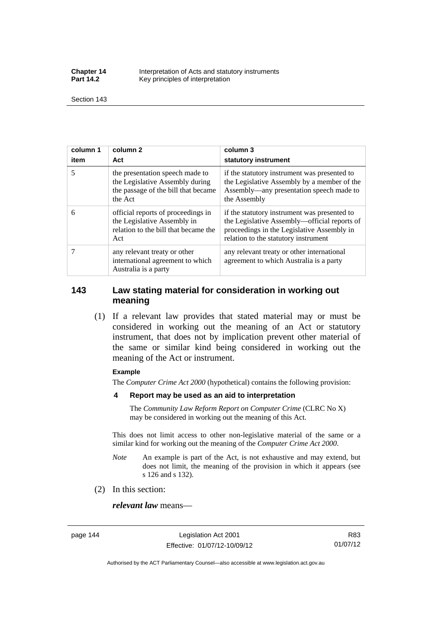**Chapter 14 Interpretation of Acts and statutory instruments**<br>**Part 14.2 ICO** Key principles of interpretation Key principles of interpretation

Section 143

| column 1<br>item | column 2<br>Act                                                                                                      | column 3<br>statutory instrument                                                                                                                                                   |
|------------------|----------------------------------------------------------------------------------------------------------------------|------------------------------------------------------------------------------------------------------------------------------------------------------------------------------------|
| 5                | the presentation speech made to<br>the Legislative Assembly during<br>the passage of the bill that became<br>the Act | if the statutory instrument was presented to<br>the Legislative Assembly by a member of the<br>Assembly—any presentation speech made to<br>the Assembly                            |
| 6                | official reports of proceedings in<br>the Legislative Assembly in<br>relation to the bill that became the<br>Act     | if the statutory instrument was presented to<br>the Legislative Assembly—official reports of<br>proceedings in the Legislative Assembly in<br>relation to the statutory instrument |
|                  | any relevant treaty or other<br>international agreement to which<br>Australia is a party                             | any relevant treaty or other international<br>agreement to which Australia is a party                                                                                              |

## **143 Law stating material for consideration in working out meaning**

 (1) If a relevant law provides that stated material may or must be considered in working out the meaning of an Act or statutory instrument, that does not by implication prevent other material of the same or similar kind being considered in working out the meaning of the Act or instrument.

#### **Example**

The *Computer Crime Act 2000* (hypothetical) contains the following provision:

#### **4 Report may be used as an aid to interpretation**

The *Community Law Reform Report on Computer Crime* (CLRC No X) may be considered in working out the meaning of this Act.

This does not limit access to other non-legislative material of the same or a similar kind for working out the meaning of the *Computer Crime Act 2000*.

- *Note* An example is part of the Act, is not exhaustive and may extend, but does not limit, the meaning of the provision in which it appears (see s 126 and s 132).
- (2) In this section:

*relevant law* means—

page 144 Legislation Act 2001 Effective: 01/07/12-10/09/12

R83 01/07/12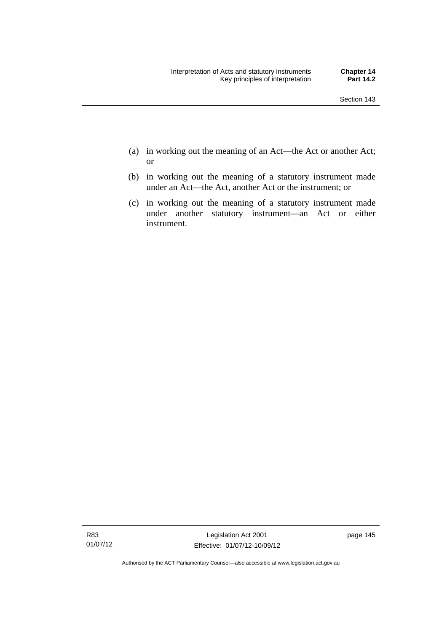- (a) in working out the meaning of an Act—the Act or another Act; or
- (b) in working out the meaning of a statutory instrument made under an Act—the Act, another Act or the instrument; or
- (c) in working out the meaning of a statutory instrument made under another statutory instrument—an Act or either instrument.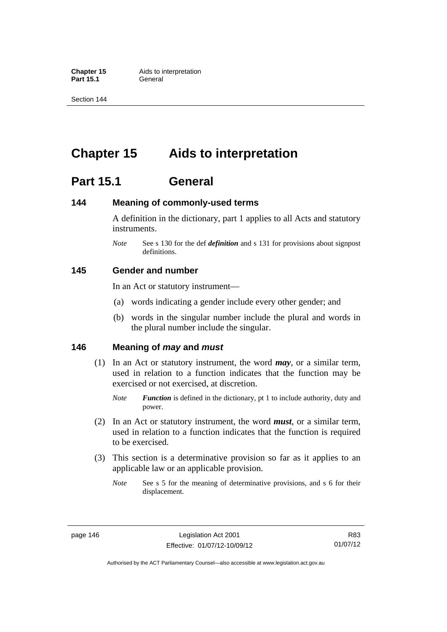**Part 15.1** 

Section 144

# **Chapter 15 Aids to interpretation**

# **Part 15.1 General**

## **144 Meaning of commonly-used terms**

A definition in the dictionary, part 1 applies to all Acts and statutory instruments.

*Note* See s 130 for the def *definition* and s 131 for provisions about signpost definitions.

## **145 Gender and number**

In an Act or statutory instrument—

- (a) words indicating a gender include every other gender; and
- (b) words in the singular number include the plural and words in the plural number include the singular.

## **146 Meaning of** *may* **and** *must*

- (1) In an Act or statutory instrument, the word *may*, or a similar term, used in relation to a function indicates that the function may be exercised or not exercised, at discretion.
	- *Note Function* is defined in the dictionary, pt 1 to include authority, duty and power.
- (2) In an Act or statutory instrument, the word *must*, or a similar term, used in relation to a function indicates that the function is required to be exercised.
- (3) This section is a determinative provision so far as it applies to an applicable law or an applicable provision.
	- *Note* See s 5 for the meaning of determinative provisions, and s 6 for their displacement.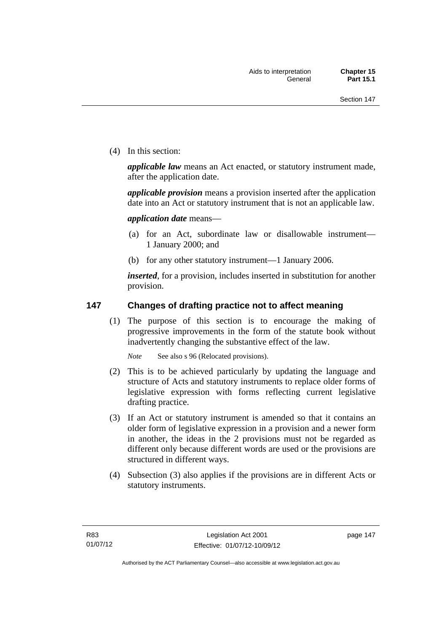(4) In this section:

*applicable law* means an Act enacted, or statutory instrument made, after the application date.

*applicable provision* means a provision inserted after the application date into an Act or statutory instrument that is not an applicable law.

*application date* means—

- (a) for an Act, subordinate law or disallowable instrument— 1 January 2000; and
- (b) for any other statutory instrument—1 January 2006.

*inserted*, for a provision, includes inserted in substitution for another provision.

## **147 Changes of drafting practice not to affect meaning**

(1) The purpose of this section is to encourage the making of progressive improvements in the form of the statute book without inadvertently changing the substantive effect of the law.

*Note* See also s 96 (Relocated provisions).

- (2) This is to be achieved particularly by updating the language and structure of Acts and statutory instruments to replace older forms of legislative expression with forms reflecting current legislative drafting practice.
- (3) If an Act or statutory instrument is amended so that it contains an older form of legislative expression in a provision and a newer form in another, the ideas in the 2 provisions must not be regarded as different only because different words are used or the provisions are structured in different ways.
- (4) Subsection (3) also applies if the provisions are in different Acts or statutory instruments.

page 147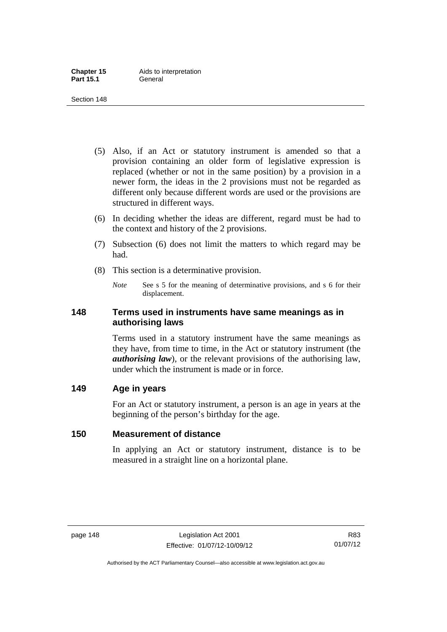- (5) Also, if an Act or statutory instrument is amended so that a provision containing an older form of legislative expression is replaced (whether or not in the same position) by a provision in a newer form, the ideas in the 2 provisions must not be regarded as different only because different words are used or the provisions are structured in different ways.
- (6) In deciding whether the ideas are different, regard must be had to the context and history of the 2 provisions.
- (7) Subsection (6) does not limit the matters to which regard may be had.
- (8) This section is a determinative provision.
	- *Note* See s 5 for the meaning of determinative provisions, and s 6 for their displacement.

## **148 Terms used in instruments have same meanings as in authorising laws**

Terms used in a statutory instrument have the same meanings as they have, from time to time, in the Act or statutory instrument (the *authorising law*), or the relevant provisions of the authorising law, under which the instrument is made or in force.

## **149 Age in years**

For an Act or statutory instrument, a person is an age in years at the beginning of the person's birthday for the age.

## **150 Measurement of distance**

In applying an Act or statutory instrument, distance is to be measured in a straight line on a horizontal plane.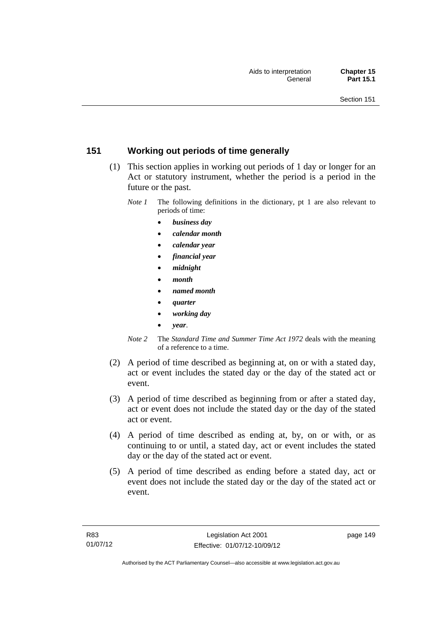## **151 Working out periods of time generally**

- (1) This section applies in working out periods of 1 day or longer for an Act or statutory instrument, whether the period is a period in the future or the past.
	- *Note 1* The following definitions in the dictionary, pt 1 are also relevant to periods of time:
		- *business day*
		- *calendar month*
		- *calendar year*
		- *financial year*
		- *midnight*
		- *month*
		- *named month*
		- *quarter*
		- *working day*
		- *year*.
	- *Note 2* The *Standard Time and Summer Time Act 1972* deals with the meaning of a reference to a time.
- (2) A period of time described as beginning at, on or with a stated day, act or event includes the stated day or the day of the stated act or event.
- (3) A period of time described as beginning from or after a stated day, act or event does not include the stated day or the day of the stated act or event.
- (4) A period of time described as ending at, by, on or with, or as continuing to or until, a stated day, act or event includes the stated day or the day of the stated act or event.
- (5) A period of time described as ending before a stated day, act or event does not include the stated day or the day of the stated act or event.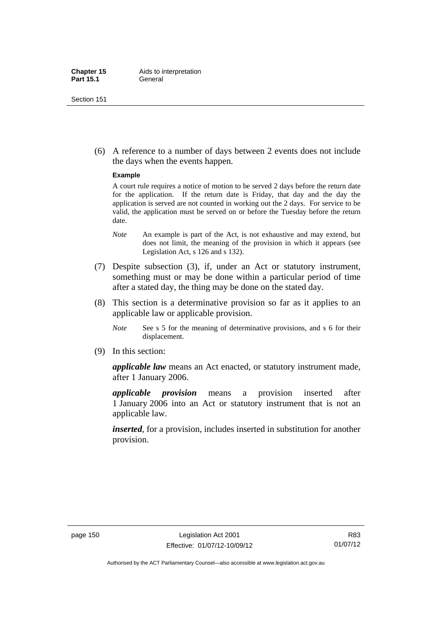(6) A reference to a number of days between 2 events does not include the days when the events happen.

#### **Example**

A court rule requires a notice of motion to be served 2 days before the return date for the application. If the return date is Friday, that day and the day the application is served are not counted in working out the 2 days. For service to be valid, the application must be served on or before the Tuesday before the return date.

- *Note* An example is part of the Act, is not exhaustive and may extend, but does not limit, the meaning of the provision in which it appears (see Legislation Act, s 126 and s 132).
- (7) Despite subsection (3), if, under an Act or statutory instrument, something must or may be done within a particular period of time after a stated day, the thing may be done on the stated day.
- (8) This section is a determinative provision so far as it applies to an applicable law or applicable provision.
	- *Note* See s 5 for the meaning of determinative provisions, and s 6 for their displacement.
- (9) In this section:

*applicable law* means an Act enacted, or statutory instrument made, after 1 January 2006.

*applicable provision* means a provision inserted after 1 January 2006 into an Act or statutory instrument that is not an applicable law.

*inserted*, for a provision, includes inserted in substitution for another provision.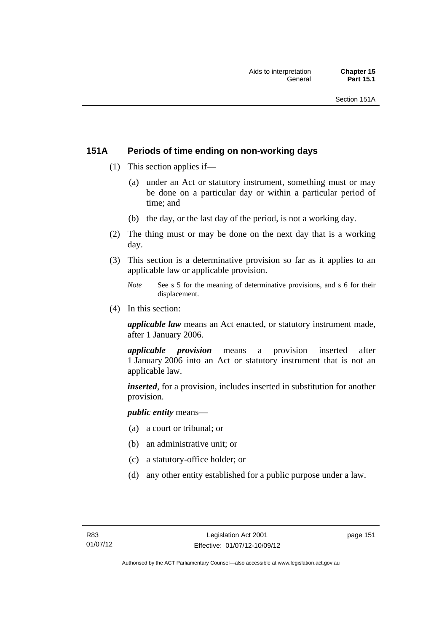## **151A Periods of time ending on non-working days**

- (1) This section applies if—
	- (a) under an Act or statutory instrument, something must or may be done on a particular day or within a particular period of time; and
	- (b) the day, or the last day of the period, is not a working day.
- (2) The thing must or may be done on the next day that is a working day.
- (3) This section is a determinative provision so far as it applies to an applicable law or applicable provision.
	- *Note* See s 5 for the meaning of determinative provisions, and s 6 for their displacement.
- (4) In this section:

*applicable law* means an Act enacted, or statutory instrument made, after 1 January 2006.

*applicable provision* means a provision inserted after 1 January 2006 into an Act or statutory instrument that is not an applicable law.

*inserted*, for a provision, includes inserted in substitution for another provision.

*public entity* means—

- (a) a court or tribunal; or
- (b) an administrative unit; or
- (c) a statutory-office holder; or
- (d) any other entity established for a public purpose under a law.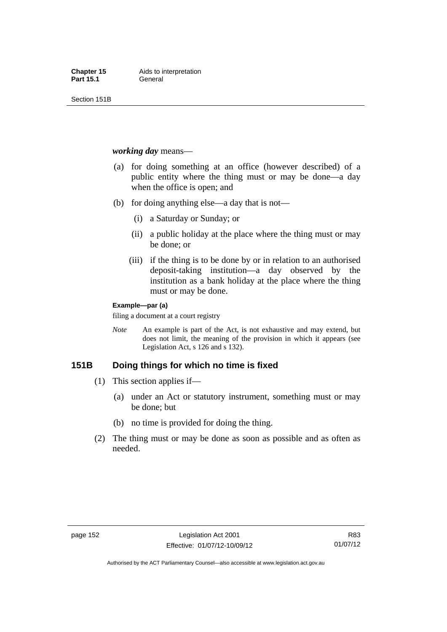Section 151B

*working day* means—

- (a) for doing something at an office (however described) of a public entity where the thing must or may be done—a day when the office is open; and
- (b) for doing anything else—a day that is not—
	- (i) a Saturday or Sunday; or
	- (ii) a public holiday at the place where the thing must or may be done; or
	- (iii) if the thing is to be done by or in relation to an authorised deposit-taking institution—a day observed by the institution as a bank holiday at the place where the thing must or may be done.

#### **Example—par (a)**

filing a document at a court registry

*Note* An example is part of the Act, is not exhaustive and may extend, but does not limit, the meaning of the provision in which it appears (see Legislation Act, s 126 and s 132).

## **151B Doing things for which no time is fixed**

- (1) This section applies if—
	- (a) under an Act or statutory instrument, something must or may be done; but
	- (b) no time is provided for doing the thing.
- (2) The thing must or may be done as soon as possible and as often as needed.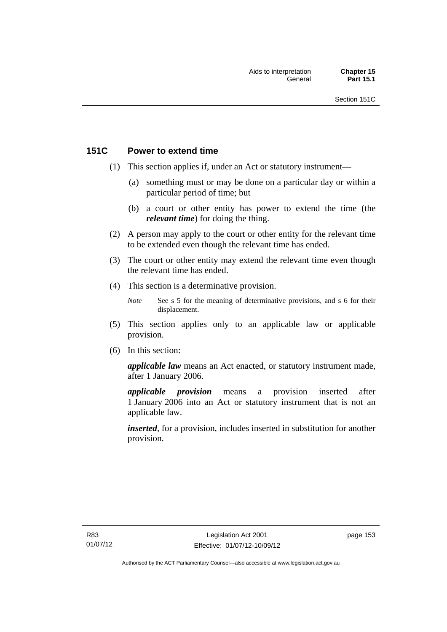## **151C Power to extend time**

- (1) This section applies if, under an Act or statutory instrument—
	- (a) something must or may be done on a particular day or within a particular period of time; but
	- (b) a court or other entity has power to extend the time (the *relevant time*) for doing the thing.
- (2) A person may apply to the court or other entity for the relevant time to be extended even though the relevant time has ended.
- (3) The court or other entity may extend the relevant time even though the relevant time has ended.
- (4) This section is a determinative provision.
	- *Note* See s 5 for the meaning of determinative provisions, and s 6 for their displacement.
- (5) This section applies only to an applicable law or applicable provision.
- (6) In this section:

*applicable law* means an Act enacted, or statutory instrument made, after 1 January 2006.

*applicable provision* means a provision inserted after 1 January 2006 into an Act or statutory instrument that is not an applicable law.

*inserted*, for a provision, includes inserted in substitution for another provision.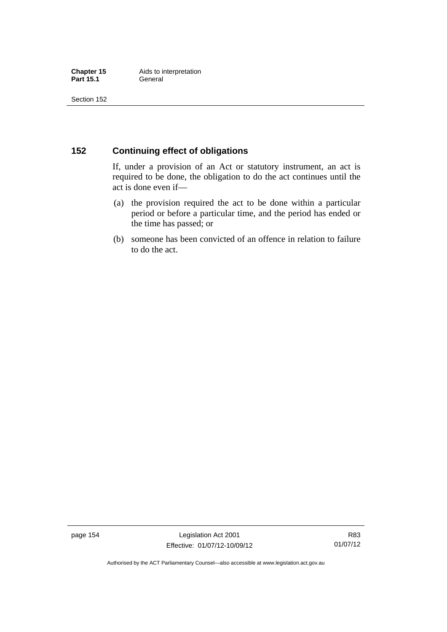## **152 Continuing effect of obligations**

If, under a provision of an Act or statutory instrument, an act is required to be done, the obligation to do the act continues until the act is done even if—

- (a) the provision required the act to be done within a particular period or before a particular time, and the period has ended or the time has passed; or
- (b) someone has been convicted of an offence in relation to failure to do the act.

page 154 Legislation Act 2001 Effective: 01/07/12-10/09/12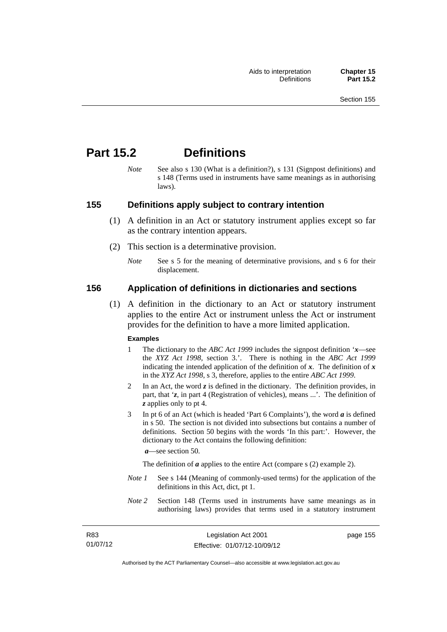# **Part 15.2 Definitions**

*Note* See also s 130 (What is a definition?), s 131 (Signpost definitions) and s 148 (Terms used in instruments have same meanings as in authorising laws).

### **155 Definitions apply subject to contrary intention**

- (1) A definition in an Act or statutory instrument applies except so far as the contrary intention appears.
- (2) This section is a determinative provision.
	- *Note* See s 5 for the meaning of determinative provisions, and s 6 for their displacement.

### **156 Application of definitions in dictionaries and sections**

 (1) A definition in the dictionary to an Act or statutory instrument applies to the entire Act or instrument unless the Act or instrument provides for the definition to have a more limited application.

#### **Examples**

- 1 The dictionary to the *ABC Act 1999* includes the signpost definition '*x*—see the *XYZ Act 1998*, section 3.'. There is nothing in the *ABC Act 1999* indicating the intended application of the definition of  $x$ . The definition of  $x$ in the *XYZ Act 1998*, s 3, therefore, applies to the entire *ABC Act 1999*.
- 2 In an Act, the word *z* is defined in the dictionary. The definition provides, in part, that '*z*, in part 4 (Registration of vehicles), means ...'. The definition of *z* applies only to pt 4.
- 3 In pt 6 of an Act (which is headed 'Part 6 Complaints'), the word *a* is defined in s 50. The section is not divided into subsections but contains a number of definitions. Section 50 begins with the words 'In this part:'. However, the dictionary to the Act contains the following definition:

*a*—see section 50.

The definition of *a* applies to the entire Act (compare s (2) example 2).

- *Note 1* See s 144 (Meaning of commonly-used terms) for the application of the definitions in this Act, dict, pt 1.
- *Note 2* Section 148 (Terms used in instruments have same meanings as in authorising laws) provides that terms used in a statutory instrument

| R83      | Legislation Act 2001         | page 155 |
|----------|------------------------------|----------|
| 01/07/12 | Effective: 01/07/12-10/09/12 |          |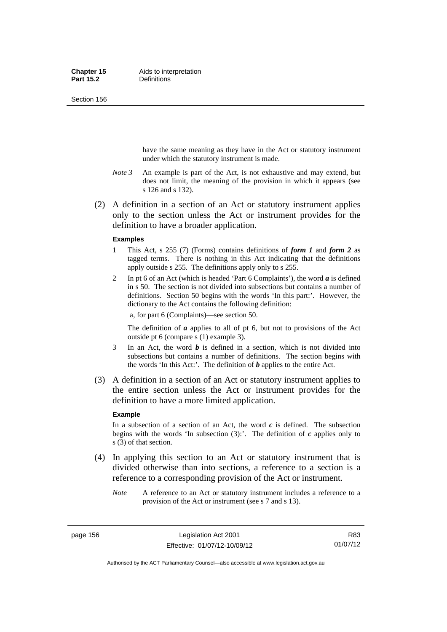Section 156

have the same meaning as they have in the Act or statutory instrument under which the statutory instrument is made.

- *Note 3* An example is part of the Act, is not exhaustive and may extend, but does not limit, the meaning of the provision in which it appears (see s 126 and s 132).
- (2) A definition in a section of an Act or statutory instrument applies only to the section unless the Act or instrument provides for the definition to have a broader application.

#### **Examples**

- 1 This Act, s 255 (7) (Forms) contains definitions of *form 1* and *form 2* as tagged terms. There is nothing in this Act indicating that the definitions apply outside s 255. The definitions apply only to s 255.
- 2 In pt 6 of an Act (which is headed 'Part 6 Complaints'), the word *a* is defined in s 50. The section is not divided into subsections but contains a number of definitions. Section 50 begins with the words 'In this part:'. However, the dictionary to the Act contains the following definition:

a, for part 6 (Complaints)—see section 50.

The definition of *a* applies to all of pt 6, but not to provisions of the Act outside pt 6 (compare s (1) example 3).

- 3 In an Act, the word *b* is defined in a section, which is not divided into subsections but contains a number of definitions. The section begins with the words 'In this Act:'. The definition of *b* applies to the entire Act.
- (3) A definition in a section of an Act or statutory instrument applies to the entire section unless the Act or instrument provides for the definition to have a more limited application.

#### **Example**

In a subsection of a section of an Act, the word  $c$  is defined. The subsection begins with the words 'In subsection  $(3)$ :'. The definition of  $c$  applies only to s (3) of that section.

- (4) In applying this section to an Act or statutory instrument that is divided otherwise than into sections, a reference to a section is a reference to a corresponding provision of the Act or instrument.
	- *Note* A reference to an Act or statutory instrument includes a reference to a provision of the Act or instrument (see s 7 and s 13).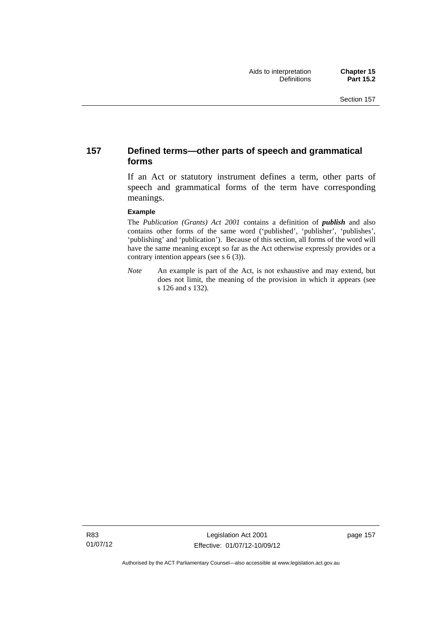## **157 Defined terms—other parts of speech and grammatical forms**

If an Act or statutory instrument defines a term, other parts of speech and grammatical forms of the term have corresponding meanings.

#### **Example**

The *Publication (Grants) Act 2001* contains a definition of *publish* and also contains other forms of the same word ('published', 'publisher', 'publishes', 'publishing' and 'publication'). Because of this section, all forms of the word will have the same meaning except so far as the Act otherwise expressly provides or a contrary intention appears (see s 6 (3)).

*Note* An example is part of the Act, is not exhaustive and may extend, but does not limit, the meaning of the provision in which it appears (see s 126 and s 132).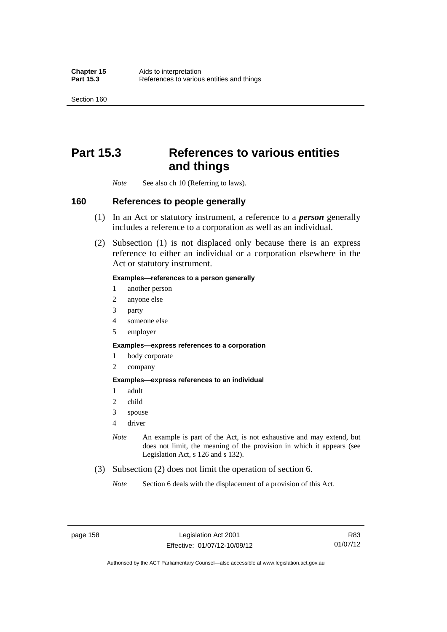Section 160

# **Part 15.3 References to various entities and things**

*Note* See also ch 10 (Referring to laws).

### **160 References to people generally**

- (1) In an Act or statutory instrument, a reference to a *person* generally includes a reference to a corporation as well as an individual.
- (2) Subsection (1) is not displaced only because there is an express reference to either an individual or a corporation elsewhere in the Act or statutory instrument.

#### **Examples—references to a person generally**

- 1 another person
- 2 anyone else
- 3 party
- 4 someone else
- 5 employer

#### **Examples—express references to a corporation**

- 1 body corporate
- 2 company

#### **Examples—express references to an individual**

- 1 adult
- 2 child
- 3 spouse
- 4 driver
- *Note* An example is part of the Act, is not exhaustive and may extend, but does not limit, the meaning of the provision in which it appears (see Legislation Act, s 126 and s 132).
- (3) Subsection (2) does not limit the operation of section 6.
	- *Note* Section 6 deals with the displacement of a provision of this Act.

R83 01/07/12

Authorised by the ACT Parliamentary Counsel—also accessible at www.legislation.act.gov.au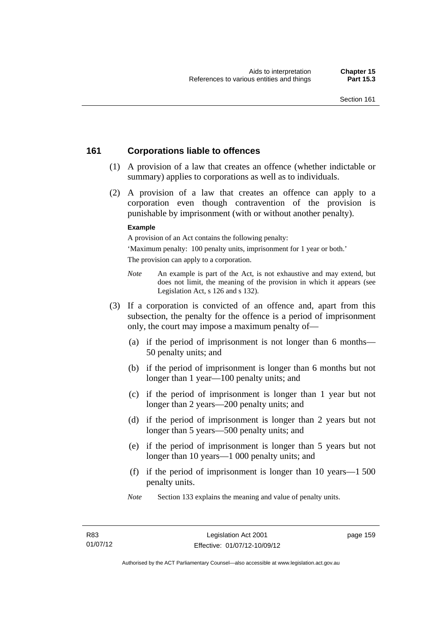## **161 Corporations liable to offences**

- (1) A provision of a law that creates an offence (whether indictable or summary) applies to corporations as well as to individuals.
- (2) A provision of a law that creates an offence can apply to a corporation even though contravention of the provision is punishable by imprisonment (with or without another penalty).

#### **Example**

A provision of an Act contains the following penalty:

'Maximum penalty: 100 penalty units, imprisonment for 1 year or both.' The provision can apply to a corporation.

- *Note* An example is part of the Act, is not exhaustive and may extend, but does not limit, the meaning of the provision in which it appears (see Legislation Act, s 126 and s 132).
- (3) If a corporation is convicted of an offence and, apart from this subsection, the penalty for the offence is a period of imprisonment only, the court may impose a maximum penalty of—
	- (a) if the period of imprisonment is not longer than 6 months— 50 penalty units; and
	- (b) if the period of imprisonment is longer than 6 months but not longer than 1 year—100 penalty units; and
	- (c) if the period of imprisonment is longer than 1 year but not longer than 2 years—200 penalty units; and
	- (d) if the period of imprisonment is longer than 2 years but not longer than 5 years—500 penalty units; and
	- (e) if the period of imprisonment is longer than 5 years but not longer than 10 years—1 000 penalty units; and
	- (f) if the period of imprisonment is longer than 10 years—1 500 penalty units.
	- *Note* Section 133 explains the meaning and value of penalty units.

page 159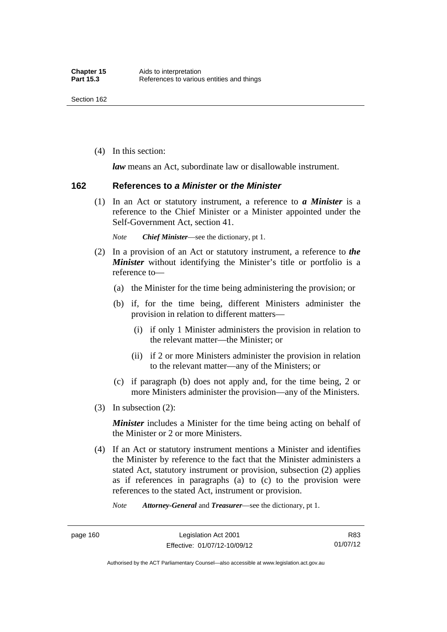(4) In this section:

*law* means an Act, subordinate law or disallowable instrument.

#### **162 References to** *a Minister* **or** *the Minister*

 (1) In an Act or statutory instrument, a reference to *a Minister* is a reference to the Chief Minister or a Minister appointed under the Self-Government Act, section 41.

*Note Chief Minister*—see the dictionary, pt 1.

- (2) In a provision of an Act or statutory instrument, a reference to *the Minister* without identifying the Minister's title or portfolio is a reference to—
	- (a) the Minister for the time being administering the provision; or
	- (b) if, for the time being, different Ministers administer the provision in relation to different matters—
		- (i) if only 1 Minister administers the provision in relation to the relevant matter—the Minister; or
		- (ii) if 2 or more Ministers administer the provision in relation to the relevant matter—any of the Ministers; or
	- (c) if paragraph (b) does not apply and, for the time being, 2 or more Ministers administer the provision—any of the Ministers.
- (3) In subsection (2):

*Minister* includes a Minister for the time being acting on behalf of the Minister or 2 or more Ministers.

 (4) If an Act or statutory instrument mentions a Minister and identifies the Minister by reference to the fact that the Minister administers a stated Act, statutory instrument or provision, subsection (2) applies as if references in paragraphs (a) to (c) to the provision were references to the stated Act, instrument or provision.

*Note Attorney-General* and *Treasurer*—see the dictionary, pt 1.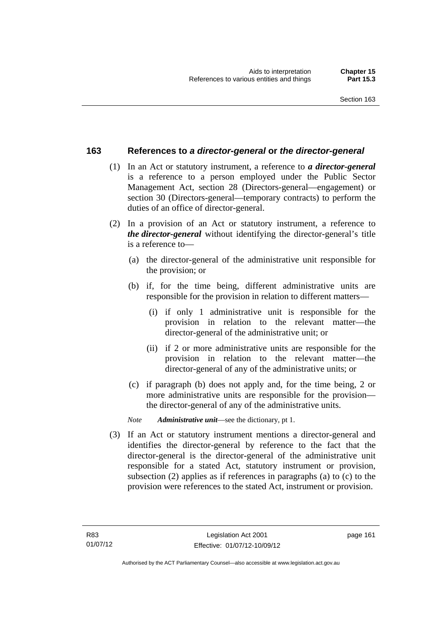## **163 References to** *a director-general* **or** *the director-general*

- (1) In an Act or statutory instrument, a reference to *a director-general* is a reference to a person employed under the Public Sector Management Act, section 28 (Directors-general—engagement) or section 30 (Directors-general—temporary contracts) to perform the duties of an office of director-general.
- (2) In a provision of an Act or statutory instrument, a reference to *the director-general* without identifying the director-general's title is a reference to—
	- (a) the director-general of the administrative unit responsible for the provision; or
	- (b) if, for the time being, different administrative units are responsible for the provision in relation to different matters—
		- (i) if only 1 administrative unit is responsible for the provision in relation to the relevant matter—the director-general of the administrative unit; or
		- (ii) if 2 or more administrative units are responsible for the provision in relation to the relevant matter—the director-general of any of the administrative units; or
	- (c) if paragraph (b) does not apply and, for the time being, 2 or more administrative units are responsible for the provision the director-general of any of the administrative units.
	- *Note Administrative unit*—see the dictionary, pt 1.
- (3) If an Act or statutory instrument mentions a director-general and identifies the director-general by reference to the fact that the director-general is the director-general of the administrative unit responsible for a stated Act, statutory instrument or provision, subsection (2) applies as if references in paragraphs (a) to (c) to the provision were references to the stated Act, instrument or provision.

page 161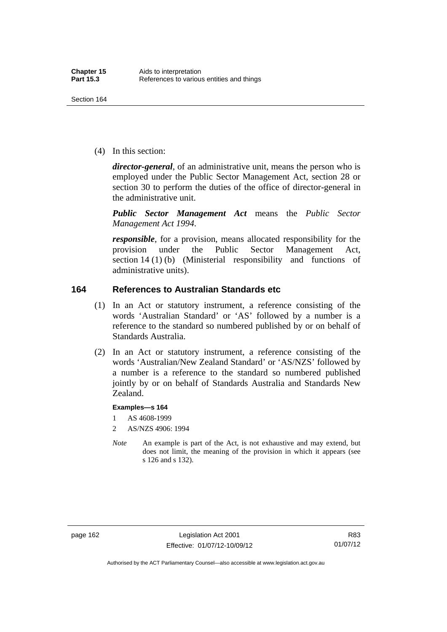(4) In this section:

*director-general*, of an administrative unit, means the person who is employed under the Public Sector Management Act, section 28 or section 30 to perform the duties of the office of director-general in the administrative unit.

*Public Sector Management Act* means the *Public Sector Management Act 1994*.

*responsible*, for a provision, means allocated responsibility for the provision under the Public Sector Management Act, section 14 (1) (b) (Ministerial responsibility and functions of administrative units).

## **164 References to Australian Standards etc**

- (1) In an Act or statutory instrument, a reference consisting of the words 'Australian Standard' or 'AS' followed by a number is a reference to the standard so numbered published by or on behalf of Standards Australia.
- (2) In an Act or statutory instrument, a reference consisting of the words 'Australian/New Zealand Standard' or 'AS/NZS' followed by a number is a reference to the standard so numbered published jointly by or on behalf of Standards Australia and Standards New Zealand.

#### **Examples—s 164**

- 1 AS 4608-1999
- 2 AS/NZS 4906: 1994
- *Note* An example is part of the Act, is not exhaustive and may extend, but does not limit, the meaning of the provision in which it appears (see s 126 and s 132).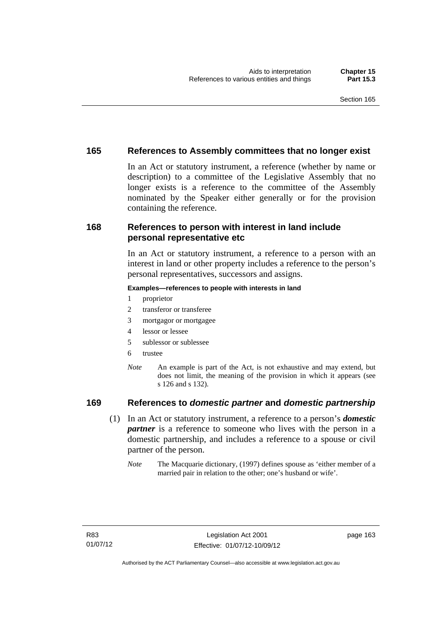## **165 References to Assembly committees that no longer exist**

In an Act or statutory instrument, a reference (whether by name or description) to a committee of the Legislative Assembly that no longer exists is a reference to the committee of the Assembly nominated by the Speaker either generally or for the provision containing the reference.

## **168 References to person with interest in land include personal representative etc**

In an Act or statutory instrument, a reference to a person with an interest in land or other property includes a reference to the person's personal representatives, successors and assigns.

#### **Examples—references to people with interests in land**

- 1 proprietor
- 2 transferor or transferee
- 3 mortgagor or mortgagee
- 4 lessor or lessee
- 5 sublessor or sublessee
- 6 trustee
- *Note* An example is part of the Act, is not exhaustive and may extend, but does not limit, the meaning of the provision in which it appears (see s 126 and s 132).

## **169 References to** *domestic partner* **and** *domestic partnership*

- (1) In an Act or statutory instrument, a reference to a person's *domestic partner* is a reference to someone who lives with the person in a domestic partnership, and includes a reference to a spouse or civil partner of the person.
	- *Note* The Macquarie dictionary, (1997) defines spouse as 'either member of a married pair in relation to the other; one's husband or wife'.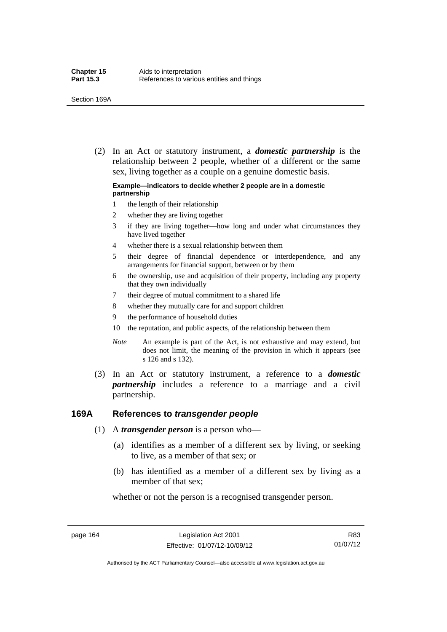(2) In an Act or statutory instrument, a *domestic partnership* is the relationship between 2 people, whether of a different or the same sex, living together as a couple on a genuine domestic basis.

#### **Example—indicators to decide whether 2 people are in a domestic partnership**

- 1 the length of their relationship
- 2 whether they are living together
- 3 if they are living together—how long and under what circumstances they have lived together
- 4 whether there is a sexual relationship between them
- 5 their degree of financial dependence or interdependence, and any arrangements for financial support, between or by them
- 6 the ownership, use and acquisition of their property, including any property that they own individually
- 7 their degree of mutual commitment to a shared life
- 8 whether they mutually care for and support children
- 9 the performance of household duties
- 10 the reputation, and public aspects, of the relationship between them
- *Note* An example is part of the Act, is not exhaustive and may extend, but does not limit, the meaning of the provision in which it appears (see s 126 and s 132).
- (3) In an Act or statutory instrument, a reference to a *domestic partnership* includes a reference to a marriage and a civil partnership.

#### **169A References to** *transgender people*

- (1) A *transgender person* is a person who—
	- (a) identifies as a member of a different sex by living, or seeking to live, as a member of that sex; or
	- (b) has identified as a member of a different sex by living as a member of that sex;

whether or not the person is a recognised transgender person.

page 164 Legislation Act 2001 Effective: 01/07/12-10/09/12

R83 01/07/12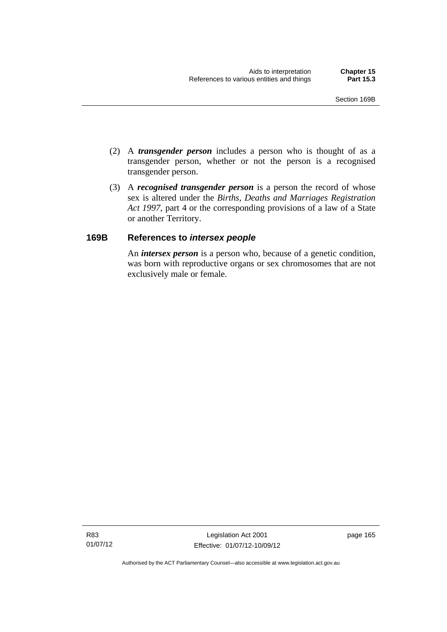- (2) A *transgender person* includes a person who is thought of as a transgender person, whether or not the person is a recognised transgender person.
- (3) A *recognised transgender person* is a person the record of whose sex is altered under the *Births, Deaths and Marriages Registration Act 1997*, part 4 or the corresponding provisions of a law of a State or another Territory.

## **169B References to** *intersex people*

An *intersex person* is a person who, because of a genetic condition, was born with reproductive organs or sex chromosomes that are not exclusively male or female.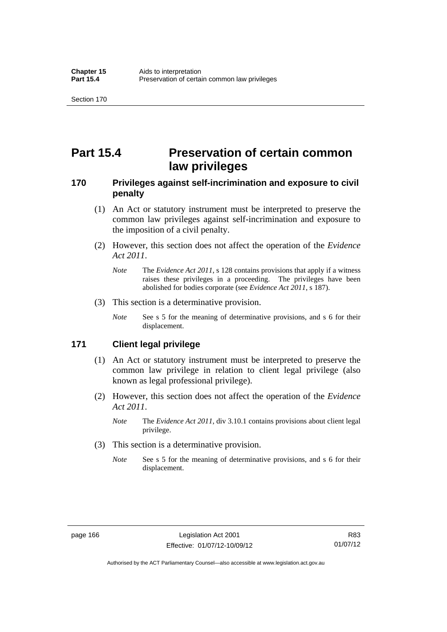# **Part 15.4 Preservation of certain common law privileges**

## **170 Privileges against self-incrimination and exposure to civil penalty**

- (1) An Act or statutory instrument must be interpreted to preserve the common law privileges against self-incrimination and exposure to the imposition of a civil penalty.
- (2) However, this section does not affect the operation of the *Evidence Act 2011*.
	- *Note* The *Evidence Act 2011*, s 128 contains provisions that apply if a witness raises these privileges in a proceeding. The privileges have been abolished for bodies corporate (see *Evidence Act 2011*, s 187).
- (3) This section is a determinative provision.
	- *Note* See s 5 for the meaning of determinative provisions, and s 6 for their displacement.

## **171 Client legal privilege**

- (1) An Act or statutory instrument must be interpreted to preserve the common law privilege in relation to client legal privilege (also known as legal professional privilege).
- (2) However, this section does not affect the operation of the *Evidence Act 2011*.
	- *Note* The *Evidence Act 2011*, div 3.10.1 contains provisions about client legal privilege.
- (3) This section is a determinative provision.
	- *Note* See s 5 for the meaning of determinative provisions, and s 6 for their displacement.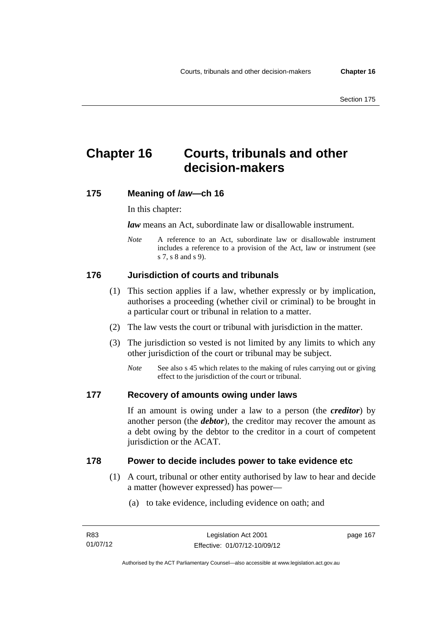# **Chapter 16 Courts, tribunals and other decision-makers**

## **175 Meaning of** *law***—ch 16**

In this chapter:

*law* means an Act, subordinate law or disallowable instrument.

*Note* A reference to an Act, subordinate law or disallowable instrument includes a reference to a provision of the Act, law or instrument (see s 7, s 8 and s 9).

## **176 Jurisdiction of courts and tribunals**

- (1) This section applies if a law, whether expressly or by implication, authorises a proceeding (whether civil or criminal) to be brought in a particular court or tribunal in relation to a matter.
- (2) The law vests the court or tribunal with jurisdiction in the matter.
- (3) The jurisdiction so vested is not limited by any limits to which any other jurisdiction of the court or tribunal may be subject.
	- *Note* See also s 45 which relates to the making of rules carrying out or giving effect to the jurisdiction of the court or tribunal.

## **177 Recovery of amounts owing under laws**

If an amount is owing under a law to a person (the *creditor*) by another person (the *debtor*), the creditor may recover the amount as a debt owing by the debtor to the creditor in a court of competent jurisdiction or the ACAT.

### **178 Power to decide includes power to take evidence etc**

- (1) A court, tribunal or other entity authorised by law to hear and decide a matter (however expressed) has power—
	- (a) to take evidence, including evidence on oath; and

page 167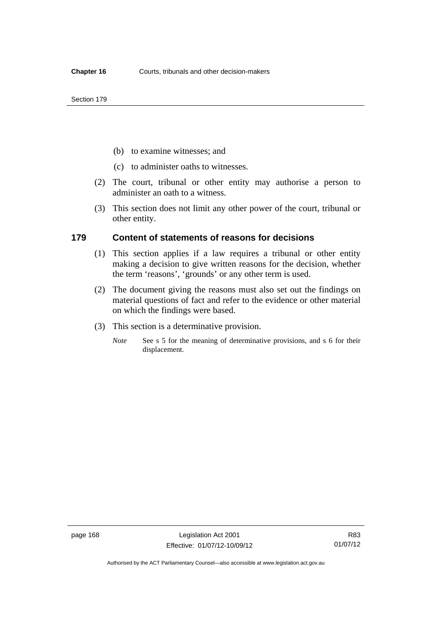- (b) to examine witnesses; and
- (c) to administer oaths to witnesses.
- (2) The court, tribunal or other entity may authorise a person to administer an oath to a witness.
- (3) This section does not limit any other power of the court, tribunal or other entity.

### **179 Content of statements of reasons for decisions**

- (1) This section applies if a law requires a tribunal or other entity making a decision to give written reasons for the decision, whether the term 'reasons', 'grounds' or any other term is used.
- (2) The document giving the reasons must also set out the findings on material questions of fact and refer to the evidence or other material on which the findings were based.
- (3) This section is a determinative provision.
	- *Note* See s 5 for the meaning of determinative provisions, and s 6 for their displacement.

R83 01/07/12

Authorised by the ACT Parliamentary Counsel—also accessible at www.legislation.act.gov.au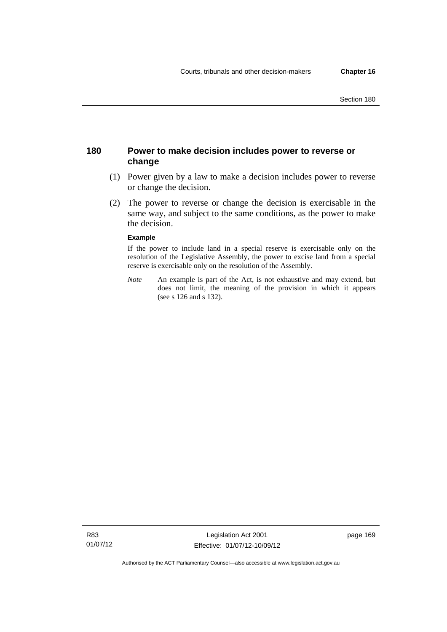## **180 Power to make decision includes power to reverse or change**

- (1) Power given by a law to make a decision includes power to reverse or change the decision.
- (2) The power to reverse or change the decision is exercisable in the same way, and subject to the same conditions, as the power to make the decision.

#### **Example**

If the power to include land in a special reserve is exercisable only on the resolution of the Legislative Assembly, the power to excise land from a special reserve is exercisable only on the resolution of the Assembly.

*Note* An example is part of the Act, is not exhaustive and may extend, but does not limit, the meaning of the provision in which it appears (see s 126 and s 132).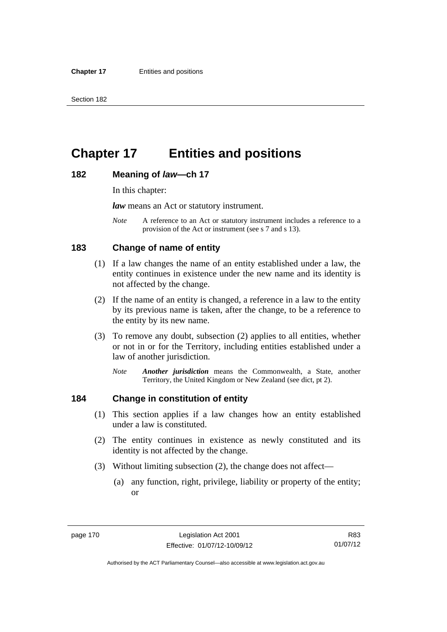# **Chapter 17 Entities and positions**

### **182 Meaning of** *law***—ch 17**

In this chapter:

*law* means an Act or statutory instrument.

*Note* A reference to an Act or statutory instrument includes a reference to a provision of the Act or instrument (see s 7 and s 13).

## **183 Change of name of entity**

- (1) If a law changes the name of an entity established under a law, the entity continues in existence under the new name and its identity is not affected by the change.
- (2) If the name of an entity is changed, a reference in a law to the entity by its previous name is taken, after the change, to be a reference to the entity by its new name.
- (3) To remove any doubt, subsection (2) applies to all entities, whether or not in or for the Territory, including entities established under a law of another jurisdiction.
	- *Note Another jurisdiction* means the Commonwealth, a State, another Territory, the United Kingdom or New Zealand (see dict, pt 2).

## **184 Change in constitution of entity**

- (1) This section applies if a law changes how an entity established under a law is constituted.
- (2) The entity continues in existence as newly constituted and its identity is not affected by the change.
- (3) Without limiting subsection (2), the change does not affect—
	- (a) any function, right, privilege, liability or property of the entity; or

R83 01/07/12

Authorised by the ACT Parliamentary Counsel—also accessible at www.legislation.act.gov.au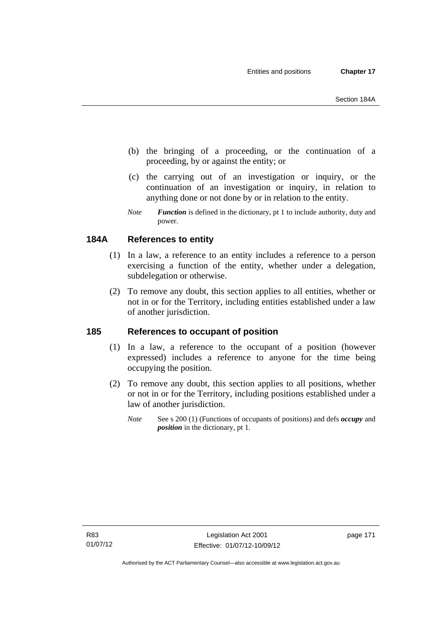- (b) the bringing of a proceeding, or the continuation of a proceeding, by or against the entity; or
- (c) the carrying out of an investigation or inquiry, or the continuation of an investigation or inquiry, in relation to anything done or not done by or in relation to the entity.
- *Note Function* is defined in the dictionary, pt 1 to include authority, duty and power.

# **184A References to entity**

- (1) In a law, a reference to an entity includes a reference to a person exercising a function of the entity, whether under a delegation, subdelegation or otherwise.
- (2) To remove any doubt, this section applies to all entities, whether or not in or for the Territory, including entities established under a law of another jurisdiction.

## **185 References to occupant of position**

- (1) In a law, a reference to the occupant of a position (however expressed) includes a reference to anyone for the time being occupying the position.
- (2) To remove any doubt, this section applies to all positions, whether or not in or for the Territory, including positions established under a law of another jurisdiction.
	- *Note* See s 200 (1) (Functions of occupants of positions) and defs *occupy* and *position* in the dictionary, pt 1.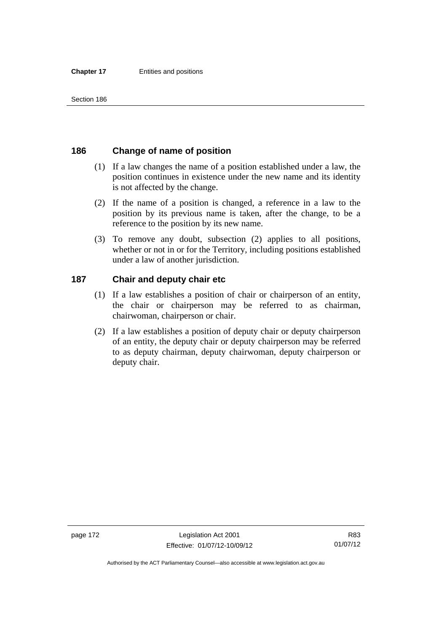## **186 Change of name of position**

- (1) If a law changes the name of a position established under a law, the position continues in existence under the new name and its identity is not affected by the change.
- (2) If the name of a position is changed, a reference in a law to the position by its previous name is taken, after the change, to be a reference to the position by its new name.
- (3) To remove any doubt, subsection (2) applies to all positions, whether or not in or for the Territory, including positions established under a law of another jurisdiction.

## **187 Chair and deputy chair etc**

- (1) If a law establishes a position of chair or chairperson of an entity, the chair or chairperson may be referred to as chairman, chairwoman, chairperson or chair.
- (2) If a law establishes a position of deputy chair or deputy chairperson of an entity, the deputy chair or deputy chairperson may be referred to as deputy chairman, deputy chairwoman, deputy chairperson or deputy chair.

R83 01/07/12

Authorised by the ACT Parliamentary Counsel—also accessible at www.legislation.act.gov.au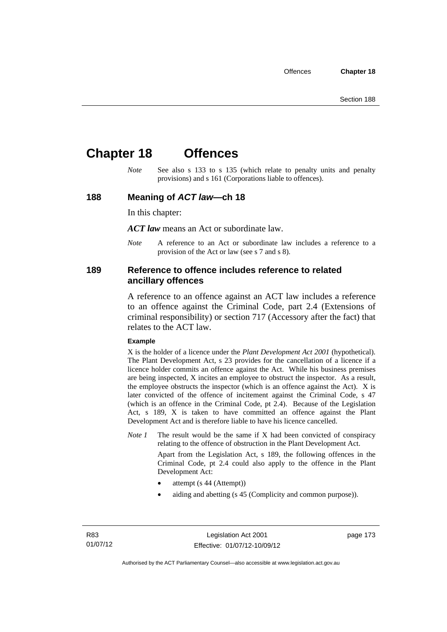# **Chapter 18 Offences**

*Note* See also s 133 to s 135 (which relate to penalty units and penalty provisions) and s 161 (Corporations liable to offences).

### **188 Meaning of** *ACT law***—ch 18**

In this chapter:

*ACT law* means an Act or subordinate law.

*Note* A reference to an Act or subordinate law includes a reference to a provision of the Act or law (see s 7 and s 8).

## **189 Reference to offence includes reference to related ancillary offences**

A reference to an offence against an ACT law includes a reference to an offence against the Criminal Code, part 2.4 (Extensions of criminal responsibility) or section 717 (Accessory after the fact) that relates to the ACT law.

#### **Example**

X is the holder of a licence under the *Plant Development Act 2001* (hypothetical). The Plant Development Act, s 23 provides for the cancellation of a licence if a licence holder commits an offence against the Act. While his business premises are being inspected, X incites an employee to obstruct the inspector. As a result, the employee obstructs the inspector (which is an offence against the Act). X is later convicted of the offence of incitement against the Criminal Code, s 47 (which is an offence in the Criminal Code, pt 2.4). Because of the Legislation Act, s 189, X is taken to have committed an offence against the Plant Development Act and is therefore liable to have his licence cancelled.

*Note 1* The result would be the same if X had been convicted of conspiracy relating to the offence of obstruction in the Plant Development Act.

> Apart from the Legislation Act, s 189, the following offences in the Criminal Code, pt 2.4 could also apply to the offence in the Plant Development Act:

- attempt (s 44 (Attempt))
- aiding and abetting (s 45 (Complicity and common purpose)).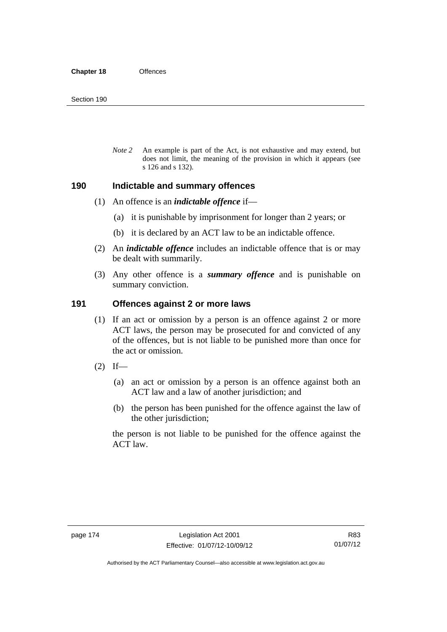*Note 2* An example is part of the Act, is not exhaustive and may extend, but does not limit, the meaning of the provision in which it appears (see s 126 and s 132).

#### **190 Indictable and summary offences**

- (1) An offence is an *indictable offence* if—
	- (a) it is punishable by imprisonment for longer than 2 years; or
	- (b) it is declared by an ACT law to be an indictable offence.
- (2) An *indictable offence* includes an indictable offence that is or may be dealt with summarily.
- (3) Any other offence is a *summary offence* and is punishable on summary conviction.

## **191 Offences against 2 or more laws**

- (1) If an act or omission by a person is an offence against 2 or more ACT laws, the person may be prosecuted for and convicted of any of the offences, but is not liable to be punished more than once for the act or omission.
- $(2)$  If—
	- (a) an act or omission by a person is an offence against both an ACT law and a law of another jurisdiction; and
	- (b) the person has been punished for the offence against the law of the other jurisdiction;

the person is not liable to be punished for the offence against the ACT law.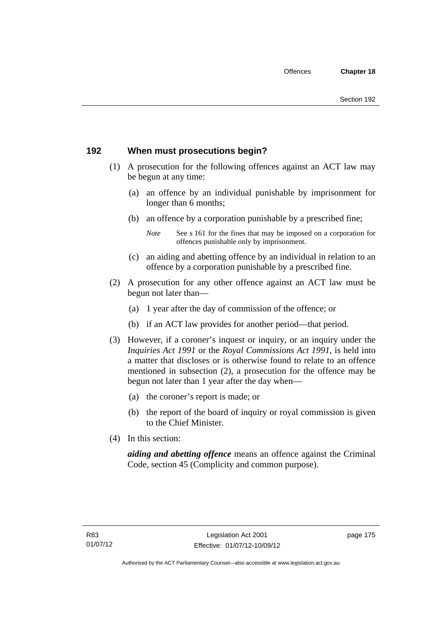## **192 When must prosecutions begin?**

- (1) A prosecution for the following offences against an ACT law may be begun at any time:
	- (a) an offence by an individual punishable by imprisonment for longer than 6 months;
	- (b) an offence by a corporation punishable by a prescribed fine;
		- *Note* See s 161 for the fines that may be imposed on a corporation for offences punishable only by imprisonment.
	- (c) an aiding and abetting offence by an individual in relation to an offence by a corporation punishable by a prescribed fine.
- (2) A prosecution for any other offence against an ACT law must be begun not later than—
	- (a) 1 year after the day of commission of the offence; or
	- (b) if an ACT law provides for another period—that period.
- (3) However, if a coroner's inquest or inquiry, or an inquiry under the *Inquiries Act 1991* or the *Royal Commissions Act 1991*, is held into a matter that discloses or is otherwise found to relate to an offence mentioned in subsection (2), a prosecution for the offence may be begun not later than 1 year after the day when—
	- (a) the coroner's report is made; or
	- (b) the report of the board of inquiry or royal commission is given to the Chief Minister.
- (4) In this section:

*aiding and abetting offence* means an offence against the Criminal Code, section 45 (Complicity and common purpose).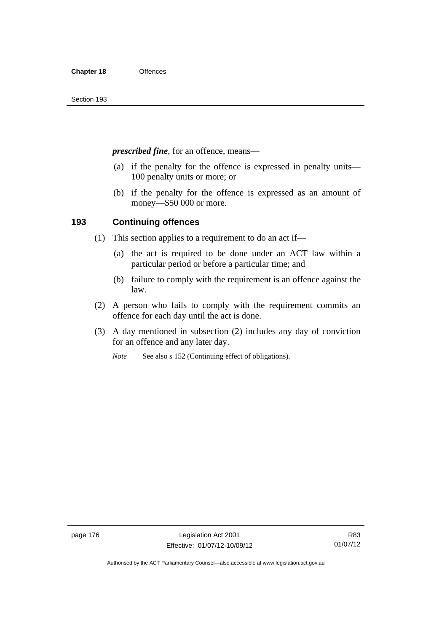*prescribed fine*, for an offence, means—

- (a) if the penalty for the offence is expressed in penalty units— 100 penalty units or more; or
- (b) if the penalty for the offence is expressed as an amount of money—\$50 000 or more.

## **193 Continuing offences**

- (1) This section applies to a requirement to do an act if—
	- (a) the act is required to be done under an ACT law within a particular period or before a particular time; and
	- (b) failure to comply with the requirement is an offence against the law.
- (2) A person who fails to comply with the requirement commits an offence for each day until the act is done.
- (3) A day mentioned in subsection (2) includes any day of conviction for an offence and any later day.

*Note* See also s 152 (Continuing effect of obligations).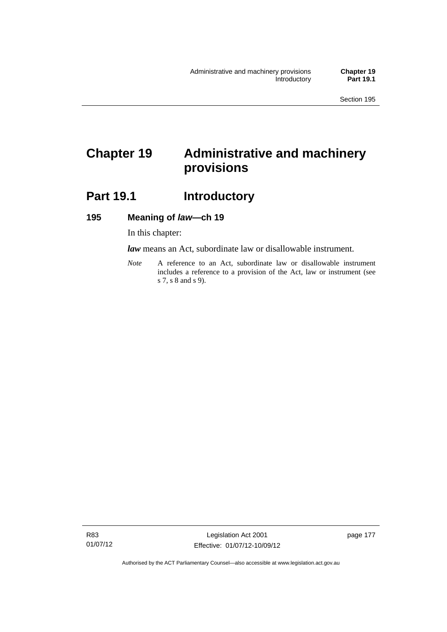# **Chapter 19 Administrative and machinery provisions**

# **Part 19.1 Introductory**

### **195 Meaning of** *law***—ch 19**

In this chapter:

*law* means an Act, subordinate law or disallowable instrument.

*Note* A reference to an Act, subordinate law or disallowable instrument includes a reference to a provision of the Act, law or instrument (see s 7, s 8 and s 9).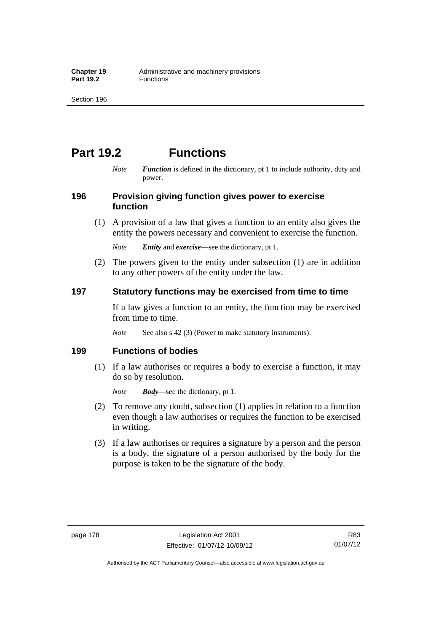# **Part 19.2 Functions**

*Note Function* is defined in the dictionary, pt 1 to include authority, duty and power.

## **196 Provision giving function gives power to exercise function**

 (1) A provision of a law that gives a function to an entity also gives the entity the powers necessary and convenient to exercise the function.

*Note Entity* and *exercise*—see the dictionary, pt 1.

 (2) The powers given to the entity under subsection (1) are in addition to any other powers of the entity under the law.

## **197 Statutory functions may be exercised from time to time**

If a law gives a function to an entity, the function may be exercised from time to time.

*Note* See also s 42 (3) (Power to make statutory instruments).

## **199 Functions of bodies**

 (1) If a law authorises or requires a body to exercise a function, it may do so by resolution.

*Note Body*—see the dictionary, pt 1.

- (2) To remove any doubt, subsection (1) applies in relation to a function even though a law authorises or requires the function to be exercised in writing.
- (3) If a law authorises or requires a signature by a person and the person is a body, the signature of a person authorised by the body for the purpose is taken to be the signature of the body.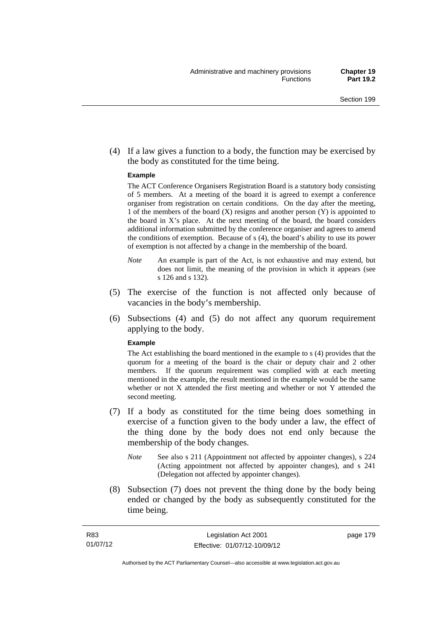(4) If a law gives a function to a body, the function may be exercised by the body as constituted for the time being.

#### **Example**

The ACT Conference Organisers Registration Board is a statutory body consisting of 5 members. At a meeting of the board it is agreed to exempt a conference organiser from registration on certain conditions. On the day after the meeting, 1 of the members of the board (X) resigns and another person (Y) is appointed to the board in  $X$ 's place. At the next meeting of the board, the board considers additional information submitted by the conference organiser and agrees to amend the conditions of exemption. Because of s (4), the board's ability to use its power of exemption is not affected by a change in the membership of the board.

- *Note* An example is part of the Act, is not exhaustive and may extend, but does not limit, the meaning of the provision in which it appears (see s 126 and s 132).
- (5) The exercise of the function is not affected only because of vacancies in the body's membership.
- (6) Subsections (4) and (5) do not affect any quorum requirement applying to the body.

#### **Example**

The Act establishing the board mentioned in the example to s (4) provides that the quorum for a meeting of the board is the chair or deputy chair and 2 other members. If the quorum requirement was complied with at each meeting mentioned in the example, the result mentioned in the example would be the same whether or not X attended the first meeting and whether or not Y attended the second meeting.

- (7) If a body as constituted for the time being does something in exercise of a function given to the body under a law, the effect of the thing done by the body does not end only because the membership of the body changes.
	- *Note* See also s 211 (Appointment not affected by appointer changes), s 224 (Acting appointment not affected by appointer changes), and s 241 (Delegation not affected by appointer changes).
- (8) Subsection (7) does not prevent the thing done by the body being ended or changed by the body as subsequently constituted for the time being.

page 179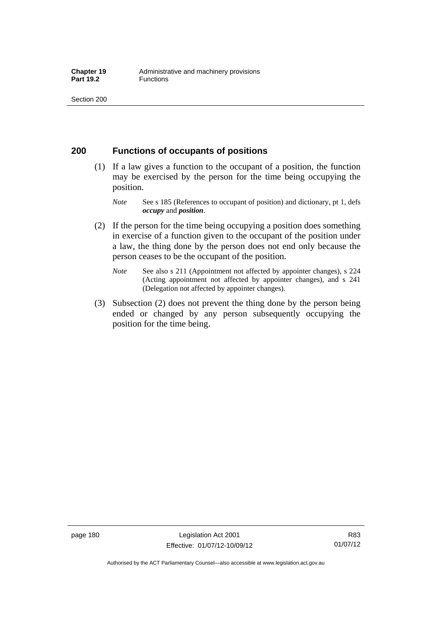## **200 Functions of occupants of positions**

- (1) If a law gives a function to the occupant of a position, the function may be exercised by the person for the time being occupying the position.
	- *Note* See s 185 (References to occupant of position) and dictionary, pt 1, defs *occupy* and *position*.
- (2) If the person for the time being occupying a position does something in exercise of a function given to the occupant of the position under a law, the thing done by the person does not end only because the person ceases to be the occupant of the position.
	- *Note* See also s 211 (Appointment not affected by appointer changes), s 224 (Acting appointment not affected by appointer changes), and s 241 (Delegation not affected by appointer changes).
- (3) Subsection (2) does not prevent the thing done by the person being ended or changed by any person subsequently occupying the position for the time being.

R83 01/07/12

Authorised by the ACT Parliamentary Counsel—also accessible at www.legislation.act.gov.au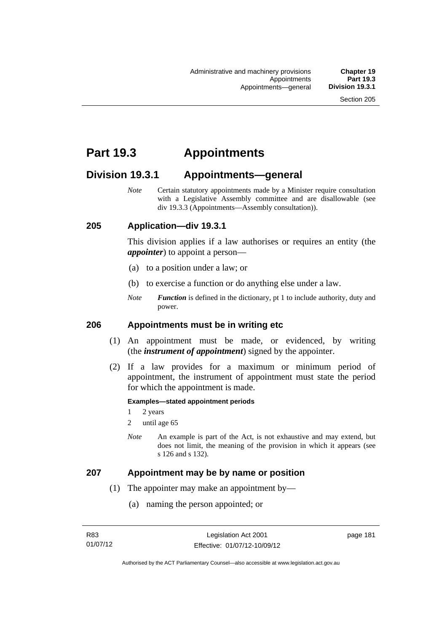# **Part 19.3 Appointments**

# **Division 19.3.1 Appointments—general**

*Note* Certain statutory appointments made by a Minister require consultation with a Legislative Assembly committee and are disallowable (see div 19.3.3 (Appointments—Assembly consultation)).

## **205 Application—div 19.3.1**

This division applies if a law authorises or requires an entity (the *appointer*) to appoint a person—

- (a) to a position under a law; or
- (b) to exercise a function or do anything else under a law.
- *Note Function* is defined in the dictionary, pt 1 to include authority, duty and power.

## **206 Appointments must be in writing etc**

- (1) An appointment must be made, or evidenced, by writing (the *instrument of appointment*) signed by the appointer.
- (2) If a law provides for a maximum or minimum period of appointment, the instrument of appointment must state the period for which the appointment is made.

#### **Examples—stated appointment periods**

- 1 2 years
- 2 until age 65
- *Note* An example is part of the Act, is not exhaustive and may extend, but does not limit, the meaning of the provision in which it appears (see s 126 and s 132).

### **207 Appointment may be by name or position**

- (1) The appointer may make an appointment by—
	- (a) naming the person appointed; or

page 181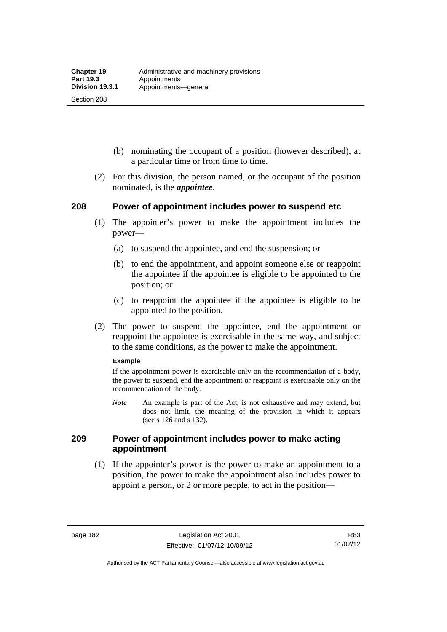Section 208

- (b) nominating the occupant of a position (however described), at a particular time or from time to time.
- (2) For this division, the person named, or the occupant of the position nominated, is the *appointee*.

## **208 Power of appointment includes power to suspend etc**

- (1) The appointer's power to make the appointment includes the power—
	- (a) to suspend the appointee, and end the suspension; or
	- (b) to end the appointment, and appoint someone else or reappoint the appointee if the appointee is eligible to be appointed to the position; or
	- (c) to reappoint the appointee if the appointee is eligible to be appointed to the position.
- (2) The power to suspend the appointee, end the appointment or reappoint the appointee is exercisable in the same way, and subject to the same conditions, as the power to make the appointment.

#### **Example**

If the appointment power is exercisable only on the recommendation of a body, the power to suspend, end the appointment or reappoint is exercisable only on the recommendation of the body.

*Note* An example is part of the Act, is not exhaustive and may extend, but does not limit, the meaning of the provision in which it appears (see s 126 and s 132).

## **209 Power of appointment includes power to make acting appointment**

 (1) If the appointer's power is the power to make an appointment to a position, the power to make the appointment also includes power to appoint a person, or 2 or more people, to act in the position—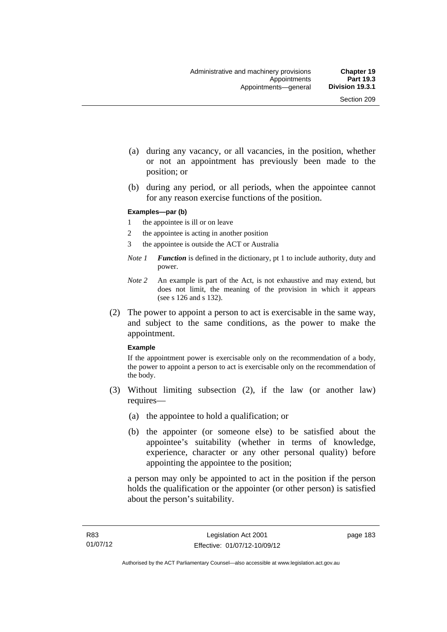- (a) during any vacancy, or all vacancies, in the position, whether or not an appointment has previously been made to the position; or
- (b) during any period, or all periods, when the appointee cannot for any reason exercise functions of the position.

#### **Examples—par (b)**

- 1 the appointee is ill or on leave
- 2 the appointee is acting in another position
- 3 the appointee is outside the ACT or Australia
- *Note 1 Function* is defined in the dictionary, pt 1 to include authority, duty and power.
- *Note 2* An example is part of the Act, is not exhaustive and may extend, but does not limit, the meaning of the provision in which it appears (see s 126 and s 132).
- (2) The power to appoint a person to act is exercisable in the same way, and subject to the same conditions, as the power to make the appointment.

#### **Example**

If the appointment power is exercisable only on the recommendation of a body, the power to appoint a person to act is exercisable only on the recommendation of the body.

- (3) Without limiting subsection (2), if the law (or another law) requires—
	- (a) the appointee to hold a qualification; or
	- (b) the appointer (or someone else) to be satisfied about the appointee's suitability (whether in terms of knowledge, experience, character or any other personal quality) before appointing the appointee to the position;

a person may only be appointed to act in the position if the person holds the qualification or the appointer (or other person) is satisfied about the person's suitability.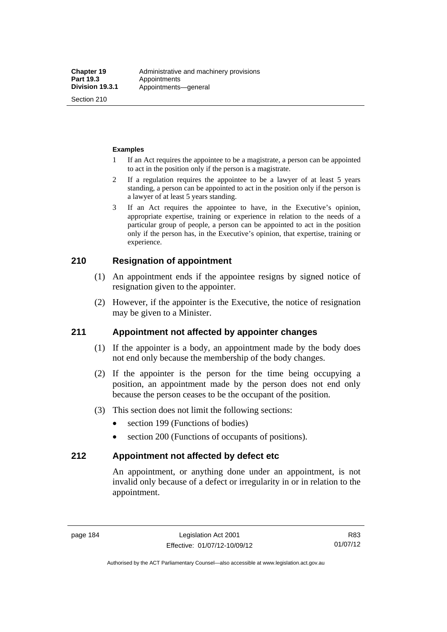Section 210

#### **Examples**

- 1 If an Act requires the appointee to be a magistrate, a person can be appointed to act in the position only if the person is a magistrate.
- 2 If a regulation requires the appointee to be a lawyer of at least 5 years standing, a person can be appointed to act in the position only if the person is a lawyer of at least 5 years standing.
- 3 If an Act requires the appointee to have, in the Executive's opinion, appropriate expertise, training or experience in relation to the needs of a particular group of people, a person can be appointed to act in the position only if the person has, in the Executive's opinion, that expertise, training or experience.

## **210 Resignation of appointment**

- (1) An appointment ends if the appointee resigns by signed notice of resignation given to the appointer.
- (2) However, if the appointer is the Executive, the notice of resignation may be given to a Minister.

## **211 Appointment not affected by appointer changes**

- (1) If the appointer is a body, an appointment made by the body does not end only because the membership of the body changes.
- (2) If the appointer is the person for the time being occupying a position, an appointment made by the person does not end only because the person ceases to be the occupant of the position.
- (3) This section does not limit the following sections:
	- section 199 (Functions of bodies)
	- section 200 (Functions of occupants of positions).

## **212 Appointment not affected by defect etc**

An appointment, or anything done under an appointment, is not invalid only because of a defect or irregularity in or in relation to the appointment.

page 184 Legislation Act 2001 Effective: 01/07/12-10/09/12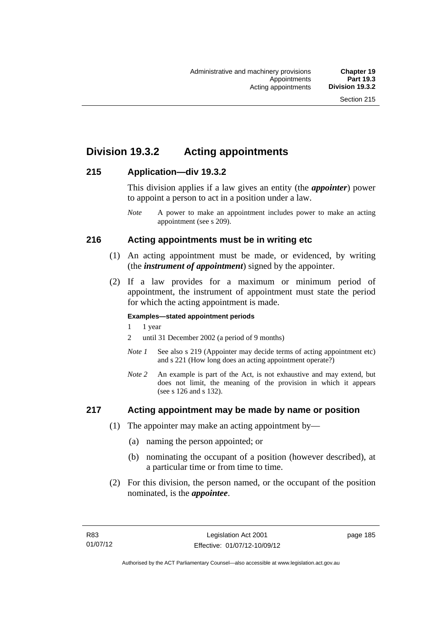# **Division 19.3.2 Acting appointments**

## **215 Application—div 19.3.2**

This division applies if a law gives an entity (the *appointer*) power to appoint a person to act in a position under a law.

## **216 Acting appointments must be in writing etc**

- (1) An acting appointment must be made, or evidenced, by writing (the *instrument of appointment*) signed by the appointer.
- (2) If a law provides for a maximum or minimum period of appointment, the instrument of appointment must state the period for which the acting appointment is made.

### **Examples—stated appointment periods**

- 1 1 year
- 2 until 31 December 2002 (a period of 9 months)
- *Note 1* See also s 219 (Appointer may decide terms of acting appointment etc) and s 221 (How long does an acting appointment operate?)
- *Note 2* An example is part of the Act, is not exhaustive and may extend, but does not limit, the meaning of the provision in which it appears (see s 126 and s 132).

## **217 Acting appointment may be made by name or position**

- (1) The appointer may make an acting appointment by—
	- (a) naming the person appointed; or
	- (b) nominating the occupant of a position (however described), at a particular time or from time to time.
- (2) For this division, the person named, or the occupant of the position nominated, is the *appointee*.

*Note* A power to make an appointment includes power to make an acting appointment (see s 209).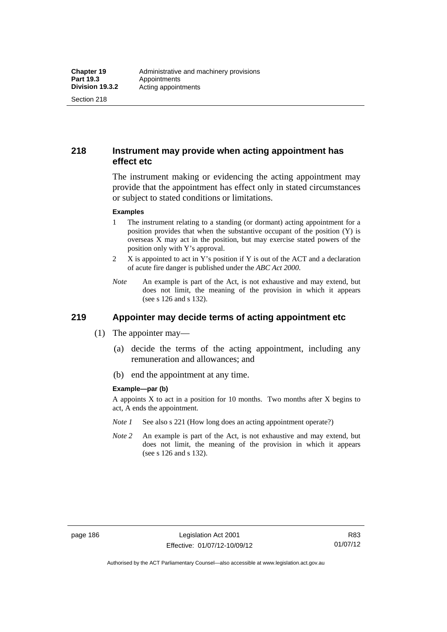Section 218

## **218 Instrument may provide when acting appointment has effect etc**

The instrument making or evidencing the acting appointment may provide that the appointment has effect only in stated circumstances or subject to stated conditions or limitations.

#### **Examples**

- 1 The instrument relating to a standing (or dormant) acting appointment for a position provides that when the substantive occupant of the position (Y) is overseas X may act in the position, but may exercise stated powers of the position only with Y's approval.
- 2 X is appointed to act in Y's position if Y is out of the ACT and a declaration of acute fire danger is published under the *ABC Act 2000*.
- *Note* An example is part of the Act, is not exhaustive and may extend, but does not limit, the meaning of the provision in which it appears (see s 126 and s 132).

# **219 Appointer may decide terms of acting appointment etc**

- (1) The appointer may—
	- (a) decide the terms of the acting appointment, including any remuneration and allowances; and
	- (b) end the appointment at any time.

#### **Example—par (b)**

A appoints X to act in a position for 10 months. Two months after X begins to act, A ends the appointment.

- *Note 1* See also s 221 (How long does an acting appointment operate?)
- *Note 2* An example is part of the Act, is not exhaustive and may extend, but does not limit, the meaning of the provision in which it appears (see s 126 and s 132).

R83 01/07/12

Authorised by the ACT Parliamentary Counsel—also accessible at www.legislation.act.gov.au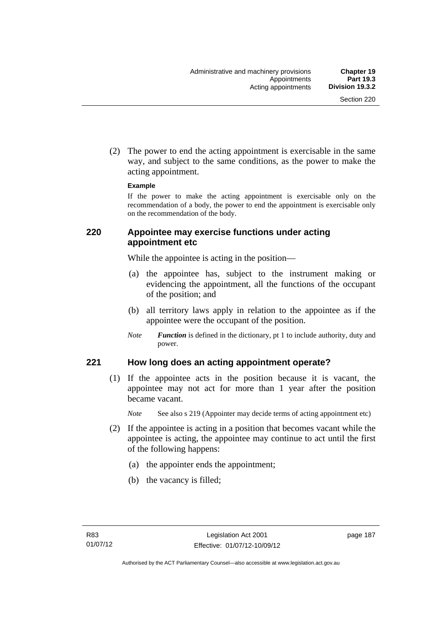(2) The power to end the acting appointment is exercisable in the same way, and subject to the same conditions, as the power to make the acting appointment.

#### **Example**

If the power to make the acting appointment is exercisable only on the recommendation of a body, the power to end the appointment is exercisable only on the recommendation of the body.

## **220 Appointee may exercise functions under acting appointment etc**

While the appointee is acting in the position—

- (a) the appointee has, subject to the instrument making or evidencing the appointment, all the functions of the occupant of the position; and
- (b) all territory laws apply in relation to the appointee as if the appointee were the occupant of the position.
- *Note Function* is defined in the dictionary, pt 1 to include authority, duty and power.

## **221 How long does an acting appointment operate?**

 (1) If the appointee acts in the position because it is vacant, the appointee may not act for more than 1 year after the position became vacant.

*Note* See also s 219 (Appointer may decide terms of acting appointment etc)

- (2) If the appointee is acting in a position that becomes vacant while the appointee is acting, the appointee may continue to act until the first of the following happens:
	- (a) the appointer ends the appointment;
	- (b) the vacancy is filled;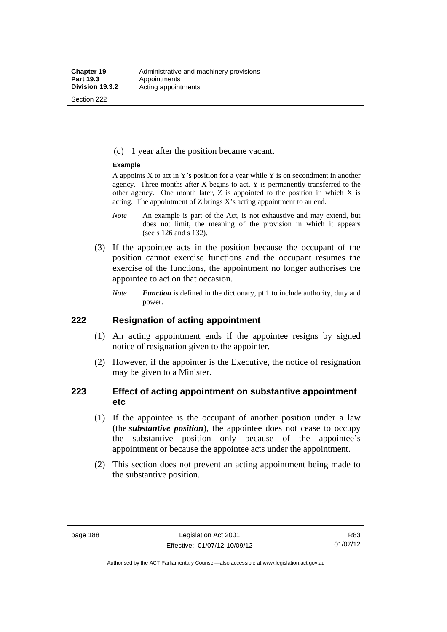Section 222

(c) 1 year after the position became vacant.

#### **Example**

A appoints  $X$  to act in Y's position for a year while Y is on secondment in another agency. Three months after X begins to act, Y is permanently transferred to the other agency. One month later,  $Z$  is appointed to the position in which  $X$  is acting. The appointment of Z brings X's acting appointment to an end.

- *Note* An example is part of the Act, is not exhaustive and may extend, but does not limit, the meaning of the provision in which it appears (see s 126 and s 132).
- (3) If the appointee acts in the position because the occupant of the position cannot exercise functions and the occupant resumes the exercise of the functions, the appointment no longer authorises the appointee to act on that occasion.
	- *Note Function* is defined in the dictionary, pt 1 to include authority, duty and power.

## **222 Resignation of acting appointment**

- (1) An acting appointment ends if the appointee resigns by signed notice of resignation given to the appointer.
- (2) However, if the appointer is the Executive, the notice of resignation may be given to a Minister.

## **223 Effect of acting appointment on substantive appointment etc**

- (1) If the appointee is the occupant of another position under a law (the *substantive position*), the appointee does not cease to occupy the substantive position only because of the appointee's appointment or because the appointee acts under the appointment.
- (2) This section does not prevent an acting appointment being made to the substantive position.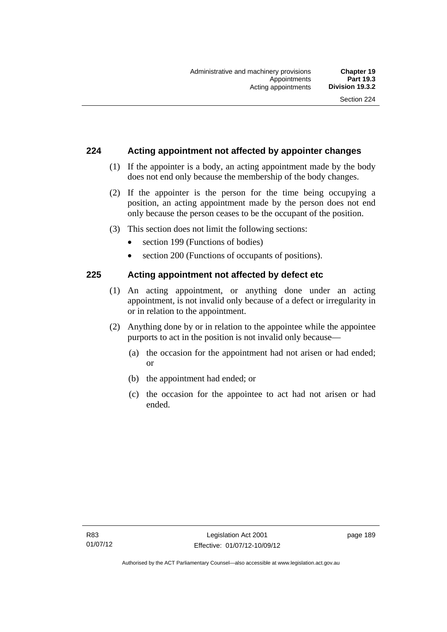## **224 Acting appointment not affected by appointer changes**

- (1) If the appointer is a body, an acting appointment made by the body does not end only because the membership of the body changes.
- (2) If the appointer is the person for the time being occupying a position, an acting appointment made by the person does not end only because the person ceases to be the occupant of the position.
- (3) This section does not limit the following sections:
	- section 199 (Functions of bodies)
	- section 200 (Functions of occupants of positions).

## **225 Acting appointment not affected by defect etc**

- (1) An acting appointment, or anything done under an acting appointment, is not invalid only because of a defect or irregularity in or in relation to the appointment.
- (2) Anything done by or in relation to the appointee while the appointee purports to act in the position is not invalid only because—
	- (a) the occasion for the appointment had not arisen or had ended; or
	- (b) the appointment had ended; or
	- (c) the occasion for the appointee to act had not arisen or had ended.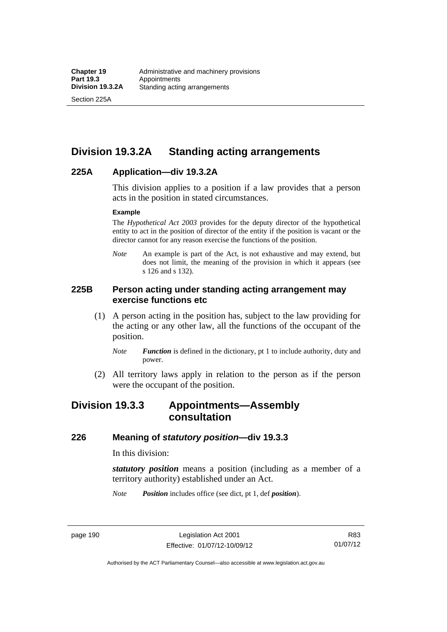Section 225A

# **Division 19.3.2A Standing acting arrangements**

## **225A Application—div 19.3.2A**

This division applies to a position if a law provides that a person acts in the position in stated circumstances.

#### **Example**

The *Hypothetical Act 2003* provides for the deputy director of the hypothetical entity to act in the position of director of the entity if the position is vacant or the director cannot for any reason exercise the functions of the position.

*Note* An example is part of the Act, is not exhaustive and may extend, but does not limit, the meaning of the provision in which it appears (see s 126 and s 132).

## **225B Person acting under standing acting arrangement may exercise functions etc**

- (1) A person acting in the position has, subject to the law providing for the acting or any other law, all the functions of the occupant of the position.
	- *Note Function* is defined in the dictionary, pt 1 to include authority, duty and power.
- (2) All territory laws apply in relation to the person as if the person were the occupant of the position.

# **Division 19.3.3 Appointments—Assembly consultation**

### **226 Meaning of** *statutory position***—div 19.3.3**

In this division:

*statutory position* means a position (including as a member of a territory authority) established under an Act.

*Note Position* includes office (see dict, pt 1, def *position*).

page 190 Legislation Act 2001 Effective: 01/07/12-10/09/12

R83 01/07/12

Authorised by the ACT Parliamentary Counsel—also accessible at www.legislation.act.gov.au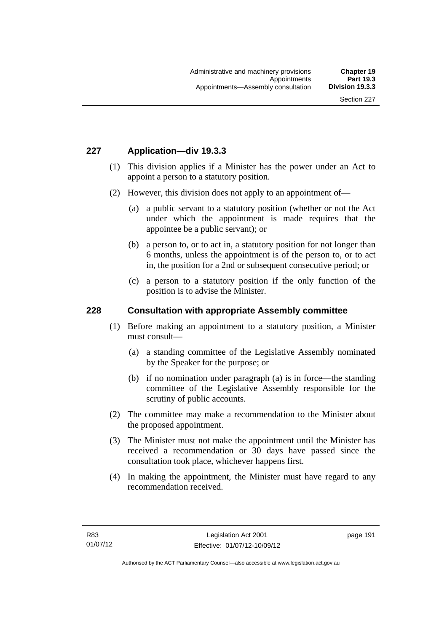## **227 Application—div 19.3.3**

- (1) This division applies if a Minister has the power under an Act to appoint a person to a statutory position.
- (2) However, this division does not apply to an appointment of—
	- (a) a public servant to a statutory position (whether or not the Act under which the appointment is made requires that the appointee be a public servant); or
	- (b) a person to, or to act in, a statutory position for not longer than 6 months, unless the appointment is of the person to, or to act in, the position for a 2nd or subsequent consecutive period; or
	- (c) a person to a statutory position if the only function of the position is to advise the Minister.

### **228 Consultation with appropriate Assembly committee**

- (1) Before making an appointment to a statutory position, a Minister must consult—
	- (a) a standing committee of the Legislative Assembly nominated by the Speaker for the purpose; or
	- (b) if no nomination under paragraph (a) is in force—the standing committee of the Legislative Assembly responsible for the scrutiny of public accounts.
- (2) The committee may make a recommendation to the Minister about the proposed appointment.
- (3) The Minister must not make the appointment until the Minister has received a recommendation or 30 days have passed since the consultation took place, whichever happens first.
- (4) In making the appointment, the Minister must have regard to any recommendation received.

page 191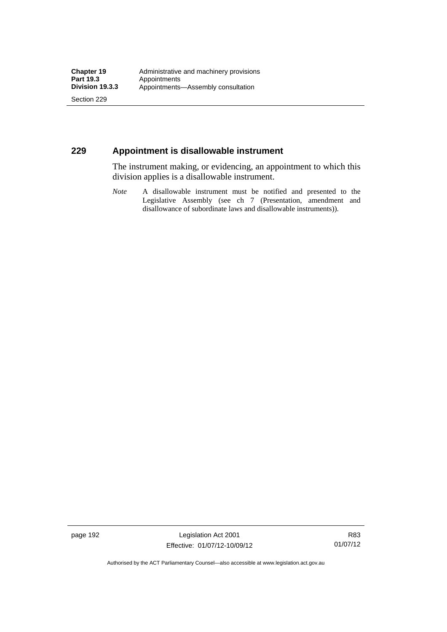Section 229

## **229 Appointment is disallowable instrument**

The instrument making, or evidencing, an appointment to which this division applies is a disallowable instrument.

*Note* A disallowable instrument must be notified and presented to the Legislative Assembly (see ch 7 (Presentation, amendment and disallowance of subordinate laws and disallowable instruments)).

page 192 Legislation Act 2001 Effective: 01/07/12-10/09/12

R83 01/07/12

Authorised by the ACT Parliamentary Counsel—also accessible at www.legislation.act.gov.au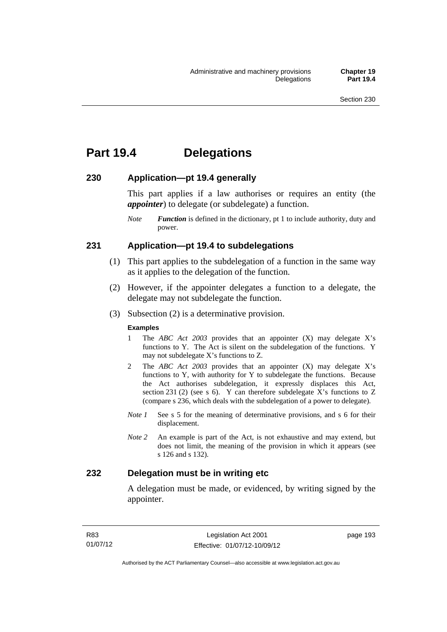# **Part 19.4 Delegations**

## **230 Application—pt 19.4 generally**

This part applies if a law authorises or requires an entity (the *appointer*) to delegate (or subdelegate) a function.

*Note Function* is defined in the dictionary, pt 1 to include authority, duty and power.

## **231 Application—pt 19.4 to subdelegations**

- (1) This part applies to the subdelegation of a function in the same way as it applies to the delegation of the function.
- (2) However, if the appointer delegates a function to a delegate, the delegate may not subdelegate the function.
- (3) Subsection (2) is a determinative provision.

#### **Examples**

- 1 The *ABC Act 2003* provides that an appointer (X) may delegate X's functions to Y. The Act is silent on the subdelegation of the functions. Y may not subdelegate X's functions to Z.
- 2 The *ABC Act 2003* provides that an appointer (X) may delegate X's functions to Y, with authority for Y to subdelegate the functions. Because the Act authorises subdelegation, it expressly displaces this Act, section 231 (2) (see s 6). Y can therefore subdelegate  $\overline{X}$ 's functions to Z (compare s 236, which deals with the subdelegation of a power to delegate)*.*
- *Note 1* See s 5 for the meaning of determinative provisions, and s 6 for their displacement.
- *Note 2* An example is part of the Act, is not exhaustive and may extend, but does not limit, the meaning of the provision in which it appears (see s 126 and s 132).

## **232 Delegation must be in writing etc**

A delegation must be made, or evidenced, by writing signed by the appointer.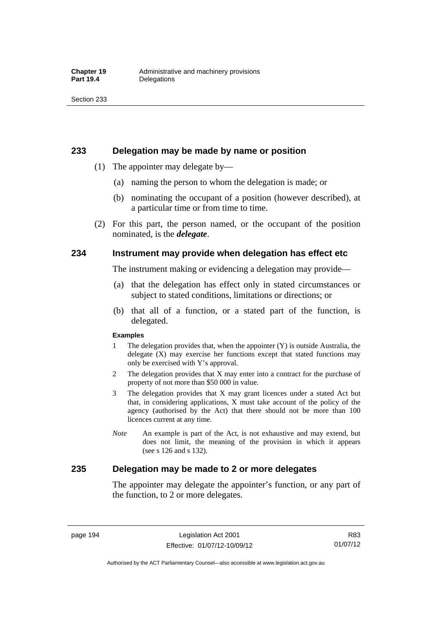### **233 Delegation may be made by name or position**

- (1) The appointer may delegate by—
	- (a) naming the person to whom the delegation is made; or
	- (b) nominating the occupant of a position (however described), at a particular time or from time to time.
- (2) For this part, the person named, or the occupant of the position nominated, is the *delegate*.

## **234 Instrument may provide when delegation has effect etc**

The instrument making or evidencing a delegation may provide—

- (a) that the delegation has effect only in stated circumstances or subject to stated conditions, limitations or directions; or
- (b) that all of a function, or a stated part of the function, is delegated.

#### **Examples**

- 1 The delegation provides that, when the appointer (Y) is outside Australia, the delegate (X) may exercise her functions except that stated functions may only be exercised with Y's approval.
- 2 The delegation provides that X may enter into a contract for the purchase of property of not more than \$50 000 in value.
- 3 The delegation provides that X may grant licences under a stated Act but that, in considering applications, X must take account of the policy of the agency (authorised by the Act) that there should not be more than 100 licences current at any time.
- *Note* An example is part of the Act, is not exhaustive and may extend, but does not limit, the meaning of the provision in which it appears (see s 126 and s 132).

## **235 Delegation may be made to 2 or more delegates**

The appointer may delegate the appointer's function, or any part of the function, to 2 or more delegates.

page 194 Legislation Act 2001 Effective: 01/07/12-10/09/12

Authorised by the ACT Parliamentary Counsel—also accessible at www.legislation.act.gov.au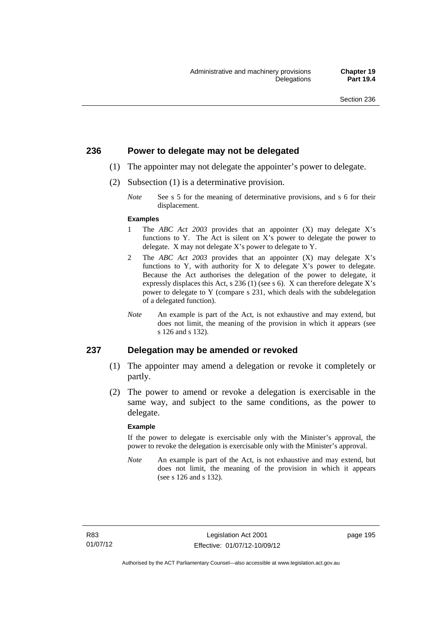## **236 Power to delegate may not be delegated**

- (1) The appointer may not delegate the appointer's power to delegate.
- (2) Subsection (1) is a determinative provision.
	- *Note* See s 5 for the meaning of determinative provisions, and s 6 for their displacement.

#### **Examples**

- 1 The *ABC Act 2003* provides that an appointer (X) may delegate X's functions to Y. The Act is silent on X's power to delegate the power to delegate. X may not delegate X's power to delegate to Y.
- 2 The *ABC Act 2003* provides that an appointer (X) may delegate X's functions to Y, with authority for X to delegate X's power to delegate. Because the Act authorises the delegation of the power to delegate, it expressly displaces this Act, s 236 (1) (see s 6). X can therefore delegate X's power to delegate to Y (compare s 231, which deals with the subdelegation of a delegated function).
- *Note* An example is part of the Act, is not exhaustive and may extend, but does not limit, the meaning of the provision in which it appears (see s 126 and s 132).

### **237 Delegation may be amended or revoked**

- (1) The appointer may amend a delegation or revoke it completely or partly.
- (2) The power to amend or revoke a delegation is exercisable in the same way, and subject to the same conditions, as the power to delegate.

#### **Example**

If the power to delegate is exercisable only with the Minister's approval, the power to revoke the delegation is exercisable only with the Minister's approval.

*Note* An example is part of the Act, is not exhaustive and may extend, but does not limit, the meaning of the provision in which it appears (see s 126 and s 132).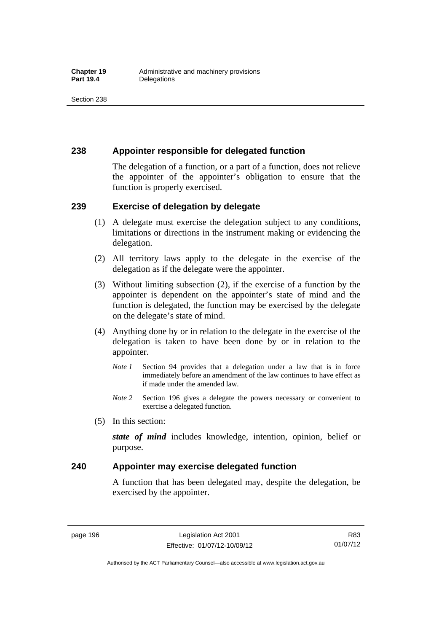## **238 Appointer responsible for delegated function**

The delegation of a function, or a part of a function, does not relieve the appointer of the appointer's obligation to ensure that the function is properly exercised.

## **239 Exercise of delegation by delegate**

- (1) A delegate must exercise the delegation subject to any conditions, limitations or directions in the instrument making or evidencing the delegation.
- (2) All territory laws apply to the delegate in the exercise of the delegation as if the delegate were the appointer.
- (3) Without limiting subsection (2), if the exercise of a function by the appointer is dependent on the appointer's state of mind and the function is delegated, the function may be exercised by the delegate on the delegate's state of mind.
- (4) Anything done by or in relation to the delegate in the exercise of the delegation is taken to have been done by or in relation to the appointer.
	- *Note 1* Section 94 provides that a delegation under a law that is in force immediately before an amendment of the law continues to have effect as if made under the amended law.
	- *Note 2* Section 196 gives a delegate the powers necessary or convenient to exercise a delegated function.
- (5) In this section:

*state of mind* includes knowledge, intention, opinion, belief or purpose.

## **240 Appointer may exercise delegated function**

A function that has been delegated may, despite the delegation, be exercised by the appointer.

page 196 Legislation Act 2001 Effective: 01/07/12-10/09/12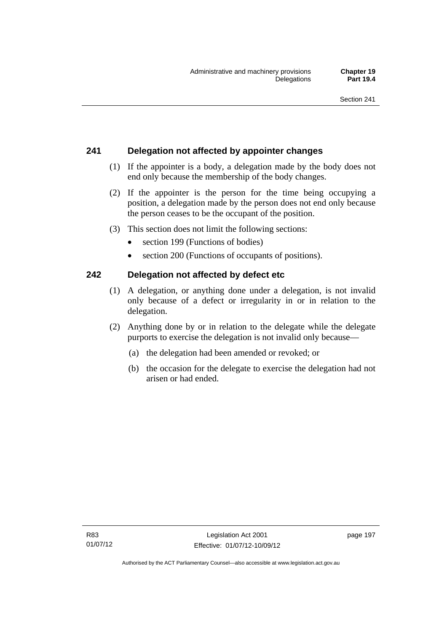# **241 Delegation not affected by appointer changes**

- (1) If the appointer is a body, a delegation made by the body does not end only because the membership of the body changes.
- (2) If the appointer is the person for the time being occupying a position, a delegation made by the person does not end only because the person ceases to be the occupant of the position.
- (3) This section does not limit the following sections:
	- section 199 (Functions of bodies)
	- section 200 (Functions of occupants of positions).

# **242 Delegation not affected by defect etc**

- (1) A delegation, or anything done under a delegation, is not invalid only because of a defect or irregularity in or in relation to the delegation.
- (2) Anything done by or in relation to the delegate while the delegate purports to exercise the delegation is not invalid only because—
	- (a) the delegation had been amended or revoked; or
	- (b) the occasion for the delegate to exercise the delegation had not arisen or had ended.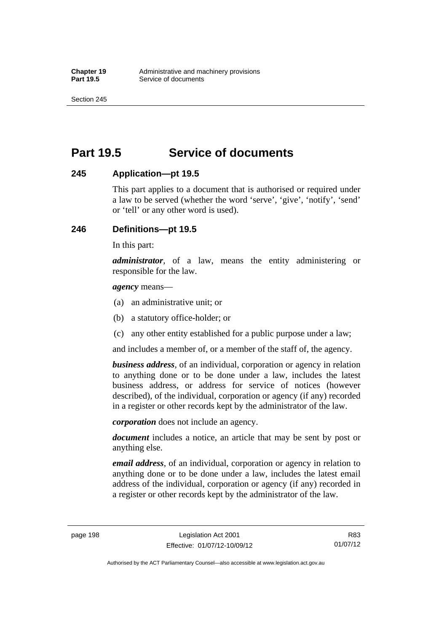Section 245

# **Part 19.5 Service of documents**

## **245 Application—pt 19.5**

This part applies to a document that is authorised or required under a law to be served (whether the word 'serve', 'give', 'notify', 'send' or 'tell' or any other word is used).

## **246 Definitions—pt 19.5**

In this part:

*administrator*, of a law, means the entity administering or responsible for the law.

*agency* means—

- (a) an administrative unit; or
- (b) a statutory office-holder; or
- (c) any other entity established for a public purpose under a law;

and includes a member of, or a member of the staff of, the agency.

*business address*, of an individual, corporation or agency in relation to anything done or to be done under a law, includes the latest business address, or address for service of notices (however described), of the individual, corporation or agency (if any) recorded in a register or other records kept by the administrator of the law.

*corporation* does not include an agency.

*document* includes a notice, an article that may be sent by post or anything else.

*email address*, of an individual, corporation or agency in relation to anything done or to be done under a law, includes the latest email address of the individual, corporation or agency (if any) recorded in a register or other records kept by the administrator of the law.

Authorised by the ACT Parliamentary Counsel—also accessible at www.legislation.act.gov.au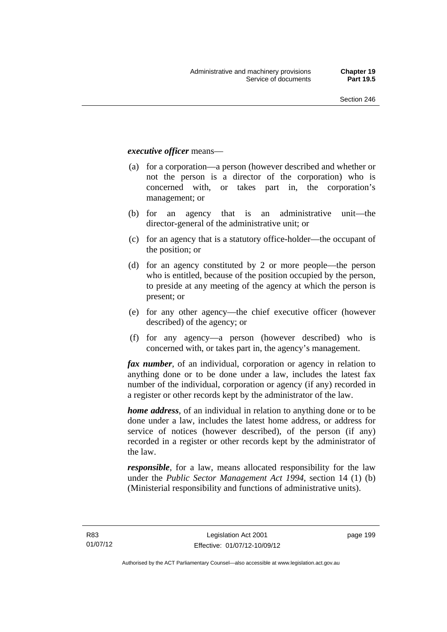### *executive officer* means—

- (a) for a corporation—a person (however described and whether or not the person is a director of the corporation) who is concerned with, or takes part in, the corporation's management; or
- (b) for an agency that is an administrative unit—the director-general of the administrative unit; or
- (c) for an agency that is a statutory office-holder—the occupant of the position; or
- (d) for an agency constituted by 2 or more people—the person who is entitled, because of the position occupied by the person, to preside at any meeting of the agency at which the person is present; or
- (e) for any other agency—the chief executive officer (however described) of the agency; or
- (f) for any agency—a person (however described) who is concerned with, or takes part in, the agency's management.

*fax number*, of an individual, corporation or agency in relation to anything done or to be done under a law, includes the latest fax number of the individual, corporation or agency (if any) recorded in a register or other records kept by the administrator of the law.

*home address*, of an individual in relation to anything done or to be done under a law, includes the latest home address, or address for service of notices (however described), of the person (if any) recorded in a register or other records kept by the administrator of the law.

*responsible*, for a law, means allocated responsibility for the law under the *Public Sector Management Act 1994*, section 14 (1) (b) (Ministerial responsibility and functions of administrative units).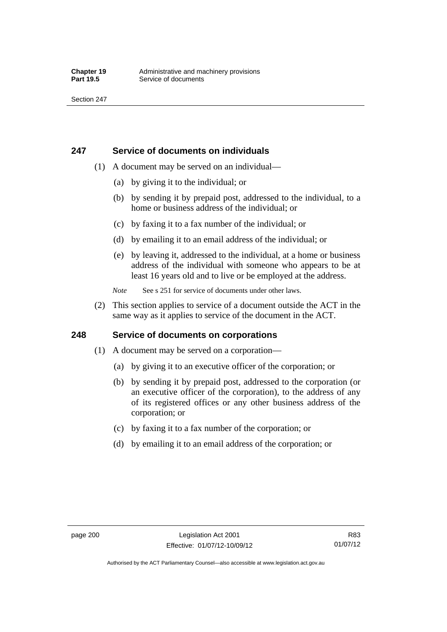## **247 Service of documents on individuals**

- (1) A document may be served on an individual—
	- (a) by giving it to the individual; or
	- (b) by sending it by prepaid post, addressed to the individual, to a home or business address of the individual; or
	- (c) by faxing it to a fax number of the individual; or
	- (d) by emailing it to an email address of the individual; or
	- (e) by leaving it, addressed to the individual, at a home or business address of the individual with someone who appears to be at least 16 years old and to live or be employed at the address.
	- *Note* See s 251 for service of documents under other laws.
- (2) This section applies to service of a document outside the ACT in the same way as it applies to service of the document in the ACT.

## **248 Service of documents on corporations**

- (1) A document may be served on a corporation—
	- (a) by giving it to an executive officer of the corporation; or
	- (b) by sending it by prepaid post, addressed to the corporation (or an executive officer of the corporation), to the address of any of its registered offices or any other business address of the corporation; or
	- (c) by faxing it to a fax number of the corporation; or
	- (d) by emailing it to an email address of the corporation; or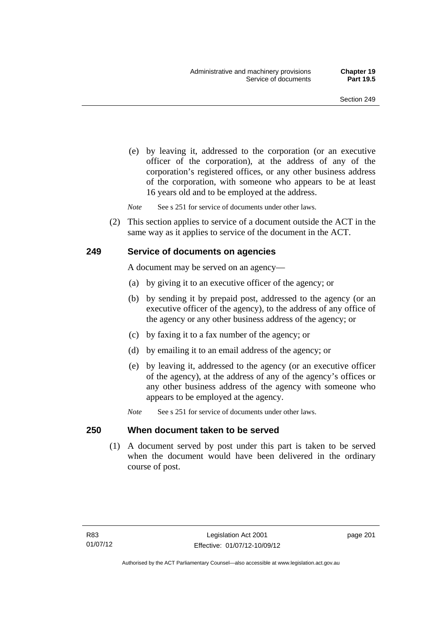(e) by leaving it, addressed to the corporation (or an executive officer of the corporation), at the address of any of the corporation's registered offices, or any other business address of the corporation, with someone who appears to be at least 16 years old and to be employed at the address.

*Note* See s 251 for service of documents under other laws.

 (2) This section applies to service of a document outside the ACT in the same way as it applies to service of the document in the ACT.

### **249 Service of documents on agencies**

A document may be served on an agency—

- (a) by giving it to an executive officer of the agency; or
- (b) by sending it by prepaid post, addressed to the agency (or an executive officer of the agency), to the address of any office of the agency or any other business address of the agency; or
- (c) by faxing it to a fax number of the agency; or
- (d) by emailing it to an email address of the agency; or
- (e) by leaving it, addressed to the agency (or an executive officer of the agency), at the address of any of the agency's offices or any other business address of the agency with someone who appears to be employed at the agency.
- *Note* See s 251 for service of documents under other laws.

#### **250 When document taken to be served**

 (1) A document served by post under this part is taken to be served when the document would have been delivered in the ordinary course of post.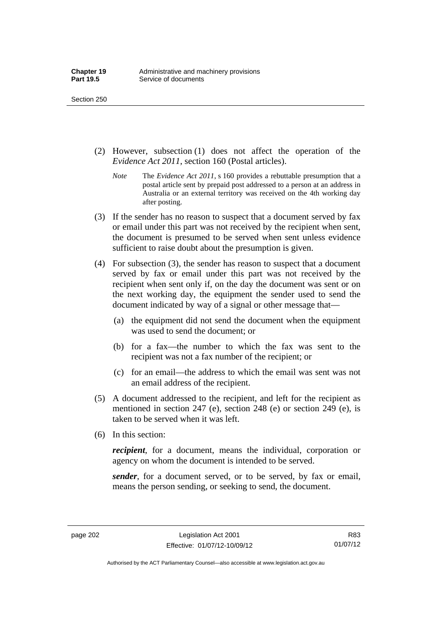- (2) However, subsection (1) does not affect the operation of the *Evidence Act 2011*, section 160 (Postal articles).
	- *Note* The *Evidence Act 2011*, s 160 provides a rebuttable presumption that a postal article sent by prepaid post addressed to a person at an address in Australia or an external territory was received on the 4th working day after posting.
- (3) If the sender has no reason to suspect that a document served by fax or email under this part was not received by the recipient when sent, the document is presumed to be served when sent unless evidence sufficient to raise doubt about the presumption is given.
- (4) For subsection (3), the sender has reason to suspect that a document served by fax or email under this part was not received by the recipient when sent only if, on the day the document was sent or on the next working day, the equipment the sender used to send the document indicated by way of a signal or other message that—
	- (a) the equipment did not send the document when the equipment was used to send the document; or
	- (b) for a fax—the number to which the fax was sent to the recipient was not a fax number of the recipient; or
	- (c) for an email—the address to which the email was sent was not an email address of the recipient.
- (5) A document addressed to the recipient, and left for the recipient as mentioned in section 247 (e), section 248 (e) or section 249 (e), is taken to be served when it was left.
- (6) In this section:

*recipient*, for a document, means the individual, corporation or agency on whom the document is intended to be served.

*sender*, for a document served, or to be served, by fax or email, means the person sending, or seeking to send, the document.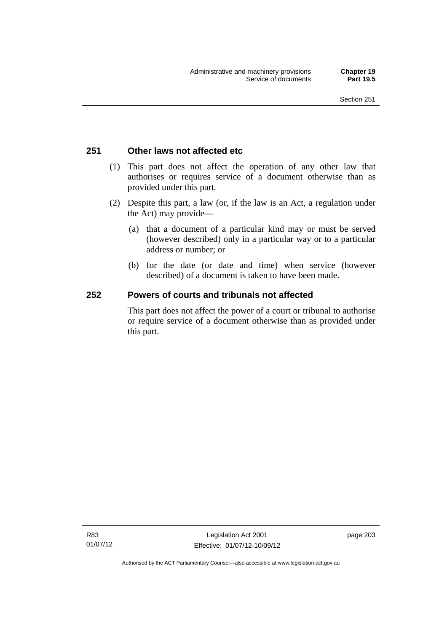### **251 Other laws not affected etc**

- (1) This part does not affect the operation of any other law that authorises or requires service of a document otherwise than as provided under this part.
- (2) Despite this part, a law (or, if the law is an Act, a regulation under the Act) may provide—
	- (a) that a document of a particular kind may or must be served (however described) only in a particular way or to a particular address or number; or
	- (b) for the date (or date and time) when service (however described) of a document is taken to have been made.

### **252 Powers of courts and tribunals not affected**

This part does not affect the power of a court or tribunal to authorise or require service of a document otherwise than as provided under this part.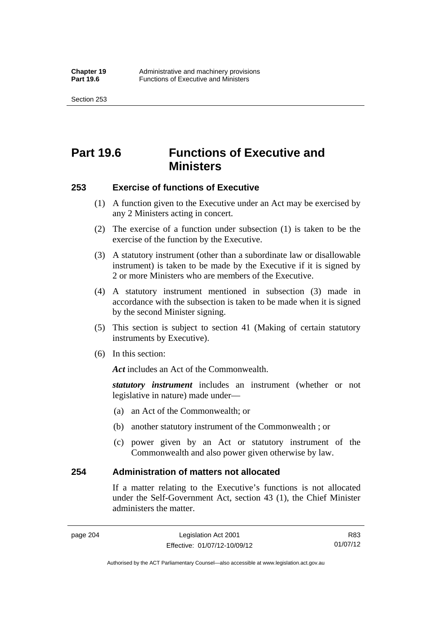Section 253

# **Part 19.6 Functions of Executive and Ministers**

### **253 Exercise of functions of Executive**

- (1) A function given to the Executive under an Act may be exercised by any 2 Ministers acting in concert.
- (2) The exercise of a function under subsection (1) is taken to be the exercise of the function by the Executive.
- (3) A statutory instrument (other than a subordinate law or disallowable instrument) is taken to be made by the Executive if it is signed by 2 or more Ministers who are members of the Executive.
- (4) A statutory instrument mentioned in subsection (3) made in accordance with the subsection is taken to be made when it is signed by the second Minister signing.
- (5) This section is subject to section 41 (Making of certain statutory instruments by Executive).
- (6) In this section:

Act includes an Act of the Commonwealth.

*statutory instrument* includes an instrument (whether or not legislative in nature) made under—

- (a) an Act of the Commonwealth; or
- (b) another statutory instrument of the Commonwealth ; or
- (c) power given by an Act or statutory instrument of the Commonwealth and also power given otherwise by law.

### **254 Administration of matters not allocated**

If a matter relating to the Executive's functions is not allocated under the Self-Government Act, section 43 (1), the Chief Minister administers the matter.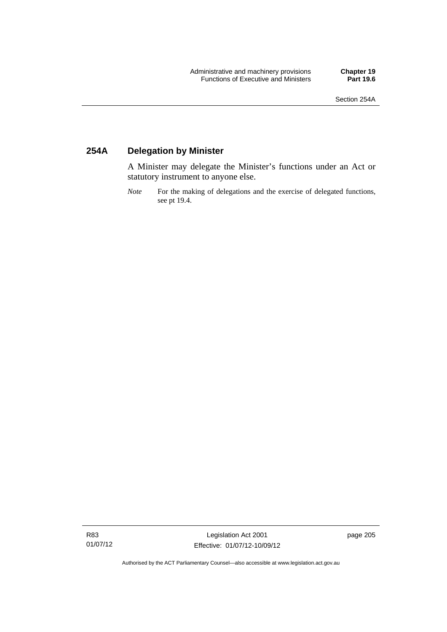## **254A Delegation by Minister**

A Minister may delegate the Minister's functions under an Act or statutory instrument to anyone else.

*Note* For the making of delegations and the exercise of delegated functions, see pt 19.4.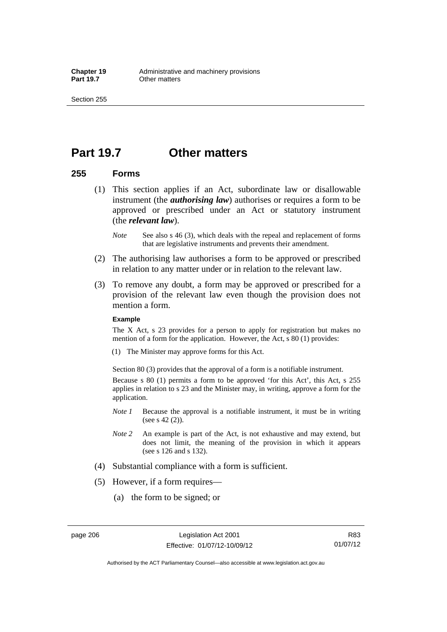# **Part 19.7 Other matters**

### **255 Forms**

- (1) This section applies if an Act, subordinate law or disallowable instrument (the *authorising law*) authorises or requires a form to be approved or prescribed under an Act or statutory instrument (the *relevant law*).
	- *Note* See also s 46 (3), which deals with the repeal and replacement of forms that are legislative instruments and prevents their amendment.
- (2) The authorising law authorises a form to be approved or prescribed in relation to any matter under or in relation to the relevant law.
- (3) To remove any doubt, a form may be approved or prescribed for a provision of the relevant law even though the provision does not mention a form.

#### **Example**

The X Act, s 23 provides for a person to apply for registration but makes no mention of a form for the application. However, the Act, s 80 (1) provides:

(1) The Minister may approve forms for this Act.

Section 80 (3) provides that the approval of a form is a notifiable instrument.

Because s 80 (1) permits a form to be approved 'for this Act', this Act, s 255 applies in relation to s 23 and the Minister may, in writing, approve a form for the application.

- *Note 1* Because the approval is a notifiable instrument, it must be in writing (see s 42 (2)).
- *Note 2* An example is part of the Act, is not exhaustive and may extend, but does not limit, the meaning of the provision in which it appears (see s 126 and s 132).
- (4) Substantial compliance with a form is sufficient.
- (5) However, if a form requires—
	- (a) the form to be signed; or

R83 01/07/12

Authorised by the ACT Parliamentary Counsel—also accessible at www.legislation.act.gov.au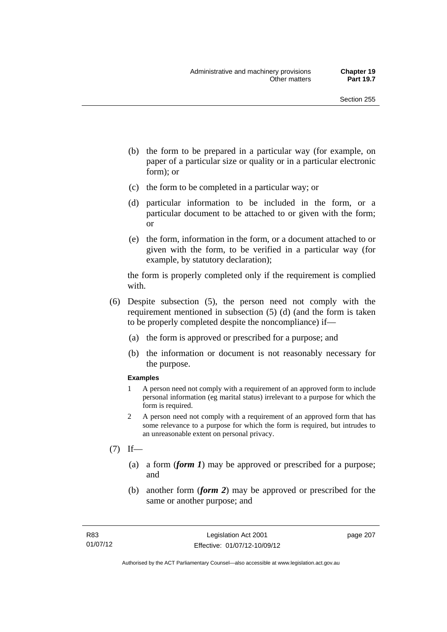- (b) the form to be prepared in a particular way (for example, on paper of a particular size or quality or in a particular electronic form); or
- (c) the form to be completed in a particular way; or
- (d) particular information to be included in the form, or a particular document to be attached to or given with the form; or
- (e) the form, information in the form, or a document attached to or given with the form, to be verified in a particular way (for example, by statutory declaration);

the form is properly completed only if the requirement is complied with.

- (6) Despite subsection (5), the person need not comply with the requirement mentioned in subsection (5) (d) (and the form is taken to be properly completed despite the noncompliance) if—
	- (a) the form is approved or prescribed for a purpose; and
	- (b) the information or document is not reasonably necessary for the purpose.

#### **Examples**

- 1 A person need not comply with a requirement of an approved form to include personal information (eg marital status) irrelevant to a purpose for which the form is required.
- 2 A person need not comply with a requirement of an approved form that has some relevance to a purpose for which the form is required, but intrudes to an unreasonable extent on personal privacy.
- $(7)$  If—
	- (a) a form (*form 1*) may be approved or prescribed for a purpose; and
	- (b) another form (*form 2*) may be approved or prescribed for the same or another purpose; and

page 207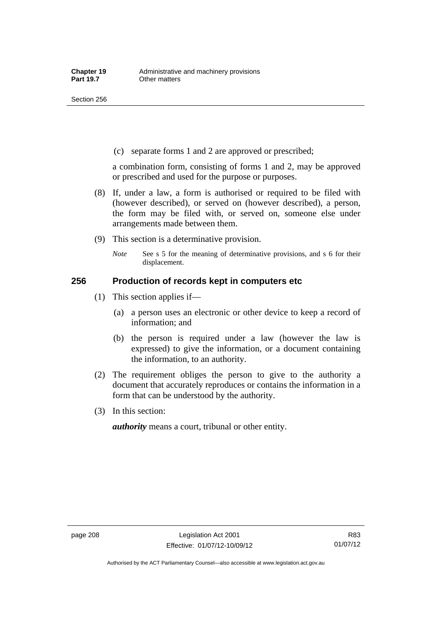(c) separate forms 1 and 2 are approved or prescribed;

a combination form, consisting of forms 1 and 2, may be approved or prescribed and used for the purpose or purposes.

- (8) If, under a law, a form is authorised or required to be filed with (however described), or served on (however described), a person, the form may be filed with, or served on, someone else under arrangements made between them.
- (9) This section is a determinative provision.
	- *Note* See s 5 for the meaning of determinative provisions, and s 6 for their displacement.

### **256 Production of records kept in computers etc**

- (1) This section applies if—
	- (a) a person uses an electronic or other device to keep a record of information; and
	- (b) the person is required under a law (however the law is expressed) to give the information, or a document containing the information, to an authority.
- (2) The requirement obliges the person to give to the authority a document that accurately reproduces or contains the information in a form that can be understood by the authority.
- (3) In this section:

*authority* means a court, tribunal or other entity.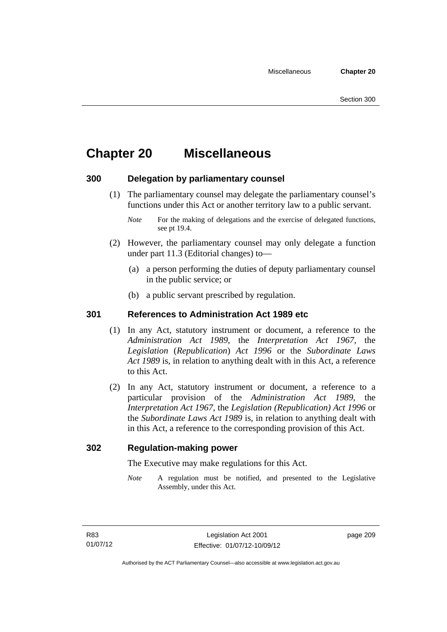# **Chapter 20 Miscellaneous**

### **300 Delegation by parliamentary counsel**

 (1) The parliamentary counsel may delegate the parliamentary counsel's functions under this Act or another territory law to a public servant.

- (2) However, the parliamentary counsel may only delegate a function under part 11.3 (Editorial changes) to—
	- (a) a person performing the duties of deputy parliamentary counsel in the public service; or
	- (b) a public servant prescribed by regulation.

### **301 References to Administration Act 1989 etc**

- (1) In any Act, statutory instrument or document, a reference to the *Administration Act 1989*, the *Interpretation Act 1967*, the *Legislation* (*Republication*) *Act 1996* or the *Subordinate Laws Act 1989* is, in relation to anything dealt with in this Act, a reference to this Act.
- (2) In any Act, statutory instrument or document, a reference to a particular provision of the *Administration Act 1989*, the *Interpretation Act 1967*, the *Legislation (Republication) Act 1996* or the *Subordinate Laws Act 1989* is, in relation to anything dealt with in this Act, a reference to the corresponding provision of this Act.

### **302 Regulation-making power**

The Executive may make regulations for this Act.

*Note* A regulation must be notified, and presented to the Legislative Assembly, under this Act.

page 209

*Note* For the making of delegations and the exercise of delegated functions, see pt 19.4.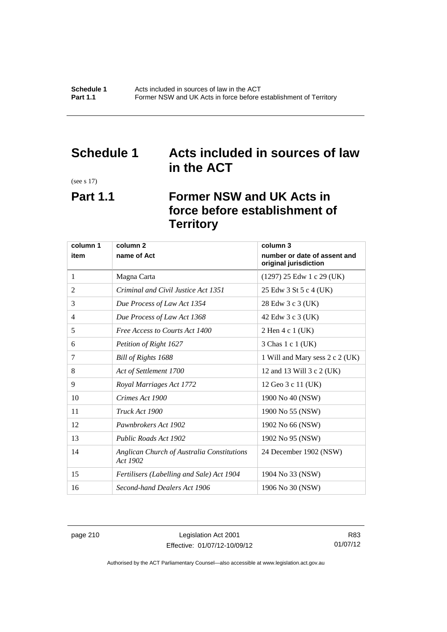# **Schedule 1 Acts included in sources of law in the ACT**

(see s 17)

# **Part 1.1 Former NSW and UK Acts in force before establishment of Territory**

| column 1 | column 2                                               | column 3                                              |
|----------|--------------------------------------------------------|-------------------------------------------------------|
| item     | name of Act                                            | number or date of assent and<br>original jurisdiction |
| 1        | Magna Carta                                            | $(1297)$ 25 Edw 1 c 29 (UK)                           |
| 2        | Criminal and Civil Justice Act 1351                    | 25 Edw 3 St 5 c 4 (UK)                                |
| 3        | Due Process of Law Act 1354                            | 28 Edw 3 c 3 (UK)                                     |
| 4        | Due Process of Law Act 1368                            | 42 Edw 3 c 3 (UK)                                     |
| 5        | Free Access to Courts Act 1400                         | 2 Hen 4 c 1 (UK)                                      |
| 6        | Petition of Right 1627                                 | 3 Chas 1 c 1 (UK)                                     |
| 7        | Bill of Rights 1688                                    | 1 Will and Mary sess 2 c 2 (UK)                       |
| 8        | Act of Settlement 1700                                 | 12 and 13 Will 3 c 2 (UK)                             |
| 9        | Royal Marriages Act 1772                               | 12 Geo 3 c 11 (UK)                                    |
| 10       | Crimes Act 1900                                        | 1900 No 40 (NSW)                                      |
| 11       | Truck Act 1900                                         | 1900 No 55 (NSW)                                      |
| 12       | Pawnbrokers Act 1902                                   | 1902 No 66 (NSW)                                      |
| 13       | Public Roads Act 1902                                  | 1902 No 95 (NSW)                                      |
| 14       | Anglican Church of Australia Constitutions<br>Act 1902 | 24 December 1902 (NSW)                                |
| 15       | Fertilisers (Labelling and Sale) Act 1904              | 1904 No 33 (NSW)                                      |
| 16       | Second-hand Dealers Act 1906                           | 1906 No 30 (NSW)                                      |

page 210 Legislation Act 2001 Effective: 01/07/12-10/09/12

R83 01/07/12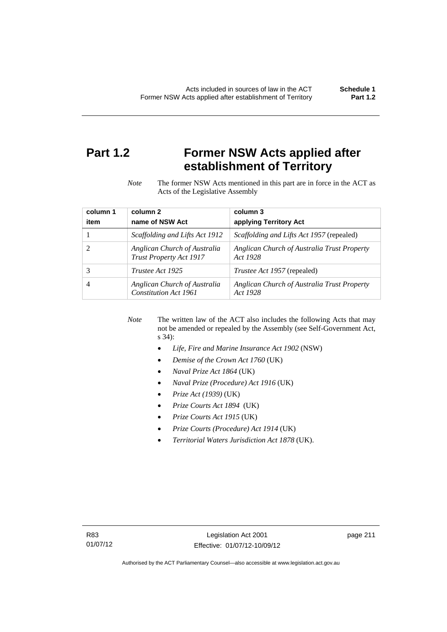# **Part 1.2 Former NSW Acts applied after establishment of Territory**

*Note* The former NSW Acts mentioned in this part are in force in the ACT as Acts of the Legislative Assembly

| column 1<br>item | column 2<br>name of NSW Act                             | column 3<br>applying Territory Act                      |
|------------------|---------------------------------------------------------|---------------------------------------------------------|
|                  | Scaffolding and Lifts Act 1912                          | Scaffolding and Lifts Act 1957 (repealed)               |
|                  | Anglican Church of Australia<br>Trust Property Act 1917 | Anglican Church of Australia Trust Property<br>Act 1928 |
|                  | Trustee Act 1925                                        | <i>Trustee Act 1957</i> (repealed)                      |
| 4                | Anglican Church of Australia<br>Constitution Act 1961   | Anglican Church of Australia Trust Property<br>Act 1928 |

*Note* The written law of the ACT also includes the following Acts that may not be amended or repealed by the Assembly (see Self-Government Act, s 34):

- *Life, Fire and Marine Insurance Act 1902* (NSW)
- *Demise of the Crown Act 1760* (UK)
- *Naval Prize Act 1864* (UK)
- *Naval Prize (Procedure) Act 1916* (UK)
- *Prize Act (1939)* (UK)
- *Prize Courts Act 1894* (UK)
- *Prize Courts Act 1915* (UK)
- *Prize Courts (Procedure) Act 1914* (UK)
- *Territorial Waters Jurisdiction Act 1878* (UK).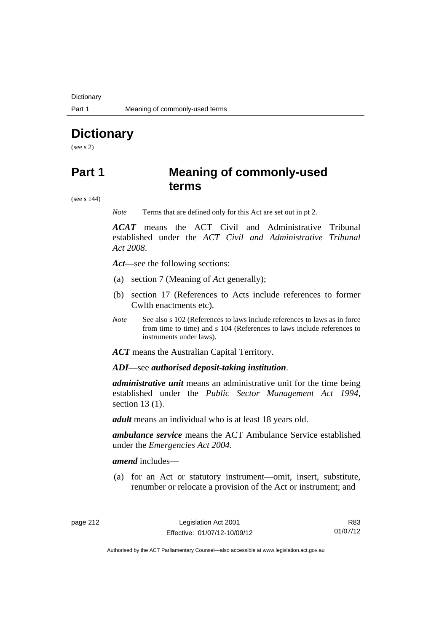**Dictionary** 

# **Dictionary**

(see s 2)

# **Part 1 Meaning of commonly-used terms**

(see s 144)

*Note* Terms that are defined only for this Act are set out in pt 2.

*ACAT* means the ACT Civil and Administrative Tribunal established under the *ACT Civil and Administrative Tribunal Act 2008*.

*Act*—see the following sections:

- (a) section 7 (Meaning of *Act* generally);
- (b) section 17 (References to Acts include references to former Cwlth enactments etc).
- *Note* See also s 102 (References to laws include references to laws as in force from time to time) and s 104 (References to laws include references to instruments under laws).

*ACT* means the Australian Capital Territory.

*ADI*—see *authorised deposit-taking institution*.

*administrative unit* means an administrative unit for the time being established under the *Public Sector Management Act 1994*, section 13 (1).

*adult* means an individual who is at least 18 years old.

*ambulance service* means the ACT Ambulance Service established under the *Emergencies Act 2004*.

*amend* includes—

 (a) for an Act or statutory instrument—omit, insert, substitute, renumber or relocate a provision of the Act or instrument; and

R83 01/07/12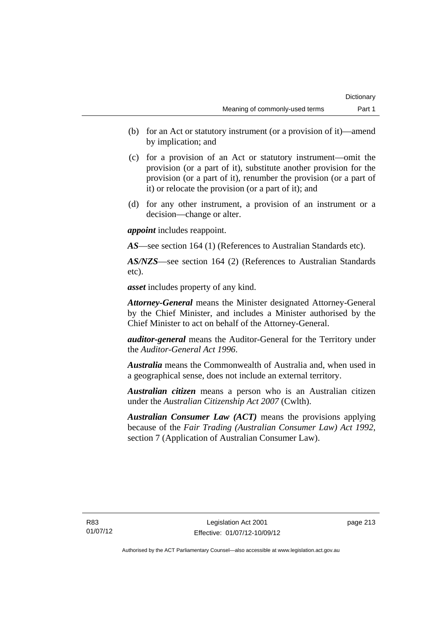- (b) for an Act or statutory instrument (or a provision of it)—amend by implication; and
- (c) for a provision of an Act or statutory instrument—omit the provision (or a part of it), substitute another provision for the provision (or a part of it), renumber the provision (or a part of it) or relocate the provision (or a part of it); and
- (d) for any other instrument, a provision of an instrument or a decision—change or alter.

*appoint* includes reappoint.

*AS*—see section 164 (1) (References to Australian Standards etc).

*AS/NZS*—see section 164 (2) (References to Australian Standards etc).

*asset* includes property of any kind.

*Attorney-General* means the Minister designated Attorney-General by the Chief Minister, and includes a Minister authorised by the Chief Minister to act on behalf of the Attorney-General.

*auditor-general* means the Auditor-General for the Territory under the *Auditor-General Act 1996*.

*Australia* means the Commonwealth of Australia and, when used in a geographical sense, does not include an external territory.

*Australian citizen* means a person who is an Australian citizen under the *Australian Citizenship Act 2007* (Cwlth).

*Australian Consumer Law (ACT)* means the provisions applying because of the *Fair Trading (Australian Consumer Law) Act 1992*, section 7 (Application of Australian Consumer Law).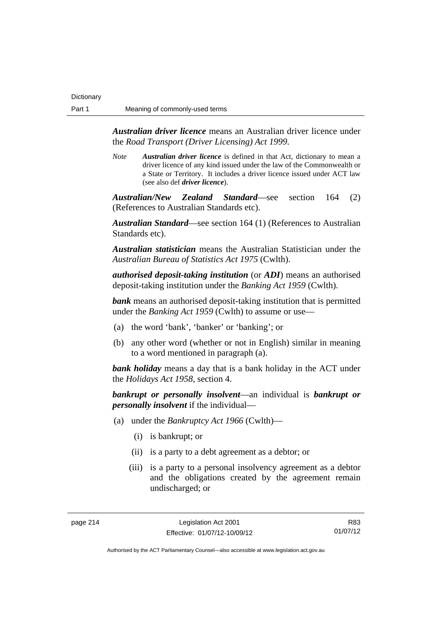*Australian driver licence* means an Australian driver licence under the *Road Transport (Driver Licensing) Act 1999*.

*Note Australian driver licence* is defined in that Act, dictionary to mean a driver licence of any kind issued under the law of the Commonwealth or a State or Territory. It includes a driver licence issued under ACT law (see also def *driver licence*).

*Australian/New Zealand Standard*—see section 164 (2) (References to Australian Standards etc).

*Australian Standard*—see section 164 (1) (References to Australian Standards etc).

*Australian statistician* means the Australian Statistician under the *Australian Bureau of Statistics Act 1975* (Cwlth).

*authorised deposit-taking institution* (or *ADI*) means an authorised deposit-taking institution under the *Banking Act 1959* (Cwlth).

*bank* means an authorised deposit-taking institution that is permitted under the *Banking Act 1959* (Cwlth) to assume or use—

- (a) the word 'bank', 'banker' or 'banking'; or
- (b) any other word (whether or not in English) similar in meaning to a word mentioned in paragraph (a).

*bank holiday* means a day that is a bank holiday in the ACT under the *Holidays Act 1958*, section 4.

*bankrupt or personally insolvent*—an individual is *bankrupt or personally insolvent* if the individual—

- (a) under the *Bankruptcy Act 1966* (Cwlth)—
	- (i) is bankrupt; or
	- (ii) is a party to a debt agreement as a debtor; or
	- (iii) is a party to a personal insolvency agreement as a debtor and the obligations created by the agreement remain undischarged; or

R83 01/07/12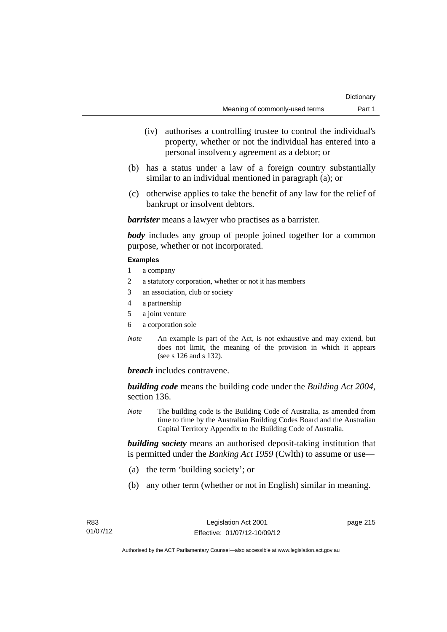- (iv) authorises a controlling trustee to control the individual's property, whether or not the individual has entered into a personal insolvency agreement as a debtor; or
- (b) has a status under a law of a foreign country substantially similar to an individual mentioned in paragraph (a); or
- (c) otherwise applies to take the benefit of any law for the relief of bankrupt or insolvent debtors.

*barrister* means a lawyer who practises as a barrister.

*body* includes any group of people joined together for a common purpose, whether or not incorporated.

#### **Examples**

- 1 a company
- 2 a statutory corporation, whether or not it has members
- 3 an association, club or society
- 4 a partnership
- 5 a joint venture
- 6 a corporation sole
- *Note* An example is part of the Act, is not exhaustive and may extend, but does not limit, the meaning of the provision in which it appears (see s 126 and s 132).

*breach* includes contravene.

*building code* means the building code under the *Building Act 2004*, section 136.

*Note* The building code is the Building Code of Australia, as amended from time to time by the Australian Building Codes Board and the Australian Capital Territory Appendix to the Building Code of Australia.

*building society* means an authorised deposit-taking institution that is permitted under the *Banking Act 1959* (Cwlth) to assume or use—

- (a) the term 'building society'; or
- (b) any other term (whether or not in English) similar in meaning.

page 215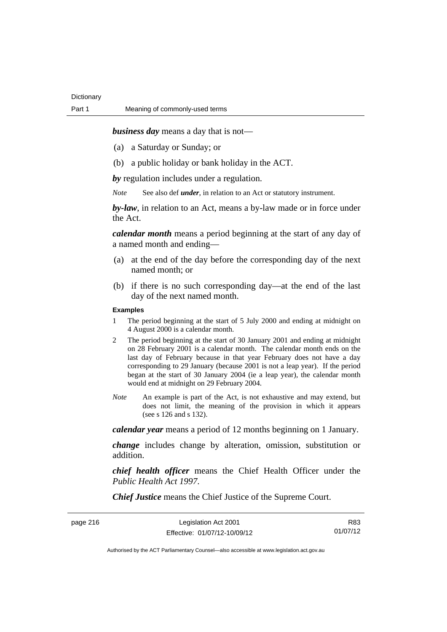*business day* means a day that is not—

- (a) a Saturday or Sunday; or
- (b) a public holiday or bank holiday in the ACT.

*by* regulation includes under a regulation.

*Note* See also def *under*, in relation to an Act or statutory instrument.

*by-law*, in relation to an Act, means a by-law made or in force under the Act.

*calendar month* means a period beginning at the start of any day of a named month and ending—

- (a) at the end of the day before the corresponding day of the next named month; or
- (b) if there is no such corresponding day—at the end of the last day of the next named month.

#### **Examples**

- 1 The period beginning at the start of 5 July 2000 and ending at midnight on 4 August 2000 is a calendar month.
- 2 The period beginning at the start of 30 January 2001 and ending at midnight on 28 February 2001 is a calendar month. The calendar month ends on the last day of February because in that year February does not have a day corresponding to 29 January (because 2001 is not a leap year). If the period began at the start of 30 January 2004 (ie a leap year), the calendar month would end at midnight on 29 February 2004.
- *Note* An example is part of the Act, is not exhaustive and may extend, but does not limit, the meaning of the provision in which it appears (see s 126 and s 132).

*calendar year* means a period of 12 months beginning on 1 January.

*change* includes change by alteration, omission, substitution or addition.

*chief health officer* means the Chief Health Officer under the *Public Health Act 1997*.

*Chief Justice* means the Chief Justice of the Supreme Court.

R83 01/07/12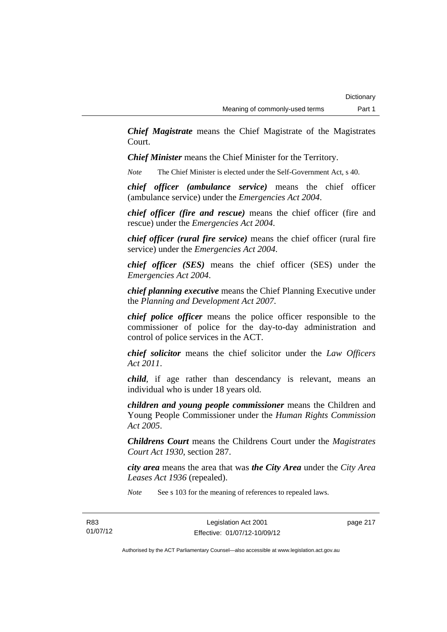*Chief Magistrate* means the Chief Magistrate of the Magistrates Court.

*Chief Minister* means the Chief Minister for the Territory.

*Note* The Chief Minister is elected under the Self-Government Act, s 40.

*chief officer (ambulance service)* means the chief officer (ambulance service) under the *Emergencies Act 2004*.

*chief officer (fire and rescue)* means the chief officer (fire and rescue) under the *Emergencies Act 2004*.

*chief officer (rural fire service)* means the chief officer (rural fire service) under the *Emergencies Act 2004*.

*chief officer (SES)* means the chief officer (SES) under the *Emergencies Act 2004*.

*chief planning executive* means the Chief Planning Executive under the *Planning and Development Act 2007*.

*chief police officer* means the police officer responsible to the commissioner of police for the day-to-day administration and control of police services in the ACT.

*chief solicitor* means the chief solicitor under the *Law Officers Act 2011*.

*child*, if age rather than descendancy is relevant, means an individual who is under 18 years old.

*children and young people commissioner* means the Children and Young People Commissioner under the *Human Rights Commission Act 2005*.

*Childrens Court* means the Childrens Court under the *Magistrates Court Act 1930*, section 287.

*city area* means the area that was *the City Area* under the *City Area Leases Act 1936* (repealed).

*Note* See s 103 for the meaning of references to repealed laws.

page 217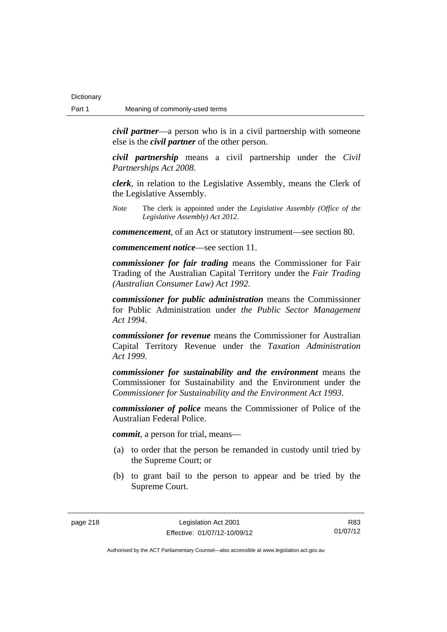**Dictionary** 

*civil partner*—a person who is in a civil partnership with someone else is the *civil partner* of the other person.

*civil partnership* means a civil partnership under the *Civil Partnerships Act 2008*.

*clerk*, in relation to the Legislative Assembly, means the Clerk of the Legislative Assembly.

*Note* The clerk is appointed under the *Legislative Assembly (Office of the Legislative Assembly) Act 2012*.

*commencement*, of an Act or statutory instrument—see section 80.

*commencement notice*—see section 11.

*commissioner for fair trading* means the Commissioner for Fair Trading of the Australian Capital Territory under the *Fair Trading (Australian Consumer Law) Act 1992*.

*commissioner for public administration* means the Commissioner for Public Administration under *the Public Sector Management Act 1994*.

*commissioner for revenue* means the Commissioner for Australian Capital Territory Revenue under the *Taxation Administration Act 1999*.

*commissioner for sustainability and the environment* means the Commissioner for Sustainability and the Environment under the *Commissioner for Sustainability and the Environment Act 1993*.

*commissioner of police* means the Commissioner of Police of the Australian Federal Police.

*commit*, a person for trial, means—

- (a) to order that the person be remanded in custody until tried by the Supreme Court; or
- (b) to grant bail to the person to appear and be tried by the Supreme Court.

page 218 Legislation Act 2001 Effective: 01/07/12-10/09/12

R83 01/07/12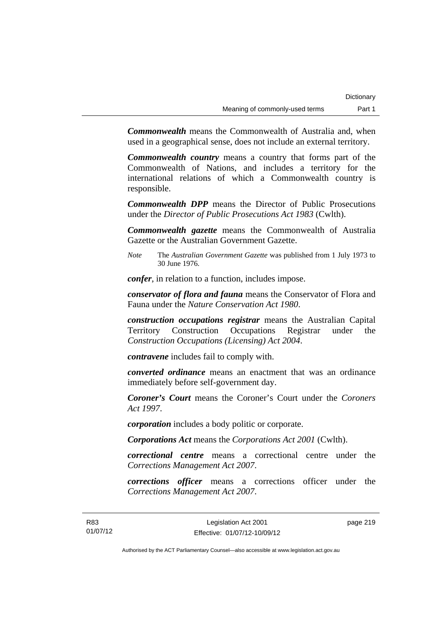*Commonwealth* means the Commonwealth of Australia and, when used in a geographical sense, does not include an external territory.

*Commonwealth country* means a country that forms part of the Commonwealth of Nations, and includes a territory for the international relations of which a Commonwealth country is responsible.

*Commonwealth DPP* means the Director of Public Prosecutions under the *Director of Public Prosecutions Act 1983* (Cwlth).

*Commonwealth gazette* means the Commonwealth of Australia Gazette or the Australian Government Gazette.

*Note* The *Australian Government Gazette* was published from 1 July 1973 to 30 June 1976.

*confer*, in relation to a function, includes impose.

*conservator of flora and fauna* means the Conservator of Flora and Fauna under the *Nature Conservation Act 1980*.

*construction occupations registrar* means the Australian Capital Territory Construction Occupations Registrar under the *Construction Occupations (Licensing) Act 2004*.

*contravene* includes fail to comply with.

*converted ordinance* means an enactment that was an ordinance immediately before self-government day.

*Coroner's Court* means the Coroner's Court under the *Coroners Act 1997*.

*corporation* includes a body politic or corporate.

*Corporations Act* means the *Corporations Act 2001* (Cwlth).

*correctional centre* means a correctional centre under the *Corrections Management Act 2007*.

*corrections officer* means a corrections officer under the *Corrections Management Act 2007*.

page 219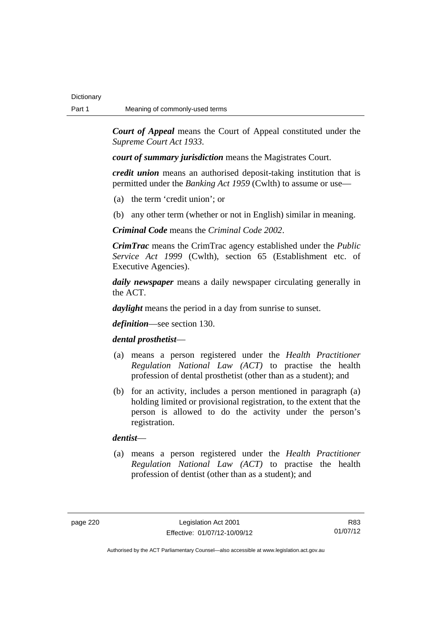*Court of Appeal* means the Court of Appeal constituted under the *Supreme Court Act 1933*.

*court of summary jurisdiction* means the Magistrates Court.

*credit union* means an authorised deposit-taking institution that is permitted under the *Banking Act 1959* (Cwlth) to assume or use—

- (a) the term 'credit union'; or
- (b) any other term (whether or not in English) similar in meaning.

*Criminal Code* means the *Criminal Code 2002*.

*CrimTrac* means the CrimTrac agency established under the *Public Service Act 1999* (Cwlth), section 65 (Establishment etc. of Executive Agencies).

*daily newspaper* means a daily newspaper circulating generally in the ACT.

*daylight* means the period in a day from sunrise to sunset.

*definition*—see section 130.

### *dental prosthetist*—

- (a) means a person registered under the *Health Practitioner Regulation National Law (ACT)* to practise the health profession of dental prosthetist (other than as a student); and
- (b) for an activity, includes a person mentioned in paragraph (a) holding limited or provisional registration, to the extent that the person is allowed to do the activity under the person's registration.

### *dentist*—

 (a) means a person registered under the *Health Practitioner Regulation National Law (ACT)* to practise the health profession of dentist (other than as a student); and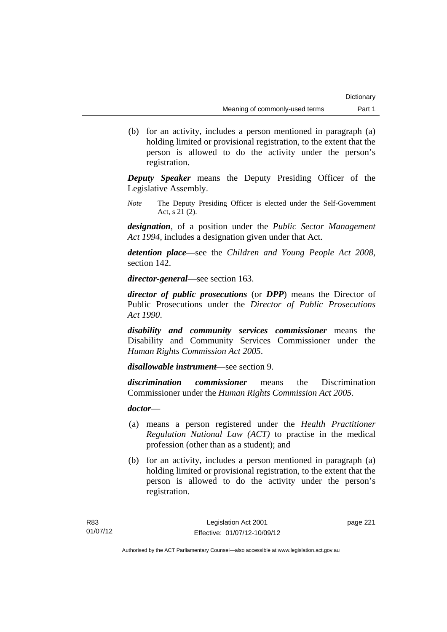(b) for an activity, includes a person mentioned in paragraph (a) holding limited or provisional registration, to the extent that the person is allowed to do the activity under the person's registration.

*Deputy Speaker* means the Deputy Presiding Officer of the Legislative Assembly.

*Note* The Deputy Presiding Officer is elected under the Self-Government Act, s 21 (2).

*designation*, of a position under the *Public Sector Management Act 1994*, includes a designation given under that Act.

*detention place*—see the *Children and Young People Act 2008*, section 142.

*director-general*—see section 163.

*director of public prosecutions* (or *DPP*) means the Director of Public Prosecutions under the *Director of Public Prosecutions Act 1990*.

*disability and community services commissioner* means the Disability and Community Services Commissioner under the *Human Rights Commission Act 2005*.

*disallowable instrument*—see section 9.

*discrimination commissioner* means the Discrimination Commissioner under the *Human Rights Commission Act 2005*.

*doctor*—

- (a) means a person registered under the *Health Practitioner Regulation National Law (ACT)* to practise in the medical profession (other than as a student); and
- (b) for an activity, includes a person mentioned in paragraph (a) holding limited or provisional registration, to the extent that the person is allowed to do the activity under the person's registration.

page 221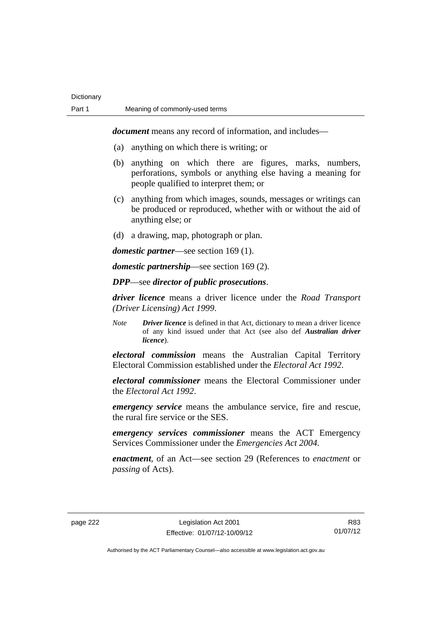*document* means any record of information, and includes—

- (a) anything on which there is writing; or
- (b) anything on which there are figures, marks, numbers, perforations, symbols or anything else having a meaning for people qualified to interpret them; or
- (c) anything from which images, sounds, messages or writings can be produced or reproduced, whether with or without the aid of anything else; or
- (d) a drawing, map, photograph or plan.

*domestic partner*—see section 169 (1).

*domestic partnership*—see section 169 (2).

### *DPP*—see *director of public prosecutions*.

*driver licence* means a driver licence under the *Road Transport (Driver Licensing) Act 1999*.

*Note Driver licence* is defined in that Act, dictionary to mean a driver licence of any kind issued under that Act (see also def *Australian driver licence*).

*electoral commission* means the Australian Capital Territory Electoral Commission established under the *Electoral Act 1992*.

*electoral commissioner* means the Electoral Commissioner under the *Electoral Act 1992*.

*emergency service* means the ambulance service, fire and rescue, the rural fire service or the SES.

*emergency services commissioner* means the ACT Emergency Services Commissioner under the *Emergencies Act 2004*.

*enactment*, of an Act—see section 29 (References to *enactment* or *passing* of Acts).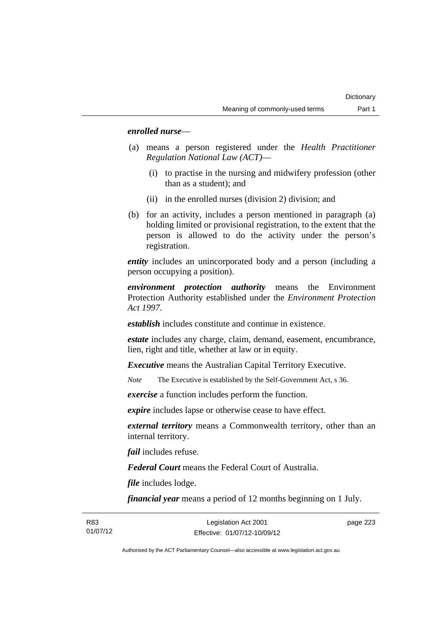### *enrolled nurse*—

- (a) means a person registered under the *Health Practitioner Regulation National Law (ACT)*—
	- (i) to practise in the nursing and midwifery profession (other than as a student); and
	- (ii) in the enrolled nurses (division 2) division; and
- (b) for an activity, includes a person mentioned in paragraph (a) holding limited or provisional registration, to the extent that the person is allowed to do the activity under the person's registration.

*entity* includes an unincorporated body and a person (including a person occupying a position).

*environment protection authority* means the Environment Protection Authority established under the *Environment Protection Act 1997*.

*establish* includes constitute and continue in existence.

*estate* includes any charge, claim, demand, easement, encumbrance, lien, right and title, whether at law or in equity.

*Executive* means the Australian Capital Territory Executive.

*Note* The Executive is established by the Self-Government Act, s 36.

*exercise* a function includes perform the function.

*expire* includes lapse or otherwise cease to have effect.

*external territory* means a Commonwealth territory, other than an internal territory.

*fail* includes refuse.

*Federal Court* means the Federal Court of Australia.

*file* includes lodge.

*financial year* means a period of 12 months beginning on 1 July.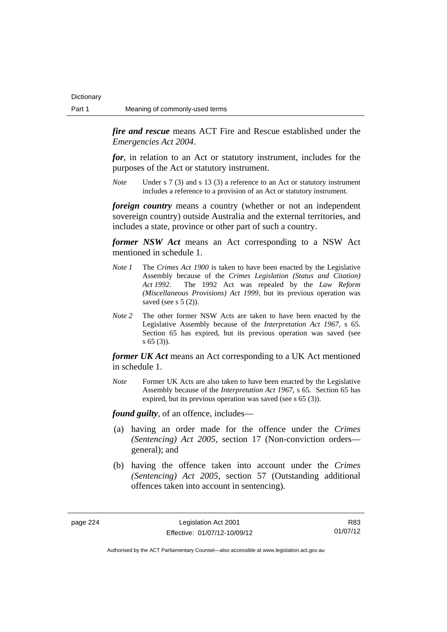*fire and rescue* means ACT Fire and Rescue established under the *Emergencies Act 2004*.

*for*, in relation to an Act or statutory instrument, includes for the purposes of the Act or statutory instrument.

*Note* Under s 7 (3) and s 13 (3) a reference to an Act or statutory instrument includes a reference to a provision of an Act or statutory instrument.

*foreign country* means a country (whether or not an independent sovereign country) outside Australia and the external territories, and includes a state, province or other part of such a country.

*former NSW Act* means an Act corresponding to a NSW Act mentioned in schedule 1.

- *Note 1* The *Crimes Act 1900* is taken to have been enacted by the Legislative Assembly because of the *Crimes Legislation (Status and Citation) Act 1992*. The 1992 Act was repealed by the *Law Reform (Miscellaneous Provisions) Act 1999*, but its previous operation was saved (see s  $5(2)$ ).
- *Note 2* The other former NSW Acts are taken to have been enacted by the Legislative Assembly because of the *Interpretation Act 1967*, s 65. Section 65 has expired, but its previous operation was saved (see s 65 (3)).

*former UK Act* means an Act corresponding to a UK Act mentioned in schedule 1.

*Note* Former UK Acts are also taken to have been enacted by the Legislative Assembly because of the *Interpretation Act 1967*, s 65. Section 65 has expired, but its previous operation was saved (see s 65 (3)).

*found guilty*, of an offence, includes—

- (a) having an order made for the offence under the *Crimes (Sentencing) Act 2005*, section 17 (Non-conviction orders general); and
- (b) having the offence taken into account under the *Crimes (Sentencing) Act 2005*, section 57 (Outstanding additional offences taken into account in sentencing).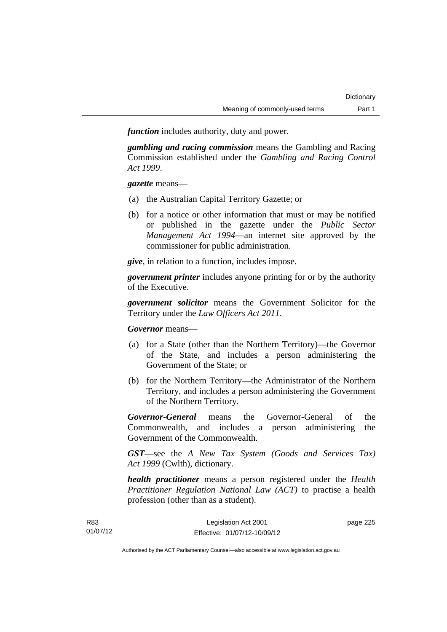*function* includes authority, duty and power.

*gambling and racing commission* means the Gambling and Racing Commission established under the *Gambling and Racing Control Act 1999*.

*gazette* means—

- (a) the Australian Capital Territory Gazette; or
- (b) for a notice or other information that must or may be notified or published in the gazette under the *Public Sector Management Act 1994*—an internet site approved by the commissioner for public administration.

*give*, in relation to a function, includes impose.

*government printer* includes anyone printing for or by the authority of the Executive.

*government solicitor* means the Government Solicitor for the Territory under the *Law Officers Act 2011*.

*Governor* means—

- (a) for a State (other than the Northern Territory)—the Governor of the State, and includes a person administering the Government of the State; or
- (b) for the Northern Territory—the Administrator of the Northern Territory, and includes a person administering the Government of the Northern Territory.

*Governor-General* means the Governor-General of the Commonwealth, and includes a person administering the Government of the Commonwealth.

*GST*—see the *A New Tax System (Goods and Services Tax) Act 1999* (Cwlth), dictionary.

*health practitioner* means a person registered under the *Health Practitioner Regulation National Law (ACT)* to practise a health profession (other than as a student).

| R83      | Legislation Act 2001         | page 225 |
|----------|------------------------------|----------|
| 01/07/12 | Effective: 01/07/12-10/09/12 |          |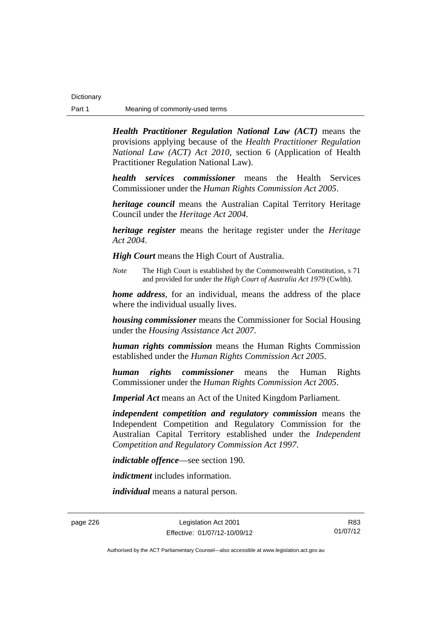*Health Practitioner Regulation National Law (ACT)* means the provisions applying because of the *Health Practitioner Regulation National Law (ACT) Act 2010*, section 6 (Application of Health Practitioner Regulation National Law).

*health services commissioner* means the Health Services Commissioner under the *Human Rights Commission Act 2005*.

*heritage council* means the Australian Capital Territory Heritage Council under the *Heritage Act 2004*.

*heritage register* means the heritage register under the *Heritage Act 2004*.

*High Court* means the High Court of Australia.

*Note* The High Court is established by the Commonwealth Constitution, s 71 and provided for under the *High Court of Australia Act 1979* (Cwlth).

*home address*, for an individual, means the address of the place where the individual usually lives.

*housing commissioner* means the Commissioner for Social Housing under the *Housing Assistance Act 2007*.

*human rights commission* means the Human Rights Commission established under the *Human Rights Commission Act 2005*.

*human rights commissioner* means the Human Rights Commissioner under the *Human Rights Commission Act 2005*.

*Imperial Act* means an Act of the United Kingdom Parliament.

*independent competition and regulatory commission* means the Independent Competition and Regulatory Commission for the Australian Capital Territory established under the *Independent Competition and Regulatory Commission Act 1997*.

*indictable offence*—see section 190.

*indictment* includes information.

*individual* means a natural person.

page 226 Legislation Act 2001 Effective: 01/07/12-10/09/12

R83 01/07/12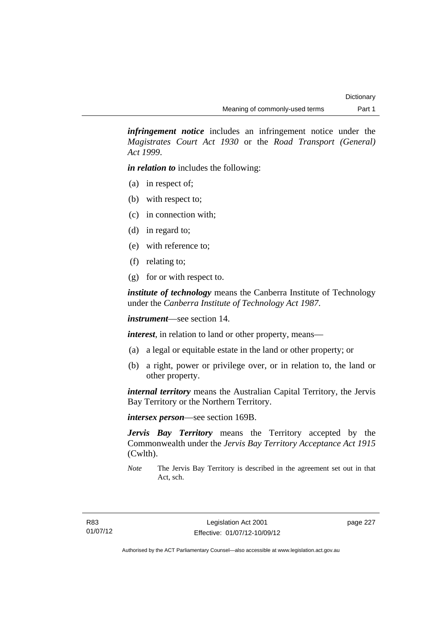*infringement notice* includes an infringement notice under the *Magistrates Court Act 1930* or the *Road Transport (General) Act 1999*.

*in relation to* includes the following:

- (a) in respect of;
- (b) with respect to;
- (c) in connection with;
- (d) in regard to;
- (e) with reference to;
- (f) relating to;
- (g) for or with respect to.

*institute of technology* means the Canberra Institute of Technology under the *Canberra Institute of Technology Act 1987*.

*instrument*—see section 14.

*interest*, in relation to land or other property, means—

- (a) a legal or equitable estate in the land or other property; or
- (b) a right, power or privilege over, or in relation to, the land or other property.

*internal territory* means the Australian Capital Territory, the Jervis Bay Territory or the Northern Territory.

*intersex person*—see section 169B.

*Jervis Bay Territory* means the Territory accepted by the Commonwealth under the *Jervis Bay Territory Acceptance Act 1915* (Cwlth).

*Note* The Jervis Bay Territory is described in the agreement set out in that Act, sch.

page 227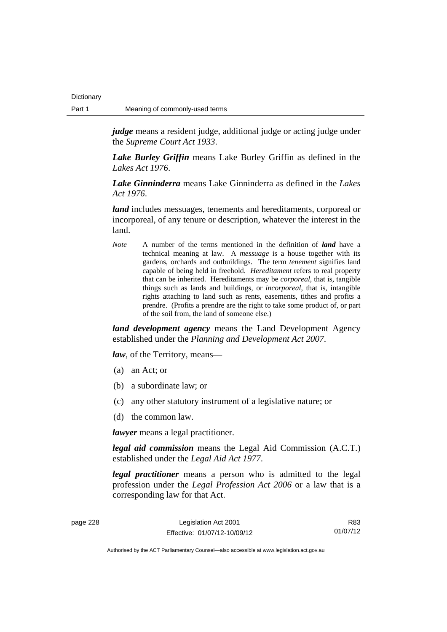**Dictionary** 

*judge* means a resident judge, additional judge or acting judge under the *Supreme Court Act 1933*.

*Lake Burley Griffin* means Lake Burley Griffin as defined in the *Lakes Act 1976*.

*Lake Ginninderra* means Lake Ginninderra as defined in the *Lakes Act 1976*.

*land* includes messuages, tenements and hereditaments, corporeal or incorporeal, of any tenure or description, whatever the interest in the land.

*Note* A number of the terms mentioned in the definition of *land* have a technical meaning at law. A *messuage* is a house together with its gardens, orchards and outbuildings. The term *tenement* signifies land capable of being held in freehold. *Hereditament* refers to real property that can be inherited. Hereditaments may be *corporeal*, that is, tangible things such as lands and buildings, or *incorporeal*, that is, intangible rights attaching to land such as rents, easements, tithes and profits a prendre. (Profits a prendre are the right to take some product of, or part of the soil from, the land of someone else.)

*land development agency* means the Land Development Agency established under the *Planning and Development Act 2007*.

*law*, of the Territory, means—

- (a) an Act; or
- (b) a subordinate law; or
- (c) any other statutory instrument of a legislative nature; or
- (d) the common law.

*lawyer* means a legal practitioner.

*legal aid commission* means the Legal Aid Commission (A.C.T.) established under the *Legal Aid Act 1977*.

*legal practitioner* means a person who is admitted to the legal profession under the *Legal Profession Act 2006* or a law that is a corresponding law for that Act.

R83 01/07/12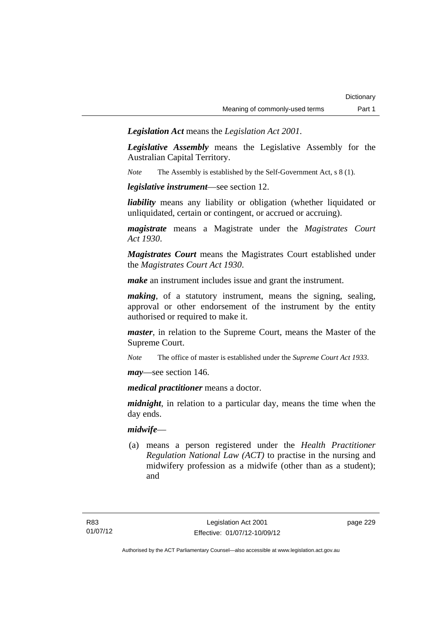*Legislation Act* means the *Legislation Act 2001*.

*Legislative Assembly* means the Legislative Assembly for the Australian Capital Territory.

*Note* The Assembly is established by the Self-Government Act, s 8 (1).

*legislative instrument*—see section 12.

*liability* means any liability or obligation (whether liquidated or unliquidated, certain or contingent, or accrued or accruing).

*magistrate* means a Magistrate under the *Magistrates Court Act 1930*.

*Magistrates Court* means the Magistrates Court established under the *Magistrates Court Act 1930*.

*make* an instrument includes issue and grant the instrument.

*making*, of a statutory instrument, means the signing, sealing, approval or other endorsement of the instrument by the entity authorised or required to make it.

*master*, in relation to the Supreme Court, means the Master of the Supreme Court.

*Note* The office of master is established under the *Supreme Court Act 1933*.

*may*—see section 146.

*medical practitioner* means a doctor.

*midnight*, in relation to a particular day, means the time when the day ends.

### *midwife*—

 (a) means a person registered under the *Health Practitioner Regulation National Law (ACT)* to practise in the nursing and midwifery profession as a midwife (other than as a student); and

page 229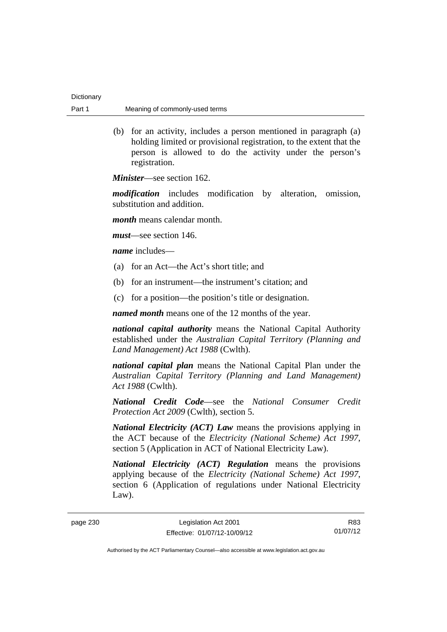| Dictionary |                                |
|------------|--------------------------------|
| Part 1     | Meaning of commonly-used terms |

 (b) for an activity, includes a person mentioned in paragraph (a) holding limited or provisional registration, to the extent that the person is allowed to do the activity under the person's registration.

*Minister*—see section 162.

*modification* includes modification by alteration, omission, substitution and addition.

*month* means calendar month.

*must*—see section 146.

*name* includes—

- (a) for an Act—the Act's short title; and
- (b) for an instrument—the instrument's citation; and
- (c) for a position—the position's title or designation.

*named month* means one of the 12 months of the year.

*national capital authority* means the National Capital Authority established under the *Australian Capital Territory (Planning and Land Management) Act 1988* (Cwlth).

*national capital plan* means the National Capital Plan under the *Australian Capital Territory (Planning and Land Management) Act 1988* (Cwlth).

*National Credit Code*—see the *National Consumer Credit Protection Act 2009* (Cwlth), section 5.

*National Electricity (ACT) Law* means the provisions applying in the ACT because of the *Electricity (National Scheme) Act 1997*, section 5 (Application in ACT of National Electricity Law).

*National Electricity (ACT) Regulation* means the provisions applying because of the *Electricity (National Scheme) Act 1997*, section 6 (Application of regulations under National Electricity Law).

page 230 Legislation Act 2001 Effective: 01/07/12-10/09/12

R83 01/07/12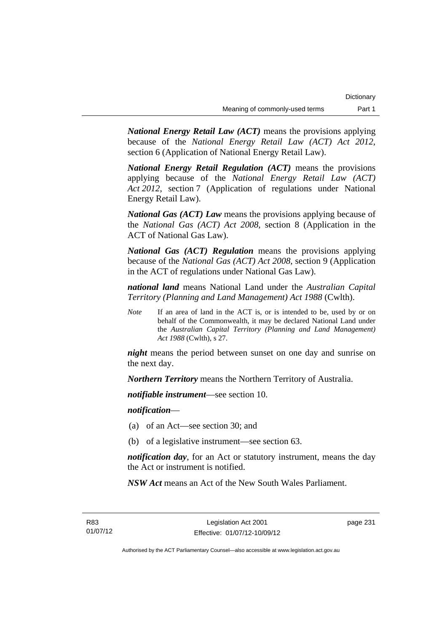*National Energy Retail Law (ACT)* means the provisions applying because of the *National Energy Retail Law (ACT) Act 2012*, section 6 (Application of National Energy Retail Law).

*National Energy Retail Regulation (ACT)* means the provisions applying because of the *National Energy Retail Law (ACT) Act 2012*, section 7 (Application of regulations under National Energy Retail Law).

*National Gas (ACT) Law* means the provisions applying because of the *National Gas (ACT) Act 2008*, section 8 (Application in the ACT of National Gas Law).

*National Gas (ACT) Regulation* means the provisions applying because of the *National Gas (ACT) Act 2008*, section 9 (Application in the ACT of regulations under National Gas Law).

*national land* means National Land under the *Australian Capital Territory (Planning and Land Management) Act 1988* (Cwlth).

*Note* If an area of land in the ACT is, or is intended to be, used by or on behalf of the Commonwealth, it may be declared National Land under the *Australian Capital Territory (Planning and Land Management) Act 1988* (Cwlth), s 27.

*night* means the period between sunset on one day and sunrise on the next day.

*Northern Territory* means the Northern Territory of Australia.

*notifiable instrument*—see section 10.

*notification*—

- (a) of an Act—see section 30; and
- (b) of a legislative instrument—see section 63.

*notification day*, for an Act or statutory instrument, means the day the Act or instrument is notified.

*NSW Act* means an Act of the New South Wales Parliament.

page 231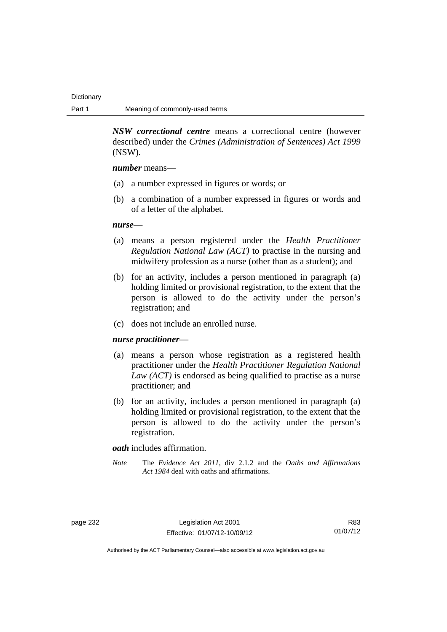*NSW correctional centre* means a correctional centre (however described) under the *Crimes (Administration of Sentences) Act 1999* (NSW).

### *number* means—

- (a) a number expressed in figures or words; or
- (b) a combination of a number expressed in figures or words and of a letter of the alphabet.

#### *nurse*—

- (a) means a person registered under the *Health Practitioner Regulation National Law (ACT)* to practise in the nursing and midwifery profession as a nurse (other than as a student); and
- (b) for an activity, includes a person mentioned in paragraph (a) holding limited or provisional registration, to the extent that the person is allowed to do the activity under the person's registration; and
- (c) does not include an enrolled nurse.

### *nurse practitioner*—

- (a) means a person whose registration as a registered health practitioner under the *Health Practitioner Regulation National Law (ACT)* is endorsed as being qualified to practise as a nurse practitioner; and
- (b) for an activity, includes a person mentioned in paragraph (a) holding limited or provisional registration, to the extent that the person is allowed to do the activity under the person's registration.

### *oath* includes affirmation.

*Note* The *Evidence Act 2011*, div 2.1.2 and the *Oaths and Affirmations Act 1984* deal with oaths and affirmations.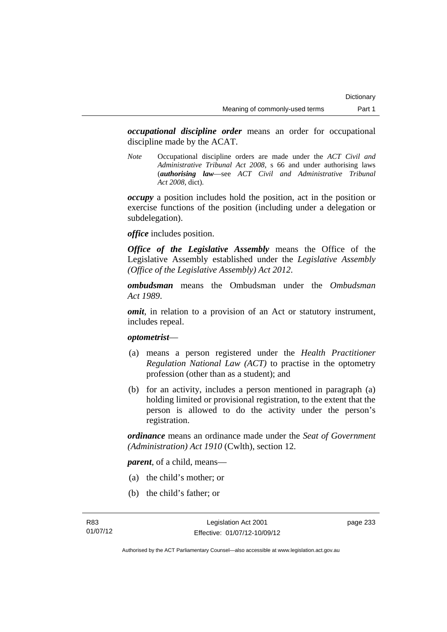*occupational discipline order* means an order for occupational discipline made by the ACAT.

*Note* Occupational discipline orders are made under the *ACT Civil and Administrative Tribunal Act 2008*, s 66 and under authorising laws (*authorising law*—see *ACT Civil and Administrative Tribunal Act 2008*, dict).

*occupy* a position includes hold the position, act in the position or exercise functions of the position (including under a delegation or subdelegation).

*office* includes position.

*Office of the Legislative Assembly* means the Office of the Legislative Assembly established under the *Legislative Assembly (Office of the Legislative Assembly) Act 2012*.

*ombudsman* means the Ombudsman under the *Ombudsman Act 1989*.

*omit*, in relation to a provision of an Act or statutory instrument, includes repeal.

### *optometrist*—

- (a) means a person registered under the *Health Practitioner Regulation National Law (ACT)* to practise in the optometry profession (other than as a student); and
- (b) for an activity, includes a person mentioned in paragraph (a) holding limited or provisional registration, to the extent that the person is allowed to do the activity under the person's registration.

*ordinance* means an ordinance made under the *Seat of Government (Administration) Act 1910* (Cwlth), section 12.

*parent*, of a child, means—

- (a) the child's mother; or
- (b) the child's father; or

page 233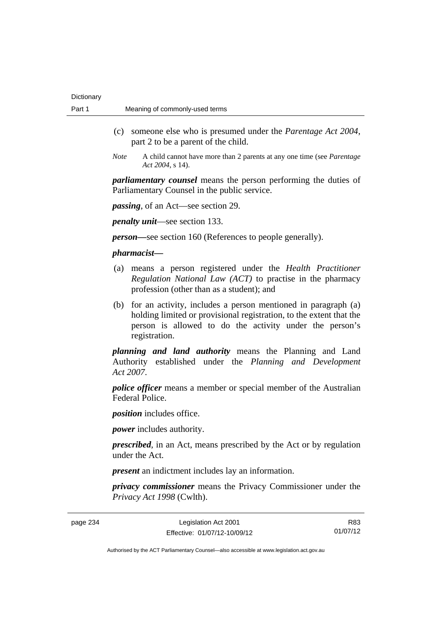| Dictionary |                                |  |
|------------|--------------------------------|--|
| Part 1     | Meaning of commonly-used terms |  |

- (c) someone else who is presumed under the *Parentage Act 2004*, part 2 to be a parent of the child.
- *Note* A child cannot have more than 2 parents at any one time (see *Parentage Act 2004*, s 14).

*parliamentary counsel* means the person performing the duties of Parliamentary Counsel in the public service.

*passing*, of an Act—see section 29.

*penalty unit*—see section 133.

*person—*see section 160 (References to people generally).

#### *pharmacist***—**

- (a) means a person registered under the *Health Practitioner Regulation National Law (ACT)* to practise in the pharmacy profession (other than as a student); and
- (b) for an activity, includes a person mentioned in paragraph (a) holding limited or provisional registration, to the extent that the person is allowed to do the activity under the person's registration.

*planning and land authority* means the Planning and Land Authority established under the *Planning and Development Act 2007*.

*police officer* means a member or special member of the Australian Federal Police.

*position* includes office.

*power* includes authority.

*prescribed*, in an Act, means prescribed by the Act or by regulation under the Act.

*present* an indictment includes lay an information.

*privacy commissioner* means the Privacy Commissioner under the *Privacy Act 1998* (Cwlth).

page 234 Legislation Act 2001 Effective: 01/07/12-10/09/12

R83 01/07/12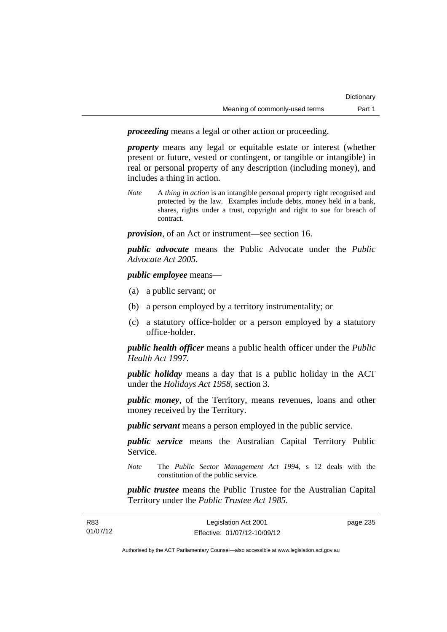*proceeding* means a legal or other action or proceeding.

*property* means any legal or equitable estate or interest (whether present or future, vested or contingent, or tangible or intangible) in real or personal property of any description (including money), and includes a thing in action.

*Note* A *thing in action* is an intangible personal property right recognised and protected by the law. Examples include debts, money held in a bank, shares, rights under a trust, copyright and right to sue for breach of contract.

*provision*, of an Act or instrument—see section 16.

*public advocate* means the Public Advocate under the *Public Advocate Act 2005*.

### *public employee* means—

- (a) a public servant; or
- (b) a person employed by a territory instrumentality; or
- (c) a statutory office-holder or a person employed by a statutory office-holder.

*public health officer* means a public health officer under the *Public Health Act 1997.*

*public holiday* means a day that is a public holiday in the ACT under the *Holidays Act 1958*, section 3.

*public money*, of the Territory, means revenues, loans and other money received by the Territory.

*public servant* means a person employed in the public service.

*public service* means the Australian Capital Territory Public Service.

*Note* The *Public Sector Management Act 1994*, s 12 deals with the constitution of the public service.

*public trustee* means the Public Trustee for the Australian Capital Territory under the *Public Trustee Act 1985*.

| R83      | Legislation Act 2001         | page 235 |
|----------|------------------------------|----------|
| 01/07/12 | Effective: 01/07/12-10/09/12 |          |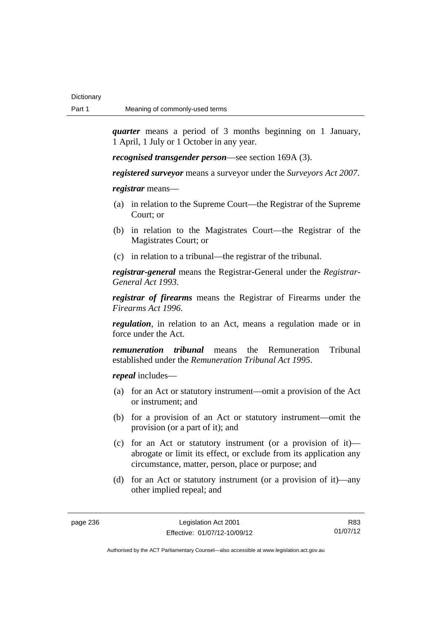*quarter* means a period of 3 months beginning on 1 January, 1 April, 1 July or 1 October in any year.

*recognised transgender person*—see section 169A (3).

*registered surveyor* means a surveyor under the *Surveyors Act 2007*.

*registrar* means—

- (a) in relation to the Supreme Court—the Registrar of the Supreme Court; or
- (b) in relation to the Magistrates Court—the Registrar of the Magistrates Court; or
- (c) in relation to a tribunal—the registrar of the tribunal.

*registrar-general* means the Registrar-General under the *Registrar-General Act 1993*.

*registrar of firearms* means the Registrar of Firearms under the *Firearms Act 1996*.

*regulation*, in relation to an Act, means a regulation made or in force under the Act.

*remuneration tribunal* means the Remuneration Tribunal established under the *Remuneration Tribunal Act 1995*.

*repeal* includes—

- (a) for an Act or statutory instrument—omit a provision of the Act or instrument; and
- (b) for a provision of an Act or statutory instrument—omit the provision (or a part of it); and
- (c) for an Act or statutory instrument (or a provision of it) abrogate or limit its effect, or exclude from its application any circumstance, matter, person, place or purpose; and
- (d) for an Act or statutory instrument (or a provision of it)—any other implied repeal; and

R83 01/07/12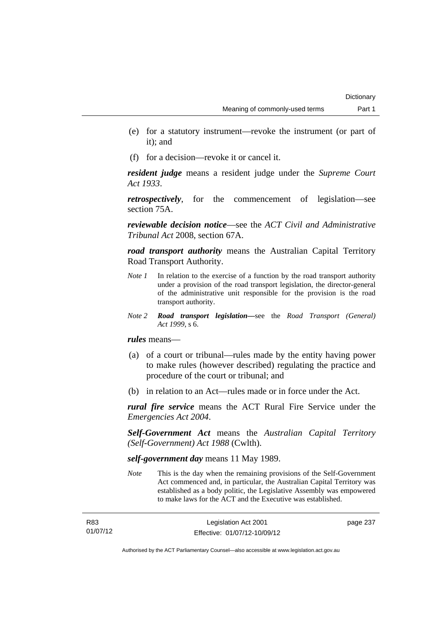- (e) for a statutory instrument—revoke the instrument (or part of it); and
- (f) for a decision—revoke it or cancel it.

*resident judge* means a resident judge under the *Supreme Court Act 1933*.

*retrospectively*, for the commencement of legislation—see section 75A.

*reviewable decision notice*—see the *ACT Civil and Administrative Tribunal Act* 2008, section 67A.

*road transport authority* means the Australian Capital Territory Road Transport Authority.

- *Note 1* In relation to the exercise of a function by the road transport authority under a provision of the road transport legislation, the director-general of the administrative unit responsible for the provision is the road transport authority.
- *Note 2 Road transport legislation––*see the *Road Transport (General) Act 1999*, s 6.

*rules* means—

- (a) of a court or tribunal—rules made by the entity having power to make rules (however described) regulating the practice and procedure of the court or tribunal; and
- (b) in relation to an Act—rules made or in force under the Act.

*rural fire service* means the ACT Rural Fire Service under the *Emergencies Act 2004*.

*Self-Government Act* means the *Australian Capital Territory (Self-Government) Act 1988* (Cwlth).

## *self-government day* means 11 May 1989.

*Note* This is the day when the remaining provisions of the Self-Government Act commenced and, in particular, the Australian Capital Territory was established as a body politic, the Legislative Assembly was empowered to make laws for the ACT and the Executive was established.

| R83      | Legislation Act 2001         | page 237 |
|----------|------------------------------|----------|
| 01/07/12 | Effective: 01/07/12-10/09/12 |          |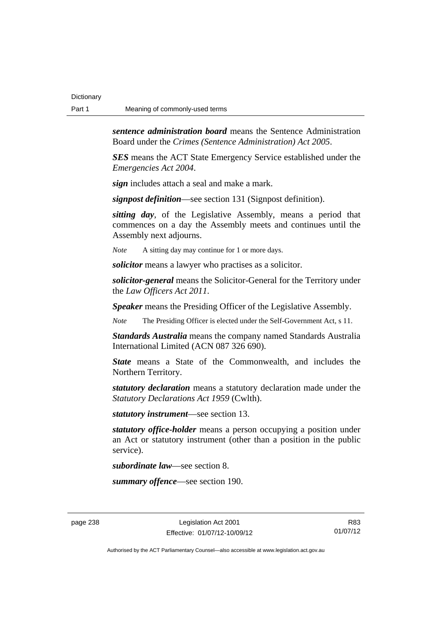*sentence administration board* means the Sentence Administration Board under the *Crimes (Sentence Administration) Act 2005*.

*SES* means the ACT State Emergency Service established under the *Emergencies Act 2004*.

*sign* includes attach a seal and make a mark.

*signpost definition*—see section 131 (Signpost definition).

*sitting day*, of the Legislative Assembly, means a period that commences on a day the Assembly meets and continues until the Assembly next adjourns.

*Note* A sitting day may continue for 1 or more days.

*solicitor* means a lawyer who practises as a solicitor.

*solicitor-general* means the Solicitor-General for the Territory under the *Law Officers Act 2011*.

*Speaker* means the Presiding Officer of the Legislative Assembly.

*Note* The Presiding Officer is elected under the Self-Government Act, s 11.

*Standards Australia* means the company named Standards Australia International Limited (ACN 087 326 690).

*State* means a State of the Commonwealth, and includes the Northern Territory.

*statutory declaration* means a statutory declaration made under the *Statutory Declarations Act 1959* (Cwlth).

*statutory instrument*—see section 13.

*statutory office-holder* means a person occupying a position under an Act or statutory instrument (other than a position in the public service).

*subordinate law*—see section 8.

*summary offence*—see section 190.

page 238 Legislation Act 2001 Effective: 01/07/12-10/09/12

R83 01/07/12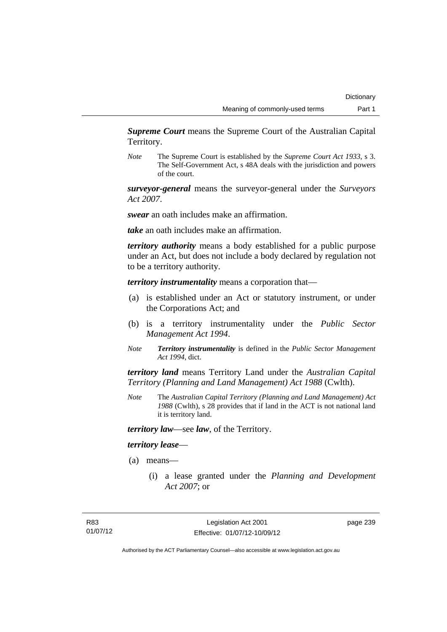*Supreme Court* means the Supreme Court of the Australian Capital Territory.

*Note* The Supreme Court is established by the *Supreme Court Act 1933*, s 3. The Self-Government Act, s 48A deals with the jurisdiction and powers of the court.

*surveyor-general* means the surveyor-general under the *Surveyors Act 2007*.

*swear* an oath includes make an affirmation.

*take* an oath includes make an affirmation.

*territory authority* means a body established for a public purpose under an Act, but does not include a body declared by regulation not to be a territory authority.

*territory instrumentality* means a corporation that—

- (a) is established under an Act or statutory instrument, or under the Corporations Act; and
- (b) is a territory instrumentality under the *Public Sector Management Act 1994*.
- *Note Territory instrumentality* is defined in the *Public Sector Management Act 1994*, dict.

*territory land* means Territory Land under the *Australian Capital Territory (Planning and Land Management) Act 1988* (Cwlth).

*Note* The *Australian Capital Territory (Planning and Land Management) Act 1988* (Cwlth), s 28 provides that if land in the ACT is not national land it is territory land.

*territory law*—see *law*, of the Territory.

#### *territory lease*—

- (a) means—
	- (i) a lease granted under the *Planning and Development Act 2007*; or

page 239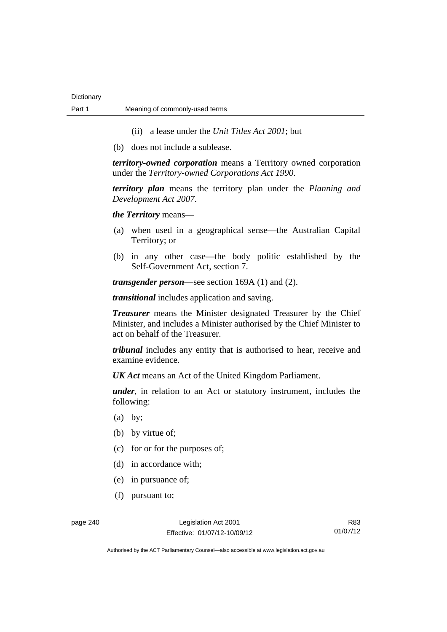- (ii) a lease under the *Unit Titles Act 2001*; but
- (b) does not include a sublease.

*territory-owned corporation* means a Territory owned corporation under the *Territory-owned Corporations Act 1990*.

*territory plan* means the territory plan under the *Planning and Development Act 2007*.

*the Territory* means—

- (a) when used in a geographical sense—the Australian Capital Territory; or
- (b) in any other case—the body politic established by the Self-Government Act, section 7.

*transgender person*—see section 169A (1) and (2).

*transitional* includes application and saving.

*Treasurer* means the Minister designated Treasurer by the Chief Minister, and includes a Minister authorised by the Chief Minister to act on behalf of the Treasurer.

*tribunal* includes any entity that is authorised to hear, receive and examine evidence.

*UK Act* means an Act of the United Kingdom Parliament.

*under*, in relation to an Act or statutory instrument, includes the following:

- (a) by;
- (b) by virtue of:
- (c) for or for the purposes of;
- (d) in accordance with;
- (e) in pursuance of;
- (f) pursuant to;

page 240 Legislation Act 2001 Effective: 01/07/12-10/09/12

R83 01/07/12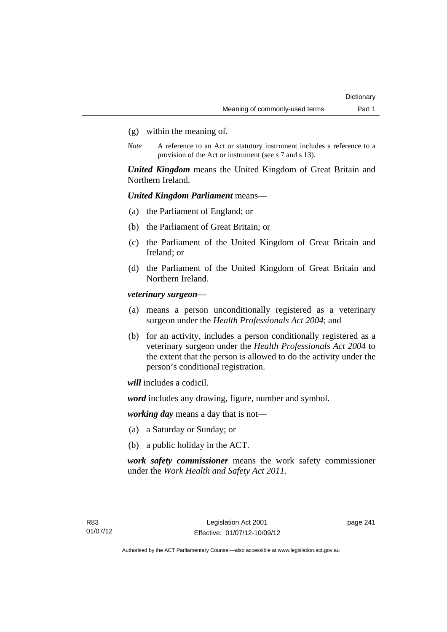- (g) within the meaning of.
- *Note* A reference to an Act or statutory instrument includes a reference to a provision of the Act or instrument (see s 7 and s 13).

*United Kingdom* means the United Kingdom of Great Britain and Northern Ireland.

# *United Kingdom Parliament* means—

- (a) the Parliament of England; or
- (b) the Parliament of Great Britain; or
- (c) the Parliament of the United Kingdom of Great Britain and Ireland; or
- (d) the Parliament of the United Kingdom of Great Britain and Northern Ireland.

*veterinary surgeon*—

- (a) means a person unconditionally registered as a veterinary surgeon under the *Health Professionals Act 2004*; and
- (b) for an activity, includes a person conditionally registered as a veterinary surgeon under the *Health Professionals Act 2004* to the extent that the person is allowed to do the activity under the person's conditional registration.

*will* includes a codicil.

*word* includes any drawing, figure, number and symbol.

*working day* means a day that is not—

- (a) a Saturday or Sunday; or
- (b) a public holiday in the ACT.

*work safety commissioner* means the work safety commissioner under the *Work Health and Safety Act 2011*.

page 241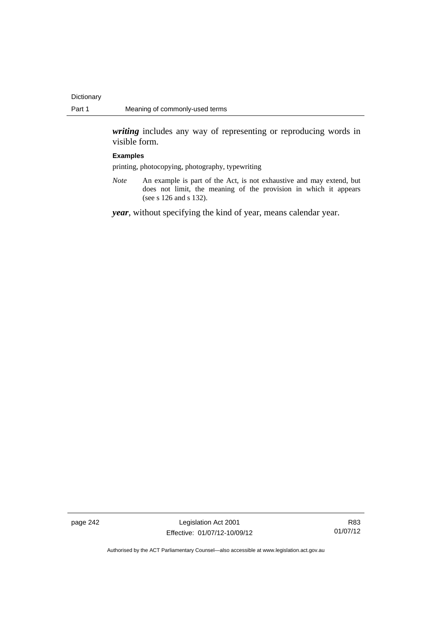*writing* includes any way of representing or reproducing words in visible form.

#### **Examples**

printing, photocopying, photography, typewriting

*Note* An example is part of the Act, is not exhaustive and may extend, but does not limit, the meaning of the provision in which it appears (see s 126 and s 132).

*year*, without specifying the kind of year, means calendar year.

page 242 Legislation Act 2001 Effective: 01/07/12-10/09/12

R83 01/07/12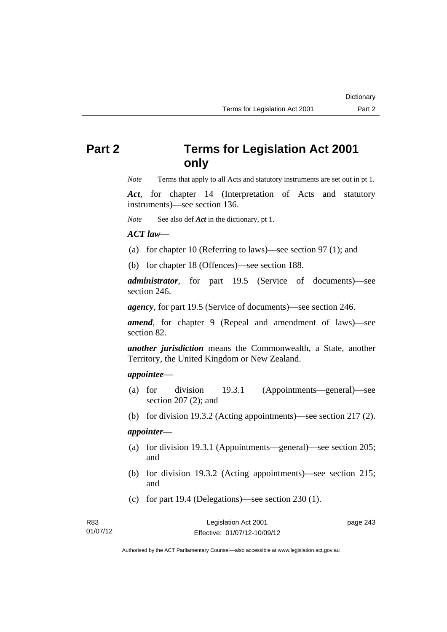# **Part 2 Terms for Legislation Act 2001 only**

*Note* Terms that apply to all Acts and statutory instruments are set out in pt 1.

*Act*, for chapter 14 (Interpretation of Acts and statutory instruments)—see section 136.

*Note* See also def *Act* in the dictionary, pt 1.

## *ACT law*—

- (a) for chapter 10 (Referring to laws)—see section 97 (1); and
- (b) for chapter 18 (Offences)—see section 188.

*administrator*, for part 19.5 (Service of documents)—see section 246.

*agency*, for part 19.5 (Service of documents)—see section 246.

*amend*, for chapter 9 (Repeal and amendment of laws)—see section 82.

*another jurisdiction* means the Commonwealth, a State, another Territory, the United Kingdom or New Zealand.

## *appointee*—

- (a) for division 19.3.1 (Appointments—general)—see section 207 (2); and
- (b) for division 19.3.2 (Acting appointments)—see section 217 (2).

# *appointer*—

- (a) for division 19.3.1 (Appointments—general)—see section 205; and
- (b) for division 19.3.2 (Acting appointments)—see section 215; and
- (c) for part 19.4 (Delegations)—see section 230 (1).

| R83      | Legislation Act 2001         | page 243 |
|----------|------------------------------|----------|
| 01/07/12 | Effective: 01/07/12-10/09/12 |          |

Authorised by the ACT Parliamentary Counsel—also accessible at www.legislation.act.gov.au

**Dictionary**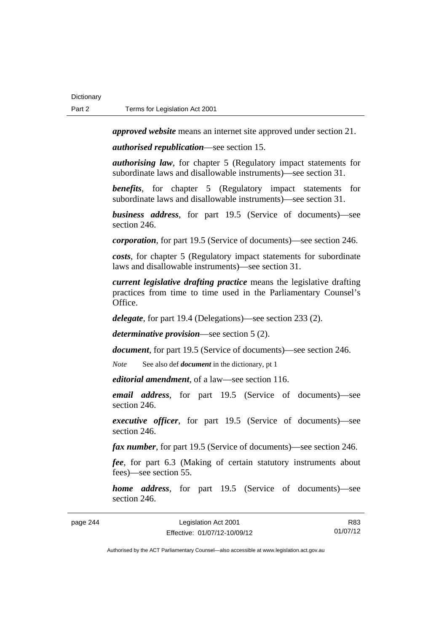*approved website* means an internet site approved under section 21.

*authorised republication*—see section 15.

*authorising law*, for chapter 5 (Regulatory impact statements for subordinate laws and disallowable instruments)—see section 31.

*benefits*, for chapter 5 (Regulatory impact statements for subordinate laws and disallowable instruments)—see section 31.

*business address*, for part 19.5 (Service of documents)—see section 246.

*corporation*, for part 19.5 (Service of documents)—see section 246.

*costs*, for chapter 5 (Regulatory impact statements for subordinate laws and disallowable instruments)—see section 31.

*current legislative drafting practice* means the legislative drafting practices from time to time used in the Parliamentary Counsel's Office.

*delegate*, for part 19.4 (Delegations)—see section 233 (2).

*determinative provision*—see section 5 (2).

*document*, for part 19.5 (Service of documents)—see section 246.

*Note* See also def *document* in the dictionary, pt 1

*editorial amendment*, of a law—see section 116.

*email address*, for part 19.5 (Service of documents)—see section 246.

*executive officer*, for part 19.5 (Service of documents)—see section 246.

*fax number*, for part 19.5 (Service of documents)—see section 246.

*fee*, for part 6.3 (Making of certain statutory instruments about fees)—see section 55.

*home address*, for part 19.5 (Service of documents)—see section 246.

page 244 Legislation Act 2001 Effective: 01/07/12-10/09/12 R83 01/07/12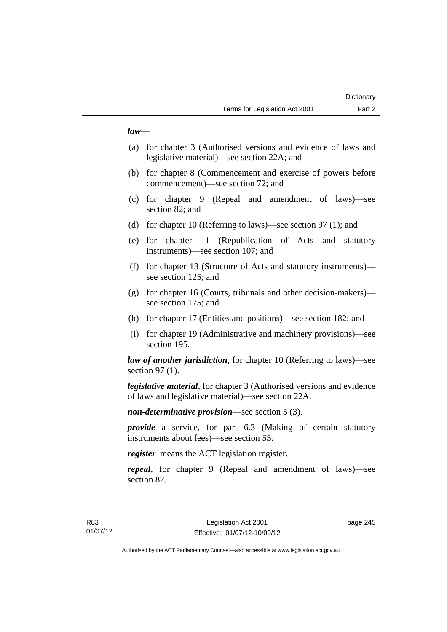## *law*—

- (a) for chapter 3 (Authorised versions and evidence of laws and legislative material)—see section 22A; and
- (b) for chapter 8 (Commencement and exercise of powers before commencement)—see section 72; and
- (c) for chapter 9 (Repeal and amendment of laws)—see section 82; and
- (d) for chapter 10 (Referring to laws)—see section 97 (1); and
- (e) for chapter 11 (Republication of Acts and statutory instruments)—see section 107; and
- (f) for chapter 13 (Structure of Acts and statutory instruments) see section 125; and
- (g) for chapter 16 (Courts, tribunals and other decision-makers) see section 175; and
- (h) for chapter 17 (Entities and positions)—see section 182; and
- (i) for chapter 19 (Administrative and machinery provisions)—see section 195.

*law of another jurisdiction*, for chapter 10 (Referring to laws)—see section 97 (1).

*legislative material*, for chapter 3 (Authorised versions and evidence of laws and legislative material)—see section 22A.

*non-determinative provision*—see section 5 (3).

*provide* a service, for part 6.3 (Making of certain statutory instruments about fees)—see section 55.

*register* means the ACT legislation register.

*repeal*, for chapter 9 (Repeal and amendment of laws)—see section 82.

page 245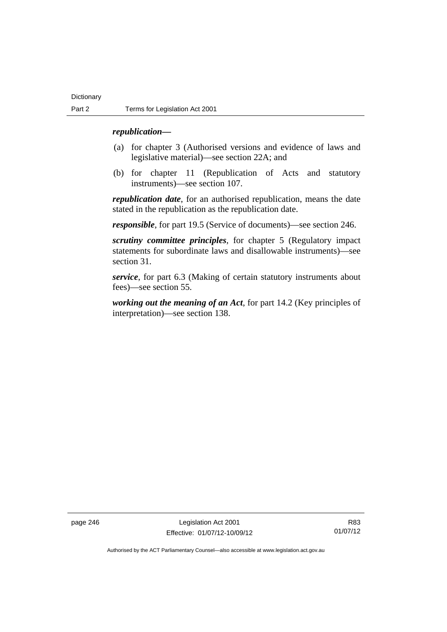## *republication—*

- (a) for chapter 3 (Authorised versions and evidence of laws and legislative material)—see section 22A; and
- (b) for chapter 11 (Republication of Acts and statutory instruments)—see section 107.

*republication date*, for an authorised republication, means the date stated in the republication as the republication date.

*responsible*, for part 19.5 (Service of documents)—see section 246.

*scrutiny committee principles*, for chapter 5 (Regulatory impact statements for subordinate laws and disallowable instruments)—see section 31.

*service*, for part 6.3 (Making of certain statutory instruments about fees)—see section 55.

*working out the meaning of an Act*, for part 14.2 (Key principles of interpretation)—see section 138.

page 246 Legislation Act 2001 Effective: 01/07/12-10/09/12

R83 01/07/12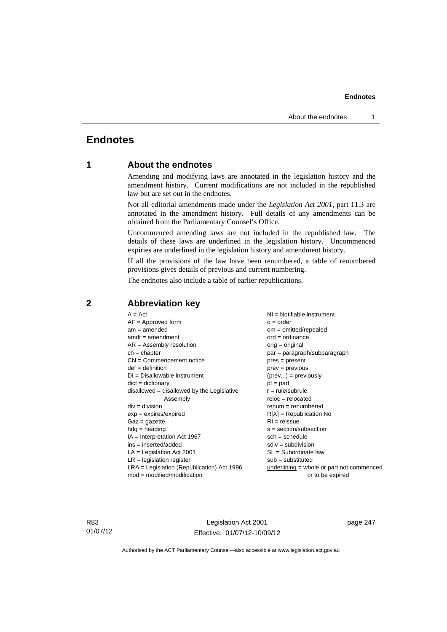# **Endnotes**

# **1 About the endnotes**

Amending and modifying laws are annotated in the legislation history and the amendment history. Current modifications are not included in the republished law but are set out in the endnotes.

Not all editorial amendments made under the *Legislation Act 2001*, part 11.3 are annotated in the amendment history. Full details of any amendments can be obtained from the Parliamentary Counsel's Office.

Uncommenced amending laws are not included in the republished law. The details of these laws are underlined in the legislation history. Uncommenced expiries are underlined in the legislation history and amendment history.

If all the provisions of the law have been renumbered, a table of renumbered provisions gives details of previous and current numbering.

The endnotes also include a table of earlier republications.

| $A = Act$                                    | $NI = Notifiable$ instrument                |
|----------------------------------------------|---------------------------------------------|
| $AF =$ Approved form                         | $o = order$                                 |
| $am = amended$                               | om = omitted/repealed                       |
| $amdt = amendment$                           | $ord = ordinance$                           |
| $AR = Assembly resolution$                   | $orig = original$                           |
| $ch = chapter$                               | par = paragraph/subparagraph                |
| $CN =$ Commencement notice                   | $pres = present$                            |
| $def = definition$                           | $prev = previous$                           |
| $DI = Disallowable instrument$               | $(\text{prev}) = \text{previously}$         |
| $dict = dictionary$                          | $pt = part$                                 |
| disallowed = disallowed by the Legislative   | $r = rule/subrule$                          |
| Assembly                                     | $reloc = relocated$                         |
| $div = division$                             | $renum = renumbered$                        |
| $exp = expires/expired$                      | $R[X]$ = Republication No                   |
| $Gaz = gazette$                              | $RI = reissue$                              |
| $hdg = heading$                              | s = section/subsection                      |
| $IA = Interpretation Act 1967$               | $sch = schedule$                            |
| ins = inserted/added                         | $sdiv = subdivision$                        |
| $LA =$ Legislation Act 2001                  | $SL = Subordinate$ law                      |
| $LR =$ legislation register                  | $sub =$ substituted                         |
| $LRA =$ Legislation (Republication) Act 1996 | $underlining = whole or part not commenced$ |
| $mod = modified/modification$                | or to be expired                            |
|                                              |                                             |

# **2 Abbreviation key**

R83 01/07/12

Legislation Act 2001 Effective: 01/07/12-10/09/12 page 247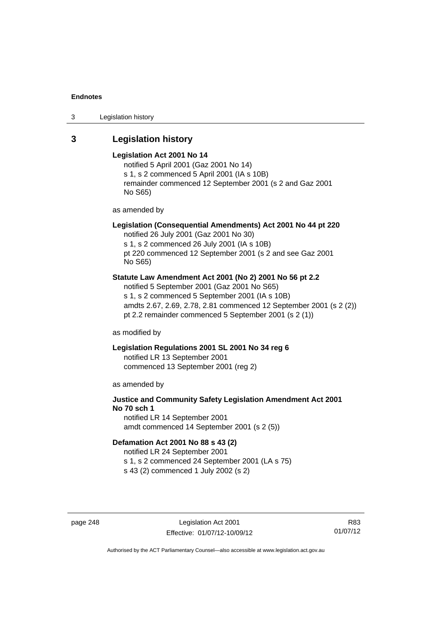3 Legislation history

# **3 Legislation history**

## **Legislation Act 2001 No 14**

notified 5 April 2001 (Gaz 2001 No 14) s 1, s 2 commenced 5 April 2001 (IA s 10B) remainder commenced 12 September 2001 (s 2 and Gaz 2001 No S65)

as amended by

# **Legislation (Consequential Amendments) Act 2001 No 44 pt 220**

notified 26 July 2001 (Gaz 2001 No 30) s 1, s 2 commenced 26 July 2001 (IA s 10B) pt 220 commenced 12 September 2001 (s 2 and see Gaz 2001

No S65)

## **Statute Law Amendment Act 2001 (No 2) 2001 No 56 pt 2.2**

notified 5 September 2001 (Gaz 2001 No S65) s 1, s 2 commenced 5 September 2001 (IA s 10B) amdts 2.67, 2.69, 2.78, 2.81 commenced 12 September 2001 (s 2 (2)) pt 2.2 remainder commenced 5 September 2001 (s 2 (1))

as modified by

## **Legislation Regulations 2001 SL 2001 No 34 reg 6**  notified LR 13 September 2001 commenced 13 September 2001 (reg 2)

as amended by

# **Justice and Community Safety Legislation Amendment Act 2001 No 70 sch 1**  notified LR 14 September 2001

amdt commenced 14 September 2001 (s 2 (5))

## **Defamation Act 2001 No 88 s 43 (2)**

notified LR 24 September 2001

s 1, s 2 commenced 24 September 2001 (LA s 75)

s 43 (2) commenced 1 July 2002 (s 2)

page 248 Legislation Act 2001 Effective: 01/07/12-10/09/12

R83 01/07/12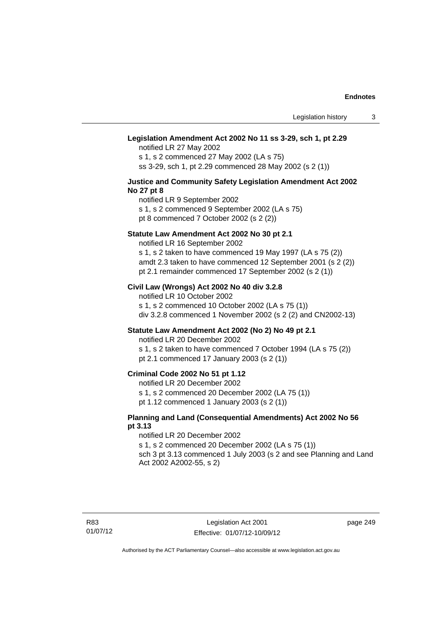#### **Legislation Amendment Act 2002 No 11 ss 3-29, sch 1, pt 2.29**

notified LR 27 May 2002 s 1, s 2 commenced 27 May 2002 (LA s 75) ss 3-29, sch 1, pt 2.29 commenced 28 May 2002 (s 2 (1))

#### **Justice and Community Safety Legislation Amendment Act 2002 No 27 pt 8**

notified LR 9 September 2002 s 1, s 2 commenced 9 September 2002 (LA s 75)

pt 8 commenced 7 October 2002 (s 2 (2))

#### **Statute Law Amendment Act 2002 No 30 pt 2.1**

notified LR 16 September 2002 s 1, s 2 taken to have commenced 19 May 1997 (LA s 75 (2)) amdt 2.3 taken to have commenced 12 September 2001 (s 2 (2)) pt 2.1 remainder commenced 17 September 2002 (s 2 (1))

#### **Civil Law (Wrongs) Act 2002 No 40 div 3.2.8**

notified LR 10 October 2002 s 1, s 2 commenced 10 October 2002 (LA s 75 (1)) div 3.2.8 commenced 1 November 2002 (s 2 (2) and CN2002-13)

#### **Statute Law Amendment Act 2002 (No 2) No 49 pt 2.1**

notified LR 20 December 2002

s 1, s 2 taken to have commenced 7 October 1994 (LA s 75 (2)) pt 2.1 commenced 17 January 2003 (s 2 (1))

## **Criminal Code 2002 No 51 pt 1.12**

notified LR 20 December 2002

s 1, s 2 commenced 20 December 2002 (LA 75 (1))

pt 1.12 commenced 1 January 2003 (s 2 (1))

#### **Planning and Land (Consequential Amendments) Act 2002 No 56 pt 3.13**

#### notified LR 20 December 2002

s 1, s 2 commenced 20 December 2002 (LA s 75 (1)) sch 3 pt 3.13 commenced 1 July 2003 (s 2 and see Planning and Land

Act 2002 A2002-55, s 2)

page 249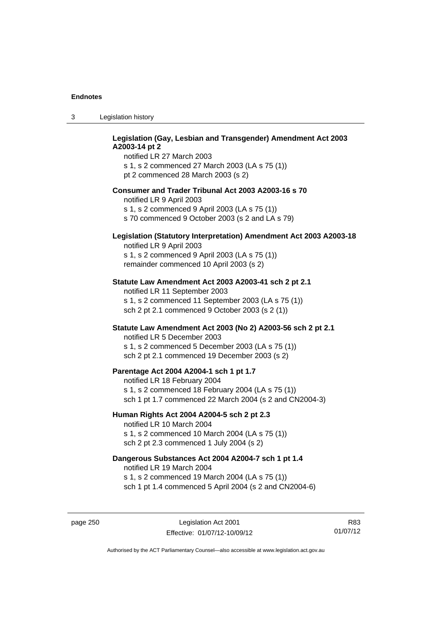3 Legislation history

# page 250 Legislation Act 2001 Effective: 01/07/12-10/09/12 R83 01/07/12 **Legislation (Gay, Lesbian and Transgender) Amendment Act 2003 A2003-14 pt 2**  notified LR 27 March 2003 s 1, s 2 commenced 27 March 2003 (LA s 75 (1)) pt 2 commenced 28 March 2003 (s 2) **Consumer and Trader Tribunal Act 2003 A2003-16 s 70**  notified LR 9 April 2003 s 1, s 2 commenced 9 April 2003 (LA s 75 (1)) s 70 commenced 9 October 2003 (s 2 and LA s 79) **Legislation (Statutory Interpretation) Amendment Act 2003 A2003-18**  notified LR 9 April 2003 s 1, s 2 commenced 9 April 2003 (LA s 75 (1)) remainder commenced 10 April 2003 (s 2) **Statute Law Amendment Act 2003 A2003-41 sch 2 pt 2.1**  notified LR 11 September 2003 s 1, s 2 commenced 11 September 2003 (LA s 75 (1)) sch 2 pt 2.1 commenced 9 October 2003 (s 2 (1)) **Statute Law Amendment Act 2003 (No 2) A2003-56 sch 2 pt 2.1**  notified LR 5 December 2003 s 1, s 2 commenced 5 December 2003 (LA s 75 (1)) sch 2 pt 2.1 commenced 19 December 2003 (s 2) **Parentage Act 2004 A2004-1 sch 1 pt 1.7**  notified LR 18 February 2004 s 1, s 2 commenced 18 February 2004 (LA s 75 (1)) sch 1 pt 1.7 commenced 22 March 2004 (s 2 and CN2004-3) **Human Rights Act 2004 A2004-5 sch 2 pt 2.3**  notified LR 10 March 2004 s 1, s 2 commenced 10 March 2004 (LA s 75 (1)) sch 2 pt 2.3 commenced 1 July 2004 (s 2) **Dangerous Substances Act 2004 A2004-7 sch 1 pt 1.4**  notified LR 19 March 2004 s 1, s 2 commenced 19 March 2004 (LA s 75 (1)) sch 1 pt 1.4 commenced 5 April 2004 (s 2 and CN2004-6)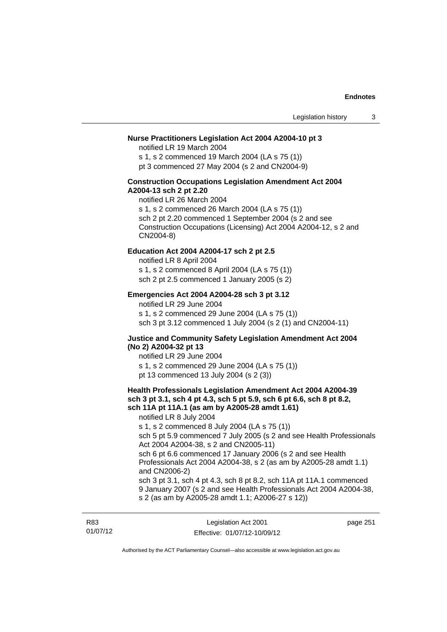#### **Nurse Practitioners Legislation Act 2004 A2004-10 pt 3**

notified LR 19 March 2004

s 1, s 2 commenced 19 March 2004 (LA s 75 (1)) pt 3 commenced 27 May 2004 (s 2 and CN2004-9)

#### **Construction Occupations Legislation Amendment Act 2004 A2004-13 sch 2 pt 2.20**

notified LR 26 March 2004

s 1, s 2 commenced 26 March 2004 (LA s 75 (1))

sch 2 pt 2.20 commenced 1 September 2004 (s 2 and see

Construction Occupations (Licensing) Act 2004 A2004-12, s 2 and CN2004-8)

#### **Education Act 2004 A2004-17 sch 2 pt 2.5**

notified LR 8 April 2004 s 1, s 2 commenced 8 April 2004 (LA s 75 (1)) sch 2 pt 2.5 commenced 1 January 2005 (s 2)

#### **Emergencies Act 2004 A2004-28 sch 3 pt 3.12**

notified LR 29 June 2004 s 1, s 2 commenced 29 June 2004 (LA s 75 (1)) sch 3 pt 3.12 commenced 1 July 2004 (s 2 (1) and CN2004-11)

#### **Justice and Community Safety Legislation Amendment Act 2004 (No 2) A2004-32 pt 13**

notified LR 29 June 2004 s 1, s 2 commenced 29 June 2004 (LA s 75 (1)) pt 13 commenced 13 July 2004 (s 2 (3))

#### **Health Professionals Legislation Amendment Act 2004 A2004-39 sch 3 pt 3.1, sch 4 pt 4.3, sch 5 pt 5.9, sch 6 pt 6.6, sch 8 pt 8.2, sch 11A pt 11A.1 (as am by A2005-28 amdt 1.61)**

notified LR 8 July 2004

s 1, s 2 commenced 8 July 2004 (LA s 75 (1))

sch 5 pt 5.9 commenced 7 July 2005 (s 2 and see Health Professionals Act 2004 A2004-38, s 2 and CN2005-11)

sch 6 pt 6.6 commenced 17 January 2006 (s 2 and see Health Professionals Act 2004 A2004-38, s 2 (as am by A2005-28 amdt 1.1) and CN2006-2)

sch 3 pt 3.1, sch 4 pt 4.3, sch 8 pt 8.2, sch 11A pt 11A.1 commenced 9 January 2007 (s 2 and see Health Professionals Act 2004 A2004-38, s 2 (as am by A2005-28 amdt 1.1; A2006-27 s 12))

| R83      | Legislation Act 2001         | page 251 |
|----------|------------------------------|----------|
| 01/07/12 | Effective: 01/07/12-10/09/12 |          |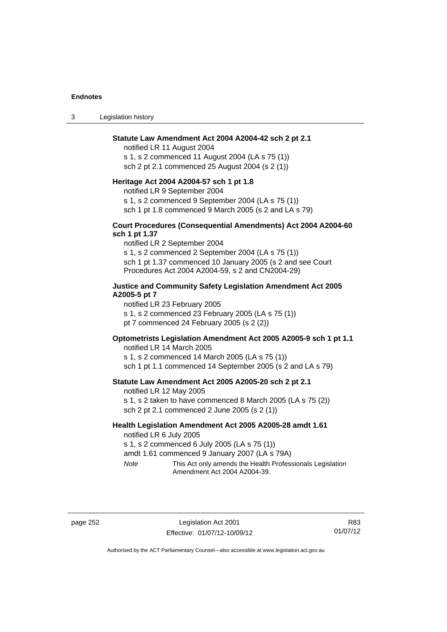3 Legislation history

page 252 Legislation Act 2001 Effective: 01/07/12-10/09/12

R83 01/07/12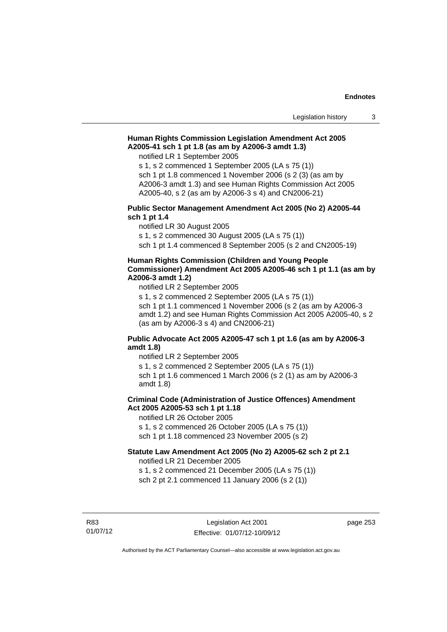## **Human Rights Commission Legislation Amendment Act 2005 A2005-41 sch 1 pt 1.8 (as am by A2006-3 amdt 1.3)**

notified LR 1 September 2005

s 1, s 2 commenced 1 September 2005 (LA s 75 (1)) sch 1 pt 1.8 commenced 1 November 2006 (s 2 (3) (as am by A2006-3 amdt 1.3) and see Human Rights Commission Act 2005 A2005-40, s 2 (as am by A2006-3 s 4) and CN2006-21)

#### **Public Sector Management Amendment Act 2005 (No 2) A2005-44 sch 1 pt 1.4**

notified LR 30 August 2005

s 1, s 2 commenced 30 August 2005 (LA s 75 (1))

sch 1 pt 1.4 commenced 8 September 2005 (s 2 and CN2005-19)

## **Human Rights Commission (Children and Young People Commissioner) Amendment Act 2005 A2005-46 sch 1 pt 1.1 (as am by A2006-3 amdt 1.2)**

notified LR 2 September 2005

s 1, s 2 commenced 2 September 2005 (LA s 75 (1)) sch 1 pt 1.1 commenced 1 November 2006 (s 2 (as am by A2006-3 amdt 1.2) and see Human Rights Commission Act 2005 A2005-40, s 2 (as am by A2006-3 s 4) and CN2006-21)

#### **Public Advocate Act 2005 A2005-47 sch 1 pt 1.6 (as am by A2006-3 amdt 1.8)**

notified LR 2 September 2005

s 1, s 2 commenced 2 September 2005 (LA s 75 (1))

sch 1 pt 1.6 commenced 1 March 2006 (s 2 (1) as am by A2006-3 amdt 1.8)

# **Criminal Code (Administration of Justice Offences) Amendment Act 2005 A2005-53 sch 1 pt 1.18**

notified LR 26 October 2005

s 1, s 2 commenced 26 October 2005 (LA s 75 (1)) sch 1 pt 1.18 commenced 23 November 2005 (s 2)

## **Statute Law Amendment Act 2005 (No 2) A2005-62 sch 2 pt 2.1**

notified LR 21 December 2005

s 1, s 2 commenced 21 December 2005 (LA s 75 (1)) sch 2 pt 2.1 commenced 11 January 2006 (s 2 (1))

R83 01/07/12 page 253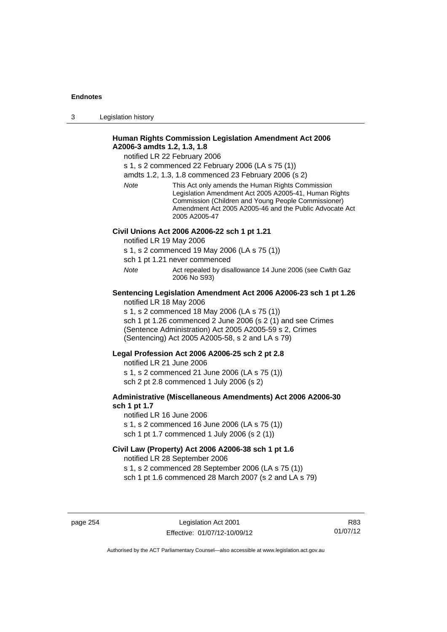3 Legislation history

## **Human Rights Commission Legislation Amendment Act 2006 A2006-3 amdts 1.2, 1.3, 1.8**

notified LR 22 February 2006

s 1, s 2 commenced 22 February 2006 (LA s 75 (1))

amdts 1.2, 1.3, 1.8 commenced 23 February 2006 (s 2)

*Note* This Act only amends the Human Rights Commission Legislation Amendment Act 2005 A2005-41, Human Rights Commission (Children and Young People Commissioner) Amendment Act 2005 A2005-46 and the Public Advocate Act 2005 A2005-47

#### **Civil Unions Act 2006 A2006-22 sch 1 pt 1.21**

notified LR 19 May 2006

s 1, s 2 commenced 19 May 2006 (LA s 75 (1))

sch 1 pt 1.21 never commenced

*Note* **Act repealed by disallowance 14 June 2006 (see Cwlth Gaz** 2006 No S93)

# **Sentencing Legislation Amendment Act 2006 A2006-23 sch 1 pt 1.26**

notified LR 18 May 2006

s 1, s 2 commenced 18 May 2006 (LA s 75 (1)) sch 1 pt 1.26 commenced 2 June 2006 (s 2 (1) and see Crimes (Sentence Administration) Act 2005 A2005-59 s 2, Crimes (Sentencing) Act 2005 A2005-58, s 2 and LA s 79)

#### **Legal Profession Act 2006 A2006-25 sch 2 pt 2.8**

notified LR 21 June 2006 s 1, s 2 commenced 21 June 2006 (LA s 75 (1)) sch 2 pt 2.8 commenced 1 July 2006 (s 2)

## **Administrative (Miscellaneous Amendments) Act 2006 A2006-30 sch 1 pt 1.7**

notified LR 16 June 2006 s 1, s 2 commenced 16 June 2006 (LA s 75 (1)) sch 1 pt 1.7 commenced 1 July 2006 (s 2 (1))

# **Civil Law (Property) Act 2006 A2006-38 sch 1 pt 1.6**

notified LR 28 September 2006

s 1, s 2 commenced 28 September 2006 (LA s 75 (1))

sch 1 pt 1.6 commenced 28 March 2007 (s 2 and LA s 79)

page 254 Legislation Act 2001 Effective: 01/07/12-10/09/12

R83 01/07/12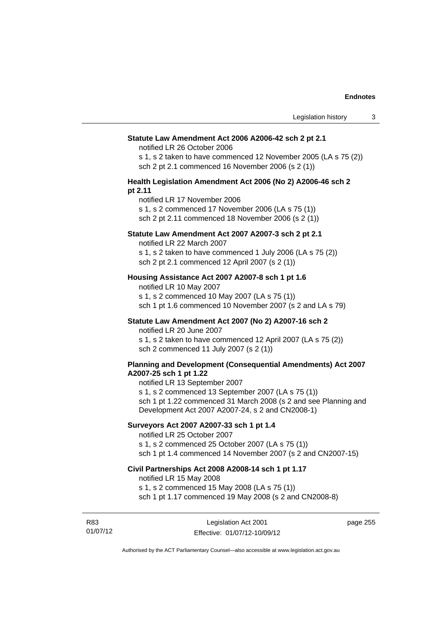#### **Statute Law Amendment Act 2006 A2006-42 sch 2 pt 2.1**

notified LR 26 October 2006

s 1, s 2 taken to have commenced 12 November 2005 (LA s 75 (2)) sch 2 pt 2.1 commenced 16 November 2006 (s 2 (1))

#### **Health Legislation Amendment Act 2006 (No 2) A2006-46 sch 2 pt 2.11**

notified LR 17 November 2006 s 1, s 2 commenced 17 November 2006 (LA s 75 (1)) sch 2 pt 2.11 commenced 18 November 2006 (s 2 (1))

#### **Statute Law Amendment Act 2007 A2007-3 sch 2 pt 2.1**

notified LR 22 March 2007 s 1, s 2 taken to have commenced 1 July 2006 (LA s 75 (2)) sch 2 pt 2.1 commenced 12 April 2007 (s 2 (1))

#### **Housing Assistance Act 2007 A2007-8 sch 1 pt 1.6**

notified LR 10 May 2007 s 1, s 2 commenced 10 May 2007 (LA s 75 (1)) sch 1 pt 1.6 commenced 10 November 2007 (s 2 and LA s 79)

## **Statute Law Amendment Act 2007 (No 2) A2007-16 sch 2**

notified LR 20 June 2007 s 1, s 2 taken to have commenced 12 April 2007 (LA s 75 (2)) sch 2 commenced 11 July 2007 (s 2 (1))

#### **Planning and Development (Consequential Amendments) Act 2007 A2007-25 sch 1 pt 1.22**

notified LR 13 September 2007 s 1, s 2 commenced 13 September 2007 (LA s 75 (1)) sch 1 pt 1.22 commenced 31 March 2008 (s 2 and see Planning and Development Act 2007 A2007-24, s 2 and CN2008-1)

#### **Surveyors Act 2007 A2007-33 sch 1 pt 1.4**

notified LR 25 October 2007

s 1, s 2 commenced 25 October 2007 (LA s 75 (1))

sch 1 pt 1.4 commenced 14 November 2007 (s 2 and CN2007-15)

#### **Civil Partnerships Act 2008 A2008-14 sch 1 pt 1.17**

notified LR 15 May 2008

s 1, s 2 commenced 15 May 2008 (LA s 75 (1))

sch 1 pt 1.17 commenced 19 May 2008 (s 2 and CN2008-8)

R83 01/07/12 page 255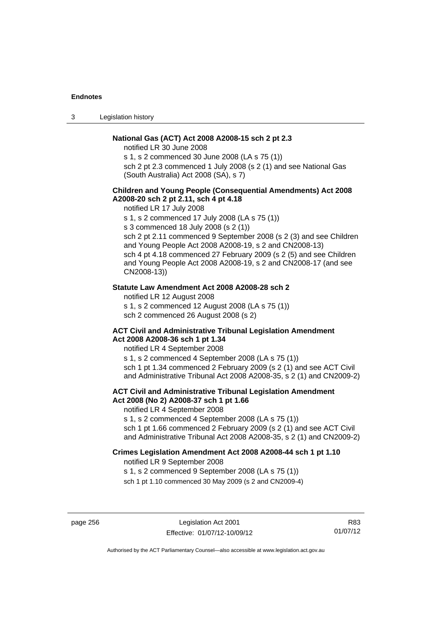3 Legislation history

## **National Gas (ACT) Act 2008 A2008-15 sch 2 pt 2.3**

notified LR 30 June 2008

s 1, s 2 commenced 30 June 2008 (LA s 75 (1))

sch 2 pt 2.3 commenced 1 July 2008 (s 2 (1) and see National Gas (South Australia) Act 2008 (SA), s 7)

## **Children and Young People (Consequential Amendments) Act 2008 A2008-20 sch 2 pt 2.11, sch 4 pt 4.18**

notified LR 17 July 2008

s 1, s 2 commenced 17 July 2008 (LA s 75 (1))

s 3 commenced 18 July 2008 (s 2 (1))

sch 2 pt 2.11 commenced 9 September 2008 (s 2 (3) and see Children and Young People Act 2008 A2008-19, s 2 and CN2008-13) sch 4 pt 4.18 commenced 27 February 2009 (s 2 (5) and see Children and Young People Act 2008 A2008-19, s 2 and CN2008-17 (and see CN2008-13))

#### **Statute Law Amendment Act 2008 A2008-28 sch 2**

notified LR 12 August 2008 s 1, s 2 commenced 12 August 2008 (LA s 75 (1)) sch 2 commenced 26 August 2008 (s 2)

#### **ACT Civil and Administrative Tribunal Legislation Amendment Act 2008 A2008-36 sch 1 pt 1.34**

notified LR 4 September 2008

s 1, s 2 commenced 4 September 2008 (LA s 75 (1))

sch 1 pt 1.34 commenced 2 February 2009 (s 2 (1) and see ACT Civil and Administrative Tribunal Act 2008 A2008-35, s 2 (1) and CN2009-2)

## **ACT Civil and Administrative Tribunal Legislation Amendment Act 2008 (No 2) A2008-37 sch 1 pt 1.66**

notified LR 4 September 2008

s 1, s 2 commenced 4 September 2008 (LA s 75 (1))

sch 1 pt 1.66 commenced 2 February 2009 (s 2 (1) and see ACT Civil and Administrative Tribunal Act 2008 A2008-35, s 2 (1) and CN2009-2)

# **Crimes Legislation Amendment Act 2008 A2008-44 sch 1 pt 1.10**

notified LR 9 September 2008

s 1, s 2 commenced 9 September 2008 (LA s 75 (1))

sch 1 pt 1.10 commenced 30 May 2009 (s 2 and CN2009-4)

page 256 Legislation Act 2001 Effective: 01/07/12-10/09/12

R83 01/07/12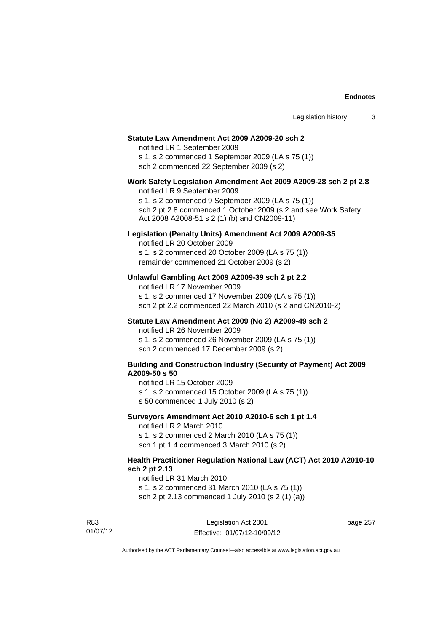page 257

#### **Statute Law Amendment Act 2009 A2009-20 sch 2**

notified LR 1 September 2009 s 1, s 2 commenced 1 September 2009 (LA s 75 (1)) sch 2 commenced 22 September 2009 (s 2)

# **Work Safety Legislation Amendment Act 2009 A2009-28 sch 2 pt 2.8**

notified LR 9 September 2009 s 1, s 2 commenced 9 September 2009 (LA s 75 (1)) sch 2 pt 2.8 commenced 1 October 2009 (s 2 and see Work Safety Act 2008 A2008-51 s 2 (1) (b) and CN2009-11)

#### **Legislation (Penalty Units) Amendment Act 2009 A2009-35**

notified LR 20 October 2009 s 1, s 2 commenced 20 October 2009 (LA s 75 (1)) remainder commenced 21 October 2009 (s 2)

#### **Unlawful Gambling Act 2009 A2009-39 sch 2 pt 2.2**

notified LR 17 November 2009 s 1, s 2 commenced 17 November 2009 (LA s 75 (1)) sch 2 pt 2.2 commenced 22 March 2010 (s 2 and CN2010-2)

#### **Statute Law Amendment Act 2009 (No 2) A2009-49 sch 2**

notified LR 26 November 2009 s 1, s 2 commenced 26 November 2009 (LA s 75 (1))

sch 2 commenced 17 December 2009 (s 2)

#### **Building and Construction Industry (Security of Payment) Act 2009 A2009-50 s 50**

notified LR 15 October 2009

s 1, s 2 commenced 15 October 2009 (LA s 75 (1))

s 50 commenced 1 July 2010 (s 2)

#### **Surveyors Amendment Act 2010 A2010-6 sch 1 pt 1.4**

notified LR 2 March 2010

s 1, s 2 commenced 2 March 2010 (LA s 75 (1))

sch 1 pt 1.4 commenced 3 March 2010 (s 2)

#### **Health Practitioner Regulation National Law (ACT) Act 2010 A2010-10 sch 2 pt 2.13**

notified LR 31 March 2010

s 1, s 2 commenced 31 March 2010 (LA s 75 (1)) sch 2 pt 2.13 commenced 1 July 2010 (s 2 (1) (a))

R83 01/07/12 Legislation Act 2001 Effective: 01/07/12-10/09/12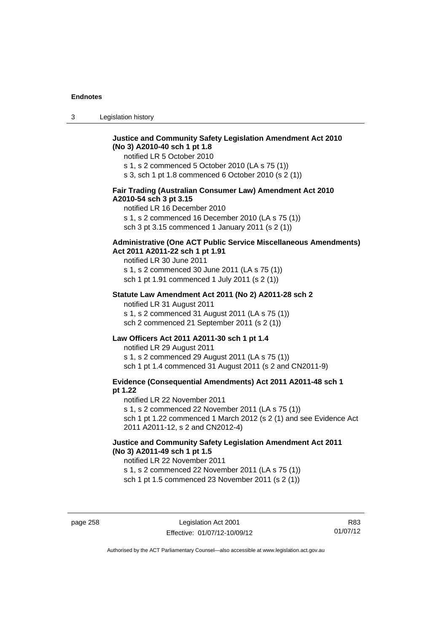3 Legislation history

# **Justice and Community Safety Legislation Amendment Act 2010 (No 3) A2010-40 sch 1 pt 1.8**

notified LR 5 October 2010 s 1, s 2 commenced 5 October 2010 (LA s 75 (1)) s 3, sch 1 pt 1.8 commenced 6 October 2010 (s 2 (1))

#### **Fair Trading (Australian Consumer Law) Amendment Act 2010 A2010-54 sch 3 pt 3.15**

notified LR 16 December 2010 s 1, s 2 commenced 16 December 2010 (LA s 75 (1)) sch 3 pt 3.15 commenced 1 January 2011 (s 2 (1))

## **Administrative (One ACT Public Service Miscellaneous Amendments) Act 2011 A2011-22 sch 1 pt 1.91**

notified LR 30 June 2011 s 1, s 2 commenced 30 June 2011 (LA s 75 (1)) sch 1 pt 1.91 commenced 1 July 2011 (s 2 (1))

#### **Statute Law Amendment Act 2011 (No 2) A2011-28 sch 2**

notified LR 31 August 2011 s 1, s 2 commenced 31 August 2011 (LA s 75 (1)) sch 2 commenced 21 September 2011 (s 2 (1))

#### **Law Officers Act 2011 A2011-30 sch 1 pt 1.4**

notified LR 29 August 2011 s 1, s 2 commenced 29 August 2011 (LA s 75 (1)) sch 1 pt 1.4 commenced 31 August 2011 (s 2 and CN2011-9)

## **Evidence (Consequential Amendments) Act 2011 A2011-48 sch 1 pt 1.22**

notified LR 22 November 2011 s 1, s 2 commenced 22 November 2011 (LA s 75 (1)) sch 1 pt 1.22 commenced 1 March 2012 (s 2 (1) and see Evidence Act 2011 A2011-12, s 2 and CN2012-4)

## **Justice and Community Safety Legislation Amendment Act 2011 (No 3) A2011-49 sch 1 pt 1.5**

notified LR 22 November 2011 s 1, s 2 commenced 22 November 2011 (LA s 75 (1)) sch 1 pt 1.5 commenced 23 November 2011 (s 2 (1))

page 258 Legislation Act 2001 Effective: 01/07/12-10/09/12

R83 01/07/12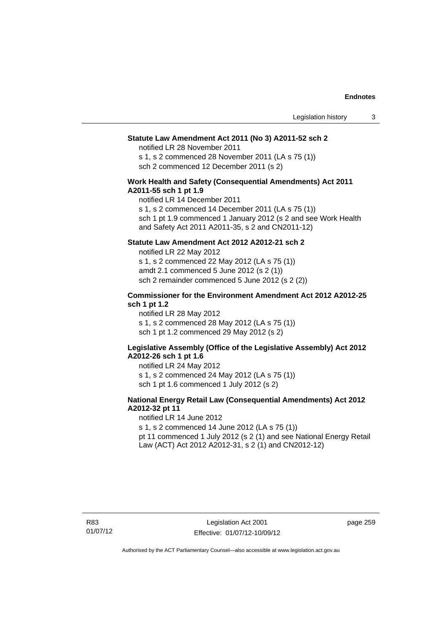#### **Statute Law Amendment Act 2011 (No 3) A2011-52 sch 2**

notified LR 28 November 2011

s 1, s 2 commenced 28 November 2011 (LA s 75 (1)) sch 2 commenced 12 December 2011 (s 2)

#### **Work Health and Safety (Consequential Amendments) Act 2011 A2011-55 sch 1 pt 1.9**

notified LR 14 December 2011

s 1, s 2 commenced 14 December 2011 (LA s 75 (1))

sch 1 pt 1.9 commenced 1 January 2012 (s 2 and see Work Health and Safety Act 2011 A2011-35, s 2 and CN2011-12)

# **Statute Law Amendment Act 2012 A2012-21 sch 2**

notified LR 22 May 2012 s 1, s 2 commenced 22 May 2012 (LA s 75 (1)) amdt 2.1 commenced 5 June 2012 (s 2 (1)) sch 2 remainder commenced 5 June 2012 (s 2 (2))

## **Commissioner for the Environment Amendment Act 2012 A2012-25 sch 1 pt 1.2**

notified LR 28 May 2012 s 1, s 2 commenced 28 May 2012 (LA s 75 (1)) sch 1 pt 1.2 commenced 29 May 2012 (s 2)

## **Legislative Assembly (Office of the Legislative Assembly) Act 2012 A2012-26 sch 1 pt 1.6**

notified LR 24 May 2012 s 1, s 2 commenced 24 May 2012 (LA s 75 (1)) sch 1 pt 1.6 commenced 1 July 2012 (s 2)

## **National Energy Retail Law (Consequential Amendments) Act 2012 A2012-32 pt 11**

notified LR 14 June 2012 s 1, s 2 commenced 14 June 2012 (LA s 75 (1)) pt 11 commenced 1 July 2012 (s 2 (1) and see National Energy Retail Law (ACT) Act 2012 A2012-31, s 2 (1) and CN2012-12)

page 259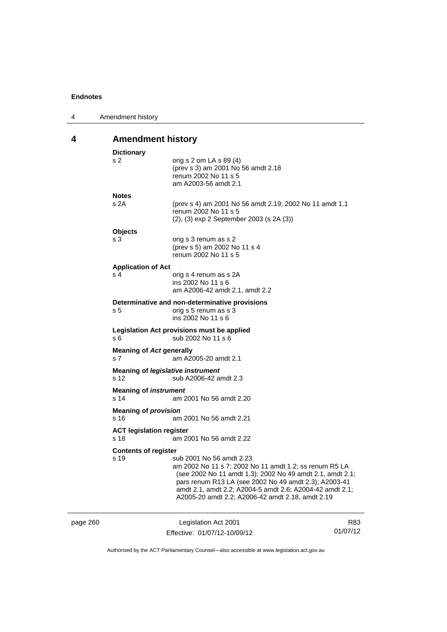| 4        | Amendment history                       |                                                                                                                                                                                                                                                                                                                          |     |
|----------|-----------------------------------------|--------------------------------------------------------------------------------------------------------------------------------------------------------------------------------------------------------------------------------------------------------------------------------------------------------------------------|-----|
| 4        | <b>Amendment history</b>                |                                                                                                                                                                                                                                                                                                                          |     |
|          |                                         |                                                                                                                                                                                                                                                                                                                          |     |
|          | <b>Dictionary</b><br>s 2                | orig s 2 om LA s 89 (4)<br>(prev s 3) am 2001 No 56 amdt 2.18<br>renum 2002 No 11 s 5<br>am A2003-56 amdt 2.1                                                                                                                                                                                                            |     |
|          | <b>Notes</b>                            |                                                                                                                                                                                                                                                                                                                          |     |
|          | s 2A                                    | (prev s 4) am 2001 No 56 amdt 2.19; 2002 No 11 amdt 1.1<br>renum 2002 No 11 s 5<br>$(2)$ , $(3)$ exp 2 September 2003 (s 2A $(3)$ )                                                                                                                                                                                      |     |
|          | <b>Objects</b>                          |                                                                                                                                                                                                                                                                                                                          |     |
|          | s 3                                     | orig s 3 renum as s 2<br>(prev s 5) am 2002 No 11 s 4<br>renum 2002 No 11 s 5                                                                                                                                                                                                                                            |     |
|          | <b>Application of Act</b>               |                                                                                                                                                                                                                                                                                                                          |     |
|          | s 4                                     | orig s 4 renum as s 2A<br>ins 2002 No 11 s 6<br>am A2006-42 amdt 2.1, amdt 2.2                                                                                                                                                                                                                                           |     |
|          | s 5                                     | Determinative and non-determinative provisions<br>orig s 5 renum as s 3<br>ins 2002 No 11 s 6                                                                                                                                                                                                                            |     |
|          | s 6                                     | Legislation Act provisions must be applied<br>sub 2002 No 11 s 6                                                                                                                                                                                                                                                         |     |
|          | <b>Meaning of Act generally</b><br>s 7  | am A2005-20 amdt 2.1                                                                                                                                                                                                                                                                                                     |     |
|          | s 12                                    | <b>Meaning of legislative instrument</b><br>sub A2006-42 amdt 2.3                                                                                                                                                                                                                                                        |     |
|          | <b>Meaning of instrument</b><br>s 14    | am 2001 No 56 amdt 2.20                                                                                                                                                                                                                                                                                                  |     |
|          | <b>Meaning of provision</b><br>s 16     | am 2001 No 56 amdt 2.21                                                                                                                                                                                                                                                                                                  |     |
|          | <b>ACT legislation register</b><br>s 18 | am 2001 No 56 amdt 2.22                                                                                                                                                                                                                                                                                                  |     |
|          | <b>Contents of register</b><br>s 19     | sub 2001 No 56 amdt 2.23<br>am 2002 No 11 s 7; 2002 No 11 amdt 1.2; ss renum R5 LA<br>(see 2002 No 11 amdt 1.3); 2002 No 49 amdt 2.1, amdt 2.1;<br>pars renum R13 LA (see 2002 No 49 amdt 2.3); A2003-41<br>amdt 2.1, amdt 2.2; A2004-5 amdt 2.6; A2004-42 amdt 2.1;<br>A2005-20 amdt 2.2; A2006-42 amdt 2.18, amdt 2.19 |     |
| page 260 |                                         | Legislation Act 2001                                                                                                                                                                                                                                                                                                     | R83 |

Authorised by the ACT Parliamentary Counsel—also accessible at www.legislation.act.gov.au

01/07/12

Effective: 01/07/12-10/09/12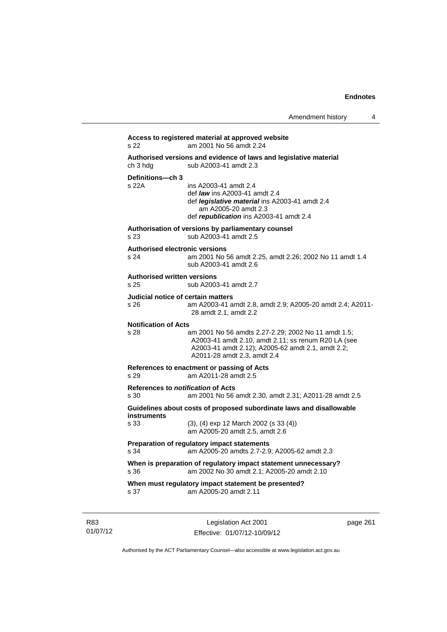|                                                       | Amendment history<br>4                                                                                                                                                                         |
|-------------------------------------------------------|------------------------------------------------------------------------------------------------------------------------------------------------------------------------------------------------|
| s 22                                                  | Access to registered material at approved website<br>am 2001 No 56 amdt 2.24                                                                                                                   |
| ch 3 hdg                                              | Authorised versions and evidence of laws and legislative material<br>sub A2003-41 amdt 2.3                                                                                                     |
| Definitions-ch 3<br>s 22A                             | ins A2003-41 amdt 2.4<br>def <i>law</i> ins A2003-41 amdt 2.4<br>def legislative material ins A2003-41 amdt 2.4<br>am A2005-20 amdt 2.3<br>def republication ins A2003-41 amdt 2.4             |
| s 23                                                  | Authorisation of versions by parliamentary counsel<br>sub A2003-41 amdt 2.5                                                                                                                    |
| <b>Authorised electronic versions</b><br>s 24         | am 2001 No 56 amdt 2.25, amdt 2.26; 2002 No 11 amdt 1.4<br>sub A2003-41 amdt 2.6                                                                                                               |
| <b>Authorised written versions</b><br>s <sub>25</sub> | sub A2003-41 amdt 2.7                                                                                                                                                                          |
| Judicial notice of certain matters<br>s 26            | am A2003-41 amdt 2.8, amdt 2.9; A2005-20 amdt 2.4; A2011-<br>28 amdt 2.1, amdt 2.2                                                                                                             |
| <b>Notification of Acts</b>                           |                                                                                                                                                                                                |
| s 28                                                  | am 2001 No 56 amdts 2.27-2.29; 2002 No 11 amdt 1.5;<br>A2003-41 amdt 2.10, amdt 2.11; ss renum R20 LA (see<br>A2003-41 amdt 2.12); A2005-62 amdt 2.1, amdt 2.2;<br>A2011-28 amdt 2.3, amdt 2.4 |
| s 29                                                  | References to enactment or passing of Acts<br>am A2011-28 amdt 2.5                                                                                                                             |
| References to <i>notification</i> of Acts<br>s 30     | am 2001 No 56 amdt 2.30, amdt 2.31; A2011-28 amdt 2.5                                                                                                                                          |
|                                                       | Guidelines about costs of proposed subordinate laws and disallowable                                                                                                                           |
| instruments<br>s 33                                   | $(3)$ , $(4)$ exp 12 March 2002 (s 33 $(4)$ )<br>am A2005-20 amdt 2.5, amdt 2.6                                                                                                                |
| s 34                                                  | Preparation of regulatory impact statements<br>am A2005-20 amdts 2.7-2.9; A2005-62 amdt 2.3                                                                                                    |
| s 36                                                  | When is preparation of regulatory impact statement unnecessary?<br>am 2002 No 30 amdt 2.1; A2005-20 amdt 2.10                                                                                  |
| s 37                                                  | When must regulatory impact statement be presented?<br>am A2005-20 amdt 2.11                                                                                                                   |

R83 01/07/12

Legislation Act 2001 Effective: 01/07/12-10/09/12 page 261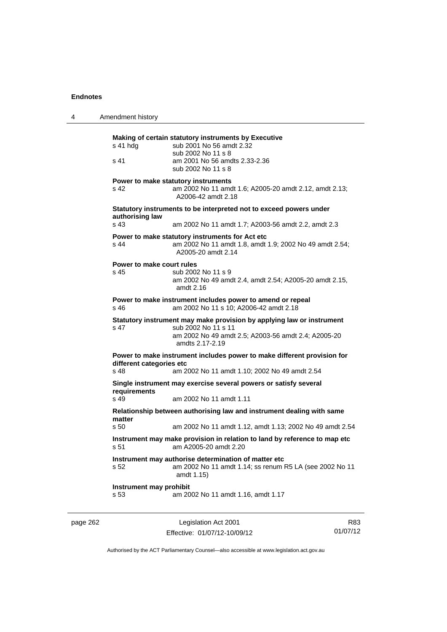| 4        | Amendment history                 |                                                                                                                                                                        |    |
|----------|-----------------------------------|------------------------------------------------------------------------------------------------------------------------------------------------------------------------|----|
|          | s 41 hdg<br>s 41                  | Making of certain statutory instruments by Executive<br>sub 2001 No 56 amdt 2.32<br>sub 2002 No 11 s 8<br>am 2001 No 56 amdts 2.33-2.36<br>sub 2002 No 11 s 8          |    |
|          | s 42                              | Power to make statutory instruments<br>am 2002 No 11 amdt 1.6; A2005-20 amdt 2.12, amdt 2.13;<br>A2006-42 amdt 2.18                                                    |    |
|          | authorising law<br>s 43           | Statutory instruments to be interpreted not to exceed powers under<br>am 2002 No 11 amdt 1.7; A2003-56 amdt 2.2, amdt 2.3                                              |    |
|          | s 44                              | Power to make statutory instruments for Act etc<br>am 2002 No 11 amdt 1.8, amdt 1.9; 2002 No 49 amdt 2.54;<br>A2005-20 amdt 2.14                                       |    |
|          | Power to make court rules<br>s 45 | sub 2002 No 11 s 9<br>am 2002 No 49 amdt 2.4, amdt 2.54; A2005-20 amdt 2.15,<br>amdt $2.16$                                                                            |    |
|          | s 46                              | Power to make instrument includes power to amend or repeal<br>am 2002 No 11 s 10; A2006-42 amdt 2.18                                                                   |    |
|          | s 47                              | Statutory instrument may make provision by applying law or instrument<br>sub 2002 No 11 s 11<br>am 2002 No 49 amdt 2.5; A2003-56 amdt 2.4; A2005-20<br>amdts 2.17-2.19 |    |
|          | different categories etc<br>s 48  | Power to make instrument includes power to make different provision for<br>am 2002 No 11 amdt 1.10; 2002 No 49 amdt 2.54                                               |    |
|          | requirements<br>s 49              | Single instrument may exercise several powers or satisfy several<br>am 2002 No 11 amdt 1.11                                                                            |    |
|          | matter<br>s 50                    | Relationship between authorising law and instrument dealing with same<br>am 2002 No 11 amdt 1.12, amdt 1.13; 2002 No 49 amdt 2.54                                      |    |
|          | s 51                              | Instrument may make provision in relation to land by reference to map etc<br>am A2005-20 amdt 2.20                                                                     |    |
|          | s 52                              | Instrument may authorise determination of matter etc<br>am 2002 No 11 amdt 1.14; ss renum R5 LA (see 2002 No 11<br>amdt 1.15)                                          |    |
|          | Instrument may prohibit<br>s 53   | am 2002 No 11 amdt 1.16, amdt 1.17                                                                                                                                     |    |
| page 262 |                                   | Legislation Act 2001                                                                                                                                                   | R8 |

Effective: 01/07/12-10/09/12

R83 01/07/12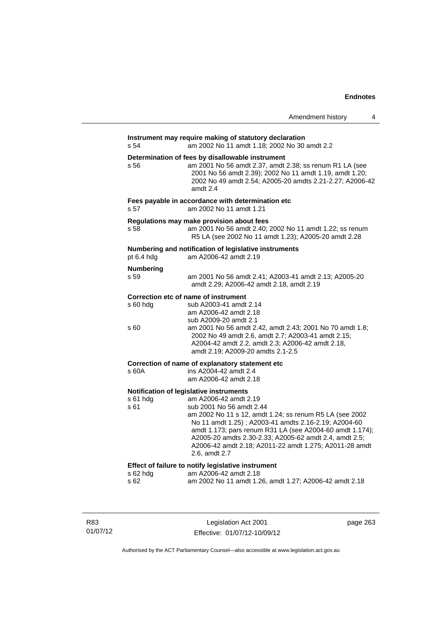|                          | Amendment history                                                                                                                                                                                                                                                                                                                                                                                                | 4 |
|--------------------------|------------------------------------------------------------------------------------------------------------------------------------------------------------------------------------------------------------------------------------------------------------------------------------------------------------------------------------------------------------------------------------------------------------------|---|
| s 54                     | Instrument may require making of statutory declaration<br>am 2002 No 11 amdt 1.18; 2002 No 30 amdt 2.2                                                                                                                                                                                                                                                                                                           |   |
| s 56                     | Determination of fees by disallowable instrument<br>am 2001 No 56 amdt 2.37, amdt 2.38; ss renum R1 LA (see<br>2001 No 56 amdt 2.39); 2002 No 11 amdt 1.19, amdt 1.20;<br>2002 No 49 amdt 2.54; A2005-20 amdts 2.21-2.27; A2006-42<br>amdt 2.4                                                                                                                                                                   |   |
| s 57                     | Fees payable in accordance with determination etc<br>am 2002 No 11 amdt 1.21                                                                                                                                                                                                                                                                                                                                     |   |
| s 58                     | Regulations may make provision about fees<br>am 2001 No 56 amdt 2.40; 2002 No 11 amdt 1.22; ss renum<br>R5 LA (see 2002 No 11 amdt 1.23); A2005-20 amdt 2.28                                                                                                                                                                                                                                                     |   |
| pt 6.4 hdg               | Numbering and notification of legislative instruments<br>am A2006-42 amdt 2.19                                                                                                                                                                                                                                                                                                                                   |   |
| <b>Numbering</b><br>s 59 | am 2001 No 56 amdt 2.41; A2003-41 amdt 2.13; A2005-20<br>amdt 2.29; A2006-42 amdt 2.18, amdt 2.19                                                                                                                                                                                                                                                                                                                |   |
| s 60 hdg<br>s 60         | Correction etc of name of instrument<br>sub A2003-41 amdt 2.14<br>am A2006-42 amdt 2.18<br>sub A2009-20 amdt 2.1<br>am 2001 No 56 amdt 2.42, amdt 2.43; 2001 No 70 amdt 1.8;<br>2002 No 49 amdt 2.6, amdt 2.7; A2003-41 amdt 2.15;<br>A2004-42 amdt 2.2, amdt 2.3; A2006-42 amdt 2.18,<br>amdt 2.19; A2009-20 amdts 2.1-2.5                                                                                      |   |
| s 60A                    | Correction of name of explanatory statement etc<br>ins A2004-42 amdt 2.4<br>am A2006-42 amdt 2.18                                                                                                                                                                                                                                                                                                                |   |
| s 61 hdg<br>s 61         | Notification of legislative instruments<br>am A2006-42 amdt 2.19<br>sub 2001 No 56 amdt 2.44<br>am 2002 No 11 s 12, amdt 1.24; ss renum R5 LA (see 2002<br>No 11 amdt 1.25); A2003-41 amdts 2.16-2.19; A2004-60<br>amdt 1.173; pars renum R31 LA (see A2004-60 amdt 1.174);<br>A2005-20 amdts 2.30-2.33; A2005-62 amdt 2.4, amdt 2.5;<br>A2006-42 amdt 2.18; A2011-22 amdt 1.275; A2011-28 amdt<br>2.6, amdt 2.7 |   |
| s 62 hdg<br>s 62         | Effect of failure to notify legislative instrument<br>am A2006-42 amdt 2.18<br>am 2002 No 11 amdt 1.26, amdt 1.27; A2006-42 amdt 2.18                                                                                                                                                                                                                                                                            |   |

R83 01/07/12

Legislation Act 2001 Effective: 01/07/12-10/09/12 page 263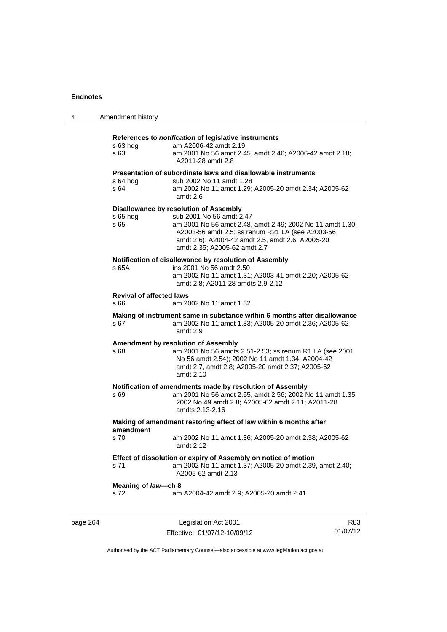| 4        | Amendment history                       |                                                                                                                                                                                                                                                                         |     |
|----------|-----------------------------------------|-------------------------------------------------------------------------------------------------------------------------------------------------------------------------------------------------------------------------------------------------------------------------|-----|
|          | $s$ 63 hdg<br>s 63                      | References to notification of legislative instruments<br>am A2006-42 amdt 2.19<br>am 2001 No 56 amdt 2.45, amdt 2.46; A2006-42 amdt 2.18;<br>A2011-28 amdt 2.8                                                                                                          |     |
|          | s 64 hdg<br>s 64                        | Presentation of subordinate laws and disallowable instruments<br>sub 2002 No 11 amdt 1.28<br>am 2002 No 11 amdt 1.29; A2005-20 amdt 2.34; A2005-62<br>amdt 2.6                                                                                                          |     |
|          | s 65 hdg<br>s 65                        | Disallowance by resolution of Assembly<br>sub 2001 No 56 amdt 2.47<br>am 2001 No 56 amdt 2.48, amdt 2.49; 2002 No 11 amdt 1.30;<br>A2003-56 amdt 2.5; ss renum R21 LA (see A2003-56<br>amdt 2.6); A2004-42 amdt 2.5, amdt 2.6; A2005-20<br>amdt 2.35; A2005-62 amdt 2.7 |     |
|          | s 65A                                   | Notification of disallowance by resolution of Assembly<br>ins 2001 No 56 amdt 2.50<br>am 2002 No 11 amdt 1.31; A2003-41 amdt 2.20; A2005-62<br>amdt 2.8; A2011-28 amdts 2.9-2.12                                                                                        |     |
|          | <b>Revival of affected laws</b><br>s 66 | am 2002 No 11 amdt 1.32                                                                                                                                                                                                                                                 |     |
|          | s 67                                    | Making of instrument same in substance within 6 months after disallowance<br>am 2002 No 11 amdt 1.33; A2005-20 amdt 2.36; A2005-62<br>amdt 2.9                                                                                                                          |     |
|          | s 68                                    | <b>Amendment by resolution of Assembly</b><br>am 2001 No 56 amdts 2.51-2.53; ss renum R1 LA (see 2001<br>No 56 amdt 2.54); 2002 No 11 amdt 1.34; A2004-42<br>amdt 2.7, amdt 2.8; A2005-20 amdt 2.37; A2005-62<br>amdt 2.10                                              |     |
|          | s 69                                    | Notification of amendments made by resolution of Assembly<br>am 2001 No 56 amdt 2.55, amdt 2.56; 2002 No 11 amdt 1.35;<br>2002 No 49 amdt 2.8; A2005-62 amdt 2.11; A2011-28<br>amdts 2.13-2.16                                                                          |     |
|          | amendment                               | Making of amendment restoring effect of law within 6 months after                                                                                                                                                                                                       |     |
|          | s 70                                    | am 2002 No 11 amdt 1.36; A2005-20 amdt 2.38; A2005-62<br>amdt 2.12                                                                                                                                                                                                      |     |
|          | s 71                                    | Effect of dissolution or expiry of Assembly on notice of motion<br>am 2002 No 11 amdt 1.37; A2005-20 amdt 2.39, amdt 2.40;<br>A2005-62 amdt 2.13                                                                                                                        |     |
|          | Meaning of law-ch 8<br>s 72             | am A2004-42 amdt 2.9; A2005-20 amdt 2.41                                                                                                                                                                                                                                |     |
| page 264 |                                         | Legislation Act 2001                                                                                                                                                                                                                                                    | R83 |

Authorised by the ACT Parliamentary Counsel—also accessible at www.legislation.act.gov.au

01/07/12

Effective: 01/07/12-10/09/12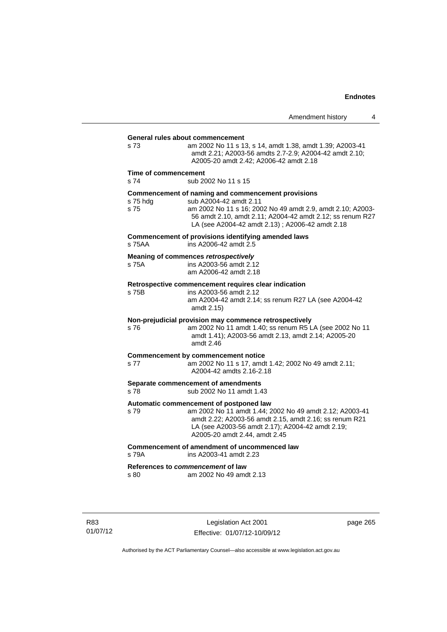| s 73                         | General rules about commencement<br>am 2002 No 11 s 13, s 14, amdt 1.38, amdt 1.39; A2003-41<br>amdt 2.21; A2003-56 amdts 2.7-2.9; A2004-42 amdt 2.10;<br>A2005-20 amdt 2.42; A2006-42 amdt 2.18                                                           |
|------------------------------|------------------------------------------------------------------------------------------------------------------------------------------------------------------------------------------------------------------------------------------------------------|
| Time of commencement<br>s 74 | sub 2002 No 11 s 15                                                                                                                                                                                                                                        |
| s 75 hdg<br>s 75             | Commencement of naming and commencement provisions<br>sub A2004-42 amdt 2.11<br>am 2002 No 11 s 16; 2002 No 49 amdt 2.9, amdt 2.10; A2003-<br>56 amdt 2.10, amdt 2.11; A2004-42 amdt 2.12; ss renum R27<br>LA (see A2004-42 amdt 2.13); A2006-42 amdt 2.18 |
| s 75AA                       | Commencement of provisions identifying amended laws<br>ins A2006-42 amdt 2.5                                                                                                                                                                               |
| s 75A                        | Meaning of commences retrospectively<br>ins A2003-56 amdt 2.12<br>am A2006-42 amdt 2.18                                                                                                                                                                    |
| s 75B                        | Retrospective commencement requires clear indication<br>ins A2003-56 amdt 2.12<br>am A2004-42 amdt 2.14; ss renum R27 LA (see A2004-42<br>amdt 2.15)                                                                                                       |
| s 76                         | Non-prejudicial provision may commence retrospectively<br>am 2002 No 11 amdt 1.40; ss renum R5 LA (see 2002 No 11<br>amdt 1.41); A2003-56 amdt 2.13, amdt 2.14; A2005-20<br>amdt 2.46                                                                      |
| s 77                         | <b>Commencement by commencement notice</b><br>am 2002 No 11 s 17, amdt 1.42; 2002 No 49 amdt 2.11;<br>A2004-42 amdts 2.16-2.18                                                                                                                             |
| s 78                         | Separate commencement of amendments<br>sub 2002 No 11 amdt 1.43                                                                                                                                                                                            |
| s 79                         | Automatic commencement of postponed law<br>am 2002 No 11 amdt 1.44; 2002 No 49 amdt 2.12; A2003-41<br>amdt 2.22; A2003-56 amdt 2.15, amdt 2.16; ss renum R21<br>LA (see A2003-56 amdt 2.17); A2004-42 amdt 2.19;<br>A2005-20 amdt 2.44, amdt 2.45          |
| s 79A                        | Commencement of amendment of uncommenced law<br>ins A2003-41 amdt 2.23                                                                                                                                                                                     |
| s 80                         | References to commencement of law<br>am 2002 No 49 amdt 2.13                                                                                                                                                                                               |

R83 01/07/12

Legislation Act 2001 Effective: 01/07/12-10/09/12 page 265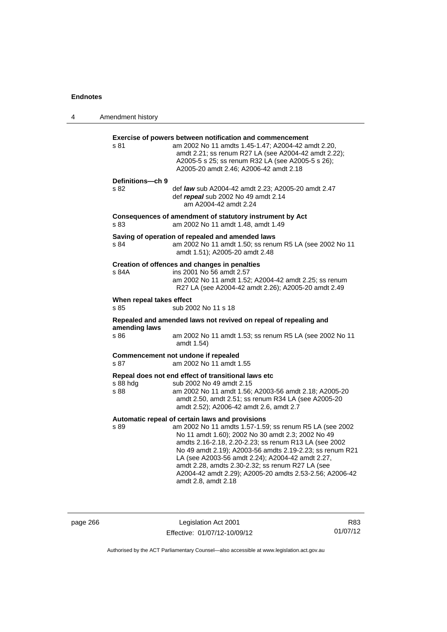| 4 | Amendment history                                                                                                                                                                                                                                                                                                                                                                                                                                                                      |
|---|----------------------------------------------------------------------------------------------------------------------------------------------------------------------------------------------------------------------------------------------------------------------------------------------------------------------------------------------------------------------------------------------------------------------------------------------------------------------------------------|
|   | Exercise of powers between notification and commencement<br>am 2002 No 11 amdts 1.45-1.47; A2004-42 amdt 2.20,<br>s 81<br>amdt 2.21; ss renum R27 LA (see A2004-42 amdt 2.22);<br>A2005-5 s 25; ss renum R32 LA (see A2005-5 s 26);<br>A2005-20 amdt 2.46; A2006-42 amdt 2.18                                                                                                                                                                                                          |
|   | Definitions-ch 9<br>s 82<br>def law sub A2004-42 amdt 2.23; A2005-20 amdt 2.47<br>def repeal sub 2002 No 49 amdt 2.14<br>am A2004-42 amdt 2.24                                                                                                                                                                                                                                                                                                                                         |
|   | Consequences of amendment of statutory instrument by Act<br>s 83<br>am 2002 No 11 amdt 1.48, amdt 1.49                                                                                                                                                                                                                                                                                                                                                                                 |
|   | Saving of operation of repealed and amended laws<br>am 2002 No 11 amdt 1.50; ss renum R5 LA (see 2002 No 11<br>s 84<br>amdt 1.51); A2005-20 amdt 2.48                                                                                                                                                                                                                                                                                                                                  |
|   | Creation of offences and changes in penalties<br>ins 2001 No 56 amdt 2.57<br>s 84A<br>am 2002 No 11 amdt 1.52; A2004-42 amdt 2.25; ss renum<br>R27 LA (see A2004-42 amdt 2.26); A2005-20 amdt 2.49                                                                                                                                                                                                                                                                                     |
|   | When repeal takes effect<br>s 85<br>sub 2002 No 11 s 18                                                                                                                                                                                                                                                                                                                                                                                                                                |
|   | Repealed and amended laws not revived on repeal of repealing and<br>amending laws<br>s 86<br>am 2002 No 11 amdt 1.53; ss renum R5 LA (see 2002 No 11<br>amdt 1.54)                                                                                                                                                                                                                                                                                                                     |
|   | Commencement not undone if repealed<br>am 2002 No 11 amdt 1.55<br>s 87                                                                                                                                                                                                                                                                                                                                                                                                                 |
|   | Repeal does not end effect of transitional laws etc<br>s 88 hdg<br>sub 2002 No 49 amdt 2.15<br>am 2002 No 11 amdt 1.56; A2003-56 amdt 2.18; A2005-20<br>s 88<br>amdt 2.50, amdt 2.51; ss renum R34 LA (see A2005-20<br>amdt 2.52); A2006-42 amdt 2.6, amdt 2.7                                                                                                                                                                                                                         |
|   | Automatic repeal of certain laws and provisions<br>am 2002 No 11 amdts 1.57-1.59; ss renum R5 LA (see 2002<br>s 89<br>No 11 amdt 1.60); 2002 No 30 amdt 2.3; 2002 No 49<br>amdts 2.16-2.18, 2.20-2.23; ss renum R13 LA (see 2002<br>No 49 amdt 2.19); A2003-56 amdts 2.19-2.23; ss renum R21<br>LA (see A2003-56 amdt 2.24); A2004-42 amdt 2.27,<br>amdt 2.28, amdts 2.30-2.32; ss renum R27 LA (see<br>A2004-42 amdt 2.29); A2005-20 amdts 2.53-2.56; A2006-42<br>amdt 2.8, amdt 2.18 |

| page 266 |  |
|----------|--|
|----------|--|

page 266 Legislation Act 2001 Effective: 01/07/12-10/09/12

R83 01/07/12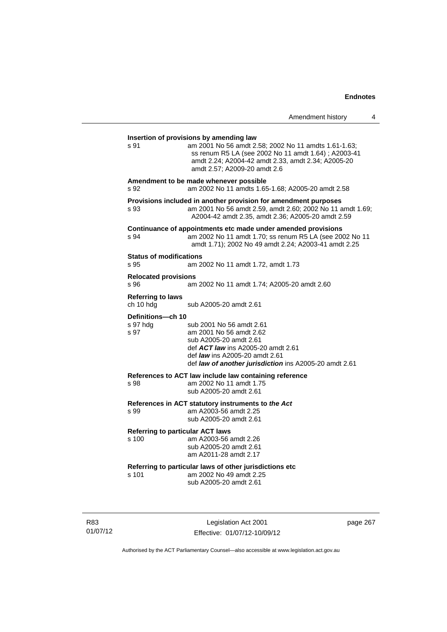| Amendment history |  |
|-------------------|--|
|-------------------|--|

| s 91                                   | am 2001 No 56 amdt 2.58; 2002 No 11 amdts 1.61-1.63;<br>ss renum R5 LA (see 2002 No 11 amdt 1.64); A2003-41<br>amdt 2.24; A2004-42 amdt 2.33, amdt 2.34; A2005-20<br>amdt 2.57; A2009-20 amdt 2.6                      |
|----------------------------------------|------------------------------------------------------------------------------------------------------------------------------------------------------------------------------------------------------------------------|
| s 92                                   | Amendment to be made whenever possible<br>am 2002 No 11 amdts 1.65-1.68; A2005-20 amdt 2.58                                                                                                                            |
| s 93                                   | Provisions included in another provision for amendment purposes<br>am 2001 No 56 amdt 2.59, amdt 2.60; 2002 No 11 amdt 1.69;<br>A2004-42 amdt 2.35, amdt 2.36; A2005-20 amdt 2.59                                      |
| s 94                                   | Continuance of appointments etc made under amended provisions<br>am 2002 No 11 amdt 1.70; ss renum R5 LA (see 2002 No 11<br>amdt 1.71); 2002 No 49 amdt 2.24; A2003-41 amdt 2.25                                       |
| <b>Status of modifications</b><br>s 95 | am 2002 No 11 amdt 1.72, amdt 1.73                                                                                                                                                                                     |
| <b>Relocated provisions</b><br>s 96    | am 2002 No 11 amdt 1.74; A2005-20 amdt 2.60                                                                                                                                                                            |
| <b>Referring to laws</b><br>ch 10 hda  | sub A2005-20 amdt 2.61                                                                                                                                                                                                 |
| Definitions-ch 10<br>s 97 hda<br>s 97  | sub 2001 No 56 amdt 2.61<br>am 2001 No 56 amdt 2.62<br>sub A2005-20 amdt 2.61<br>def ACT law ins A2005-20 amdt 2.61<br>def <i>law</i> ins A2005-20 amdt 2.61<br>def law of another jurisdiction ins A2005-20 amdt 2.61 |
| s 98                                   | References to ACT law include law containing reference<br>am 2002 No 11 amdt 1.75<br>sub A2005-20 amdt 2.61                                                                                                            |
| s 99                                   | References in ACT statutory instruments to the Act<br>am A2003-56 amdt 2.25<br>sub A2005-20 amdt 2.61                                                                                                                  |
| s 100                                  | <b>Referring to particular ACT laws</b><br>am A2003-56 amdt 2.26<br>sub A2005-20 amdt 2.61<br>am A2011-28 amdt 2.17                                                                                                    |
| s 101                                  | Referring to particular laws of other jurisdictions etc<br>am 2002 No 49 amdt 2.25<br>sub A2005-20 amdt 2.61                                                                                                           |

R83 01/07/12

Legislation Act 2001 Effective: 01/07/12-10/09/12 page 267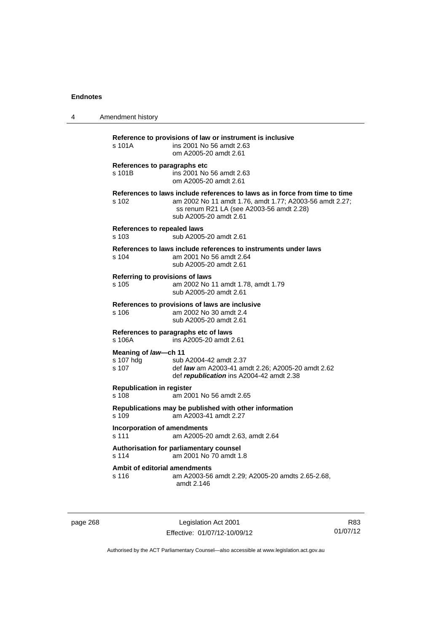| 4 | Amendment history                                     |                                                                                                                                                                                                              |
|---|-------------------------------------------------------|--------------------------------------------------------------------------------------------------------------------------------------------------------------------------------------------------------------|
|   | s 101A                                                | Reference to provisions of law or instrument is inclusive<br>ins 2001 No 56 amdt 2.63<br>om A2005-20 amdt 2.61                                                                                               |
|   | References to paragraphs etc<br>s 101B                | ins 2001 No 56 amdt 2.63<br>om A2005-20 amdt 2.61                                                                                                                                                            |
|   | s 102                                                 | References to laws include references to laws as in force from time to time<br>am 2002 No 11 amdt 1.76, amdt 1.77; A2003-56 amdt 2.27;<br>ss renum R21 LA (see A2003-56 amdt 2.28)<br>sub A2005-20 amdt 2.61 |
|   | <b>References to repealed laws</b><br>$s$ 103         | sub A2005-20 amdt 2.61                                                                                                                                                                                       |
|   | s 104                                                 | References to laws include references to instruments under laws<br>am 2001 No 56 amdt 2.64<br>sub A2005-20 amdt 2.61                                                                                         |
|   | Referring to provisions of laws<br>s 105              | am 2002 No 11 amdt 1.78, amdt 1.79<br>sub A2005-20 amdt 2.61                                                                                                                                                 |
|   | s 106                                                 | References to provisions of laws are inclusive<br>am 2002 No 30 amdt 2.4<br>sub A2005-20 amdt 2.61                                                                                                           |
|   | s 106A                                                | References to paragraphs etc of laws<br>ins A2005-20 amdt 2.61                                                                                                                                               |
|   | Meaning of law-ch 11<br>s 107 hdg<br>s <sub>107</sub> | sub A2004-42 amdt 2.37<br>def law am A2003-41 amdt 2.26; A2005-20 amdt 2.62<br>def republication ins A2004-42 amdt 2.38                                                                                      |
|   | <b>Republication in register</b><br>s 108             | am 2001 No 56 amdt 2.65                                                                                                                                                                                      |
|   | s 109                                                 | Republications may be published with other information<br>am A2003-41 amdt 2.27                                                                                                                              |
|   | <b>Incorporation of amendments</b><br>s 111           | am A2005-20 amdt 2.63, amdt 2.64                                                                                                                                                                             |
|   | s 114                                                 | Authorisation for parliamentary counsel<br>am 2001 No 70 amdt 1.8                                                                                                                                            |
|   | Ambit of editorial amendments<br>s 116                | am A2003-56 amdt 2.29; A2005-20 amdts 2.65-2.68,<br>amdt 2.146                                                                                                                                               |

page 268 Legislation Act 2001 Effective: 01/07/12-10/09/12

R83 01/07/12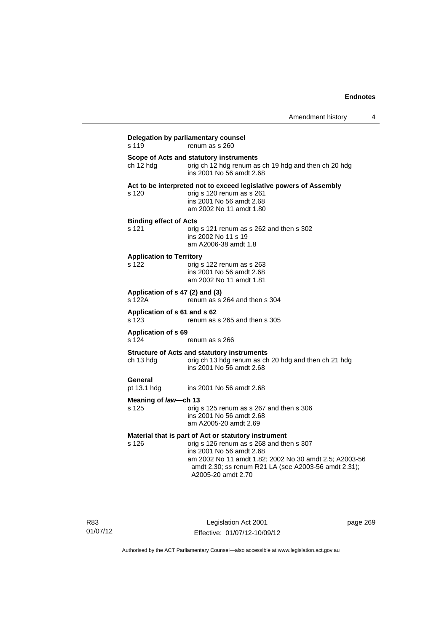| s 119                                     | renum as s 260                                                                                                                                                                                                                                                       |
|-------------------------------------------|----------------------------------------------------------------------------------------------------------------------------------------------------------------------------------------------------------------------------------------------------------------------|
| ch 12 hdg                                 | Scope of Acts and statutory instruments<br>orig ch 12 hdg renum as ch 19 hdg and then ch 20 hdg<br>ins 2001 No 56 amdt 2.68                                                                                                                                          |
| s 120                                     | Act to be interpreted not to exceed legislative powers of Assembly<br>orig s 120 renum as s 261<br>ins 2001 No 56 amdt 2.68<br>am 2002 No 11 amdt 1.80                                                                                                               |
| <b>Binding effect of Acts</b><br>s 121    | orig s 121 renum as s 262 and then s 302<br>ins 2002 No 11 s 19<br>am A2006-38 amdt 1.8                                                                                                                                                                              |
| <b>Application to Territory</b><br>s 122  | orig s 122 renum as s 263<br>ins 2001 No 56 amdt 2.68<br>am 2002 No 11 amdt 1.81                                                                                                                                                                                     |
| Application of s 47 (2) and (3)<br>s 122A | renum as s 264 and then s 304                                                                                                                                                                                                                                        |
| Application of s 61 and s 62<br>s 123     | renum as s 265 and then s 305                                                                                                                                                                                                                                        |
| <b>Application of s 69</b><br>s 124       | renum as s 266                                                                                                                                                                                                                                                       |
| ch 13 hdg                                 | <b>Structure of Acts and statutory instruments</b><br>orig ch 13 hdg renum as ch 20 hdg and then ch 21 hdg<br>ins 2001 No 56 amdt 2.68                                                                                                                               |
| General<br>pt 13.1 hdg                    | ins 2001 No 56 amdt 2.68                                                                                                                                                                                                                                             |
| Meaning of law-ch 13<br>s 125             | orig s 125 renum as s 267 and then s 306<br>ins 2001 No 56 amdt 2.68<br>am A2005-20 amdt 2.69                                                                                                                                                                        |
| s 126                                     | Material that is part of Act or statutory instrument<br>orig s 126 renum as s 268 and then s 307<br>ins 2001 No 56 amdt 2.68<br>am 2002 No 11 amdt 1.82; 2002 No 30 amdt 2.5; A2003-56<br>amdt 2.30; ss renum R21 LA (see A2003-56 amdt 2.31);<br>A2005-20 amdt 2.70 |

R83 01/07/12

Legislation Act 2001 Effective: 01/07/12-10/09/12 page 269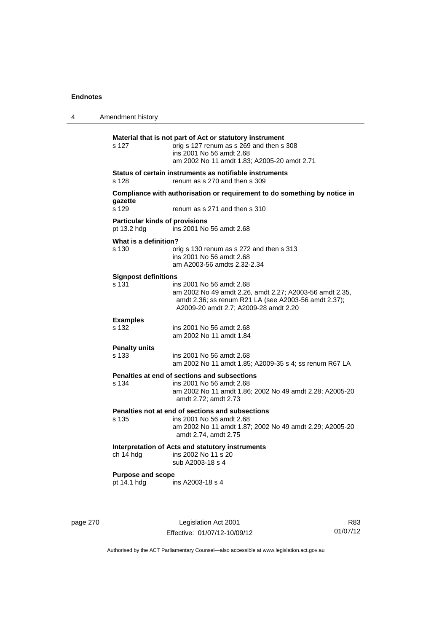| 4 | Amendment history                                    |                                                                                                                                                                                      |
|---|------------------------------------------------------|--------------------------------------------------------------------------------------------------------------------------------------------------------------------------------------|
|   | s 127                                                | Material that is not part of Act or statutory instrument<br>orig s 127 renum as s 269 and then s 308<br>ins 2001 No 56 amdt 2.68<br>am 2002 No 11 amdt 1.83; A2005-20 amdt 2.71      |
|   | s 128                                                | Status of certain instruments as notifiable instruments<br>renum as s 270 and then s 309                                                                                             |
|   | gazette<br>s 129                                     | Compliance with authorisation or requirement to do something by notice in<br>renum as s 271 and then s 310                                                                           |
|   | <b>Particular kinds of provisions</b><br>pt 13.2 hdg | ins 2001 No 56 amdt 2.68                                                                                                                                                             |
|   | What is a definition?<br>s 130                       | orig s 130 renum as s 272 and then s 313<br>ins 2001 No 56 amdt 2.68<br>am A2003-56 amdts 2.32-2.34                                                                                  |
|   | <b>Signpost definitions</b><br>s 131                 | ins 2001 No 56 amdt 2.68<br>am 2002 No 49 amdt 2.26, amdt 2.27; A2003-56 amdt 2.35,<br>amdt 2.36; ss renum R21 LA (see A2003-56 amdt 2.37);<br>A2009-20 amdt 2.7; A2009-28 amdt 2.20 |
|   | <b>Examples</b><br>s 132                             | ins 2001 No 56 amdt 2.68<br>am 2002 No 11 amdt 1.84                                                                                                                                  |
|   | <b>Penalty units</b><br>s 133                        | ins 2001 No 56 amdt 2.68<br>am 2002 No 11 amdt 1.85; A2009-35 s 4; ss renum R67 LA                                                                                                   |
|   | s 134                                                | Penalties at end of sections and subsections<br>ins 2001 No 56 amdt 2.68<br>am 2002 No 11 amdt 1.86; 2002 No 49 amdt 2.28; A2005-20<br>amdt 2.72; amdt 2.73                          |
|   | s 135                                                | Penalties not at end of sections and subsections<br>ins 2001 No 56 amdt 2.68<br>am 2002 No 11 amdt 1.87; 2002 No 49 amdt 2.29; A2005-20<br>amdt 2.74, amdt 2.75                      |
|   | ch 14 hdg                                            | Interpretation of Acts and statutory instruments<br>ins 2002 No 11 s 20<br>sub A2003-18 s 4                                                                                          |
|   | <b>Purpose and scope</b><br>pt 14.1 hdg              | ins A2003-18 s 4                                                                                                                                                                     |

page 270 Legislation Act 2001 Effective: 01/07/12-10/09/12

R83 01/07/12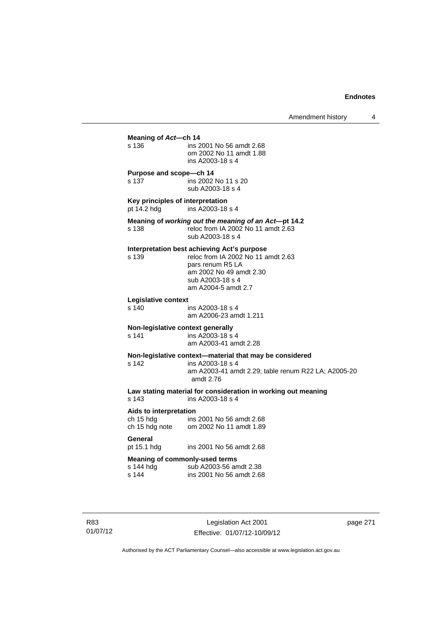| Meaning of Act-ch 14<br>s 136                   | ins 2001 No 56 amdt 2.68<br>om 2002 No 11 amdt 1.88<br>ins A2003-18 s 4                                                                                                     |
|-------------------------------------------------|-----------------------------------------------------------------------------------------------------------------------------------------------------------------------------|
| Purpose and scope-ch 14<br>s <sub>137</sub>     | ins 2002 No 11 s 20<br>sub A2003-18 s 4                                                                                                                                     |
| Key principles of interpretation<br>pt 14.2 hdg | ins A2003-18 s 4                                                                                                                                                            |
| s 138                                           | Meaning of working out the meaning of an Act-pt 14.2<br>reloc from IA 2002 No 11 amdt 2.63<br>sub A2003-18 s 4                                                              |
| s 139                                           | Interpretation best achieving Act's purpose<br>reloc from IA 2002 No 11 amdt 2.63<br>pars renum R5 LA<br>am 2002 No 49 amdt 2.30<br>sub A2003-18 s 4<br>am A2004-5 amdt 2.7 |
| Legislative context<br>s 140                    | ins A2003-18 s 4<br>am A2006-23 amdt 1.211                                                                                                                                  |
| s 141                                           | Non-legislative context generally<br>ins A2003-18 s 4<br>am A2003-41 amdt 2.28                                                                                              |
| s 142                                           | Non-legislative context-material that may be considered<br>ins A2003-18 s 4<br>am A2003-41 amdt 2.29; table renum R22 LA; A2005-20<br>amdt 2.76                             |
| s 143                                           | Law stating material for consideration in working out meaning<br>ins A2003-18 s 4                                                                                           |
| Aids to interpretation<br>ch 15 hdg             | ins 2001 No 56 amdt 2.68<br>ch 15 hdg note om 2002 No 11 amdt 1.89                                                                                                          |
| General<br>pt 15.1 hdg                          | ins 2001 No 56 amdt 2.68                                                                                                                                                    |
| s 144 hda<br>s 144                              | <b>Meaning of commonly-used terms</b><br>sub A2003-56 amdt 2.38<br>ins 2001 No 56 amdt 2.68                                                                                 |

R83 01/07/12

Legislation Act 2001 Effective: 01/07/12-10/09/12 page 271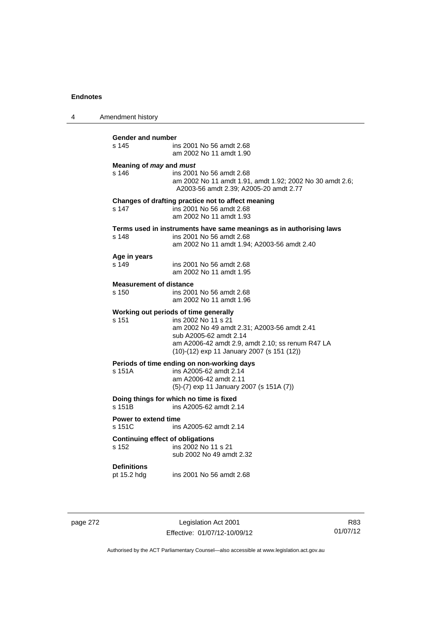| 4 | Amendment history                                |                                                                                                                                                                                                                                         |
|---|--------------------------------------------------|-----------------------------------------------------------------------------------------------------------------------------------------------------------------------------------------------------------------------------------------|
|   | <b>Gender and number</b><br>s 145                | ins 2001 No 56 amdt 2.68<br>am 2002 No 11 amdt 1.90                                                                                                                                                                                     |
|   | Meaning of <i>may</i> and <i>must</i><br>s 146   | ins 2001 No 56 amdt 2.68<br>am 2002 No 11 amdt 1.91, amdt 1.92; 2002 No 30 amdt 2.6;<br>A2003-56 amdt 2.39; A2005-20 amdt 2.77                                                                                                          |
|   | s 147                                            | Changes of drafting practice not to affect meaning<br>ins 2001 No 56 amdt 2.68<br>am 2002 No 11 amdt 1.93                                                                                                                               |
|   | s 148                                            | Terms used in instruments have same meanings as in authorising laws<br>ins 2001 No 56 amdt 2.68<br>am 2002 No 11 amdt 1.94; A2003-56 amdt 2.40                                                                                          |
|   | Age in years<br>s 149                            | ins 2001 No 56 amdt 2.68<br>am 2002 No 11 amdt 1.95                                                                                                                                                                                     |
|   | <b>Measurement of distance</b><br>s 150          | ins 2001 No 56 amdt 2.68<br>am 2002 No 11 amdt 1.96                                                                                                                                                                                     |
|   | s 151                                            | Working out periods of time generally<br>ins 2002 No 11 s 21<br>am 2002 No 49 amdt 2.31; A2003-56 amdt 2.41<br>sub A2005-62 amdt 2.14<br>am A2006-42 amdt 2.9, amdt 2.10; ss renum R47 LA<br>(10)-(12) exp 11 January 2007 (s 151 (12)) |
|   | s 151A                                           | Periods of time ending on non-working days<br>ins A2005-62 amdt 2.14<br>am A2006-42 amdt 2.11<br>(5)-(7) exp 11 January 2007 (s 151A (7))                                                                                               |
|   | s 151B                                           | Doing things for which no time is fixed<br>ins A2005-62 amdt 2.14                                                                                                                                                                       |
|   | <b>Power to extend time</b><br>s 151C            | ins A2005-62 amdt 2.14                                                                                                                                                                                                                  |
|   | <b>Continuing effect of obligations</b><br>s 152 | ins 2002 No 11 s 21<br>sub 2002 No 49 amdt 2.32                                                                                                                                                                                         |
|   | <b>Definitions</b><br>pt 15.2 hdg                | ins 2001 No 56 amdt 2.68                                                                                                                                                                                                                |

page 272 Legislation Act 2001 Effective: 01/07/12-10/09/12

R83 01/07/12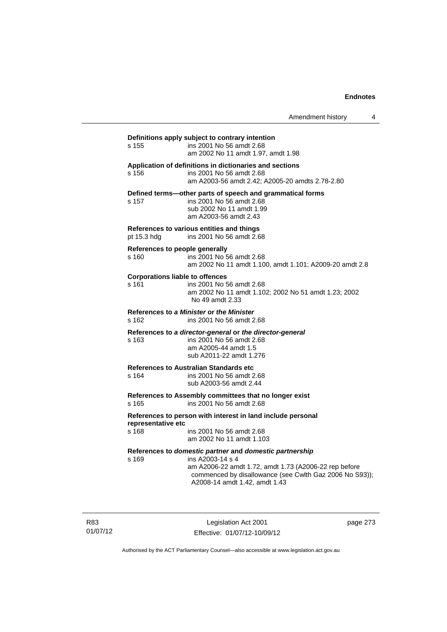Amendment history 4

# **Definitions apply subject to contrary intention**  s 155 ins 2001 No 56 amdt 2.68 am 2002 No 11 amdt 1.97, amdt 1.98 **Application of definitions in dictionaries and sections**  s 156 ins 2001 No 56 amdt 2.68 am A2003-56 amdt 2.42; A2005-20 amdts 2.78-2.80 **Defined terms—other parts of speech and grammatical forms**  s 157 ins 2001 No 56 amdt 2.68 sub 2002 No 11 amdt 1.99 am A2003-56 amdt 2.43 **References to various entities and things**  pt 15.3 hdg ins 2001 No 56 amdt 2.68 **References to people generally**  s 160 ins 2001 No 56 amdt 2.68 am 2002 No 11 amdt 1.100, amdt 1.101; A2009-20 amdt 2.8 **Corporations liable to offences**  s 161 ins 2001 No 56 amdt 2.68 am 2002 No 11 amdt 1.102; 2002 No 51 amdt 1.23; 2002 No 49 amdt 2.33 **References to** *a Minister* **or** *the Minister* s 162 ins 2001 No 56 amdt 2.68 **References to** *a director-general* **or** *the director-general* s 163 ins 2001 No 56 amdt 2.68 am A2005-44 amdt 1.5 sub A2011-22 amdt 1.276 **References to Australian Standards etc**  ins 2001 No 56 amdt 2.68 sub A2003-56 amdt 2.44 **References to Assembly committees that no longer exist**  s 165 ins 2001 No 56 amdt 2.68 **References to person with interest in land include personal representative etc**  s 168 ins 2001 No 56 amdt 2.68 am 2002 No 11 amdt 1.103 **References to** *domestic partner* **and** *domestic partnership*  s 169 ins A2003-14 s 4 am A2006-22 amdt 1.72, amdt 1.73 (A2006-22 rep before commenced by disallowance (see Cwlth Gaz 2006 No S93)); A2008-14 amdt 1.42, amdt 1.43

R83 01/07/12

Legislation Act 2001 Effective: 01/07/12-10/09/12 page 273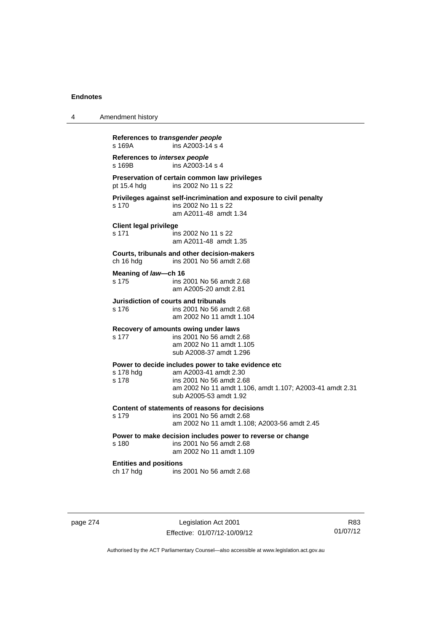| 4 | Amendment history                                                                                                                                                                                                    |
|---|----------------------------------------------------------------------------------------------------------------------------------------------------------------------------------------------------------------------|
|   | References to transgender people<br>ins A2003-14 s 4<br>s 169A                                                                                                                                                       |
|   | References to intersex people<br>s 169B<br>ins A2003-14 s 4                                                                                                                                                          |
|   | Preservation of certain common law privileges<br>pt 15.4 hdg<br>ins 2002 No 11 s 22                                                                                                                                  |
|   | Privileges against self-incrimination and exposure to civil penalty<br>s 170<br>ins 2002 No 11 s 22<br>am A2011-48 amdt 1.34                                                                                         |
|   | <b>Client legal privilege</b><br>s 171<br>ins 2002 No 11 s 22<br>am A2011-48 amdt 1.35                                                                                                                               |
|   | Courts, tribunals and other decision-makers<br>ins 2001 No 56 amdt 2.68<br>ch 16 hdg                                                                                                                                 |
|   | Meaning of law—ch 16<br>s 175<br>ins 2001 No 56 amdt 2.68<br>am A2005-20 amdt 2.81                                                                                                                                   |
|   | Jurisdiction of courts and tribunals<br>s 176<br>ins 2001 No 56 amdt 2.68<br>am 2002 No 11 amdt 1.104                                                                                                                |
|   | Recovery of amounts owing under laws<br>s 177<br>ins 2001 No 56 amdt 2.68<br>am 2002 No 11 amdt 1.105<br>sub A2008-37 amdt 1.296                                                                                     |
|   | Power to decide includes power to take evidence etc<br>am A2003-41 amdt 2.30<br>s 178 hdg<br>s 178<br>ins 2001 No 56 amdt 2.68<br>am 2002 No 11 amdt 1.106, amdt 1.107; A2003-41 amdt 2.31<br>sub A2005-53 amdt 1.92 |
|   | Content of statements of reasons for decisions<br>s 179<br>ins 2001 No 56 amdt 2.68<br>am 2002 No 11 amdt 1.108; A2003-56 amdt 2.45                                                                                  |
|   | Power to make decision includes power to reverse or change<br>s 180<br>ins 2001 No 56 amdt 2.68<br>am 2002 No 11 amdt 1.109                                                                                          |
|   | <b>Entities and positions</b><br>ch 17 hdg<br>ins 2001 No 56 amdt 2.68                                                                                                                                               |

page 274 Legislation Act 2001 Effective: 01/07/12-10/09/12

R83 01/07/12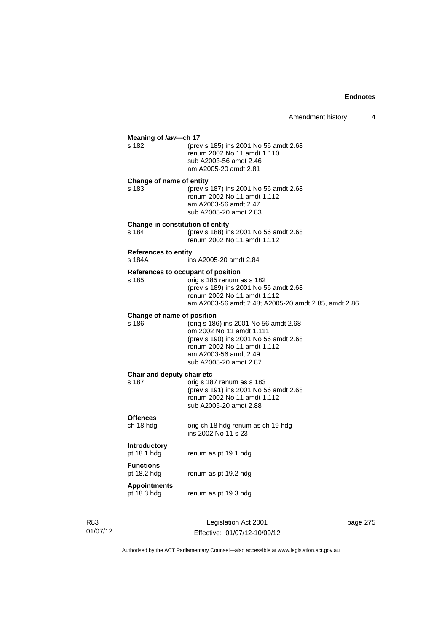# **Meaning of** *law***—ch 17**<br>s 182 (pre s 182 (prev s 185) ins 2001 No 56 amdt 2.68 renum 2002 No 11 amdt 1.110 sub A2003-56 amdt 2.46 am A2005-20 amdt 2.81 **Change of name of entity**  s 183 (prev s 187) ins 2001 No 56 amdt 2.68 renum 2002 No 11 amdt 1.112 am A2003-56 amdt 2.47 sub A2005-20 amdt 2.83 **Change in constitution of entity**  s 184 (prev s 188) ins 2001 No 56 amdt 2.68 renum 2002 No 11 amdt 1.112 **References to entity**  ins A2005-20 amdt 2.84 **References to occupant of position**  s 185 orig s 185 renum as s 182 (prev s 189) ins 2001 No 56 amdt 2.68 renum 2002 No 11 amdt 1.112 am A2003-56 amdt 2.48; A2005-20 amdt 2.85, amdt 2.86 **Change of name of position**<br>s 186 (orig s 186 s 186 (orig s 186) ins 2001 No 56 amdt 2.68 om 2002 No 11 amdt 1.111 (prev s 190) ins 2001 No 56 amdt 2.68 renum 2002 No 11 amdt 1.112 am A2003-56 amdt 2.49 sub A2005-20 amdt 2.87 **Chair and deputy chair etc**<br>s 187 orig s 18 orig s 187 renum as s 183 (prev s 191) ins 2001 No 56 amdt 2.68 renum 2002 No 11 amdt 1.112 sub A2005-20 amdt 2.88 **Offences**  ch 18 hdg orig ch 18 hdg renum as ch 19 hdg ins 2002 No 11 s 23 **Introductory**  pt 18.1 hdg renum as pt 19.1 hdg **Functions**  pt 18.2 hdg renum as pt 19.2 hdg **Appointments**  pt 18.3 hdg renum as pt 19.3 hdg

R83 01/07/12

Legislation Act 2001 Effective: 01/07/12-10/09/12 page 275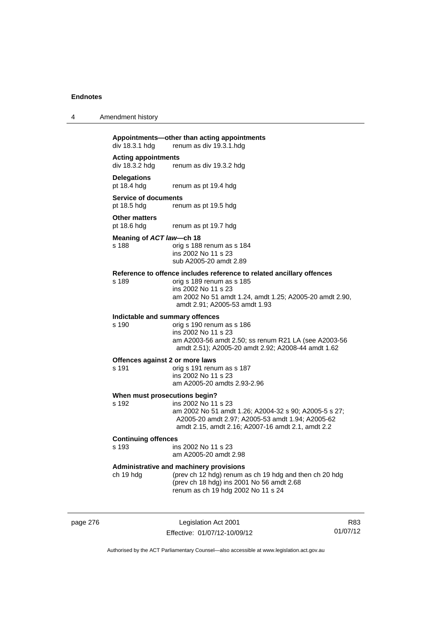| 4 | Amendment history |
|---|-------------------|
|---|-------------------|

## **Appointments—other than acting appointments**

 $div 18.3.1$  hdg renum as div  $19.3.1$ .hdg

## **Acting appointments**  div 18.3.2 hdg renum as div 19.3.2 hdg

**Delegations** 

pt 18.4 hdg renum as pt 19.4 hdg

## **Service of documents**

pt 18.5 hdg renum as pt 19.5 hdg

# **Other matters**<br>pt 18.6 hdg

renum as pt 19.7 hdg

### **Meaning of** *ACT law***—ch 18**

s 188 orig s 188 renum as s 184 ins 2002 No 11 s 23 sub A2005-20 amdt 2.89

#### **Reference to offence includes reference to related ancillary offences**

s 189 orig s 189 renum as s 185 ins 2002 No 11 s 23 am 2002 No 51 amdt 1.24, amdt 1.25; A2005-20 amdt 2.90, amdt 2.91; A2005-53 amdt 1.93

# **Indictable and summary offences**

orig s 190 renum as s 186 ins 2002 No 11 s 23

am A2003-56 amdt 2.50; ss renum R21 LA (see A2003-56 amdt 2.51); A2005-20 amdt 2.92; A2008-44 amdt 1.62

## **Offences against 2 or more laws**

s 191 orig s 191 renum as s 187 ins 2002 No 11 s 23 am A2005-20 amdts 2.93-2.96

#### **When must prosecutions begin?**

s 192 ins 2002 No 11 s 23 am 2002 No 51 amdt 1.26; A2004-32 s 90; A2005-5 s 27; A2005-20 amdt 2.97; A2005-53 amdt 1.94; A2005-62 amdt 2.15, amdt 2.16; A2007-16 amdt 2.1, amdt 2.2

# **Continuing offences**

ins 2002 No 11 s 23 am A2005-20 amdt 2.98

## **Administrative and machinery provisions**

ch 19 hdg (prev ch 12 hdg) renum as ch 19 hdg and then ch 20 hdg (prev ch 18 hdg) ins 2001 No 56 amdt 2.68 renum as ch 19 hdg 2002 No 11 s 24

page 276 Legislation Act 2001 Effective: 01/07/12-10/09/12

R83 01/07/12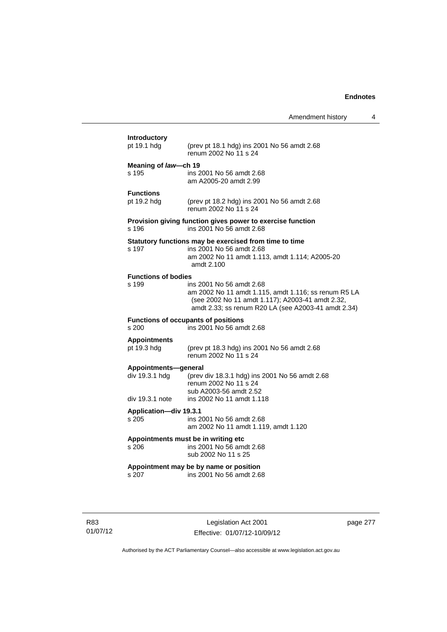Amendment history 4 **Introductory**  (prev pt 18.1 hdg) ins 2001 No 56 amdt  $2.68$  renum 2002 No 11 s 24 **Meaning of** *law***—ch 19**  s 195 ins 2001 No 56 amdt 2.68 am A2005-20 amdt 2.99 **Functions**  pt 19.2 hdg (prev pt 18.2 hdg) ins 2001 No 56 amdt 2.68 renum 2002 No 11 s 24 **Provision giving function gives power to exercise function**  s 196 ins 2001 No 56 amdt 2.68 **Statutory functions may be exercised from time to time**  s 197 ins 2001 No 56 amdt 2.68 am 2002 No 11 amdt 1.113, amdt 1.114; A2005-20 amdt 2.100 **Functions of bodies**  ins 2001 No 56 amdt 2.68 am 2002 No 11 amdt 1.115, amdt 1.116; ss renum R5 LA (see 2002 No 11 amdt 1.117); A2003-41 amdt 2.32, amdt 2.33; ss renum R20 LA (see A2003-41 amdt 2.34) **Functions of occupants of positions**  s 200 ins 2001 No 56 amdt 2.68 **Appointments**  pt 19.3 hdg (prev pt 18.3 hdg) ins 2001 No 56 amdt 2.68 renum 2002 No 11 s 24 **Appointments—general**<br>div 19.3.1 hdg (prev (prev div 18.3.1 hdg) ins 2001 No 56 amdt 2.68 renum 2002 No 11 s 24 sub A2003-56 amdt 2.52 div 19.3.1 note ins 2002 No 11 amdt 1.118 **Application—div 19.3.1**  s 205 ins 2001 No 56 amdt 2.68 am 2002 No 11 amdt 1.119, amdt 1.120 **Appointments must be in writing etc**  s 206 ins 2001 No 56 amdt 2.68 sub 2002 No 11 s 25 **Appointment may be by name or position**  s 207 ins 2001 No 56 amdt 2.68

Legislation Act 2001 Effective: 01/07/12-10/09/12 page 277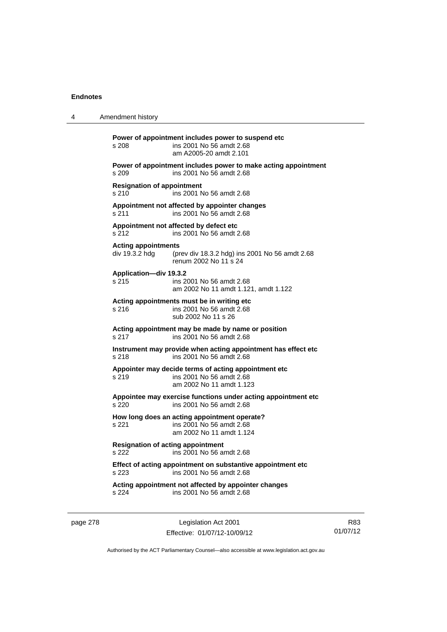| 4 | Amendment history                                                                                                       |
|---|-------------------------------------------------------------------------------------------------------------------------|
|   | Power of appointment includes power to suspend etc<br>ins 2001 No 56 amdt 2.68<br>s 208<br>am A2005-20 amdt 2.101       |
|   | Power of appointment includes power to make acting appointment<br>ins 2001 No 56 amdt 2.68<br>s 209                     |
|   | <b>Resignation of appointment</b><br>s 210<br>ins 2001 No 56 amdt 2.68                                                  |
|   | Appointment not affected by appointer changes<br>ins 2001 No 56 amdt 2.68<br>s 211                                      |
|   | Appointment not affected by defect etc<br>ins 2001 No 56 amdt 2.68<br>s 212                                             |
|   | <b>Acting appointments</b><br>div 19.3.2 hdg<br>(prev div 18.3.2 hdg) ins 2001 No 56 amdt 2.68<br>renum 2002 No 11 s 24 |
|   | Application-div 19.3.2<br>s 215<br>ins 2001 No 56 amdt 2.68<br>am 2002 No 11 amdt 1.121, amdt 1.122                     |
|   | Acting appointments must be in writing etc<br>s 216<br>ins 2001 No 56 amdt 2.68<br>sub 2002 No 11 s 26                  |
|   | Acting appointment may be made by name or position<br>s 217<br>ins 2001 No 56 amdt 2.68                                 |
|   | Instrument may provide when acting appointment has effect etc<br>ins 2001 No 56 amdt 2.68<br>s 218                      |
|   | Appointer may decide terms of acting appointment etc<br>s 219<br>ins 2001 No 56 amdt 2.68<br>am 2002 No 11 amdt 1.123   |
|   | Appointee may exercise functions under acting appointment etc<br>s 220<br>ins 2001 No 56 amdt 2.68                      |
|   | How long does an acting appointment operate?<br>s 221<br>ins 2001 No 56 amdt 2.68<br>am 2002 No 11 amdt 1.124           |
|   | <b>Resignation of acting appointment</b><br>ins 2001 No 56 amdt 2.68<br>s 222                                           |
|   | Effect of acting appointment on substantive appointment etc<br>ins 2001 No 56 amdt 2.68<br>s 223                        |
|   | Acting appointment not affected by appointer changes<br>s 224<br>ins 2001 No 56 amdt 2.68                               |
|   |                                                                                                                         |

page 278 Legislation Act 2001 Effective: 01/07/12-10/09/12

R83 01/07/12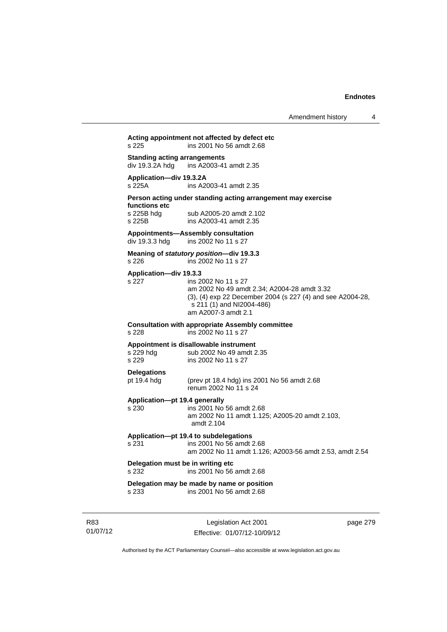## **Acting appointment not affected by defect etc**  s 225 ins 2001 No 56 amdt 2.68

**Standing acting arrangements**  div 19.3.2A hdg ins A2003-41 amdt 2.35

**Application—div 19.3.2A** 

s 225A ins A2003-41 amdt 2.35

## **Person acting under standing acting arrangement may exercise functions etc**

s 225B hdg sub A2005-20 amdt 2.102 s 225B ins A2003-41 amdt 2.35

## **Appointments—Assembly consultation**

div 19.3.3 hdg ins 2002 No 11 s 27

#### **Meaning of** *statutory position***—div 19.3.3**  s 226 ins 2002 No 11 s 27

## **Application—div 19.3.3**

s 227 ins 2002 No 11 s 27 am 2002 No 49 amdt 2.34; A2004-28 amdt 3.32 (3), (4) exp 22 December 2004 (s 227 (4) and see A2004-28, s 211 (1) and NI2004-486) am A2007-3 amdt 2.1

## **Consultation with appropriate Assembly committee**

s 228 ins 2002 No 11 s 27

## **Appointment is disallowable instrument**

| s 229 hdg | sub 2002 No 49 amdt 2.35 |
|-----------|--------------------------|
| s 229     | ins 2002 No 11 s 27      |

## **Delegations**

pt 19.4 hdg (prev pt 18.4 hdg) ins 2001 No 56 amdt 2.68 renum 2002 No 11 s 24

#### **Application—pt 19.4 generally**

s 230 ins 2001 No 56 amdt 2.68 am 2002 No 11 amdt 1.125; A2005-20 amdt 2.103, amdt 2.104

## **Application—pt 19.4 to subdelegations**

s 231 ins 2001 No 56 amdt 2.68

am 2002 No 11 amdt 1.126; A2003-56 amdt 2.53, amdt 2.54

## **Delegation must be in writing etc**  s 232 ins 2001 No 56 amdt 2.68

**Delegation may be made by name or position**  s 233 ins 2001 No 56 amdt 2.68

R83 01/07/12

Legislation Act 2001 Effective: 01/07/12-10/09/12 page 279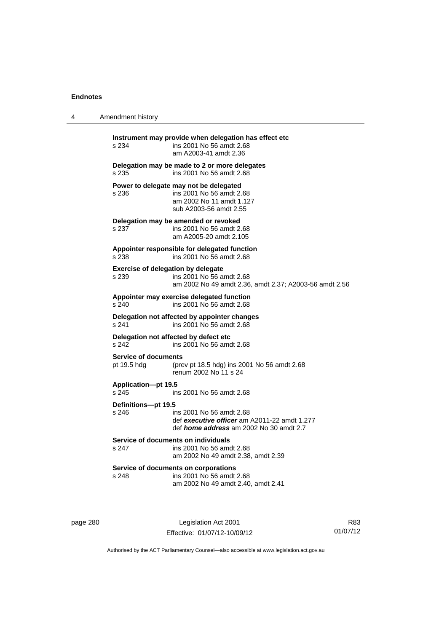| 4 | Amendment history                                                                                                                                          |  |  |
|---|------------------------------------------------------------------------------------------------------------------------------------------------------------|--|--|
|   | Instrument may provide when delegation has effect etc<br>ins 2001 No 56 amdt 2.68<br>s 234<br>am A2003-41 amdt 2.36                                        |  |  |
|   | Delegation may be made to 2 or more delegates<br>ins 2001 No 56 amdt 2.68<br>s 235                                                                         |  |  |
|   | Power to delegate may not be delegated<br>ins 2001 No 56 amdt 2.68<br>s 236<br>am 2002 No 11 amdt 1.127<br>sub A2003-56 amdt 2.55                          |  |  |
|   | Delegation may be amended or revoked<br>s 237<br>ins 2001 No 56 amdt 2.68<br>am A2005-20 amdt 2.105                                                        |  |  |
|   | Appointer responsible for delegated function<br>ins 2001 No 56 amdt 2.68<br>s 238                                                                          |  |  |
|   | Exercise of delegation by delegate<br>ins 2001 No 56 amdt 2.68<br>s 239<br>am 2002 No 49 amdt 2.36, amdt 2.37; A2003-56 amdt 2.56                          |  |  |
|   | Appointer may exercise delegated function<br>ins 2001 No 56 amdt 2.68<br>s 240                                                                             |  |  |
|   | Delegation not affected by appointer changes<br>ins 2001 No 56 amdt 2.68<br>s 241                                                                          |  |  |
|   | Delegation not affected by defect etc<br>ins 2001 No 56 amdt 2.68<br>s 242                                                                                 |  |  |
|   | <b>Service of documents</b><br>pt 19.5 hdg<br>(prev pt 18.5 hdg) ins 2001 No 56 amdt 2.68<br>renum 2002 No 11 s 24                                         |  |  |
|   | <b>Application-pt 19.5</b><br>s 245<br>ins 2001 No 56 amdt 2.68                                                                                            |  |  |
|   | Definitions-pt 19.5<br>s 246<br>ins 2001 No 56 amdt 2.68<br>def executive officer am A2011-22 amdt 1.277<br>def <i>home address</i> am 2002 No 30 amdt 2.7 |  |  |
|   | Service of documents on individuals<br>s 247<br>ins 2001 No 56 amdt 2.68<br>am 2002 No 49 amdt 2.38, amdt 2.39                                             |  |  |
|   | Service of documents on corporations<br>ins 2001 No 56 amdt 2.68<br>s 248<br>am 2002 No 49 amdt 2.40, amdt 2.41                                            |  |  |

page 280 Legislation Act 2001 Effective: 01/07/12-10/09/12

R83 01/07/12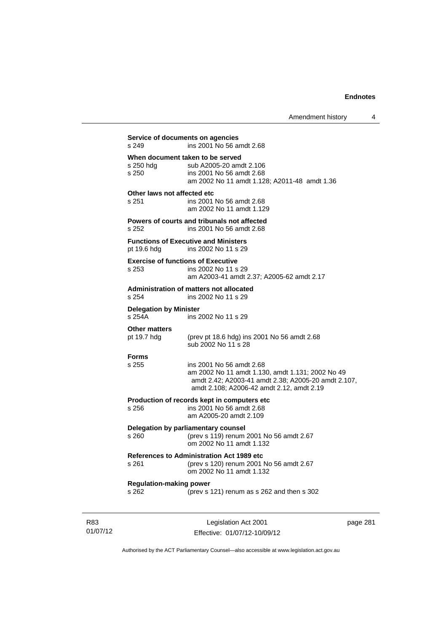| Amendment history |  |
|-------------------|--|
|-------------------|--|

**Service of documents on agencies**  s 249 ins 2001 No 56 amdt 2.68 **When document taken to be served**<br>s 250 hda<br>sub A2005-20 among s 250 hdg sub A2005-20 amdt 2.106<br>s 250 s 250 ins 2001 No 56 amdt 2.68 ins 2001 No 56 amdt 2.68 am 2002 No 11 amdt 1.128; A2011-48 amdt 1.36 **Other laws not affected etc**  s 251 ins 2001 No 56 amdt 2.68 am 2002 No 11 amdt 1.129 **Powers of courts and tribunals not affected**  s 252 ins 2001 No 56 amdt 2.68 **Functions of Executive and Ministers**  pt 19.6 hdg ins 2002 No 11 s 29 **Exercise of functions of Executive**  s 253 ins 2002 No 11 s 29 am A2003-41 amdt 2.37; A2005-62 amdt 2.17 **Administration of matters not allocated**  s 254 ins 2002 No 11 s 29 **Delegation by Minister**<br>**s** 254A **ins** 2 ins 2002 No 11 s 29 **Other matters**  pt 19.7 hdg (prev pt 18.6 hdg) ins 2001 No 56 amdt 2.68 sub 2002 No 11 s 28 **Forms**  ins 2001 No 56 amdt 2.68 am 2002 No 11 amdt 1.130, amdt 1.131; 2002 No 49 amdt 2.42; A2003-41 amdt 2.38; A2005-20 amdt 2.107, amdt 2.108; A2006-42 amdt 2.12, amdt 2.19 **Production of records kept in computers etc**  s 256 ins 2001 No 56 amdt 2.68 am A2005-20 amdt 2.109 **Delegation by parliamentary counsel**  s 260 (prev s 119) renum 2001 No 56 amdt 2.67 om 2002 No 11 amdt 1.132 **References to Administration Act 1989 etc**  s 261 (prev s 120) renum 2001 No 56 amdt 2.67 om 2002 No 11 amdt 1.132 **Regulation-making power**  s 262 (prev s 121) renum as s 262 and then s 302

R83 01/07/12

Legislation Act 2001 Effective: 01/07/12-10/09/12 page 281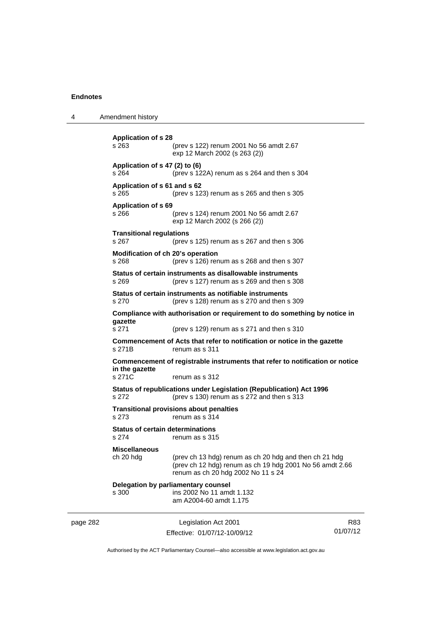| 4                                                                  | Amendment history                                                                                                          |                                                                                                                                                          |                 |
|--------------------------------------------------------------------|----------------------------------------------------------------------------------------------------------------------------|----------------------------------------------------------------------------------------------------------------------------------------------------------|-----------------|
|                                                                    | <b>Application of s 28</b><br>s 263                                                                                        | (prev s 122) renum 2001 No 56 amdt 2.67<br>exp 12 March 2002 (s 263 (2))                                                                                 |                 |
|                                                                    | Application of s 47 (2) to (6)<br>s 264                                                                                    | (prev s 122A) renum as s 264 and then s 304                                                                                                              |                 |
|                                                                    | Application of s 61 and s 62<br>s 265                                                                                      | (prev s $123$ ) renum as s $265$ and then s $305$                                                                                                        |                 |
|                                                                    | <b>Application of s 69</b><br>s 266                                                                                        | (prev s 124) renum 2001 No 56 amdt 2.67<br>exp 12 March 2002 (s 266 (2))                                                                                 |                 |
|                                                                    | <b>Transitional regulations</b><br>s 267                                                                                   | (prev s $125$ ) renum as s $267$ and then s $306$                                                                                                        |                 |
|                                                                    | Modification of ch 20's operation<br>s 268                                                                                 | (prev s 126) renum as s 268 and then s 307                                                                                                               |                 |
|                                                                    | s 269                                                                                                                      | Status of certain instruments as disallowable instruments<br>(prev s 127) renum as s 269 and then s 308                                                  |                 |
|                                                                    | s 270                                                                                                                      | Status of certain instruments as notifiable instruments<br>(prev s 128) renum as s 270 and then s 309                                                    |                 |
|                                                                    | gazette<br>s.271                                                                                                           | Compliance with authorisation or requirement to do something by notice in<br>(prev s $129$ ) renum as s 271 and then s 310                               |                 |
|                                                                    | s 271B                                                                                                                     | Commencement of Acts that refer to notification or notice in the gazette<br>renum as s 311                                                               |                 |
|                                                                    | Commencement of registrable instruments that refer to notification or notice<br>in the gazette<br>s 271C<br>renum as s 312 |                                                                                                                                                          |                 |
|                                                                    | s 272                                                                                                                      | Status of republications under Legislation (Republication) Act 1996<br>(prev s 130) renum as s 272 and then s 313                                        |                 |
|                                                                    | s 273                                                                                                                      | <b>Transitional provisions about penalties</b><br>renum as s 314                                                                                         |                 |
| <b>Status of certain determinations</b><br>s 274<br>renum as s 315 |                                                                                                                            |                                                                                                                                                          |                 |
|                                                                    | <b>Miscellaneous</b><br>ch 20 hdg                                                                                          | (prev ch 13 hdg) renum as ch 20 hdg and then ch 21 hdg<br>(prev ch 12 hdg) renum as ch 19 hdg 2001 No 56 amdt 2.66<br>renum as ch 20 hdg 2002 No 11 s 24 |                 |
|                                                                    | s 300                                                                                                                      | Delegation by parliamentary counsel<br>ins 2002 No 11 amdt 1.132<br>am A2004-60 amdt 1.175                                                               |                 |
| page 282                                                           |                                                                                                                            | Legislation Act 2001<br>Effective: 01/07/12-10/09/12                                                                                                     | R83<br>01/07/12 |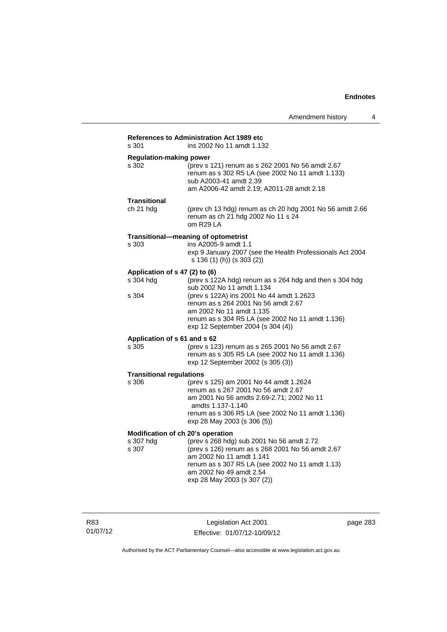| s 301                           | ins 2002 No 11 amdt 1.132                                                                                                                       |
|---------------------------------|-------------------------------------------------------------------------------------------------------------------------------------------------|
| <b>Regulation-making power</b>  |                                                                                                                                                 |
| s 302                           | (prev s 121) renum as s 262 2001 No 56 amdt 2.67<br>renum as s 302 R5 LA (see 2002 No 11 amdt 1.133)<br>sub A2003-41 amdt 2.39                  |
|                                 | am A2006-42 amdt 2.19; A2011-28 amdt 2.18                                                                                                       |
| <b>Transitional</b>             |                                                                                                                                                 |
| ch 21 hdg                       | (prev ch 13 hdg) renum as ch 20 hdg 2001 No 56 amdt 2.66<br>renum as ch 21 hdg 2002 No 11 s 24<br>om R29 LA                                     |
|                                 | Transitional-meaning of optometrist                                                                                                             |
| s 303                           | ins A2005-9 amdt 1.1<br>exp 9 January 2007 (see the Health Professionals Act 2004<br>s 136 (1) (h)) (s 303 (2))                                 |
| Application of s 47 (2) to (6)  |                                                                                                                                                 |
| s 304 hdg                       | (prev s 122A hdg) renum as s 264 hdg and then s 304 hdg<br>sub 2002 No 11 amdt 1.134                                                            |
| s 304                           | (prev s 122A) ins 2001 No 44 amdt 1.2623<br>renum as s 264 2001 No 56 amdt 2.67<br>am 2002 No 11 amdt 1.135                                     |
|                                 | renum as s 304 R5 LA (see 2002 No 11 amdt 1.136)<br>exp 12 September 2004 (s 304 (4))                                                           |
| Application of s 61 and s 62    |                                                                                                                                                 |
| s 305                           | (prev s 123) renum as s 265 2001 No 56 amdt 2.67<br>renum as s 305 R5 LA (see 2002 No 11 amdt 1.136)<br>exp 12 September 2002 (s 305 (3))       |
| <b>Transitional regulations</b> |                                                                                                                                                 |
| s 306                           | (prev s 125) am 2001 No 44 amdt 1.2624<br>renum as s 267 2001 No 56 amdt 2.67<br>am 2001 No 56 amdts 2.69-2.71; 2002 No 11<br>amdts 1.137-1.140 |
|                                 | renum as s 306 R5 LA (see 2002 No 11 amdt 1.136)<br>exp 28 May 2003 (s 306 (5))                                                                 |
|                                 | Modification of ch 20's operation                                                                                                               |
| s 307 hdg<br>s 307              | (prev s 268 hdg) sub 2001 No 56 amdt 2.72<br>(prev s 126) renum as s 268 2001 No 56 amdt 2.67<br>am 2002 No 11 amdt 1.141                       |
|                                 | renum as s 307 R5 LA (see 2002 No 11 amdt 1.13)<br>am 2002 No 49 amdt 2.54<br>exp 28 May 2003 (s 307 (2))                                       |

R83 01/07/12

Legislation Act 2001 Effective: 01/07/12-10/09/12 page 283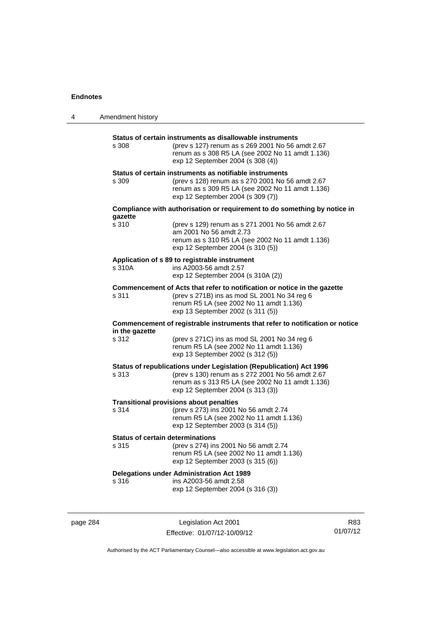| 4 | Amendment history                                                                    |                                                                                                                                                                                                                  |
|---|--------------------------------------------------------------------------------------|------------------------------------------------------------------------------------------------------------------------------------------------------------------------------------------------------------------|
|   | s 308                                                                                | Status of certain instruments as disallowable instruments<br>(prev s 127) renum as s 269 2001 No 56 amdt 2.67<br>renum as s 308 R5 LA (see 2002 No 11 amdt 1.136)<br>exp 12 September 2004 (s 308 (4))           |
|   | s 309                                                                                | Status of certain instruments as notifiable instruments<br>(prev s 128) renum as s 270 2001 No 56 amdt 2.67<br>renum as s 309 R5 LA (see 2002 No 11 amdt 1.136)<br>exp 12 September 2004 (s 309 (7))             |
|   | Compliance with authorisation or requirement to do something by notice in<br>gazette |                                                                                                                                                                                                                  |
|   | s 310                                                                                | (prev s 129) renum as s 271 2001 No 56 amdt 2.67<br>am 2001 No 56 amdt 2.73<br>renum as s 310 R5 LA (see 2002 No 11 amdt 1.136)<br>exp 12 September 2004 (s 310 (5))                                             |
|   | s 310A                                                                               | Application of s 89 to registrable instrument<br>ins A2003-56 amdt 2.57<br>exp 12 September 2004 (s 310A (2))                                                                                                    |
|   | s 311                                                                                | Commencement of Acts that refer to notification or notice in the gazette<br>(prev s 271B) ins as mod SL 2001 No 34 reg 6<br>renum R5 LA (see 2002 No 11 amdt 1.136)<br>exp 13 September 2002 (s 311 (5))         |
|   | Commencement of registrable instruments that refer to notification or notice         |                                                                                                                                                                                                                  |
|   | in the gazette<br>s 312                                                              | (prev s 271C) ins as mod SL 2001 No 34 reg 6<br>renum R5 LA (see 2002 No 11 amdt 1.136)<br>exp 13 September 2002 (s 312 (5))                                                                                     |
|   | s 313                                                                                | Status of republications under Legislation (Republication) Act 1996<br>(prev s 130) renum as s 272 2001 No 56 amdt 2.67<br>renum as s 313 R5 LA (see 2002 No 11 amdt 1.136)<br>exp 12 September 2004 (s 313 (3)) |
|   | s 314                                                                                | <b>Transitional provisions about penalties</b><br>(prev s 273) ins 2001 No 56 amdt 2.74<br>renum R5 LA (see 2002 No 11 amdt 1.136)<br>exp 12 September 2003 (s 314 (5))                                          |
|   | <b>Status of certain determinations</b><br>s 315                                     | (prev s 274) ins 2001 No 56 amdt 2.74<br>renum R5 LA (see 2002 No 11 amdt 1.136)<br>exp 12 September 2003 (s 315 (6))                                                                                            |
|   | s 316                                                                                | <b>Delegations under Administration Act 1989</b><br>ins A2003-56 amdt 2.58<br>exp 12 September 2004 (s 316 (3))                                                                                                  |

page 284 **Legislation Act 2001** Effective: 01/07/12-10/09/12

R83 01/07/12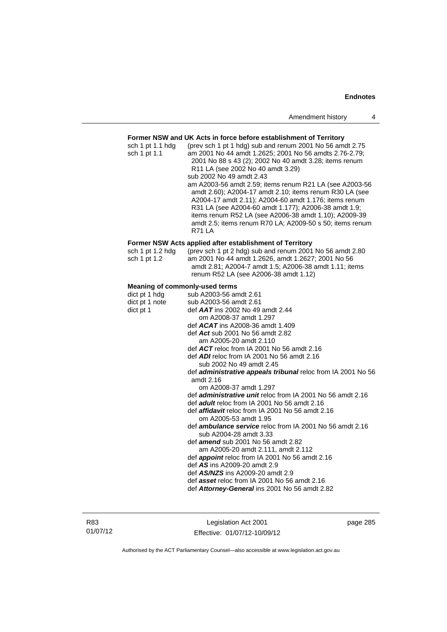## **Former NSW and UK Acts in force before establishment of Territory**

| sch 1 pt 1.1 hdg<br>sch 1 pt 1.1      | (prev sch 1 pt 1 hdg) sub and renum 2001 No 56 amdt 2.75<br>am 2001 No 44 amdt 1.2625; 2001 No 56 amdts 2.76-2.79;<br>2001 No 88 s 43 (2); 2002 No 40 amdt 3.28; items renum<br>R11 LA (see 2002 No 40 amdt 3.29)<br>sub 2002 No 49 amdt 2.43<br>am A2003-56 amdt 2.59; items renum R21 LA (see A2003-56<br>amdt 2.60); A2004-17 amdt 2.10; items renum R30 LA (see<br>A2004-17 amdt 2.11); A2004-60 amdt 1.176; items renum<br>R31 LA (see A2004-60 amdt 1.177); A2006-38 amdt 1.9;<br>items renum R52 LA (see A2006-38 amdt 1.10); A2009-39<br>amdt 2.5; items renum R70 LA; A2009-50 s 50; items renum<br><b>R71 LA</b> |
|---------------------------------------|----------------------------------------------------------------------------------------------------------------------------------------------------------------------------------------------------------------------------------------------------------------------------------------------------------------------------------------------------------------------------------------------------------------------------------------------------------------------------------------------------------------------------------------------------------------------------------------------------------------------------|
|                                       | Former NSW Acts applied after establishment of Territory                                                                                                                                                                                                                                                                                                                                                                                                                                                                                                                                                                   |
| sch 1 pt 1.2 hdg<br>sch 1 pt 1.2      | (prev sch 1 pt 2 hdg) sub and renum 2001 No 56 amdt 2.80<br>am 2001 No 44 amdt 1.2626, amdt 1.2627; 2001 No 56<br>amdt 2.81; A2004-7 amdt 1.5; A2006-38 amdt 1.11; items<br>renum R52 LA (see A2006-38 amdt 1.12)                                                                                                                                                                                                                                                                                                                                                                                                          |
| <b>Meaning of commonly-used terms</b> |                                                                                                                                                                                                                                                                                                                                                                                                                                                                                                                                                                                                                            |
| dict pt 1 hdg                         | sub A2003-56 amdt 2.61                                                                                                                                                                                                                                                                                                                                                                                                                                                                                                                                                                                                     |
| dict pt 1 note                        | sub A2003-56 amdt 2.61                                                                                                                                                                                                                                                                                                                                                                                                                                                                                                                                                                                                     |
| dict pt 1                             | def AAT ins 2002 No 49 amdt 2.44                                                                                                                                                                                                                                                                                                                                                                                                                                                                                                                                                                                           |
|                                       | om A2008-37 amdt 1.297                                                                                                                                                                                                                                                                                                                                                                                                                                                                                                                                                                                                     |
|                                       | def ACAT ins A2008-36 amdt 1.409                                                                                                                                                                                                                                                                                                                                                                                                                                                                                                                                                                                           |
|                                       | def Act sub 2001 No 56 amdt 2.82                                                                                                                                                                                                                                                                                                                                                                                                                                                                                                                                                                                           |
|                                       | am A2005-20 amdt 2.110                                                                                                                                                                                                                                                                                                                                                                                                                                                                                                                                                                                                     |
|                                       | def ACT reloc from IA 2001 No 56 amdt 2.16                                                                                                                                                                                                                                                                                                                                                                                                                                                                                                                                                                                 |
|                                       | def ADI reloc from IA 2001 No 56 amdt 2.16                                                                                                                                                                                                                                                                                                                                                                                                                                                                                                                                                                                 |
|                                       | sub 2002 No 49 amdt 2.45                                                                                                                                                                                                                                                                                                                                                                                                                                                                                                                                                                                                   |
|                                       | def <i>administrative appeals tribunal</i> reloc from IA 2001 No 56<br>amdt 2.16                                                                                                                                                                                                                                                                                                                                                                                                                                                                                                                                           |
|                                       | om A2008-37 amdt 1.297                                                                                                                                                                                                                                                                                                                                                                                                                                                                                                                                                                                                     |
|                                       | def <i>administrative unit</i> reloc from IA 2001 No 56 amdt 2.16                                                                                                                                                                                                                                                                                                                                                                                                                                                                                                                                                          |
|                                       | def adult reloc from IA 2001 No 56 amdt 2.16                                                                                                                                                                                                                                                                                                                                                                                                                                                                                                                                                                               |
|                                       | def affidavit reloc from IA 2001 No 56 amdt 2.16                                                                                                                                                                                                                                                                                                                                                                                                                                                                                                                                                                           |
|                                       | om A2005-53 amdt 1.95                                                                                                                                                                                                                                                                                                                                                                                                                                                                                                                                                                                                      |
|                                       | def <b>ambulance service</b> reloc from IA 2001 No 56 amdt 2.16                                                                                                                                                                                                                                                                                                                                                                                                                                                                                                                                                            |
|                                       | sub A2004-28 amdt 3.33                                                                                                                                                                                                                                                                                                                                                                                                                                                                                                                                                                                                     |
|                                       | def <i>amend</i> sub 2001 No 56 amdt 2.82                                                                                                                                                                                                                                                                                                                                                                                                                                                                                                                                                                                  |
|                                       | am A2005-20 amdt 2.111, amdt 2.112                                                                                                                                                                                                                                                                                                                                                                                                                                                                                                                                                                                         |
|                                       | def appoint reloc from IA 2001 No 56 amdt 2.16                                                                                                                                                                                                                                                                                                                                                                                                                                                                                                                                                                             |
|                                       | def AS ins A2009-20 amdt 2.9                                                                                                                                                                                                                                                                                                                                                                                                                                                                                                                                                                                               |
|                                       | def AS/NZS ins A2009-20 amdt 2.9                                                                                                                                                                                                                                                                                                                                                                                                                                                                                                                                                                                           |
|                                       | def asset reloc from IA 2001 No 56 amdt 2.16                                                                                                                                                                                                                                                                                                                                                                                                                                                                                                                                                                               |
|                                       | def Attorney-General ins 2001 No 56 amdt 2.82                                                                                                                                                                                                                                                                                                                                                                                                                                                                                                                                                                              |

R83 01/07/12

Legislation Act 2001 Effective: 01/07/12-10/09/12 page 285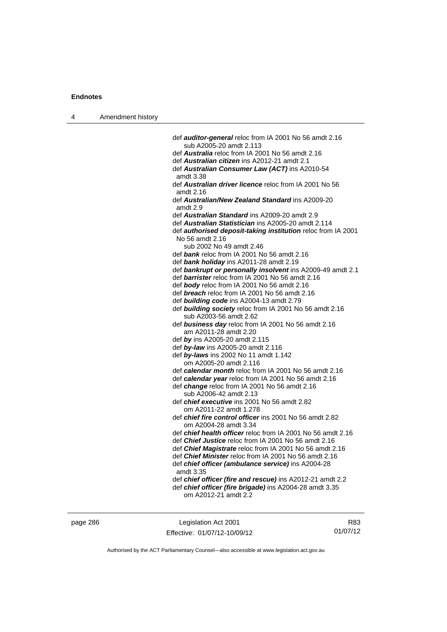| 4 | Amendment history |                                                                                         |
|---|-------------------|-----------------------------------------------------------------------------------------|
|   |                   |                                                                                         |
|   |                   | def <b>auditor-general</b> reloc from IA 2001 No 56 amdt 2.16                           |
|   |                   | sub A2005-20 amdt 2.113                                                                 |
|   |                   | def <b>Australia</b> reloc from IA 2001 No 56 amdt 2.16                                 |
|   |                   | def <b>Australian citizen</b> ins A2012-21 amdt 2.1                                     |
|   |                   | def Australian Consumer Law (ACT) ins A2010-54                                          |
|   |                   | amdt 3.38<br>def <b>Australian driver licence</b> reloc from IA 2001 No 56              |
|   |                   | amdt 2.16                                                                               |
|   |                   | def Australian/New Zealand Standard ins A2009-20<br>amdt 2.9                            |
|   |                   | def <b>Australian Standard</b> ins A2009-20 amdt 2.9                                    |
|   |                   | def Australian Statistician ins A2005-20 amdt 2.114                                     |
|   |                   | def authorised deposit-taking institution reloc from IA 2001<br>No 56 amdt 2.16         |
|   |                   | sub 2002 No 49 amdt 2.46                                                                |
|   |                   | def bank reloc from IA 2001 No 56 amdt 2.16                                             |
|   |                   | def bank holiday ins A2011-28 amdt 2.19                                                 |
|   |                   | def bankrupt or personally insolvent ins A2009-49 amdt 2.1                              |
|   |                   | def barrister reloc from IA 2001 No 56 amdt 2.16                                        |
|   |                   | def body reloc from IA 2001 No 56 amdt 2.16                                             |
|   |                   | def breach reloc from IA 2001 No 56 amdt 2.16                                           |
|   |                   | def <b>building code</b> ins A2004-13 amdt 2.79                                         |
|   |                   | def building society reloc from IA 2001 No 56 amdt 2.16                                 |
|   |                   | sub A2003-56 amdt 2.62                                                                  |
|   |                   | def business day reloc from IA 2001 No 56 amdt 2.16<br>am A2011-28 amdt 2.20            |
|   |                   | def by ins A2005-20 amdt 2.115                                                          |
|   |                   | def by-law ins A2005-20 amdt 2.116                                                      |
|   |                   | def by-laws ins 2002 No 11 amdt 1.142                                                   |
|   |                   | om A2005-20 amdt 2.116                                                                  |
|   |                   | def calendar month reloc from IA 2001 No 56 amdt 2.16                                   |
|   |                   | def calendar year reloc from IA 2001 No 56 amdt 2.16                                    |
|   |                   | def <i>change</i> reloc from IA 2001 No 56 amdt 2.16                                    |
|   |                   | sub A2006-42 amdt 2.13                                                                  |
|   |                   | def <i>chief executive</i> ins 2001 No 56 amdt 2.82                                     |
|   |                   | om A2011-22 amdt 1.278                                                                  |
|   |                   | def <i>chief fire control officer</i> ins 2001 No 56 amdt 2.82<br>om A2004-28 amdt 3.34 |
|   |                   | def chief health officer reloc from IA 2001 No 56 amdt 2.16                             |
|   |                   | def Chief Justice reloc from IA 2001 No 56 amdt 2.16                                    |
|   |                   | def Chief Magistrate reloc from IA 2001 No 56 amdt 2.16                                 |
|   |                   | def Chief Minister reloc from IA 2001 No 56 amdt 2.16                                   |
|   |                   | def chief officer (ambulance service) ins A2004-28<br>amdt 3.35                         |
|   |                   | def chief officer (fire and rescue) ins A2012-21 amdt 2.2                               |
|   |                   | def chief officer (fire brigade) ins A2004-28 amdt 3.35<br>om A2012-21 amdt 2.2         |
|   |                   |                                                                                         |
|   |                   |                                                                                         |

page 286 **Legislation Act 2001** Effective: 01/07/12-10/09/12

R83 01/07/12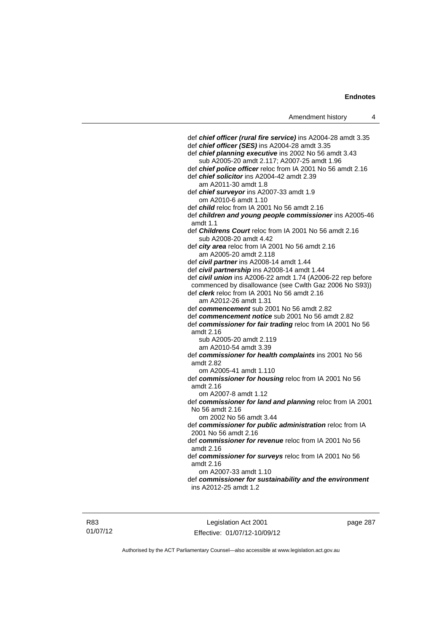def *chief officer (rural fire service)* ins A2004-28 amdt 3.35 def *chief officer (SES)* ins A2004-28 amdt 3.35 def *chief planning executive* ins 2002 No 56 amdt 3.43 sub A2005-20 amdt 2.117; A2007-25 amdt 1.96 def *chief police officer* reloc from IA 2001 No 56 amdt 2.16 def *chief solicitor* ins A2004-42 amdt 2.39 am A2011-30 amdt 1.8 def *chief surveyor* ins A2007-33 amdt 1.9 om A2010-6 amdt 1.10 def *child* reloc from IA 2001 No 56 amdt 2.16 def *children and young people commissioner* ins A2005-46 amdt 1.1 def *Childrens Court* reloc from IA 2001 No 56 amdt 2.16 sub A2008-20 amdt 4.42 def *city area* reloc from IA 2001 No 56 amdt 2.16 am A2005-20 amdt 2.118 def *civil partner* ins A2008-14 amdt 1.44 def *civil partnership* ins A2008-14 amdt 1.44 def *civil union* ins A2006-22 amdt 1.74 (A2006-22 rep before commenced by disallowance (see Cwlth Gaz 2006 No S93)) def *clerk* reloc from IA 2001 No 56 amdt 2.16 am A2012-26 amdt 1.31 def *commencement* sub 2001 No 56 amdt 2.82 def *commencement notice* sub 2001 No 56 amdt 2.82 def *commissioner for fair trading* reloc from IA 2001 No 56 amdt 2.16 sub A2005-20 amdt 2.119 am A2010-54 amdt 3.39 def *commissioner for health complaints* ins 2001 No 56 amdt 2.82 om A2005-41 amdt 1.110 def *commissioner for housing* reloc from IA 2001 No 56 amdt 2.16 om A2007-8 amdt 1.12 def *commissioner for land and planning* reloc from IA 2001 No 56 amdt 2.16 om 2002 No 56 amdt 3.44 def *commissioner for public administration* reloc from IA 2001 No 56 amdt 2.16 def *commissioner for revenue* reloc from IA 2001 No 56 amdt 2.16 def *commissioner for surveys* reloc from IA 2001 No 56 amdt 2.16 om A2007-33 amdt 1.10 def *commissioner for sustainability and the environment* ins A2012-25 amdt 1.2

R83 01/07/12

Legislation Act 2001 Effective: 01/07/12-10/09/12 page 287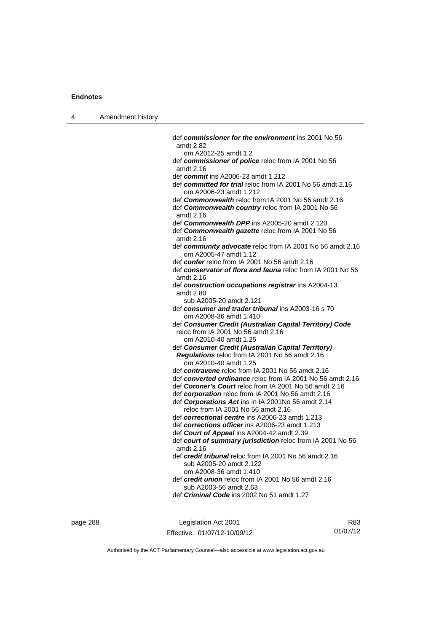| 4 | Amendment history |                                                                                                 |
|---|-------------------|-------------------------------------------------------------------------------------------------|
|   |                   |                                                                                                 |
|   |                   | def commissioner for the environment ins 2001 No 56<br>amdt 2.82                                |
|   |                   | om A2012-25 amdt 1.2                                                                            |
|   |                   | def commissioner of police reloc from IA 2001 No 56                                             |
|   |                   | amdt 2.16<br>def <i>commit</i> ins A2006-23 amdt 1.212                                          |
|   |                   | def committed for trial reloc from IA 2001 No 56 amdt 2.16<br>om A2006-23 amdt 1.212            |
|   |                   | def <b>Commonwealth</b> reloc from IA 2001 No 56 amdt 2.16                                      |
|   |                   | def Commonwealth country reloc from IA 2001 No 56<br>amdt 2.16                                  |
|   |                   | def Commonwealth DPP ins A2005-20 amdt 2.120                                                    |
|   |                   | def Commonwealth gazette reloc from IA 2001 No 56<br>amdt 2.16                                  |
|   |                   | def community advocate reloc from IA 2001 No 56 amdt 2.16<br>om A2005-47 amdt 1.12              |
|   |                   | def confer reloc from IA 2001 No 56 amdt 2.16                                                   |
|   |                   | def conservator of flora and fauna reloc from IA 2001 No 56<br>amdt 2.16                        |
|   |                   | def construction occupations registrar ins A2004-13<br>amdt 2.80                                |
|   |                   | sub A2005-20 amdt 2.121                                                                         |
|   |                   | def consumer and trader tribunal ins A2003-16 s 70<br>om A2008-36 amdt 1.410                    |
|   |                   | def Consumer Credit (Australian Capital Territory) Code<br>reloc from IA 2001 No 56 amdt 2.16   |
|   |                   | om A2010-40 amdt 1.25<br>def Consumer Credit (Australian Capital Territory)                     |
|   |                   | Regulations reloc from IA 2001 No 56 amdt 2.16<br>om A2010-40 amdt 1.25                         |
|   |                   | def contravene reloc from IA 2001 No 56 amdt 2.16                                               |
|   |                   | def converted ordinance reloc from IA 2001 No 56 amdt 2.16                                      |
|   |                   | def Coroner's Court reloc from IA 2001 No 56 amdt 2.16                                          |
|   |                   | def corporation reloc from IA 2001 No 56 amdt 2.16                                              |
|   |                   | def <b>Corporations Act</b> ins in IA 2001No 56 amdt 2.14<br>reloc from IA 2001 No 56 amdt 2.16 |
|   |                   | def correctional centre ins A2006-23 amdt 1.213                                                 |
|   |                   | def corrections officer ins A2006-23 amdt 1.213                                                 |
|   |                   | def Court of Appeal ins A2004-42 amdt 2.39                                                      |
|   |                   | def court of summary jurisdiction reloc from IA 2001 No 56<br>amdt 2.16                         |
|   |                   | def credit tribunal reloc from IA 2001 No 56 amdt 2.16<br>sub A2005-20 amdt 2.122               |
|   |                   | om A2008-36 amdt 1.410                                                                          |
|   |                   | def <i>credit union</i> reloc from IA 2001 No 56 amdt 2.16<br>sub A2003-56 amdt 2.63            |
|   |                   | def <i>Criminal Code</i> ins 2002 No 51 amdt 1.27                                               |
|   |                   |                                                                                                 |

page 288 Legislation Act 2001 Effective: 01/07/12-10/09/12

R83 01/07/12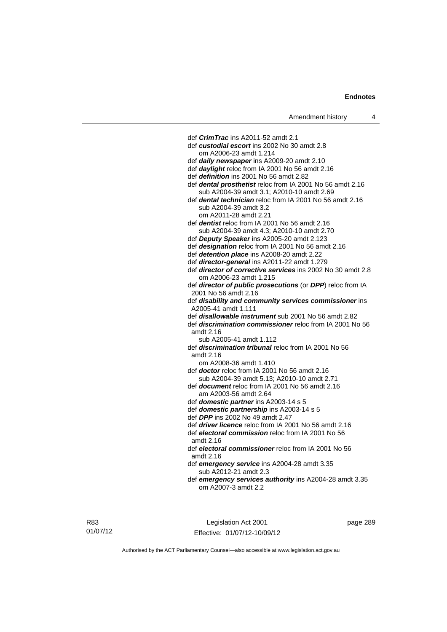def *CrimTrac* ins A2011-52 amdt 2.1 def *custodial escort* ins 2002 No 30 amdt 2.8 om A2006-23 amdt 1.214 def *daily newspaper* ins A2009-20 amdt 2.10 def *daylight* reloc from IA 2001 No 56 amdt 2.16 def *definition* ins 2001 No 56 amdt 2.82 def *dental prosthetist* reloc from IA 2001 No 56 amdt 2.16 sub A2004-39 amdt 3.1; A2010-10 amdt 2.69 def *dental technician* reloc from IA 2001 No 56 amdt 2.16 sub A2004-39 amdt 3.2 om A2011-28 amdt 2.21 def *dentist* reloc from IA 2001 No 56 amdt 2.16 sub A2004-39 amdt 4.3; A2010-10 amdt 2.70 def *Deputy Speaker* ins A2005-20 amdt 2.123 def *designation* reloc from IA 2001 No 56 amdt 2.16 def *detention place* ins A2008-20 amdt 2.22 def *director-general* ins A2011-22 amdt 1.279 def *director of corrective services* ins 2002 No 30 amdt 2.8 om A2006-23 amdt 1.215 def *director of public prosecutions* (or *DPP*) reloc from IA 2001 No 56 amdt 2.16 def *disability and community services commissioner* ins A2005-41 amdt 1.111 def *disallowable instrument* sub 2001 No 56 amdt 2.82 def *discrimination commissioner* reloc from IA 2001 No 56 amdt 2.16 sub A2005-41 amdt 1.112 def *discrimination tribunal* reloc from IA 2001 No 56 amdt 2.16 om A2008-36 amdt 1.410 def *doctor* reloc from IA 2001 No 56 amdt 2.16 sub A2004-39 amdt 5.13; A2010-10 amdt 2.71 def *document* reloc from IA 2001 No 56 amdt 2.16 am A2003-56 amdt 2.64 def *domestic partner* ins A2003-14 s 5 def *domestic partnership* ins A2003-14 s 5 def *DPP* ins 2002 No 49 amdt 2.47 def *driver licence* reloc from IA 2001 No 56 amdt 2.16 def *electoral commission* reloc from IA 2001 No 56 amdt 2.16 def *electoral commissioner* reloc from IA 2001 No 56 amdt 2.16 def *emergency service* ins A2004-28 amdt 3.35 sub A2012-21 amdt 2.3 def *emergency services authority* ins A2004-28 amdt 3.35 om A2007-3 amdt 2.2

Legislation Act 2001 Effective: 01/07/12-10/09/12 page 289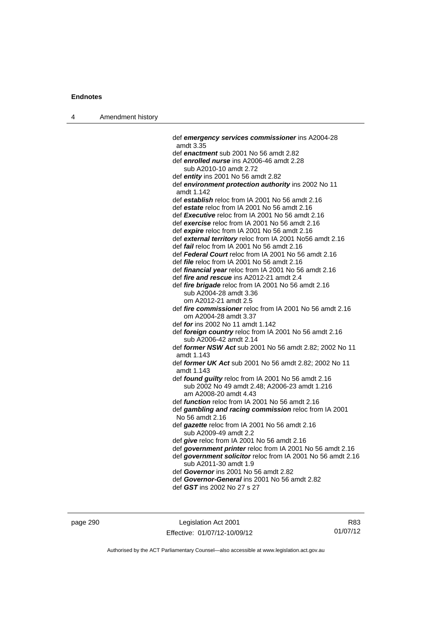| 4 | Amendment history |                                                                                                                |
|---|-------------------|----------------------------------------------------------------------------------------------------------------|
|   |                   | def emergency services commissioner ins A2004-28                                                               |
|   |                   | amdt 3.35                                                                                                      |
|   |                   | def enactment sub 2001 No 56 amdt 2.82                                                                         |
|   |                   | def enrolled nurse ins A2006-46 amdt 2.28                                                                      |
|   |                   | sub A2010-10 amdt 2.72                                                                                         |
|   |                   | def entity ins 2001 No 56 amdt 2.82                                                                            |
|   |                   | def environment protection authority ins 2002 No 11                                                            |
|   |                   | amdt 1.142                                                                                                     |
|   |                   | def establish reloc from IA 2001 No 56 amdt 2.16                                                               |
|   |                   | def estate reloc from IA 2001 No 56 amdt 2.16                                                                  |
|   |                   | def Executive reloc from IA 2001 No 56 amdt 2.16                                                               |
|   |                   | def exercise reloc from IA 2001 No 56 amdt 2.16                                                                |
|   |                   | def expire reloc from IA 2001 No 56 amdt 2.16                                                                  |
|   |                   | def external territory reloc from IA 2001 No56 amdt 2.16<br>def <i>fail</i> reloc from IA 2001 No 56 amdt 2.16 |
|   |                   | def Federal Court reloc from IA 2001 No 56 amdt 2.16                                                           |
|   |                   | def <i>file</i> reloc from IA 2001 No 56 amdt 2.16                                                             |
|   |                   | def <i>financial year</i> reloc from IA 2001 No 56 amdt 2.16                                                   |
|   |                   | def fire and rescue ins A2012-21 amdt 2.4                                                                      |
|   |                   | def fire brigade reloc from IA 2001 No 56 amdt 2.16                                                            |
|   |                   | sub A2004-28 amdt 3.36                                                                                         |
|   |                   | om A2012-21 amdt 2.5                                                                                           |
|   |                   | def fire commissioner reloc from IA 2001 No 56 amdt 2.16                                                       |
|   |                   | om A2004-28 amdt 3.37                                                                                          |
|   |                   | def for ins 2002 No 11 amdt 1.142                                                                              |
|   |                   | def foreign country reloc from IA 2001 No 56 amdt 2.16                                                         |
|   |                   | sub A2006-42 amdt 2.14                                                                                         |
|   |                   | def former NSW Act sub 2001 No 56 amdt 2.82; 2002 No 11                                                        |
|   |                   | amdt 1.143                                                                                                     |
|   |                   | def former UK Act sub 2001 No 56 amdt 2.82; 2002 No 11<br>amdt 1.143                                           |
|   |                   | def found guilty reloc from IA 2001 No 56 amdt 2.16                                                            |
|   |                   | sub 2002 No 49 amdt 2.48; A2006-23 amdt 1.216                                                                  |
|   |                   | am A2008-20 amdt 4.43                                                                                          |
|   |                   | def function reloc from IA 2001 No 56 amdt 2.16                                                                |
|   |                   | def gambling and racing commission reloc from IA 2001<br>No 56 amdt 2.16                                       |
|   |                   | def gazette reloc from IA 2001 No 56 amdt 2.16                                                                 |
|   |                   | sub A2009-49 amdt 2.2                                                                                          |
|   |                   |                                                                                                                |

def *give* reloc from IA 2001 No 56 amdt 2.16

- def *government printer* reloc from IA 2001 No 56 amdt 2.16
- def *government solicitor* reloc from IA 2001 No 56 amdt 2.16 sub A2011-30 amdt 1.9
- def *Governor* ins 2001 No 56 amdt 2.82
- def *Governor-General* ins 2001 No 56 amdt 2.82
- def *GST* ins 2002 No 27 s 27

page 290 Legislation Act 2001 Effective: 01/07/12-10/09/12

R83 01/07/12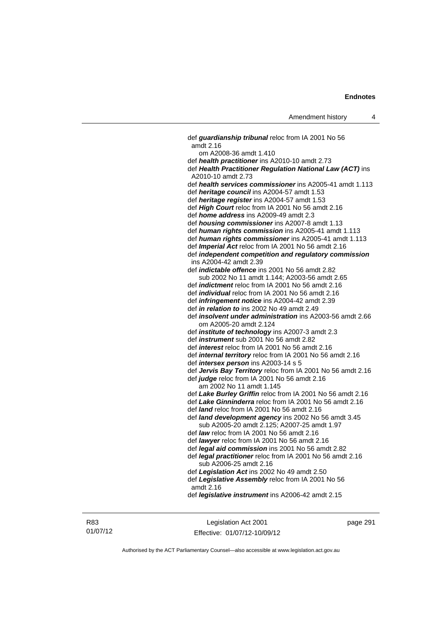def *guardianship tribunal* reloc from IA 2001 No 56 amdt 2.16 om A2008-36 amdt 1.410 def *health practitioner* ins A2010-10 amdt 2.73 def *Health Practitioner Regulation National Law (ACT)* ins A2010-10 amdt 2.73 def *health services commissioner* ins A2005-41 amdt 1.113 def *heritage council* ins A2004-57 amdt 1.53 def *heritage register* ins A2004-57 amdt 1.53 def *High Court* reloc from IA 2001 No 56 amdt 2.16 def *home address* ins A2009-49 amdt 2.3 def *housing commissioner* ins A2007-8 amdt 1.13 def *human rights commission* ins A2005-41 amdt 1.113 def *human rights commissioner* ins A2005-41 amdt 1.113 def *Imperial Act* reloc from IA 2001 No 56 amdt 2.16 def *independent competition and regulatory commission* ins A2004-42 amdt 2.39 def *indictable offence* ins 2001 No 56 amdt 2.82 sub 2002 No 11 amdt 1.144; A2003-56 amdt 2.65 def *indictment* reloc from IA 2001 No 56 amdt 2.16 def *individual* reloc from IA 2001 No 56 amdt 2.16 def *infringement notice* ins A2004-42 amdt 2.39 def *in relation to* ins 2002 No 49 amdt 2.49 def *insolvent under administration* ins A2003-56 amdt 2.66 om A2005-20 amdt 2.124 def *institute of technology* ins A2007-3 amdt 2.3 def *instrument* sub 2001 No 56 amdt 2.82 def *interest* reloc from IA 2001 No 56 amdt 2.16 def *internal territory* reloc from IA 2001 No 56 amdt 2.16 def *intersex person* ins A2003-14 s 5 def *Jervis Bay Territory* reloc from IA 2001 No 56 amdt 2.16 def *judge* reloc from IA 2001 No 56 amdt 2.16 am 2002 No 11 amdt 1.145 def *Lake Burley Griffin* reloc from IA 2001 No 56 amdt 2.16 def *Lake Ginninderra* reloc from IA 2001 No 56 amdt 2.16 def *land* reloc from IA 2001 No 56 amdt 2.16 def *land development agency* ins 2002 No 56 amdt 3.45 sub A2005-20 amdt 2.125; A2007-25 amdt 1.97 def *law* reloc from IA 2001 No 56 amdt 2.16 def *lawyer* reloc from IA 2001 No 56 amdt 2.16 def *legal aid commission* ins 2001 No 56 amdt 2.82 def *legal practitioner* reloc from IA 2001 No 56 amdt 2.16 sub A2006-25 amdt 2.16 def *Legislation Act* ins 2002 No 49 amdt 2.50 def *Legislative Assembly* reloc from IA 2001 No 56 amdt 2.16 def *legislative instrument* ins A2006-42 amdt 2.15

R83 01/07/12

Legislation Act 2001 Effective: 01/07/12-10/09/12 page 291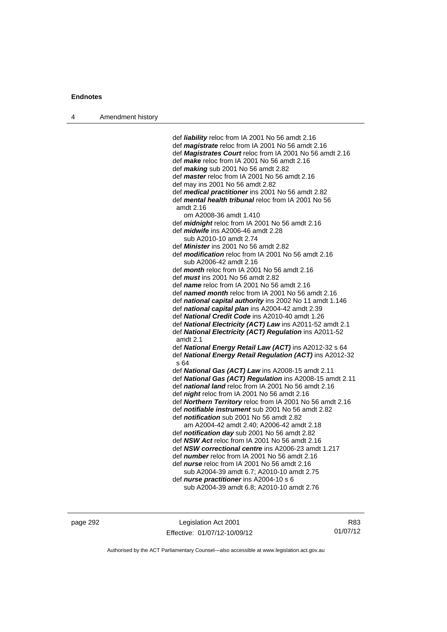| Amendment history<br>$\overline{4}$ |  |
|-------------------------------------|--|
|-------------------------------------|--|

 def *liability* reloc from IA 2001 No 56 amdt 2.16 def *magistrate* reloc from IA 2001 No 56 amdt 2.16 def *Magistrates Court* reloc from IA 2001 No 56 amdt 2.16 def *make* reloc from IA 2001 No 56 amdt 2.16 def *making* sub 2001 No 56 amdt 2.82 def *master* reloc from IA 2001 No 56 amdt 2.16 def may ins 2001 No 56 amdt 2.82 def *medical practitioner* ins 2001 No 56 amdt 2.82 def *mental health tribunal* reloc from IA 2001 No 56 amdt 2.16 om A2008-36 amdt 1.410 def *midnight* reloc from IA 2001 No 56 amdt 2.16 def *midwife* ins A2006-46 amdt 2.28 sub A2010-10 amdt 2.74 def *Minister* ins 2001 No 56 amdt 2.82 def *modification* reloc from IA 2001 No 56 amdt 2.16 sub A2006-42 amdt 2.16 def *month* reloc from IA 2001 No 56 amdt 2.16 def *must* ins 2001 No 56 amdt 2.82 def *name* reloc from IA 2001 No 56 amdt 2.16 def *named month* reloc from IA 2001 No 56 amdt 2.16 def *national capital authority* ins 2002 No 11 amdt 1.146 def *national capital plan* ins A2004-42 amdt 2.39 def *National Credit Code* ins A2010-40 amdt 1.26 def *National Electricity (ACT) Law* ins A2011-52 amdt 2.1 def *National Electricity (ACT) Regulation* ins A2011-52 amdt 2.1 def *National Energy Retail Law (ACT)* ins A2012-32 s 64 def *National Energy Retail Regulation (ACT)* ins A2012-32  $s$  64 def *National Gas (ACT) Law* ins A2008-15 amdt 2.11 def *National Gas (ACT) Regulation* ins A2008-15 amdt 2.11 def *national land* reloc from IA 2001 No 56 amdt 2.16 def *night* reloc from IA 2001 No 56 amdt 2.16 def *Northern Territory* reloc from IA 2001 No 56 amdt 2.16 def *notifiable instrument* sub 2001 No 56 amdt 2.82 def *notification* sub 2001 No 56 amdt 2.82 am A2004-42 amdt 2.40; A2006-42 amdt 2.18 def *notification day* sub 2001 No 56 amdt 2.82 def *NSW Act* reloc from IA 2001 No 56 amdt 2.16 def *NSW correctional centre* ins A2006-23 amdt 1.217 def *number* reloc from IA 2001 No 56 amdt 2.16 def *nurse* reloc from IA 2001 No 56 amdt 2.16 sub A2004-39 amdt 6.7; A2010-10 amdt 2.75 def *nurse practitioner* ins A2004-10 s 6 sub A2004-39 amdt 6.8; A2010-10 amdt 2.76

page 292 Legislation Act 2001 Effective: 01/07/12-10/09/12

R83 01/07/12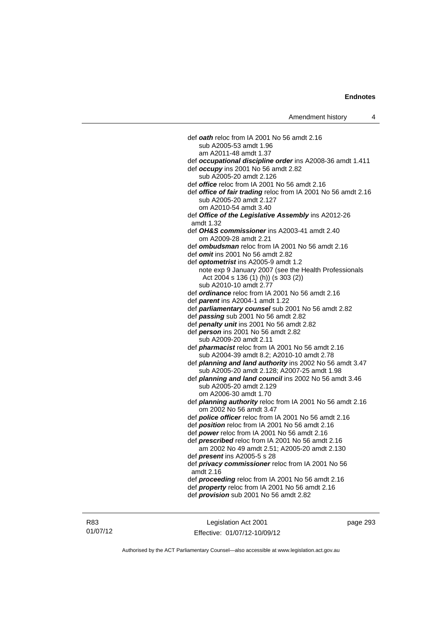def *oath* reloc from IA 2001 No 56 amdt 2.16 sub A2005-53 amdt 1.96 am A2011-48 amdt 1.37 def *occupational discipline order* ins A2008-36 amdt 1.411 def *occupy* ins 2001 No 56 amdt 2.82 sub A2005-20 amdt 2.126 def *office* reloc from IA 2001 No 56 amdt 2.16 def *office of fair trading* reloc from IA 2001 No 56 amdt 2.16 sub A2005-20 amdt 2.127 om A2010-54 amdt 3.40 def *Office of the Legislative Assembly* ins A2012-26 amdt 1.32 def *OH&S commissioner* ins A2003-41 amdt 2.40 om A2009-28 amdt 2.21 def *ombudsman* reloc from IA 2001 No 56 amdt 2.16 def *omit* ins 2001 No 56 amdt 2.82 def *optometrist* ins A2005-9 amdt 1.2 note exp 9 January 2007 (see the Health Professionals Act 2004 s 136 (1) (h)) (s 303 (2)) sub A2010-10 amdt 2.77 def *ordinance* reloc from IA 2001 No 56 amdt 2.16 def *parent* ins A2004-1 amdt 1.22 def *parliamentary counsel* sub 2001 No 56 amdt 2.82 def *passing* sub 2001 No 56 amdt 2.82 def *penalty unit* ins 2001 No 56 amdt 2.82 def *person* ins 2001 No 56 amdt 2.82 sub A2009-20 amdt 2.11 def *pharmacist* reloc from IA 2001 No 56 amdt 2.16 sub A2004-39 amdt 8.2; A2010-10 amdt 2.78 def *planning and land authority* ins 2002 No 56 amdt 3.47 sub A2005-20 amdt 2.128; A2007-25 amdt 1.98 def *planning and land council* ins 2002 No 56 amdt 3.46 sub A2005-20 amdt 2.129 om A2006-30 amdt 1.70 def *planning authority* reloc from IA 2001 No 56 amdt 2.16 om 2002 No 56 amdt 3.47 def *police officer* reloc from IA 2001 No 56 amdt 2.16 def *position* reloc from IA 2001 No 56 amdt 2.16 def *power* reloc from IA 2001 No 56 amdt 2.16 def *prescribed* reloc from IA 2001 No 56 amdt 2.16 am 2002 No 49 amdt 2.51; A2005-20 amdt 2.130 def *present* ins A2005-5 s 28 def *privacy commissioner* reloc from IA 2001 No 56 amdt 2.16 def *proceeding* reloc from IA 2001 No 56 amdt 2.16 def *property* reloc from IA 2001 No 56 amdt 2.16 def *provision* sub 2001 No 56 amdt 2.82

R83 01/07/12

Legislation Act 2001 Effective: 01/07/12-10/09/12 page 293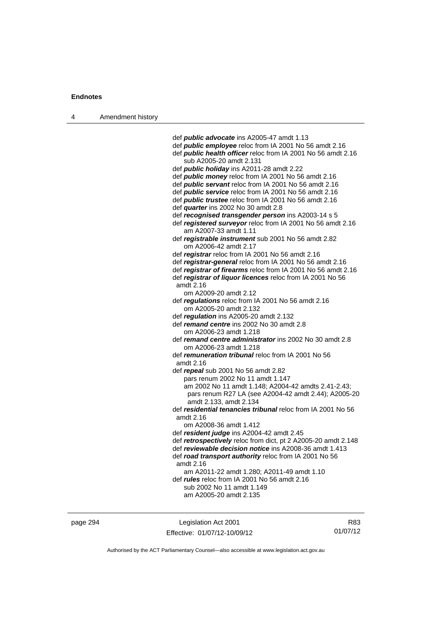| 4 | Amendment history |                                                                                     |
|---|-------------------|-------------------------------------------------------------------------------------|
|   |                   |                                                                                     |
|   |                   | def <b>public advocate</b> ins A2005-47 amdt 1.13                                   |
|   |                   | def <i>public</i> employee reloc from IA 2001 No 56 amdt 2.16                       |
|   |                   | def <i>public health officer</i> reloc from IA 2001 No 56 amdt 2.16                 |
|   |                   | sub A2005-20 amdt 2.131                                                             |
|   |                   | def <i>public holiday</i> ins A2011-28 amdt 2.22                                    |
|   |                   | def <b>public money</b> reloc from IA 2001 No 56 amdt 2.16                          |
|   |                   | def <i>public servant</i> reloc from IA 2001 No 56 amdt 2.16                        |
|   |                   | def <i>public</i> service reloc from IA 2001 No 56 amdt 2.16                        |
|   |                   | def <i>public trustee</i> reloc from IA 2001 No 56 amdt 2.16                        |
|   |                   | def quarter ins 2002 No 30 amdt 2.8                                                 |
|   |                   |                                                                                     |
|   |                   | def recognised transgender person ins A2003-14 s 5                                  |
|   |                   | def registered surveyor reloc from IA 2001 No 56 amdt 2.16<br>am A2007-33 amdt 1.11 |
|   |                   | def registrable instrument sub 2001 No 56 amdt 2.82                                 |
|   |                   | om A2006-42 amdt 2.17                                                               |
|   |                   | def registrar reloc from IA 2001 No 56 amdt 2.16                                    |
|   |                   | def registrar-general reloc from IA 2001 No 56 amdt 2.16                            |
|   |                   | def registrar of firearms reloc from IA 2001 No 56 amdt 2.16                        |
|   |                   | def registrar of liquor licences reloc from IA 2001 No 56                           |
|   |                   | amdt 2.16                                                                           |
|   |                   | om A2009-20 amdt 2.12                                                               |
|   |                   | def regulations reloc from IA 2001 No 56 amdt 2.16                                  |
|   |                   | om A2005-20 amdt 2.132                                                              |
|   |                   |                                                                                     |
|   |                   | def regulation ins $A2005-20$ amdt 2.132                                            |
|   |                   | def remand centre ins 2002 No 30 amdt 2.8                                           |
|   |                   | om A2006-23 amdt 1.218                                                              |
|   |                   | def remand centre administrator ins 2002 No 30 amdt 2.8                             |
|   |                   | om A2006-23 amdt 1.218                                                              |
|   |                   | def remuneration tribunal reloc from IA 2001 No 56                                  |
|   |                   | amdt 2.16                                                                           |
|   |                   | def repeal sub 2001 No 56 amdt 2.82                                                 |
|   |                   | pars renum 2002 No 11 amdt 1.147                                                    |
|   |                   | am 2002 No 11 amdt 1.148; A2004-42 amdts 2.41-2.43;                                 |
|   |                   | pars renum R27 LA (see A2004-42 amdt 2.44); A2005-20                                |
|   |                   | amdt 2.133, amdt 2.134                                                              |
|   |                   | def residential tenancies tribunal reloc from IA 2001 No 56                         |
|   |                   | amdt 2.16                                                                           |
|   |                   | om A2008-36 amdt 1.412                                                              |
|   |                   | def resident judge ins A2004-42 amdt 2.45                                           |
|   |                   | def retrospectively reloc from dict, pt 2 A2005-20 amdt 2.148                       |
|   |                   | def reviewable decision notice ins A2008-36 amdt 1.413                              |
|   |                   | def road transport authority reloc from IA 2001 No 56                               |
|   |                   | amdt 2.16                                                                           |
|   |                   | am A2011-22 amdt 1.280; A2011-49 amdt 1.10                                          |
|   |                   | def <i>rules</i> reloc from IA 2001 No 56 amdt 2.16                                 |
|   |                   | sub 2002 No 11 amdt 1.149                                                           |
|   |                   | am A2005-20 amdt 2.135                                                              |
|   |                   |                                                                                     |

page 294 **Legislation Act 2001** Effective: 01/07/12-10/09/12

R83 01/07/12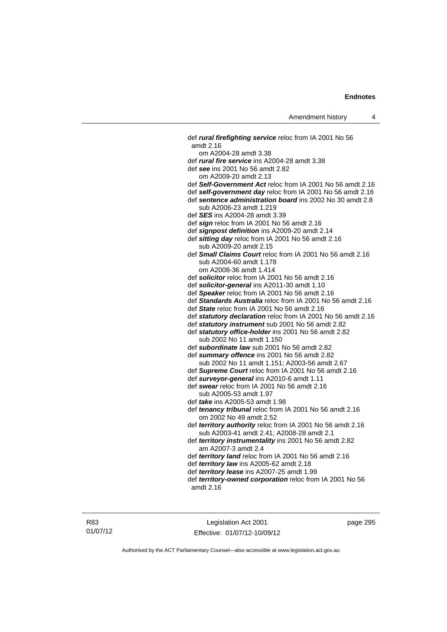def *rural firefighting service* reloc from IA 2001 No 56 amdt 2.16 om A2004-28 amdt 3.38 def *rural fire service* ins A2004-28 amdt 3.38 def *see* ins 2001 No 56 amdt 2.82 om A2009-20 amdt 2.13 def *Self-Government Act* reloc from IA 2001 No 56 amdt 2.16 def *self-government day* reloc from IA 2001 No 56 amdt 2.16 def *sentence administration board* ins 2002 No 30 amdt 2.8 sub A2006-23 amdt 1.219 def *SES* ins A2004-28 amdt 3.39 def *sign* reloc from IA 2001 No 56 amdt 2.16 def *signpost definition* ins A2009-20 amdt 2.14 def *sitting day* reloc from IA 2001 No 56 amdt 2.16 sub A2009-20 amdt 2.15 def *Small Claims Court* reloc from IA 2001 No 56 amdt 2.16 sub A2004-60 amdt 1.178 om A2008-36 amdt 1.414 def *solicitor* reloc from IA 2001 No 56 amdt 2.16 def *solicitor-general* ins A2011-30 amdt 1.10 def *Speaker* reloc from IA 2001 No 56 amdt 2.16 def *Standards Australia* reloc from IA 2001 No 56 amdt 2.16 def *State* reloc from IA 2001 No 56 amdt 2.16 def *statutory declaration* reloc from IA 2001 No 56 amdt 2.16 def *statutory instrument* sub 2001 No 56 amdt 2.82 def *statutory office-holder* ins 2001 No 56 amdt 2.82 sub 2002 No 11 amdt 1.150 def *subordinate law* sub 2001 No 56 amdt 2.82 def *summary offence* ins 2001 No 56 amdt 2.82 sub 2002 No 11 amdt 1.151; A2003-56 amdt 2.67 def *Supreme Court* reloc from IA 2001 No 56 amdt 2.16 def *surveyor-general* ins A2010-6 amdt 1.11 def *swear* reloc from IA 2001 No 56 amdt 2.16 sub A2005-53 amdt 1.97 def *take* ins A2005-53 amdt 1.98 def *tenancy tribunal* reloc from IA 2001 No 56 amdt 2.16 om 2002 No 49 amdt 2.52 def *territory authority* reloc from IA 2001 No 56 amdt 2.16 sub A2003-41 amdt 2.41; A2008-28 amdt 2.1 def *territory instrumentality* ins 2001 No 56 amdt 2.82 am A2007-3 amdt 2.4 def *territory land* reloc from IA 2001 No 56 amdt 2.16 def *territory law* ins A2005-62 amdt 2.18 def *territory lease* ins A2007-25 amdt 1.99 def *territory-owned corporation* reloc from IA 2001 No 56 amdt 2.16

R83 01/07/12

Legislation Act 2001 Effective: 01/07/12-10/09/12 page 295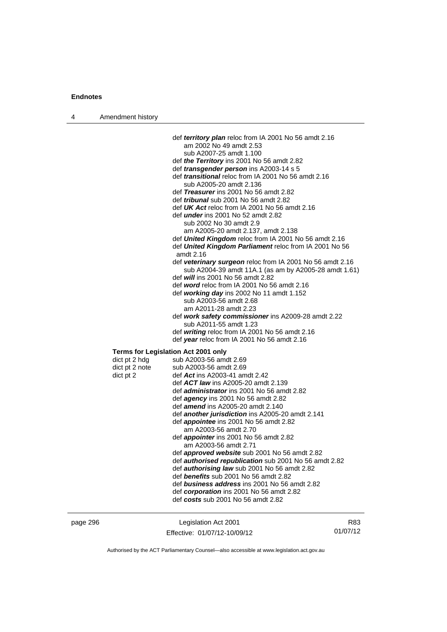| 4 | Amendment history                            |                                                                                                                                                                                                                                                                                                                                                                                                                                                                                                                                                                                                                                                                                                                                                                                                                                                                      |
|---|----------------------------------------------|----------------------------------------------------------------------------------------------------------------------------------------------------------------------------------------------------------------------------------------------------------------------------------------------------------------------------------------------------------------------------------------------------------------------------------------------------------------------------------------------------------------------------------------------------------------------------------------------------------------------------------------------------------------------------------------------------------------------------------------------------------------------------------------------------------------------------------------------------------------------|
|   |                                              | def territory plan reloc from IA 2001 No 56 amdt 2.16<br>am 2002 No 49 amdt 2.53<br>sub A2007-25 amdt 1.100<br>def the Territory ins 2001 No 56 amdt 2.82<br>def <i>transgender person</i> ins A2003-14 s 5<br>def <i>transitional</i> reloc from IA 2001 No 56 amdt 2.16<br>sub A2005-20 amdt 2.136<br>def Treasurer ins 2001 No 56 amdt 2.82                                                                                                                                                                                                                                                                                                                                                                                                                                                                                                                       |
|   |                                              | def <i>tribunal</i> sub 2001 No 56 amdt 2.82<br>def $UK$ Act reloc from IA 2001 No 56 amdt 2.16<br>def <i>under</i> ins 2001 No 52 amdt 2.82<br>sub 2002 No 30 amdt 2.9<br>am A2005-20 amdt 2.137, amdt 2.138<br>def United Kingdom reloc from IA 2001 No 56 amdt 2.16                                                                                                                                                                                                                                                                                                                                                                                                                                                                                                                                                                                               |
|   |                                              | def United Kingdom Parliament reloc from IA 2001 No 56<br>amdt 2.16<br>def veterinary surgeon reloc from IA 2001 No 56 amdt 2.16<br>sub A2004-39 amdt 11A.1 (as am by A2005-28 amdt 1.61)<br>def will ins 2001 No 56 amdt 2.82<br>def word reloc from IA 2001 No 56 amdt 2.16<br>def working day ins 2002 No 11 amdt 1.152<br>sub A2003-56 amdt 2.68                                                                                                                                                                                                                                                                                                                                                                                                                                                                                                                 |
|   |                                              | am A2011-28 amdt 2.23<br>def work safety commissioner ins A2009-28 amdt 2.22<br>sub A2011-55 amdt 1.23<br>def writing reloc from IA 2001 No 56 amdt 2.16<br>def year reloc from IA 2001 No 56 amdt 2.16                                                                                                                                                                                                                                                                                                                                                                                                                                                                                                                                                                                                                                                              |
|   | dict pt 2 hdg<br>dict pt 2 note<br>dict pt 2 | <b>Terms for Legislation Act 2001 only</b><br>sub A2003-56 amdt 2.69<br>sub A2003-56 amdt 2.69<br>def Act ins A2003-41 amdt 2.42<br>def ACT law ins A2005-20 amdt 2.139<br>def <i>administrator</i> ins 2001 No 56 amdt 2.82<br>def agency ins 2001 No 56 amdt 2.82<br>def <i>amend</i> ins A2005-20 amdt 2.140<br>def another jurisdiction ins A2005-20 amdt 2.141<br>def <i>appointee</i> ins 2001 No 56 amdt 2.82<br>am A2003-56 amdt 2.70<br>def <i>appointer</i> ins 2001 No 56 amdt 2.82<br>am A2003-56 amdt 2.71<br>def approved website sub 2001 No 56 amdt 2.82<br>def <b>authorised republication</b> sub 2001 No 56 amdt 2.82<br>def authorising law sub 2001 No 56 amdt 2.82<br>def benefits sub 2001 No 56 amdt 2.82<br>def business address ins 2001 No 56 amdt 2.82<br>def corporation ins 2001 No 56 amdt 2.82<br>def costs sub 2001 No 56 amdt 2.82 |

| page 296 | Legislation Act 2001         | R83      |
|----------|------------------------------|----------|
|          | Effective: 01/07/12-10/09/12 | 01/07/12 |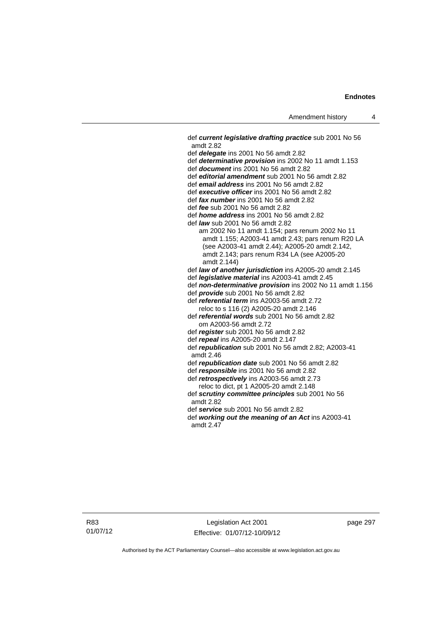def *current legislative drafting practice* sub 2001 No 56 amdt 2.82 def *delegate* ins 2001 No 56 amdt 2.82 def *determinative provision* ins 2002 No 11 amdt 1.153 def *document* ins 2001 No 56 amdt 2.82 def *editorial amendment* sub 2001 No 56 amdt 2.82 def *email address* ins 2001 No 56 amdt 2.82 def *executive officer* ins 2001 No 56 amdt 2.82 def *fax number* ins 2001 No 56 amdt 2.82 def *fee* sub 2001 No 56 amdt 2.82 def *home address* ins 2001 No 56 amdt 2.82 def *law* sub 2001 No 56 amdt 2.82 am 2002 No 11 amdt 1.154; pars renum 2002 No 11 amdt 1.155; A2003-41 amdt 2.43; pars renum R20 LA (see A2003-41 amdt 2.44); A2005-20 amdt 2.142, amdt 2.143; pars renum R34 LA (see A2005-20 amdt 2.144) def *law of another jurisdiction* ins A2005-20 amdt 2.145 def *legislative material* ins A2003-41 amdt 2.45 def *non-determinative provision* ins 2002 No 11 amdt 1.156 def *provide* sub 2001 No 56 amdt 2.82 def *referential term* ins A2003-56 amdt 2.72 reloc to s 116 (2) A2005-20 amdt 2.146 def *referential words* sub 2001 No 56 amdt 2.82 om A2003-56 amdt 2.72 def *register* sub 2001 No 56 amdt 2.82 def *repeal* ins A2005-20 amdt 2.147 def *republication* sub 2001 No 56 amdt 2.82; A2003-41 amdt 2.46 def *republication date* sub 2001 No 56 amdt 2.82 def *responsible* ins 2001 No 56 amdt 2.82 def *retrospectively* ins A2003-56 amdt 2.73 reloc to dict, pt 1 A2005-20 amdt 2.148 def *scrutiny committee principles* sub 2001 No 56 amdt 2.82 def *service* sub 2001 No 56 amdt 2.82 def *working out the meaning of an Act* ins A2003-41 amdt 2.47

R83 01/07/12

Legislation Act 2001 Effective: 01/07/12-10/09/12 page 297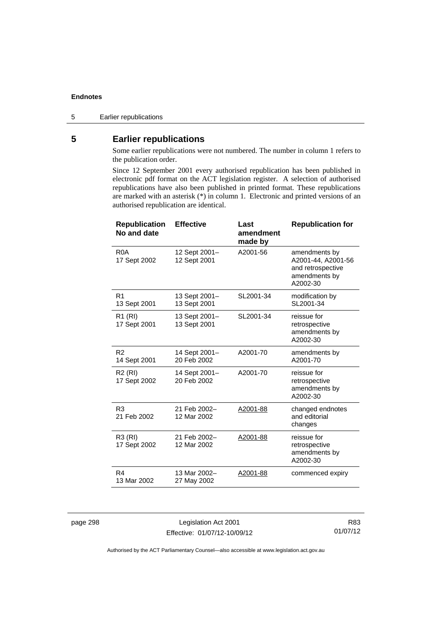# **5 Earlier republications**

Some earlier republications were not numbered. The number in column 1 refers to the publication order.

Since 12 September 2001 every authorised republication has been published in electronic pdf format on the ACT legislation register. A selection of authorised republications have also been published in printed format. These republications are marked with an asterisk (\*) in column 1. Electronic and printed versions of an authorised republication are identical.

| <b>Republication</b><br>No and date | <b>Effective</b>              | Last<br>amendment<br>made by | <b>Republication for</b>                                                              |
|-------------------------------------|-------------------------------|------------------------------|---------------------------------------------------------------------------------------|
| R <sub>0</sub> A<br>17 Sept 2002    | 12 Sept 2001-<br>12 Sept 2001 | A2001-56                     | amendments by<br>A2001-44, A2001-56<br>and retrospective<br>amendments by<br>A2002-30 |
| R <sub>1</sub><br>13 Sept 2001      | 13 Sept 2001-<br>13 Sept 2001 | SL2001-34                    | modification by<br>SL2001-34                                                          |
| R1 (RI)<br>17 Sept 2001             | 13 Sept 2001-<br>13 Sept 2001 | SL2001-34                    | reissue for<br>retrospective<br>amendments by<br>A2002-30                             |
| R <sub>2</sub><br>14 Sept 2001      | 14 Sept 2001-<br>20 Feb 2002  | A2001-70                     | amendments by<br>A2001-70                                                             |
| R <sub>2</sub> (RI)<br>17 Sept 2002 | 14 Sept 2001-<br>20 Feb 2002  | A2001-70                     | reissue for<br>retrospective<br>amendments by<br>A2002-30                             |
| R <sub>3</sub><br>21 Feb 2002       | 21 Feb 2002-<br>12 Mar 2002   | A2001-88                     | changed endnotes<br>and editorial<br>changes                                          |
| R3 (RI)<br>17 Sept 2002             | 21 Feb 2002-<br>12 Mar 2002   | A2001-88                     | reissue for<br>retrospective<br>amendments by<br>A2002-30                             |
| R4<br>13 Mar 2002                   | 13 Mar 2002-<br>27 May 2002   | A2001-88                     | commenced expiry                                                                      |

page 298 Legislation Act 2001 Effective: 01/07/12-10/09/12

R83 01/07/12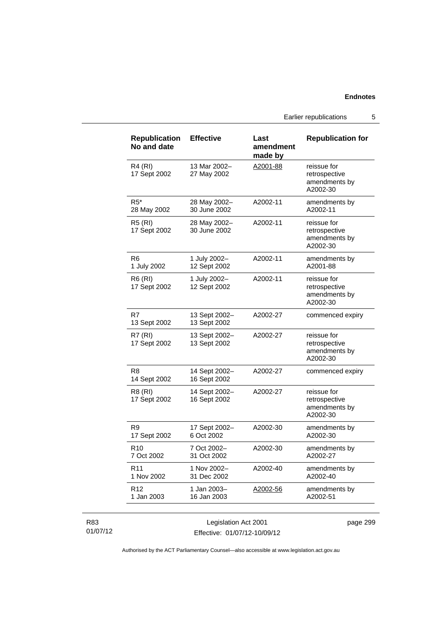Earlier republications 5

| <b>Republication</b><br>No and date | <b>Effective</b>              | Last<br>amendment<br>made by | <b>Republication for</b>                                  |
|-------------------------------------|-------------------------------|------------------------------|-----------------------------------------------------------|
| <b>R4 (RI)</b><br>17 Sept 2002      | 13 Mar 2002-<br>27 May 2002   | A2001-88                     | reissue for<br>retrospective<br>amendments by<br>A2002-30 |
| $R5*$<br>28 May 2002                | 28 May 2002-<br>30 June 2002  | A2002-11                     | amendments by<br>A2002-11                                 |
| <b>R5 (RI)</b><br>17 Sept 2002      | 28 May 2002-<br>30 June 2002  | A2002-11                     | reissue for<br>retrospective<br>amendments by<br>A2002-30 |
| R <sub>6</sub><br>1 July 2002       | 1 July 2002-<br>12 Sept 2002  | A2002-11                     | amendments by<br>A2001-88                                 |
| <b>R6 (RI)</b><br>17 Sept 2002      | 1 July 2002-<br>12 Sept 2002  | A2002-11                     | reissue for<br>retrospective<br>amendments by<br>A2002-30 |
| R7<br>13 Sept 2002                  | 13 Sept 2002-<br>13 Sept 2002 | A2002-27                     | commenced expiry                                          |
| R7(RI)<br>17 Sept 2002              | 13 Sept 2002-<br>13 Sept 2002 | A2002-27                     | reissue for<br>retrospective<br>amendments by<br>A2002-30 |
| R <sub>8</sub><br>14 Sept 2002      | 14 Sept 2002-<br>16 Sept 2002 | A2002-27                     | commenced expiry                                          |
| <b>R8 (RI)</b><br>17 Sept 2002      | 14 Sept 2002-<br>16 Sept 2002 | A2002-27                     | reissue for<br>retrospective<br>amendments by<br>A2002-30 |
| R9<br>17 Sept 2002                  | 17 Sept 2002-<br>6 Oct 2002   | A2002-30                     | amendments by<br>A2002-30                                 |
| R <sub>10</sub><br>7 Oct 2002       | 7 Oct 2002-<br>31 Oct 2002    | A2002-30                     | amendments by<br>A2002-27                                 |
| R <sub>11</sub><br>1 Nov 2002       | 1 Nov 2002-<br>31 Dec 2002    | A2002-40                     | amendments by<br>A2002-40                                 |
| R <sub>12</sub><br>1 Jan 2003       | 1 Jan 2003-<br>16 Jan 2003    | A2002-56                     | amendments by<br>A2002-51                                 |

## R83 01/07/12

Legislation Act 2001 Effective: 01/07/12-10/09/12 page 299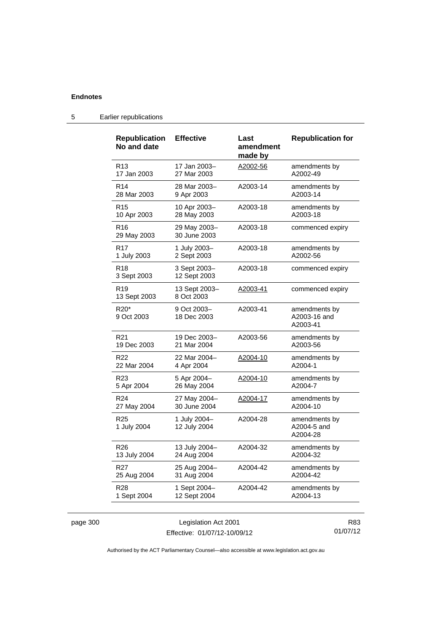| <b>Republication</b><br>No and date        | <b>Effective</b>             | Last<br>amendment<br>made by | <b>Republication for</b>                  |
|--------------------------------------------|------------------------------|------------------------------|-------------------------------------------|
| R <sub>13</sub>                            | 17 Jan 2003-                 | A2002-56                     | amendments by                             |
| 17 Jan 2003                                | 27 Mar 2003                  |                              | A2002-49                                  |
| R <sub>14</sub>                            | 28 Mar 2003-                 | A2003-14                     | amendments by                             |
| 28 Mar 2003                                | 9 Apr 2003                   |                              | A2003-14                                  |
| R <sub>15</sub>                            | 10 Apr 2003-                 | A2003-18                     | amendments by                             |
| 10 Apr 2003                                | 28 May 2003                  |                              | A2003-18                                  |
| R <sub>16</sub><br>29 May 2003             | 29 May 2003-<br>30 June 2003 | A2003-18                     | commenced expiry                          |
| R <sub>17</sub>                            | 1 July 2003-                 | A2003-18                     | amendments by                             |
| 1 July 2003                                | 2 Sept 2003                  |                              | A2002-56                                  |
| R <sub>18</sub><br>3 Sept 2003             | 3 Sept 2003-<br>12 Sept 2003 | A2003-18                     | commenced expiry                          |
| R <sub>19</sub><br>13 Sept 2003            | 13 Sept 2003-<br>8 Oct 2003  | A2003-41                     | commenced expiry                          |
| R <sub>20</sub> <sup>*</sup><br>9 Oct 2003 | 9 Oct 2003-<br>18 Dec 2003   | A2003-41                     | amendments by<br>A2003-16 and<br>A2003-41 |
| R <sub>21</sub>                            | 19 Dec 2003-                 | A2003-56                     | amendments by                             |
| 19 Dec 2003                                | 21 Mar 2004                  |                              | A2003-56                                  |
| R <sub>22</sub>                            | 22 Mar 2004-                 | A2004-10                     | amendments by                             |
| 22 Mar 2004                                | 4 Apr 2004                   |                              | A2004-1                                   |
| R <sub>23</sub>                            | 5 Apr 2004-                  | A2004-10                     | amendments by                             |
| 5 Apr 2004                                 | 26 May 2004                  |                              | A2004-7                                   |
| R <sub>24</sub>                            | 27 May 2004-                 | A2004-17                     | amendments by                             |
| 27 May 2004                                | 30 June 2004                 |                              | A2004-10                                  |
| R <sub>25</sub><br>1 July 2004             | 1 July 2004-<br>12 July 2004 | A2004-28                     | amendments by<br>A2004-5 and<br>A2004-28  |
| R <sub>26</sub>                            | 13 July 2004-                | A2004-32                     | amendments by                             |
| 13 July 2004                               | 24 Aug 2004                  |                              | A2004-32                                  |
| R <sub>27</sub>                            | 25 Aug 2004-                 | A2004-42                     | amendments by                             |
| 25 Aug 2004                                | 31 Aug 2004                  |                              | A2004-42                                  |
| R <sub>28</sub>                            | 1 Sept 2004-                 | A2004-42                     | amendments by                             |
| 1 Sept 2004                                | 12 Sept 2004                 |                              | A2004-13                                  |

# 5 Earlier republications

page 300 **Legislation Act 2001** Effective: 01/07/12-10/09/12

R83 01/07/12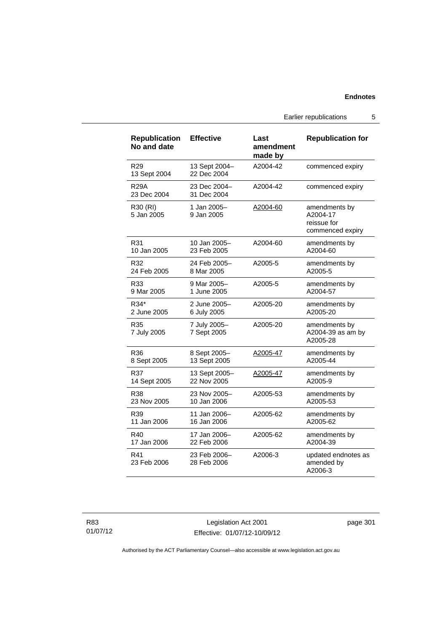Earlier republications 5

| <b>Republication</b><br>No and date | <b>Effective</b>             | Last<br>amendment<br>made by | <b>Republication for</b>                                     |
|-------------------------------------|------------------------------|------------------------------|--------------------------------------------------------------|
| R <sub>29</sub><br>13 Sept 2004     | 13 Sept 2004-<br>22 Dec 2004 | A2004-42                     | commenced expiry                                             |
| <b>R29A</b><br>23 Dec 2004          | 23 Dec 2004-<br>31 Dec 2004  | A2004-42                     | commenced expiry                                             |
| R30 (RI)<br>5 Jan 2005              | 1 Jan 2005-<br>9 Jan 2005    | A2004-60                     | amendments by<br>A2004-17<br>reissue for<br>commenced expiry |
| R31                                 | 10 Jan 2005-                 | A2004-60                     | amendments by                                                |
| 10 Jan 2005                         | 23 Feb 2005                  |                              | A2004-60                                                     |
| R32                                 | 24 Feb 2005-                 | A2005-5                      | amendments by                                                |
| 24 Feb 2005                         | 8 Mar 2005                   |                              | A2005-5                                                      |
| R33                                 | 9 Mar 2005-                  | A2005-5                      | amendments by                                                |
| 9 Mar 2005                          | 1 June 2005                  |                              | A2004-57                                                     |
| R34*                                | 2 June 2005-                 | A2005-20                     | amendments by                                                |
| 2 June 2005                         | 6 July 2005                  |                              | A2005-20                                                     |
| R35<br>7 July 2005                  | 7 July 2005-<br>7 Sept 2005  | A2005-20                     | amendments by<br>A2004-39 as am by<br>A2005-28               |
| R36                                 | 8 Sept 2005-                 | A2005-47                     | amendments by                                                |
| 8 Sept 2005                         | 13 Sept 2005                 |                              | A2005-44                                                     |
| R37                                 | 13 Sept 2005-                | A2005-47                     | amendments by                                                |
| 14 Sept 2005                        | 22 Nov 2005                  |                              | A2005-9                                                      |
| <b>R38</b>                          | 23 Nov 2005-                 | A2005-53                     | amendments by                                                |
| 23 Nov 2005                         | 10 Jan 2006                  |                              | A2005-53                                                     |
| R39                                 | 11 Jan 2006-                 | A2005-62                     | amendments by                                                |
| 11 Jan 2006                         | 16 Jan 2006                  |                              | A2005-62                                                     |
| R40                                 | 17 Jan 2006-                 | A2005-62                     | amendments by                                                |
| 17 Jan 2006                         | 22 Feb 2006                  |                              | A2004-39                                                     |
| R41<br>23 Feb 2006                  | 23 Feb 2006-<br>28 Feb 2006  | A2006-3                      | updated endnotes as<br>amended by<br>A2006-3                 |

Legislation Act 2001 Effective: 01/07/12-10/09/12 page 301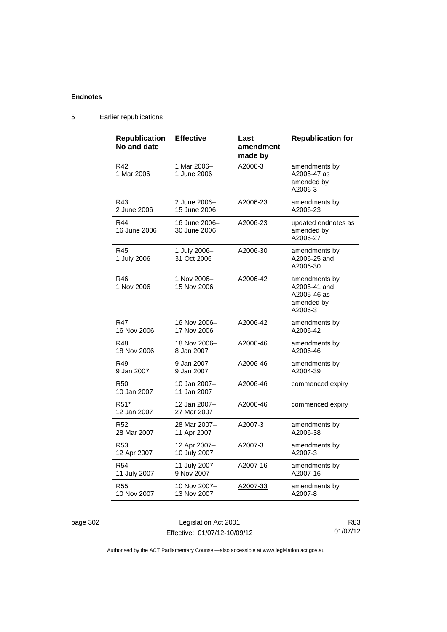| <b>Republication</b><br>No and date | <b>Effective</b>              | Last<br>amendment<br>made by | <b>Republication for</b>                                              |
|-------------------------------------|-------------------------------|------------------------------|-----------------------------------------------------------------------|
| R42<br>1 Mar 2006                   | 1 Mar 2006-<br>1 June 2006    | A2006-3                      | amendments by<br>A2005-47 as<br>amended by<br>A2006-3                 |
| R43                                 | 2 June 2006-                  | A2006-23                     | amendments by                                                         |
| 2 June 2006                         | 15 June 2006                  |                              | A2006-23                                                              |
| R44<br>16 June 2006                 | 16 June 2006-<br>30 June 2006 | A2006-23                     | updated endnotes as<br>amended by<br>A2006-27                         |
| <b>R45</b><br>1 July 2006           | 1 July 2006-<br>31 Oct 2006   | A2006-30                     | amendments by<br>A2006-25 and<br>A2006-30                             |
| R46<br>1 Nov 2006                   | 1 Nov 2006-<br>15 Nov 2006    | A2006-42                     | amendments by<br>A2005-41 and<br>A2005-46 as<br>amended by<br>A2006-3 |
| <b>R47</b>                          | 16 Nov 2006–                  | A2006-42                     | amendments by                                                         |
| 16 Nov 2006                         | 17 Nov 2006                   |                              | A2006-42                                                              |
| R48                                 | 18 Nov 2006-                  | A2006-46                     | amendments by                                                         |
| 18 Nov 2006                         | 8 Jan 2007                    |                              | A2006-46                                                              |
| R49                                 | 9 Jan 2007-                   | A2006-46                     | amendments by                                                         |
| 9 Jan 2007                          | 9 Jan 2007                    |                              | A2004-39                                                              |
| <b>R50</b><br>10 Jan 2007           | 10 Jan 2007-<br>11 Jan 2007   | A2006-46                     | commenced expiry                                                      |
| R <sub>51</sub> *<br>12 Jan 2007    | 12 Jan 2007-<br>27 Mar 2007   | A2006-46                     | commenced expiry                                                      |
| R <sub>52</sub>                     | 28 Mar 2007-                  | A2007-3                      | amendments by                                                         |
| 28 Mar 2007                         | 11 Apr 2007                   |                              | A2006-38                                                              |
| R <sub>53</sub>                     | 12 Apr 2007-                  | A2007-3                      | amendments by                                                         |
| 12 Apr 2007                         | 10 July 2007                  |                              | A2007-3                                                               |
| R <sub>54</sub>                     | 11 July 2007-                 | A2007-16                     | amendments by                                                         |
| 11 July 2007                        | 9 Nov 2007                    |                              | A2007-16                                                              |
| <b>R55</b>                          | 10 Nov 2007-                  | A2007-33                     | amendments by                                                         |
| 10 Nov 2007                         | 13 Nov 2007                   |                              | A2007-8                                                               |

# 5 Earlier republications

page 302 Legislation Act 2001 Effective: 01/07/12-10/09/12

R83 01/07/12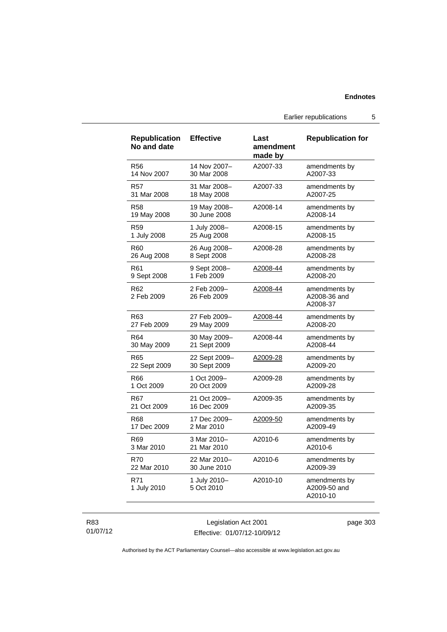Earlier republications 5

| <b>Republication</b><br>No and date | <b>Effective</b>           | Last<br>amendment<br>made by | <b>Republication for</b>                  |
|-------------------------------------|----------------------------|------------------------------|-------------------------------------------|
| <b>R56</b>                          | 14 Nov 2007-               | A2007-33                     | amendments by                             |
| 14 Nov 2007                         | 30 Mar 2008                |                              | A2007-33                                  |
| <b>R57</b>                          | 31 Mar 2008-               | A2007-33                     | amendments by                             |
| 31 Mar 2008                         | 18 May 2008                |                              | A2007-25                                  |
| <b>R58</b>                          | 19 May 2008-               | A2008-14                     | amendments by                             |
| 19 May 2008                         | 30 June 2008               |                              | A2008-14                                  |
| <b>R59</b>                          | 1 July 2008-               | A2008-15                     | amendments by                             |
| 1 July 2008                         | 25 Aug 2008                |                              | A2008-15                                  |
| R60                                 | 26 Aug 2008-               | A2008-28                     | amendments by                             |
| 26 Aug 2008                         | 8 Sept 2008                |                              | A2008-28                                  |
| R <sub>61</sub>                     | 9 Sept 2008-               | A2008-44                     | amendments by                             |
| 9 Sept 2008                         | 1 Feb 2009                 |                              | A2008-20                                  |
| R <sub>62</sub><br>2 Feb 2009       | 2 Feb 2009-<br>26 Feb 2009 | A2008-44                     | amendments by<br>A2008-36 and<br>A2008-37 |
| R63                                 | 27 Feb 2009-               | A2008-44                     | amendments by                             |
| 27 Feb 2009                         | 29 May 2009                |                              | A2008-20                                  |
| R <sub>64</sub>                     | 30 May 2009-               | A2008-44                     | amendments by                             |
| 30 May 2009                         | 21 Sept 2009               |                              | A2008-44                                  |
| <b>R65</b>                          | 22 Sept 2009-              | A2009-28                     | amendments by                             |
| 22 Sept 2009                        | 30 Sept 2009               |                              | A2009-20                                  |
| R66                                 | 1 Oct 2009-                | A2009-28                     | amendments by                             |
| 1 Oct 2009                          | 20 Oct 2009                |                              | A2009-28                                  |
| R67                                 | 21 Oct 2009-               | A2009-35                     | amendments by                             |
| 21 Oct 2009                         | 16 Dec 2009                |                              | A2009-35                                  |
| <b>R68</b>                          | 17 Dec 2009-               | A2009-50                     | amendments by                             |
| 17 Dec 2009                         | 2 Mar 2010                 |                              | A2009-49                                  |
| R69                                 | 3 Mar 2010-                | A2010-6                      | amendments by                             |
| 3 Mar 2010                          | 21 Mar 2010                |                              | A2010-6                                   |
| R70                                 | 22 Mar 2010-               | A2010-6                      | amendments by                             |
| 22 Mar 2010                         | 30 June 2010               |                              | A2009-39                                  |
| R71<br>1 July 2010                  | 1 July 2010-<br>5 Oct 2010 | A2010-10                     | amendments by<br>A2009-50 and<br>A2010-10 |

## R83 01/07/12

Legislation Act 2001 Effective: 01/07/12-10/09/12 page 303